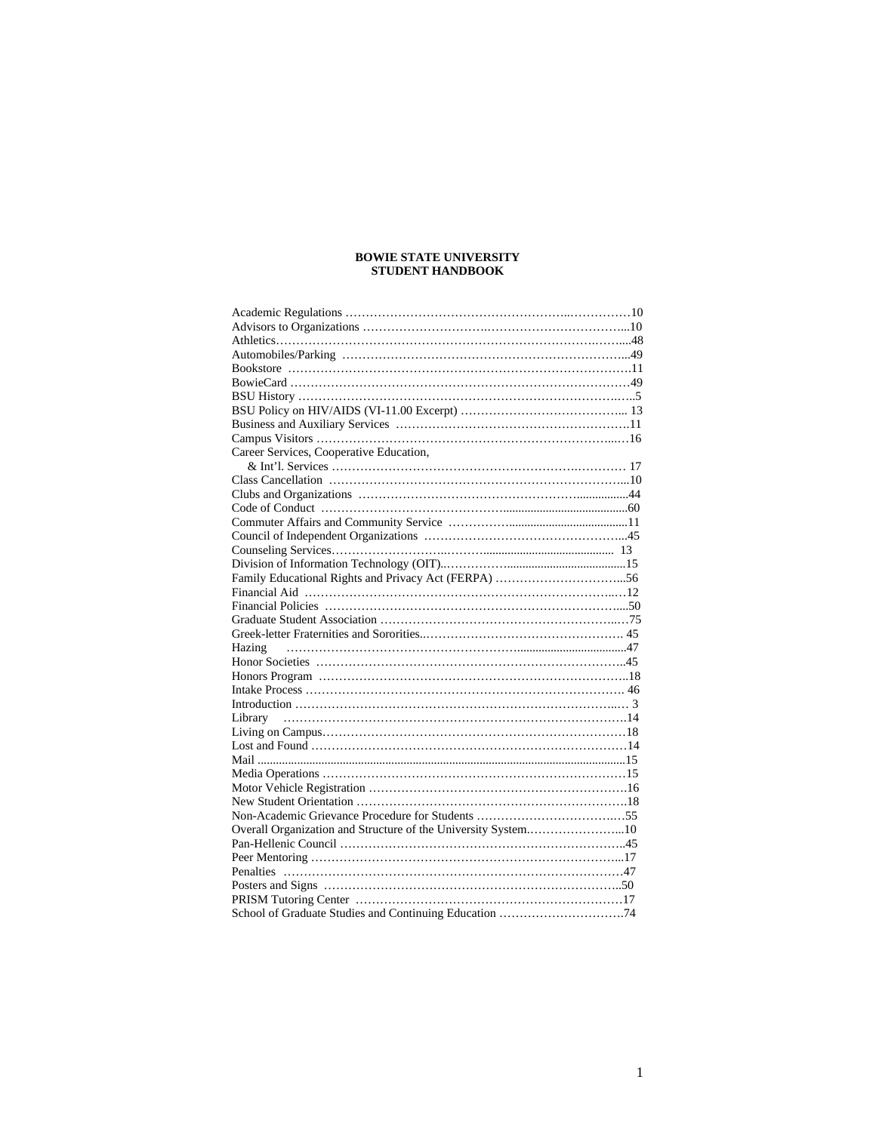# **BOWIE STATE UNIVERSITY STUDENT HANDBOOK**

| Career Services, Cooperative Education,                       |  |
|---------------------------------------------------------------|--|
|                                                               |  |
|                                                               |  |
|                                                               |  |
|                                                               |  |
|                                                               |  |
|                                                               |  |
|                                                               |  |
|                                                               |  |
|                                                               |  |
|                                                               |  |
|                                                               |  |
|                                                               |  |
|                                                               |  |
|                                                               |  |
|                                                               |  |
|                                                               |  |
|                                                               |  |
|                                                               |  |
|                                                               |  |
|                                                               |  |
|                                                               |  |
|                                                               |  |
|                                                               |  |
|                                                               |  |
|                                                               |  |
|                                                               |  |
| Overall Organization and Structure of the University System10 |  |
|                                                               |  |
|                                                               |  |
|                                                               |  |
|                                                               |  |
|                                                               |  |
|                                                               |  |
|                                                               |  |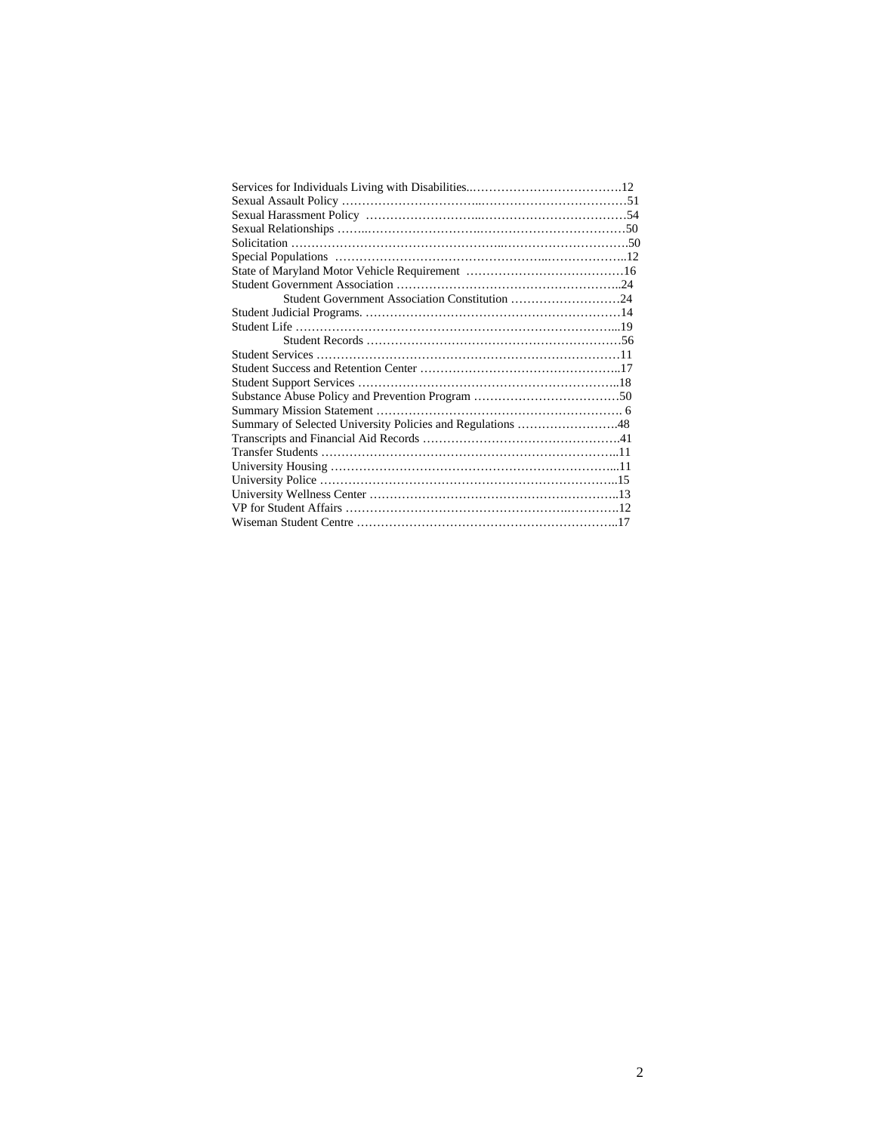| Student Government Association Constitution 24             |  |
|------------------------------------------------------------|--|
|                                                            |  |
|                                                            |  |
|                                                            |  |
|                                                            |  |
|                                                            |  |
|                                                            |  |
|                                                            |  |
|                                                            |  |
| Summary of Selected University Policies and Regulations 48 |  |
|                                                            |  |
|                                                            |  |
|                                                            |  |
|                                                            |  |
|                                                            |  |
|                                                            |  |
|                                                            |  |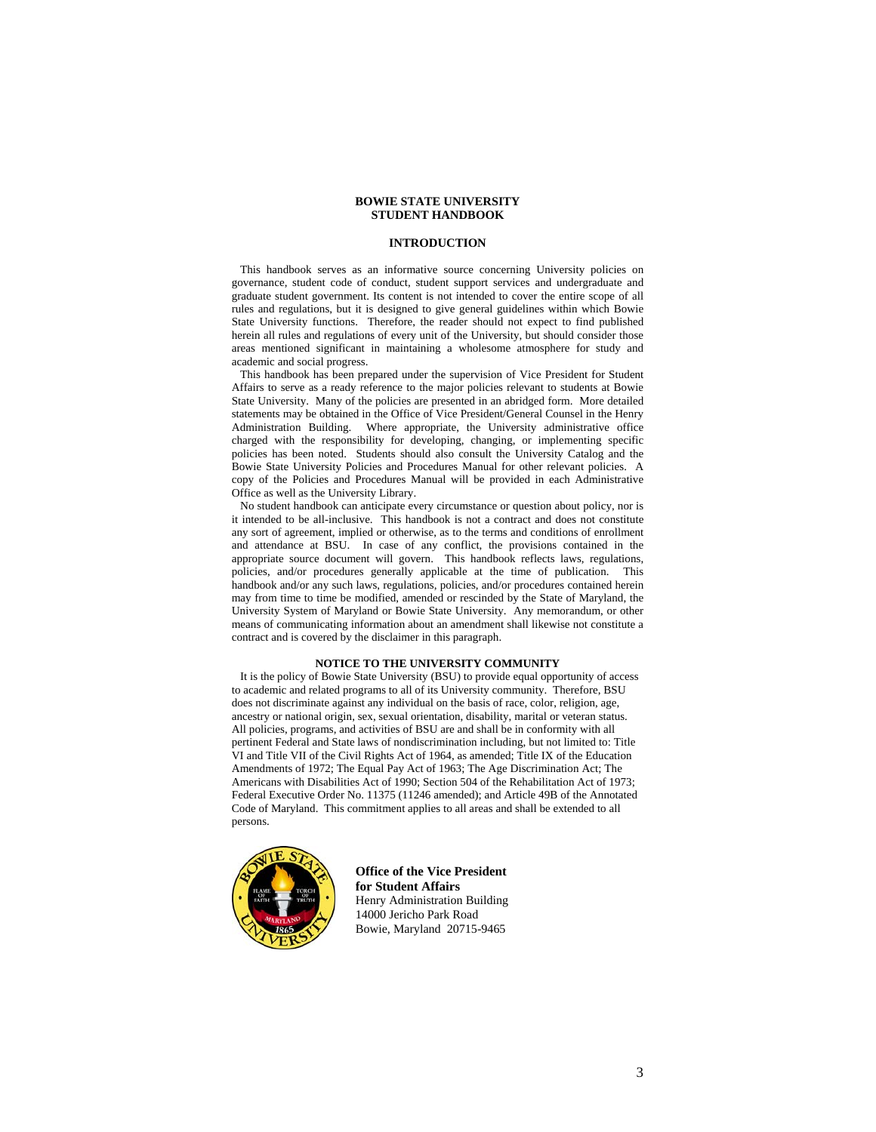# **BOWIE STATE UNIVERSITY STUDENT HANDBOOK**

# **INTRODUCTION**

 This handbook serves as an informative source concerning University policies on governance, student code of conduct, student support services and undergraduate and graduate student government. Its content is not intended to cover the entire scope of all rules and regulations, but it is designed to give general guidelines within which Bowie State University functions. Therefore, the reader should not expect to find published herein all rules and regulations of every unit of the University, but should consider those areas mentioned significant in maintaining a wholesome atmosphere for study and academic and social progress.

 This handbook has been prepared under the supervision of Vice President for Student Affairs to serve as a ready reference to the major policies relevant to students at Bowie State University. Many of the policies are presented in an abridged form. More detailed statements may be obtained in the Office of Vice President/General Counsel in the Henry Administration Building. Where appropriate, the University administrative office charged with the responsibility for developing, changing, or implementing specific policies has been noted. Students should also consult the University Catalog and the Bowie State University Policies and Procedures Manual for other relevant policies. A copy of the Policies and Procedures Manual will be provided in each Administrative Office as well as the University Library.

 No student handbook can anticipate every circumstance or question about policy, nor is it intended to be all-inclusive. This handbook is not a contract and does not constitute any sort of agreement, implied or otherwise, as to the terms and conditions of enrollment and attendance at BSU. In case of any conflict, the provisions contained in the appropriate source document will govern. This handbook reflects laws, regulations, policies, and/or procedures generally applicable at the time of publication. This handbook and/or any such laws, regulations, policies, and/or procedures contained herein may from time to time be modified, amended or rescinded by the State of Maryland, the University System of Maryland or Bowie State University. Any memorandum, or other means of communicating information about an amendment shall likewise not constitute a contract and is covered by the disclaimer in this paragraph.

#### **NOTICE TO THE UNIVERSITY COMMUNITY**

 It is the policy of Bowie State University (BSU) to provide equal opportunity of access to academic and related programs to all of its University community. Therefore, BSU does not discriminate against any individual on the basis of race, color, religion, age, ancestry or national origin, sex, sexual orientation, disability, marital or veteran status. All policies, programs, and activities of BSU are and shall be in conformity with all pertinent Federal and State laws of nondiscrimination including, but not limited to: Title VI and Title VII of the Civil Rights Act of 1964, as amended; Title IX of the Education Amendments of 1972; The Equal Pay Act of 1963; The Age Discrimination Act; The Americans with Disabilities Act of 1990; Section 504 of the Rehabilitation Act of 1973; Federal Executive Order No. 11375 (11246 amended); and Article 49B of the Annotated Code of Maryland. This commitment applies to all areas and shall be extended to all persons.



**Office of the Vice President for Student Affairs**  Henry Administration Building 14000 Jericho Park Road Bowie, Maryland 20715-9465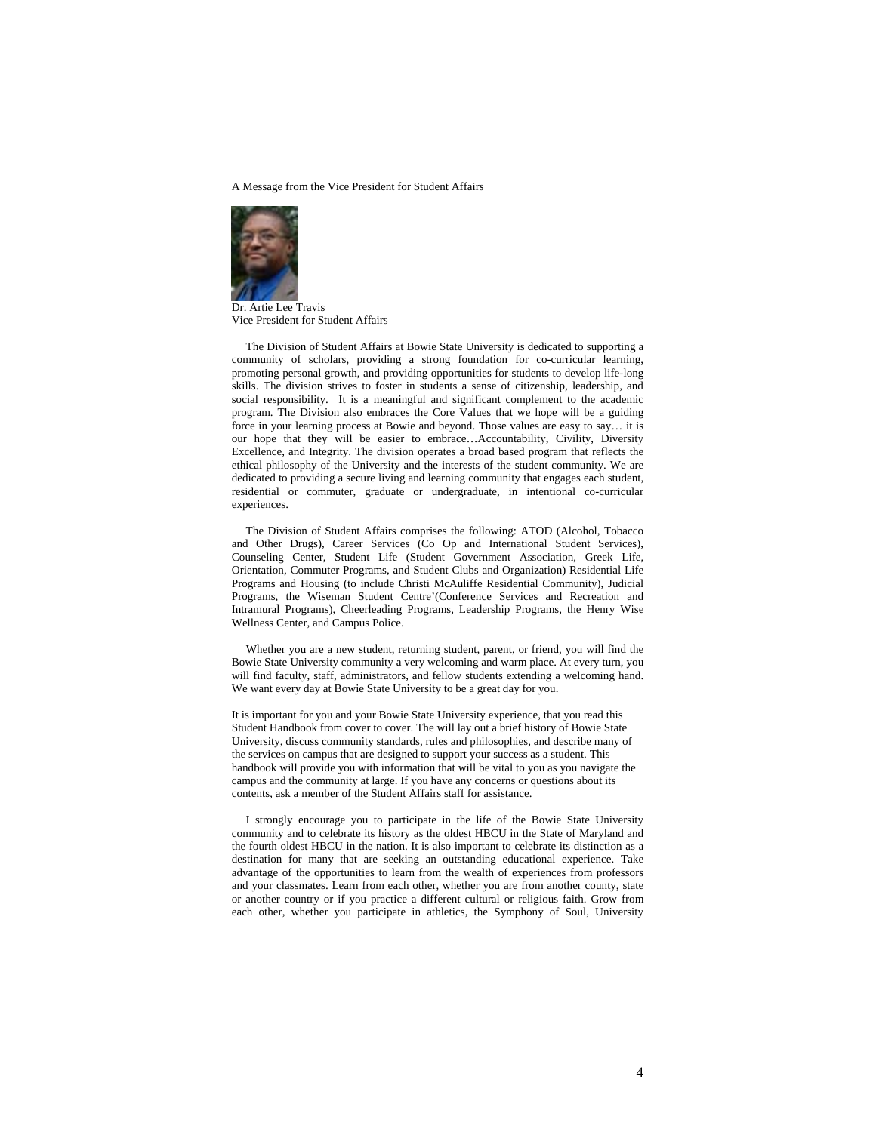A Message from the Vice President for Student Affairs



Dr. Artie Lee Travis Vice President for Student Affairs

 The Division of Student Affairs at Bowie State University is dedicated to supporting a community of scholars, providing a strong foundation for co-curricular learning, promoting personal growth, and providing opportunities for students to develop life-long skills. The division strives to foster in students a sense of citizenship, leadership, and social responsibility. It is a meaningful and significant complement to the academic program. The Division also embraces the Core Values that we hope will be a guiding force in your learning process at Bowie and beyond. Those values are easy to say… it is our hope that they will be easier to embrace…Accountability, Civility, Diversity Excellence, and Integrity. The division operates a broad based program that reflects the ethical philosophy of the University and the interests of the student community. We are dedicated to providing a secure living and learning community that engages each student, residential or commuter, graduate or undergraduate, in intentional co-curricular experiences.

 The Division of Student Affairs comprises the following: ATOD (Alcohol, Tobacco and Other Drugs), Career Services (Co Op and International Student Services), Counseling Center, Student Life (Student Government Association, Greek Life, Orientation, Commuter Programs, and Student Clubs and Organization) Residential Life Programs and Housing (to include Christi McAuliffe Residential Community), Judicial Programs, the Wiseman Student Centre'(Conference Services and Recreation and Intramural Programs), Cheerleading Programs, Leadership Programs, the Henry Wise Wellness Center, and Campus Police.

 Whether you are a new student, returning student, parent, or friend, you will find the Bowie State University community a very welcoming and warm place. At every turn, you will find faculty, staff, administrators, and fellow students extending a welcoming hand. We want every day at Bowie State University to be a great day for you.

It is important for you and your Bowie State University experience, that you read this Student Handbook from cover to cover. The will lay out a brief history of Bowie State University, discuss community standards, rules and philosophies, and describe many of the services on campus that are designed to support your success as a student. This handbook will provide you with information that will be vital to you as you navigate the campus and the community at large. If you have any concerns or questions about its contents, ask a member of the Student Affairs staff for assistance.

 I strongly encourage you to participate in the life of the Bowie State University community and to celebrate its history as the oldest HBCU in the State of Maryland and the fourth oldest HBCU in the nation. It is also important to celebrate its distinction as a destination for many that are seeking an outstanding educational experience. Take advantage of the opportunities to learn from the wealth of experiences from professors and your classmates. Learn from each other, whether you are from another county, state or another country or if you practice a different cultural or religious faith. Grow from each other, whether you participate in athletics, the Symphony of Soul, University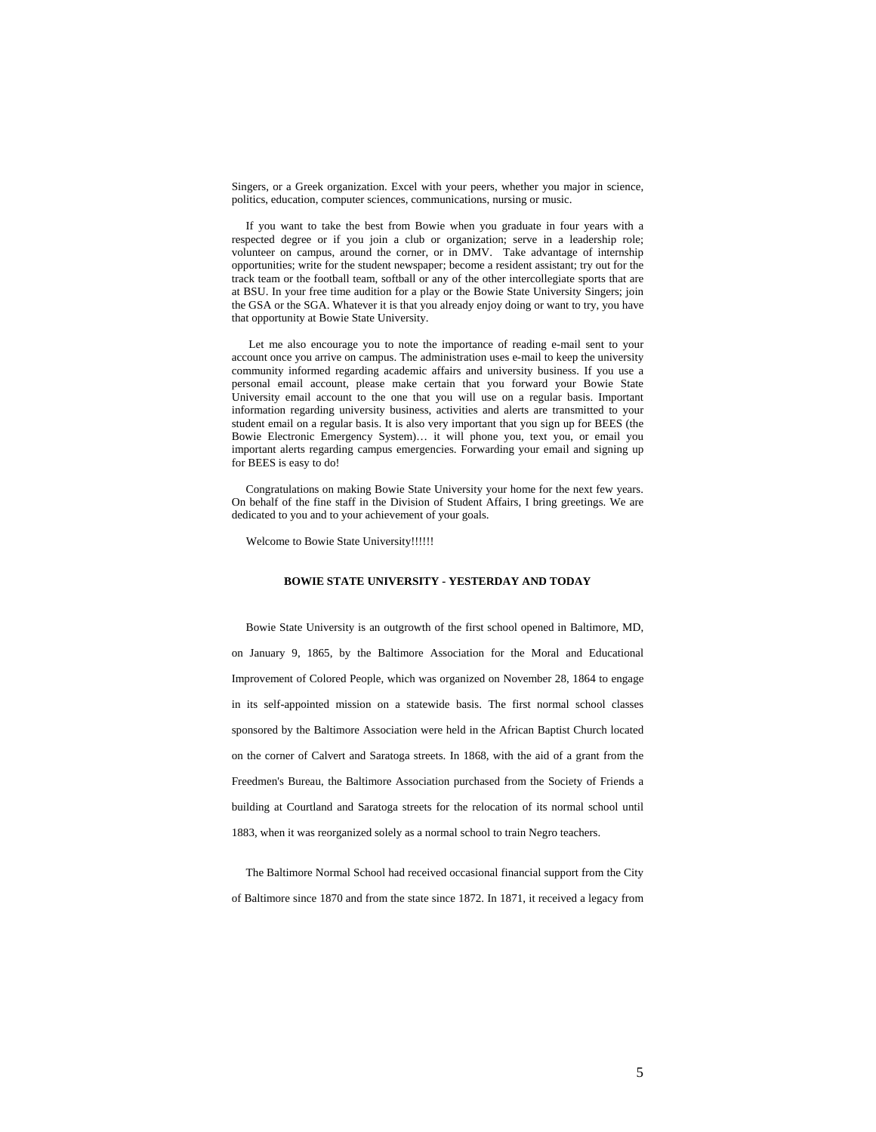Singers, or a Greek organization. Excel with your peers, whether you major in science, politics, education, computer sciences, communications, nursing or music.

 If you want to take the best from Bowie when you graduate in four years with a respected degree or if you join a club or organization; serve in a leadership role; volunteer on campus, around the corner, or in DMV. Take advantage of internship opportunities; write for the student newspaper; become a resident assistant; try out for the track team or the football team, softball or any of the other intercollegiate sports that are at BSU. In your free time audition for a play or the Bowie State University Singers; join the GSA or the SGA. Whatever it is that you already enjoy doing or want to try, you have that opportunity at Bowie State University.

 Let me also encourage you to note the importance of reading e-mail sent to your account once you arrive on campus. The administration uses e-mail to keep the university community informed regarding academic affairs and university business. If you use a personal email account, please make certain that you forward your Bowie State University email account to the one that you will use on a regular basis. Important information regarding university business, activities and alerts are transmitted to your student email on a regular basis. It is also very important that you sign up for BEES (the Bowie Electronic Emergency System)… it will phone you, text you, or email you important alerts regarding campus emergencies. Forwarding your email and signing up for BEES is easy to do!

 Congratulations on making Bowie State University your home for the next few years. On behalf of the fine staff in the Division of Student Affairs, I bring greetings. We are dedicated to you and to your achievement of your goals.

Welcome to Bowie State University!!!!!!

# **BOWIE STATE UNIVERSITY - YESTERDAY AND TODAY**

 Bowie State University is an outgrowth of the first school opened in Baltimore, MD, on January 9, 1865, by the Baltimore Association for the Moral and Educational Improvement of Colored People, which was organized on November 28, 1864 to engage in its self-appointed mission on a statewide basis. The first normal school classes sponsored by the Baltimore Association were held in the African Baptist Church located on the corner of Calvert and Saratoga streets. In 1868, with the aid of a grant from the Freedmen's Bureau, the Baltimore Association purchased from the Society of Friends a building at Courtland and Saratoga streets for the relocation of its normal school until 1883, when it was reorganized solely as a normal school to train Negro teachers.

 The Baltimore Normal School had received occasional financial support from the City of Baltimore since 1870 and from the state since 1872. In 1871, it received a legacy from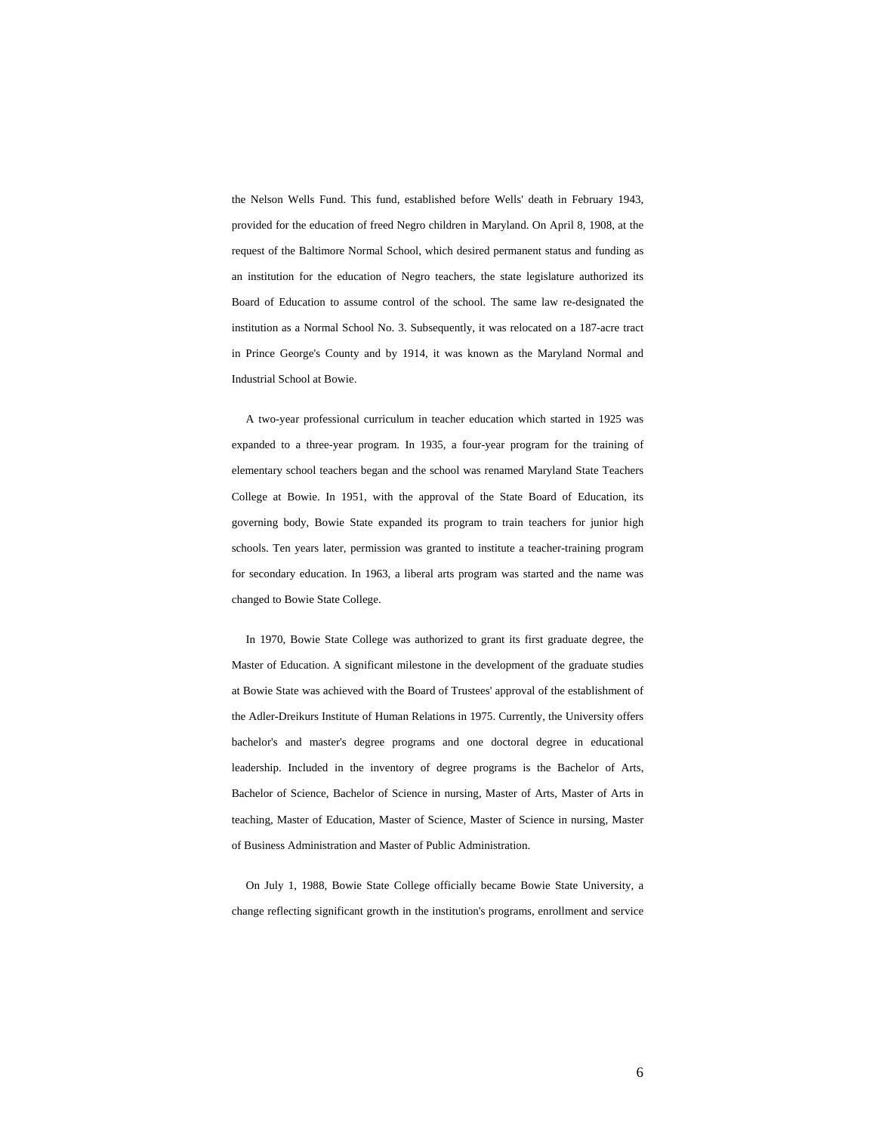the Nelson Wells Fund. This fund, established before Wells' death in February 1943, provided for the education of freed Negro children in Maryland. On April 8, 1908, at the request of the Baltimore Normal School, which desired permanent status and funding as an institution for the education of Negro teachers, the state legislature authorized its Board of Education to assume control of the school. The same law re-designated the institution as a Normal School No. 3. Subsequently, it was relocated on a 187-acre tract in Prince George's County and by 1914, it was known as the Maryland Normal and Industrial School at Bowie.

 A two-year professional curriculum in teacher education which started in 1925 was expanded to a three-year program. In 1935, a four-year program for the training of elementary school teachers began and the school was renamed Maryland State Teachers College at Bowie. In 1951, with the approval of the State Board of Education, its governing body, Bowie State expanded its program to train teachers for junior high schools. Ten years later, permission was granted to institute a teacher-training program for secondary education. In 1963, a liberal arts program was started and the name was changed to Bowie State College.

 In 1970, Bowie State College was authorized to grant its first graduate degree, the Master of Education. A significant milestone in the development of the graduate studies at Bowie State was achieved with the Board of Trustees' approval of the establishment of the Adler-Dreikurs Institute of Human Relations in 1975. Currently, the University offers bachelor's and master's degree programs and one doctoral degree in educational leadership. Included in the inventory of degree programs is the Bachelor of Arts, Bachelor of Science, Bachelor of Science in nursing, Master of Arts, Master of Arts in teaching, Master of Education, Master of Science, Master of Science in nursing, Master of Business Administration and Master of Public Administration.

 On July 1, 1988, Bowie State College officially became Bowie State University, a change reflecting significant growth in the institution's programs, enrollment and service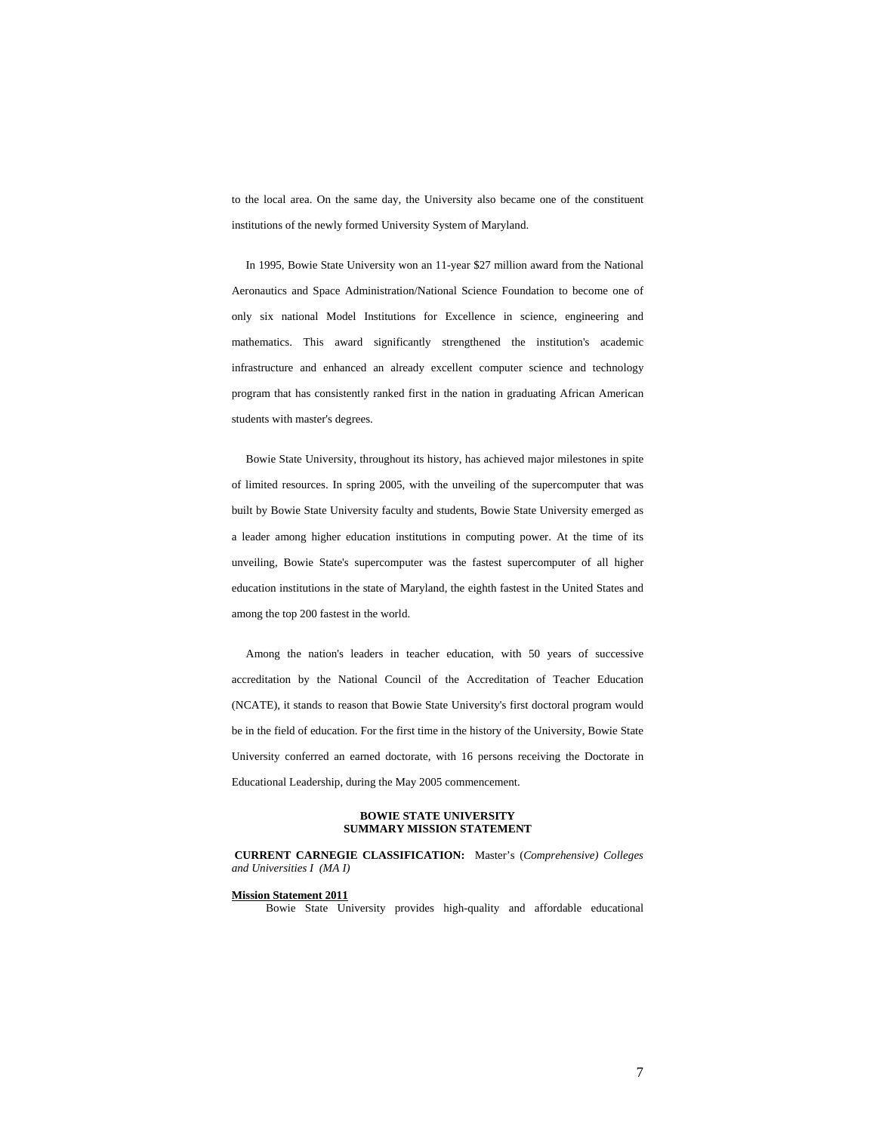to the local area. On the same day, the University also became one of the constituent institutions of the newly formed University System of Maryland.

 In 1995, Bowie State University won an 11-year \$27 million award from the National Aeronautics and Space Administration/National Science Foundation to become one of only six national Model Institutions for Excellence in science, engineering and mathematics. This award significantly strengthened the institution's academic infrastructure and enhanced an already excellent computer science and technology program that has consistently ranked first in the nation in graduating African American students with master's degrees.

 Bowie State University, throughout its history, has achieved major milestones in spite of limited resources. In spring 2005, with the unveiling of the supercomputer that was built by Bowie State University faculty and students, Bowie State University emerged as a leader among higher education institutions in computing power. At the time of its unveiling, Bowie State's supercomputer was the fastest supercomputer of all higher education institutions in the state of Maryland, the eighth fastest in the United States and among the top 200 fastest in the world.

 Among the nation's leaders in teacher education, with 50 years of successive accreditation by the National Council of the Accreditation of Teacher Education (NCATE), it stands to reason that Bowie State University's first doctoral program would be in the field of education. For the first time in the history of the University, Bowie State University conferred an earned doctorate, with 16 persons receiving the Doctorate in Educational Leadership, during the May 2005 commencement.

# **BOWIE STATE UNIVERSITY SUMMARY MISSION STATEMENT**

**CURRENT CARNEGIE CLASSIFICATION:** Master's (*Comprehensive) Colleges and Universities I (MA I)* 

# **Mission Statement 2011**

Bowie State University provides high-quality and affordable educational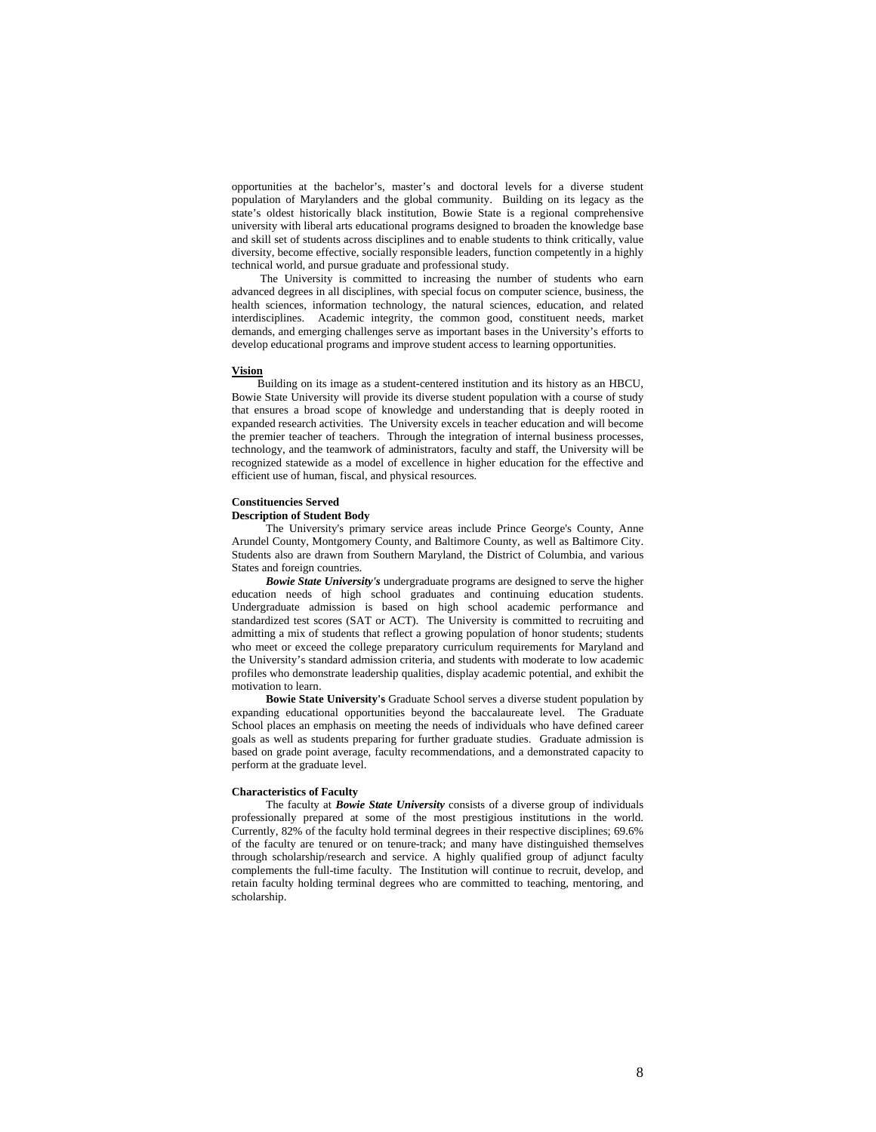opportunities at the bachelor's, master's and doctoral levels for a diverse student population of Marylanders and the global community. Building on its legacy as the state's oldest historically black institution, Bowie State is a regional comprehensive university with liberal arts educational programs designed to broaden the knowledge base and skill set of students across disciplines and to enable students to think critically, value diversity, become effective, socially responsible leaders, function competently in a highly technical world, and pursue graduate and professional study.

 The University is committed to increasing the number of students who earn advanced degrees in all disciplines, with special focus on computer science, business, the health sciences, information technology, the natural sciences, education, and related interdisciplines. Academic integrity, the common good, constituent needs, market demands, and emerging challenges serve as important bases in the University's efforts to develop educational programs and improve student access to learning opportunities.

#### **Vision**

Building on its image as a student-centered institution and its history as an HBCU, Bowie State University will provide its diverse student population with a course of study that ensures a broad scope of knowledge and understanding that is deeply rooted in expanded research activities. The University excels in teacher education and will become the premier teacher of teachers. Through the integration of internal business processes, technology, and the teamwork of administrators, faculty and staff, the University will be recognized statewide as a model of excellence in higher education for the effective and efficient use of human, fiscal, and physical resources.

### **Constituencies Served**

#### **Description of Student Body**

 The University's primary service areas include Prince George's County, Anne Arundel County, Montgomery County, and Baltimore County, as well as Baltimore City. Students also are drawn from Southern Maryland, the District of Columbia, and various States and foreign countries.

 *Bowie State University's* undergraduate programs are designed to serve the higher education needs of high school graduates and continuing education students. Undergraduate admission is based on high school academic performance and standardized test scores (SAT or ACT). The University is committed to recruiting and admitting a mix of students that reflect a growing population of honor students; students who meet or exceed the college preparatory curriculum requirements for Maryland and the University's standard admission criteria, and students with moderate to low academic profiles who demonstrate leadership qualities, display academic potential, and exhibit the motivation to learn.

 **Bowie State University's** Graduate School serves a diverse student population by expanding educational opportunities beyond the baccalaureate level. The Graduate School places an emphasis on meeting the needs of individuals who have defined career goals as well as students preparing for further graduate studies. Graduate admission is based on grade point average, faculty recommendations, and a demonstrated capacity to perform at the graduate level.

## **Characteristics of Faculty**

 The faculty at *Bowie State University* consists of a diverse group of individuals professionally prepared at some of the most prestigious institutions in the world. Currently, 82% of the faculty hold terminal degrees in their respective disciplines; 69.6% of the faculty are tenured or on tenure-track; and many have distinguished themselves through scholarship/research and service. A highly qualified group of adjunct faculty complements the full-time faculty. The Institution will continue to recruit, develop, and retain faculty holding terminal degrees who are committed to teaching, mentoring, and scholarship.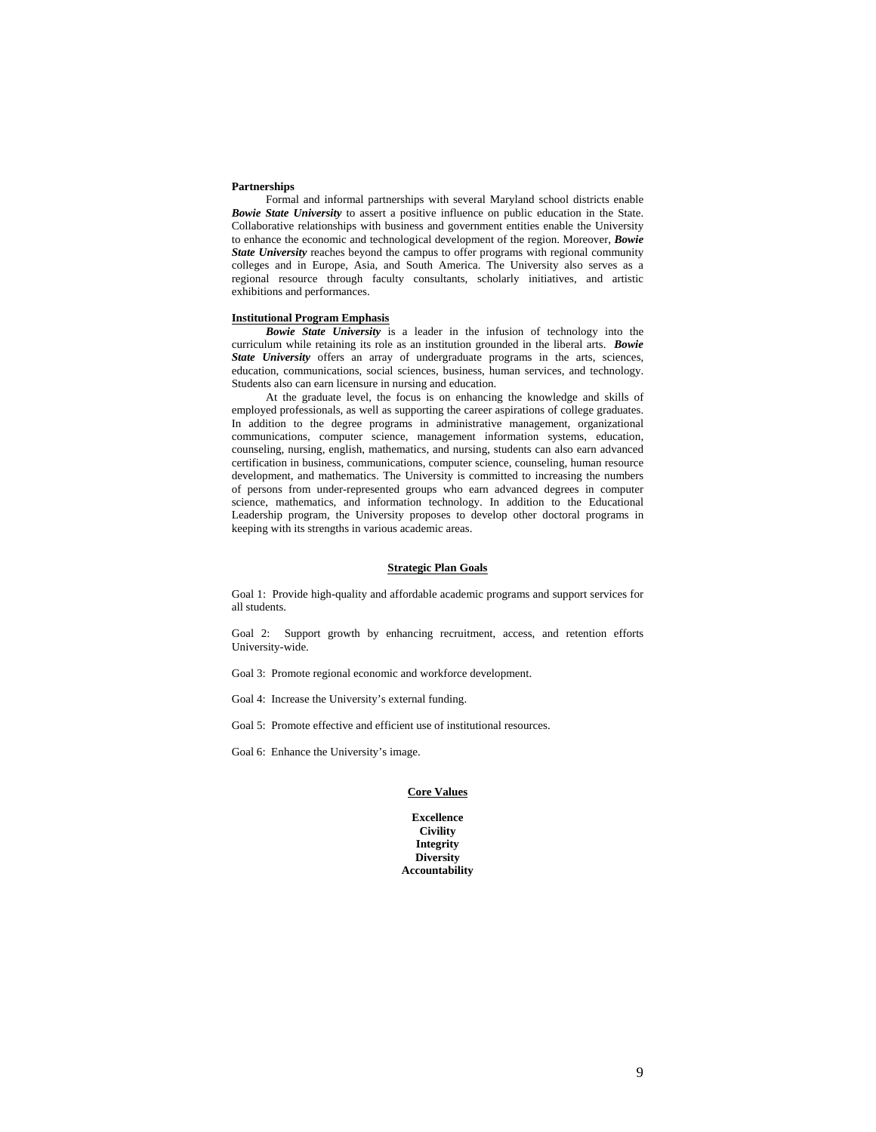# **Partnerships**

 Formal and informal partnerships with several Maryland school districts enable *Bowie State University* to assert a positive influence on public education in the State. Collaborative relationships with business and government entities enable the University to enhance the economic and technological development of the region. Moreover, *Bowie*  **State University** reaches beyond the campus to offer programs with regional community colleges and in Europe, Asia, and South America. The University also serves as a regional resource through faculty consultants, scholarly initiatives, and artistic exhibitions and performances.

## **Institutional Program Emphasis**

 *Bowie State University* is a leader in the infusion of technology into the curriculum while retaining its role as an institution grounded in the liberal arts. *Bowie State University* offers an array of undergraduate programs in the arts, sciences, education, communications, social sciences, business, human services, and technology. Students also can earn licensure in nursing and education.

 At the graduate level, the focus is on enhancing the knowledge and skills of employed professionals, as well as supporting the career aspirations of college graduates. In addition to the degree programs in administrative management, organizational communications, computer science, management information systems, education, counseling, nursing, english, mathematics, and nursing, students can also earn advanced certification in business, communications, computer science, counseling, human resource development, and mathematics. The University is committed to increasing the numbers of persons from under-represented groups who earn advanced degrees in computer science, mathematics, and information technology. In addition to the Educational Leadership program, the University proposes to develop other doctoral programs in keeping with its strengths in various academic areas.

#### **Strategic Plan Goals**

Goal 1: Provide high-quality and affordable academic programs and support services for all students.

Goal 2: Support growth by enhancing recruitment, access, and retention efforts University-wide.

Goal 3: Promote regional economic and workforce development.

Goal 4: Increase the University's external funding.

Goal 5: Promote effective and efficient use of institutional resources.

Goal 6: Enhance the University's image.

#### **Core Values**

**Excellence Civility Integrity Diversity Accountability**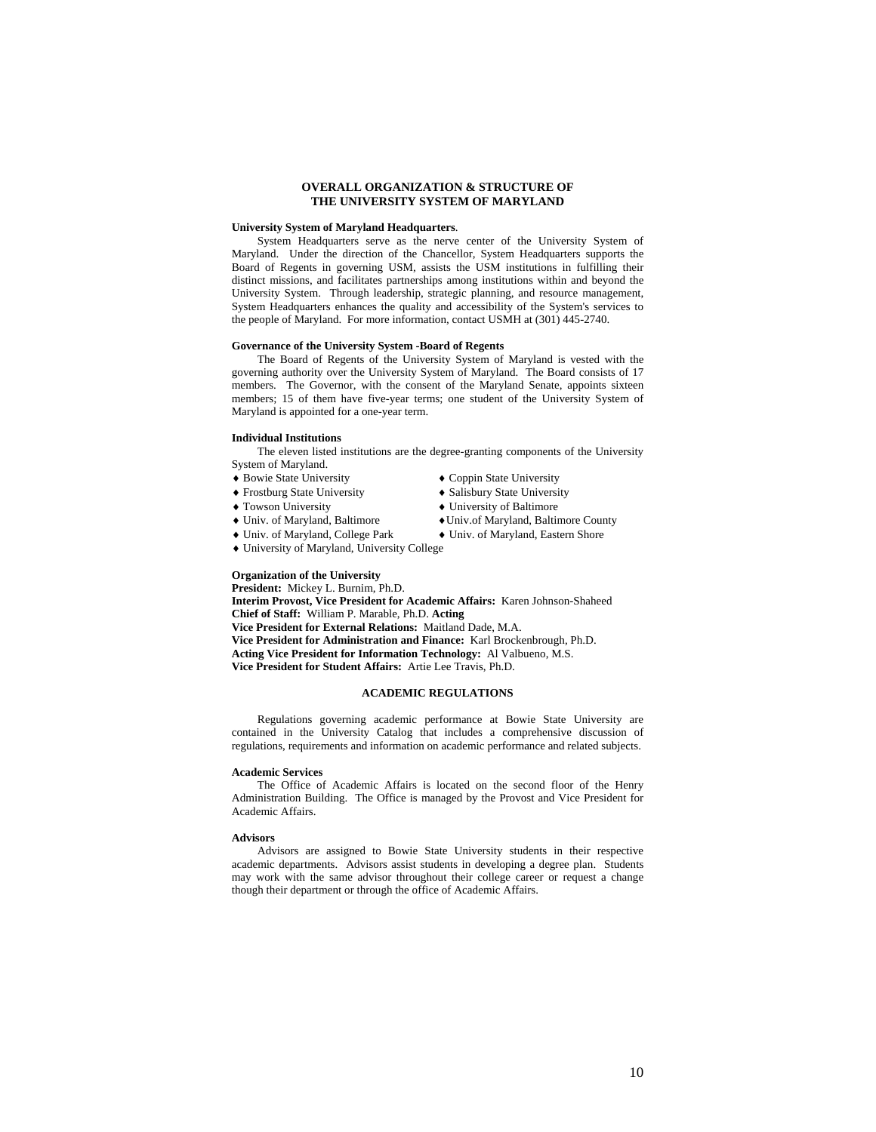# **OVERALL ORGANIZATION & STRUCTURE OF THE UNIVERSITY SYSTEM OF MARYLAND**

## **University System of Maryland Headquarters**.

System Headquarters serve as the nerve center of the University System of Maryland. Under the direction of the Chancellor, System Headquarters supports the Board of Regents in governing USM, assists the USM institutions in fulfilling their distinct missions, and facilitates partnerships among institutions within and beyond the University System. Through leadership, strategic planning, and resource management, System Headquarters enhances the quality and accessibility of the System's services to the people of Maryland. For more information, contact USMH at (301) 445-2740.

## **Governance of the University System -Board of Regents**

The Board of Regents of the University System of Maryland is vested with the governing authority over the University System of Maryland. The Board consists of 17 members. The Governor, with the consent of the Maryland Senate, appoints sixteen members; 15 of them have five-year terms; one student of the University System of Maryland is appointed for a one-year term.

#### **Individual Institutions**

The eleven listed institutions are the degree-granting components of the University System of Maryland.

- ♦ Bowie State University ♦ Coppin State University
- 
- 
- 
- 
- ♦ University of Maryland, University College

# **Organization of the University**

**President:** Mickey L. Burnim, Ph.D.

**Interim Provost, Vice President for Academic Affairs:** Karen Johnson-Shaheed **Chief of Staff:** William P. Marable, Ph.D. **Acting Vice President for External Relations:** Maitland Dade, M.A.

**Vice President for Administration and Finance:** Karl Brockenbrough, Ph.D. **Acting Vice President for Information Technology:** Al Valbueno, M.S.

**Vice President for Student Affairs:** Artie Lee Travis, Ph.D.

# **ACADEMIC REGULATIONS**

Regulations governing academic performance at Bowie State University are contained in the University Catalog that includes a comprehensive discussion of regulations, requirements and information on academic performance and related subjects.

#### **Academic Services**

The Office of Academic Affairs is located on the second floor of the Henry Administration Building. The Office is managed by the Provost and Vice President for Academic Affairs.

#### **Advisors**

Advisors are assigned to Bowie State University students in their respective academic departments. Advisors assist students in developing a degree plan. Students may work with the same advisor throughout their college career or request a change though their department or through the office of Academic Affairs.

- ♦ Frostburg State University ♦ Salisbury State University
	- $\triangle$  University of Baltimore
- ♦ Univ. of Maryland, Baltimore ♦Univ.of Maryland, Baltimore County
- ♦ Univ. of Maryland, College Park ♦ Univ. of Maryland, Eastern Shore

10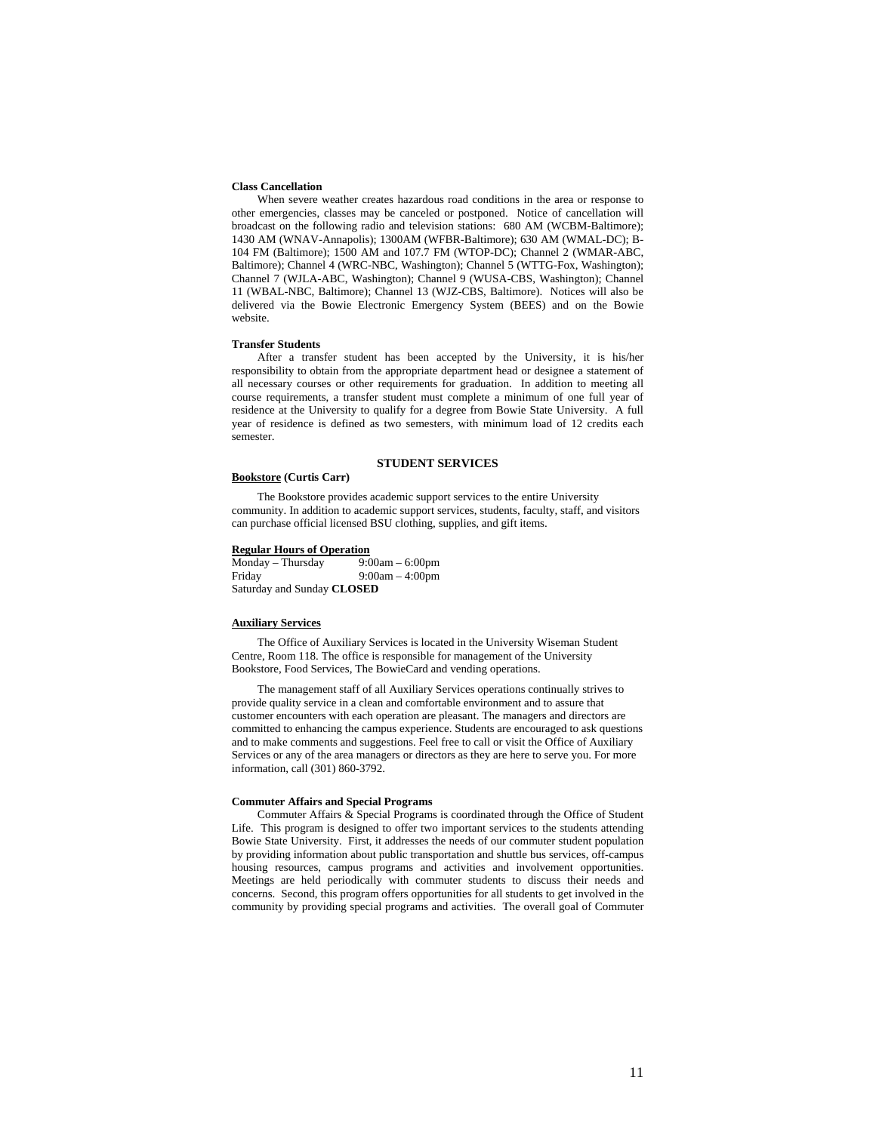## **Class Cancellation**

When severe weather creates hazardous road conditions in the area or response to other emergencies, classes may be canceled or postponed. Notice of cancellation will broadcast on the following radio and television stations: 680 AM (WCBM-Baltimore); 1430 AM (WNAV-Annapolis); 1300AM (WFBR-Baltimore); 630 AM (WMAL-DC); B-104 FM (Baltimore); 1500 AM and 107.7 FM (WTOP-DC); Channel 2 (WMAR-ABC, Baltimore); Channel 4 (WRC-NBC, Washington); Channel 5 (WTTG-Fox, Washington); Channel 7 (WJLA-ABC, Washington); Channel 9 (WUSA-CBS, Washington); Channel 11 (WBAL-NBC, Baltimore); Channel 13 (WJZ-CBS, Baltimore). Notices will also be delivered via the Bowie Electronic Emergency System (BEES) and on the Bowie website.

# **Transfer Students**

After a transfer student has been accepted by the University, it is his/her responsibility to obtain from the appropriate department head or designee a statement of all necessary courses or other requirements for graduation. In addition to meeting all course requirements, a transfer student must complete a minimum of one full year of residence at the University to qualify for a degree from Bowie State University. A full year of residence is defined as two semesters, with minimum load of 12 credits each semester.

# **STUDENT SERVICES**

# **Bookstore (Curtis Carr)**

The Bookstore provides academic support services to the entire University community. In addition to academic support services, students, faculty, staff, and visitors can purchase official licensed BSU clothing, supplies, and gift items.

# **Regular Hours of Operation**

| Monday – Thursday          | $9:00am - 6:00pm$ |
|----------------------------|-------------------|
| Friday                     | $9:00am - 4:00pm$ |
| Saturday and Sunday CLOSED |                   |

# **Auxiliary Services**

The Office of Auxiliary Services is located in the University Wiseman Student Centre, Room 118. The office is responsible for management of the University Bookstore, Food Services, The BowieCard and vending operations.

The management staff of all Auxiliary Services operations continually strives to provide quality service in a clean and comfortable environment and to assure that customer encounters with each operation are pleasant. The managers and directors are committed to enhancing the campus experience. Students are encouraged to ask questions and to make comments and suggestions. Feel free to call or visit the Office of Auxiliary Services or any of the area managers or directors as they are here to serve you. For more information, call (301) 860-3792.

#### **Commuter Affairs and Special Programs**

Commuter Affairs & Special Programs is coordinated through the Office of Student Life. This program is designed to offer two important services to the students attending Bowie State University. First, it addresses the needs of our commuter student population by providing information about public transportation and shuttle bus services, off-campus housing resources, campus programs and activities and involvement opportunities. Meetings are held periodically with commuter students to discuss their needs and concerns. Second, this program offers opportunities for all students to get involved in the community by providing special programs and activities. The overall goal of Commuter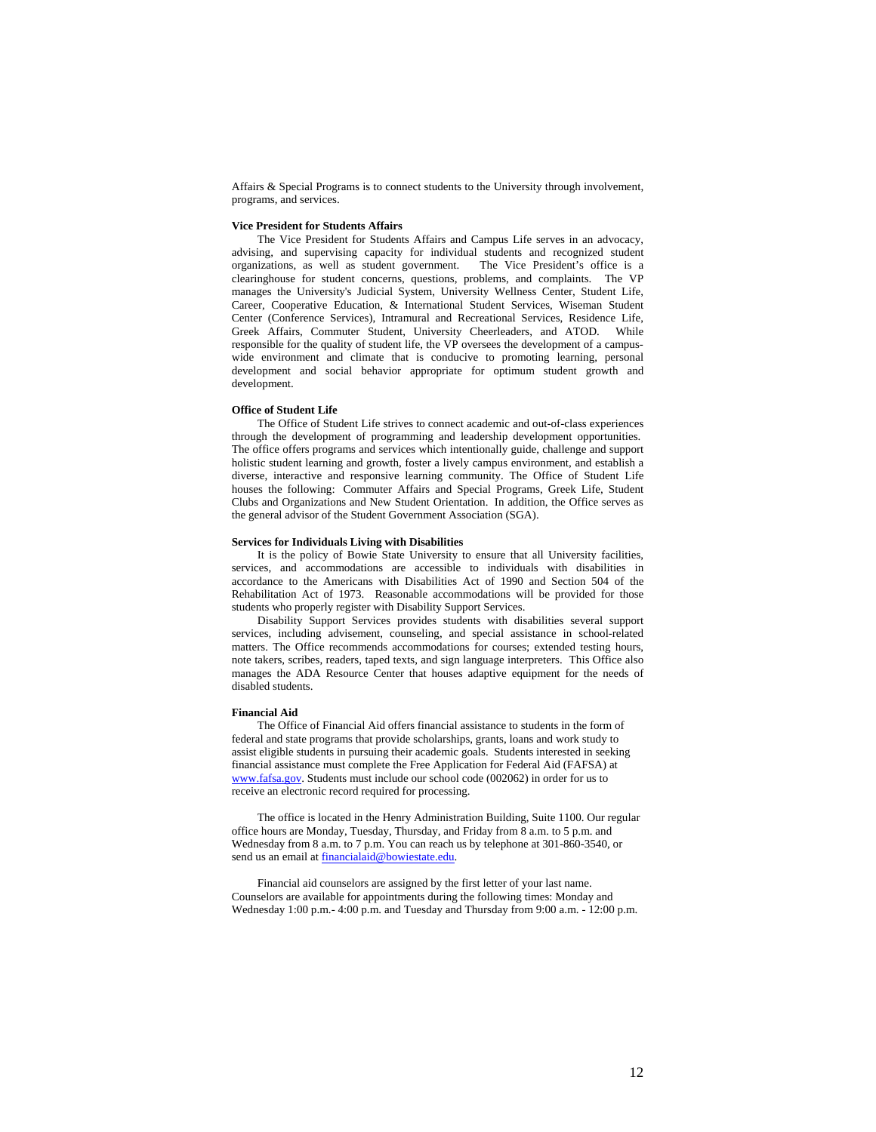Affairs & Special Programs is to connect students to the University through involvement, programs, and services.

# **Vice President for Students Affairs**

The Vice President for Students Affairs and Campus Life serves in an advocacy, advising, and supervising capacity for individual students and recognized student organizations, as well as student government. The Vice President's office is a organizations, as well as student government. clearinghouse for student concerns, questions, problems, and complaints. The VP manages the University's Judicial System, University Wellness Center, Student Life, Career, Cooperative Education, & International Student Services, Wiseman Student Center (Conference Services), Intramural and Recreational Services, Residence Life, Greek Affairs, Commuter Student, University Cheerleaders, and ATOD. While responsible for the quality of student life, the VP oversees the development of a campuswide environment and climate that is conducive to promoting learning, personal development and social behavior appropriate for optimum student growth and development.

#### **Office of Student Life**

The Office of Student Life strives to connect academic and out-of-class experiences through the development of programming and leadership development opportunities. The office offers programs and services which intentionally guide, challenge and support holistic student learning and growth, foster a lively campus environment, and establish a diverse, interactive and responsive learning community. The Office of Student Life houses the following: Commuter Affairs and Special Programs, Greek Life, Student Clubs and Organizations and New Student Orientation. In addition, the Office serves as the general advisor of the Student Government Association (SGA).

# **Services for Individuals Living with Disabilities**

It is the policy of Bowie State University to ensure that all University facilities, services, and accommodations are accessible to individuals with disabilities in accordance to the Americans with Disabilities Act of 1990 and Section 504 of the Rehabilitation Act of 1973. Reasonable accommodations will be provided for those students who properly register with Disability Support Services.

Disability Support Services provides students with disabilities several support services, including advisement, counseling, and special assistance in school-related matters. The Office recommends accommodations for courses; extended testing hours, note takers, scribes, readers, taped texts, and sign language interpreters. This Office also manages the ADA Resource Center that houses adaptive equipment for the needs of disabled students.

# **Financial Aid**

The Office of Financial Aid offers financial assistance to students in the form of federal and state programs that provide scholarships, grants, loans and work study to assist eligible students in pursuing their academic goals. Students interested in seeking financial assistance must complete the Free Application for Federal Aid (FAFSA) at www.fafsa.gov. Students must include our school code (002062) in order for us to receive an electronic record required for processing.

The office is located in the Henry Administration Building, Suite 1100. Our regular office hours are Monday, Tuesday, Thursday, and Friday from 8 a.m. to 5 p.m. and Wednesday from 8 a.m. to 7 p.m. You can reach us by telephone at 301-860-3540, or send us an email at financialaid@bowiestate.edu.

Financial aid counselors are assigned by the first letter of your last name. Counselors are available for appointments during the following times: Monday and Wednesday 1:00 p.m.- 4:00 p.m. and Tuesday and Thursday from 9:00 a.m. - 12:00 p.m.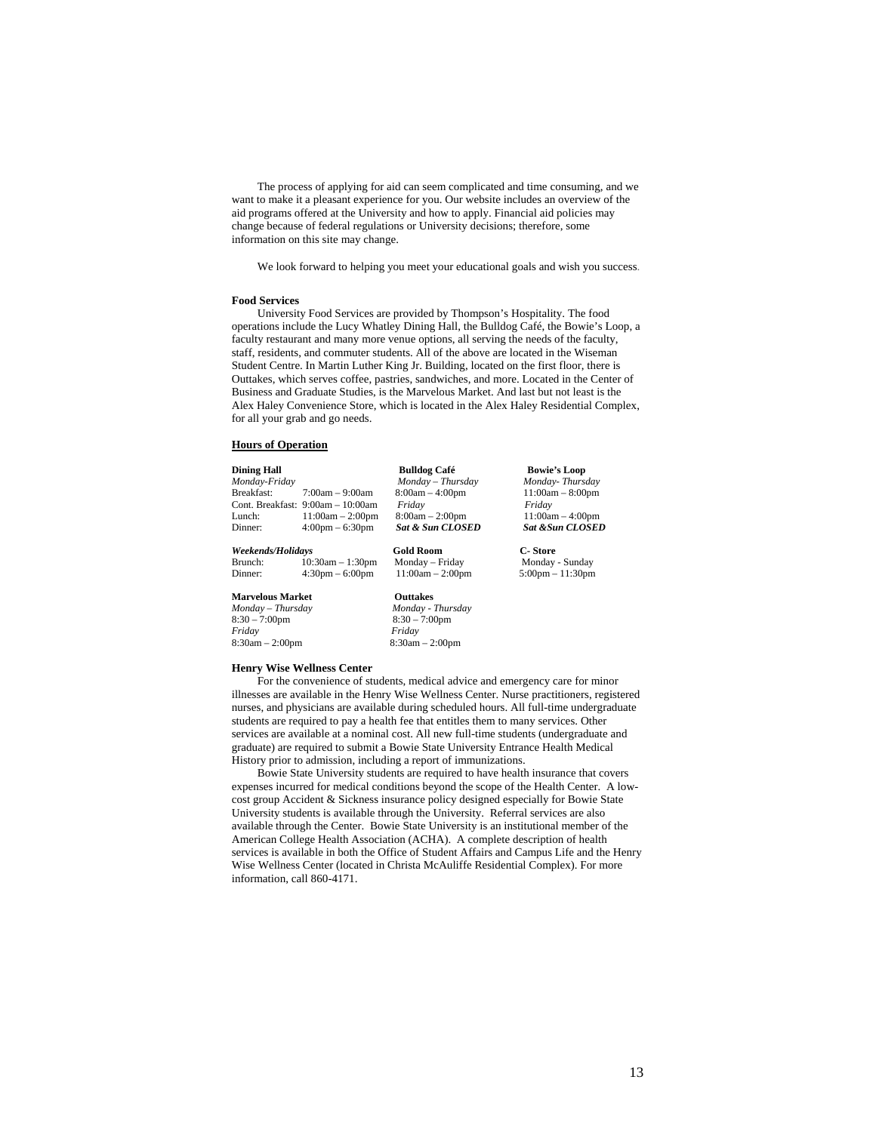The process of applying for aid can seem complicated and time consuming, and we want to make it a pleasant experience for you. Our website includes an overview of the aid programs offered at the University and how to apply. Financial aid policies may change because of federal regulations or University decisions; therefore, some information on this site may change.

We look forward to helping you meet your educational goals and wish you success.

#### **Food Services**

University Food Services are provided by Thompson's Hospitality. The food operations include the Lucy Whatley Dining Hall, the Bulldog Café, the Bowie's Loop, a faculty restaurant and many more venue options, all serving the needs of the faculty, staff, residents, and commuter students. All of the above are located in the Wiseman Student Centre. In Martin Luther King Jr. Building, located on the first floor, there is Outtakes, which serves coffee, pastries, sandwiches, and more. Located in the Center of Business and Graduate Studies, is the Marvelous Market. And last but not least is the Alex Haley Convenience Store, which is located in the Alex Haley Residential Complex, for all your grab and go needs.

#### **Hours of Operation**

| <b>Dining Hall</b>      |                                     | <b>Bulldog Café</b>         | <b>Bowie's Loop</b>                |
|-------------------------|-------------------------------------|-----------------------------|------------------------------------|
| Monday-Friday           |                                     | Monday - Thursday           | Monday-Thursday                    |
| Breakfast:              | $7:00am - 9:00am$                   | $8:00am - 4:00pm$           | $11:00am - 8:00pm$                 |
|                         | Cont. Breakfast: $9:00am - 10:00am$ | Fridav                      | Fridav                             |
| Lunch:                  | $11:00am - 2:00pm$                  | $8:00am - 2:00pm$           | $11:00am - 4:00pm$                 |
| Dinner:                 | $4:00 \text{pm} - 6:30 \text{pm}$   | <b>Sat &amp; Sun CLOSED</b> | <b>Sat &amp; Sun CLOSED</b>        |
| Weekends/Holidays       |                                     | <b>Gold Room</b>            | C- Store                           |
| Brunch:                 | $10:30am - 1:30pm$                  | Monday – Friday             | Monday - Sunday                    |
| Dinner:                 | $4:30 \text{pm} - 6:00 \text{pm}$   | $11:00am - 2:00pm$          | $5:00 \text{pm} - 11:30 \text{pm}$ |
| <b>Marvelous Market</b> |                                     | <b>Outtakes</b>             |                                    |
| $M$ onday – Thursday    |                                     | Monday - Thursday           |                                    |
| $8:30 - 7:00$ pm        |                                     | $8:30 - 7:00$ pm            |                                    |

8:30am – 2:00pm 8:30am – 2:00pm

#### **Henry Wise Wellness Center**

*Friday Friday* 

 For the convenience of students, medical advice and emergency care for minor illnesses are available in the Henry Wise Wellness Center. Nurse practitioners, registered nurses, and physicians are available during scheduled hours. All full-time undergraduate students are required to pay a health fee that entitles them to many services. Other services are available at a nominal cost. All new full-time students (undergraduate and graduate) are required to submit a Bowie State University Entrance Health Medical History prior to admission, including a report of immunizations.

 Bowie State University students are required to have health insurance that covers expenses incurred for medical conditions beyond the scope of the Health Center. A lowcost group Accident & Sickness insurance policy designed especially for Bowie State University students is available through the University. Referral services are also available through the Center. Bowie State University is an institutional member of the American College Health Association (ACHA). A complete description of health services is available in both the Office of Student Affairs and Campus Life and the Henry Wise Wellness Center (located in Christa McAuliffe Residential Complex). For more information, call 860-4171.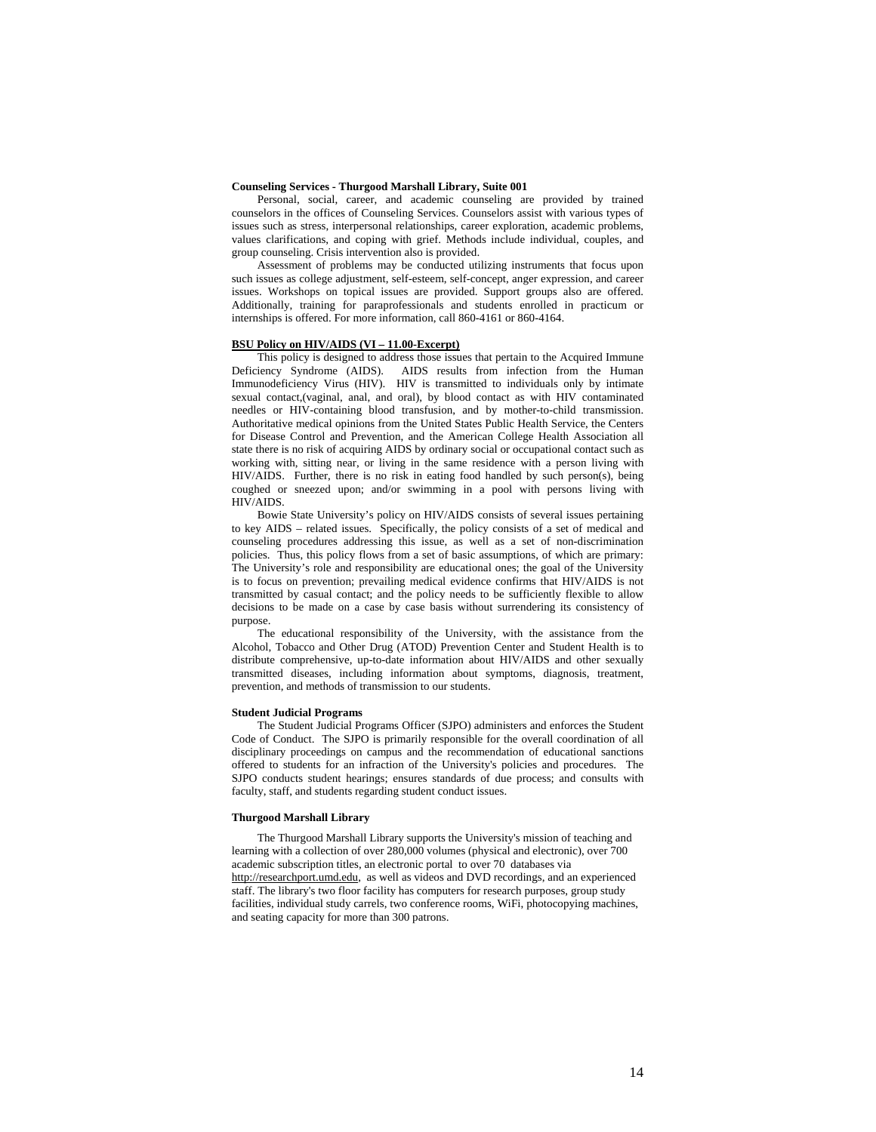## **Counseling Services - Thurgood Marshall Library, Suite 001**

Personal, social, career, and academic counseling are provided by trained counselors in the offices of Counseling Services. Counselors assist with various types of issues such as stress, interpersonal relationships, career exploration, academic problems, values clarifications, and coping with grief. Methods include individual, couples, and group counseling. Crisis intervention also is provided.

Assessment of problems may be conducted utilizing instruments that focus upon such issues as college adjustment, self-esteem, self-concept, anger expression, and career issues. Workshops on topical issues are provided. Support groups also are offered. Additionally, training for paraprofessionals and students enrolled in practicum or internships is offered. For more information, call 860-4161 or 860-4164.

# **BSU Policy on HIV/AIDS (VI – 11.00-Excerpt)**

This policy is designed to address those issues that pertain to the Acquired Immune Deficiency Syndrome (AIDS). AIDS results from infection from the Human Immunodeficiency Virus (HIV). HIV is transmitted to individuals only by intimate sexual contact,(vaginal, anal, and oral), by blood contact as with HIV contaminated needles or HIV-containing blood transfusion, and by mother-to-child transmission. Authoritative medical opinions from the United States Public Health Service, the Centers for Disease Control and Prevention, and the American College Health Association all state there is no risk of acquiring AIDS by ordinary social or occupational contact such as working with, sitting near, or living in the same residence with a person living with HIV/AIDS. Further, there is no risk in eating food handled by such person(s), being coughed or sneezed upon; and/or swimming in a pool with persons living with HIV/AIDS.

Bowie State University's policy on HIV/AIDS consists of several issues pertaining to key AIDS – related issues. Specifically, the policy consists of a set of medical and counseling procedures addressing this issue, as well as a set of non-discrimination policies. Thus, this policy flows from a set of basic assumptions, of which are primary: The University's role and responsibility are educational ones; the goal of the University is to focus on prevention; prevailing medical evidence confirms that HIV/AIDS is not transmitted by casual contact; and the policy needs to be sufficiently flexible to allow decisions to be made on a case by case basis without surrendering its consistency of purpose.

The educational responsibility of the University, with the assistance from the Alcohol, Tobacco and Other Drug (ATOD) Prevention Center and Student Health is to distribute comprehensive, up-to-date information about HIV/AIDS and other sexually transmitted diseases, including information about symptoms, diagnosis, treatment, prevention, and methods of transmission to our students.

#### **Student Judicial Programs**

The Student Judicial Programs Officer (SJPO) administers and enforces the Student Code of Conduct. The SJPO is primarily responsible for the overall coordination of all disciplinary proceedings on campus and the recommendation of educational sanctions offered to students for an infraction of the University's policies and procedures. The SJPO conducts student hearings; ensures standards of due process; and consults with faculty, staff, and students regarding student conduct issues.

## **Thurgood Marshall Library**

The Thurgood Marshall Library supports the University's mission of teaching and learning with a collection of over 280,000 volumes (physical and electronic), over 700 academic subscription titles, an electronic portal to over 70 databases via http://researchport.umd.edu, as well as videos and DVD recordings, and an experienced staff. The library's two floor facility has computers for research purposes, group study facilities, individual study carrels, two conference rooms, WiFi, photocopying machines, and seating capacity for more than 300 patrons.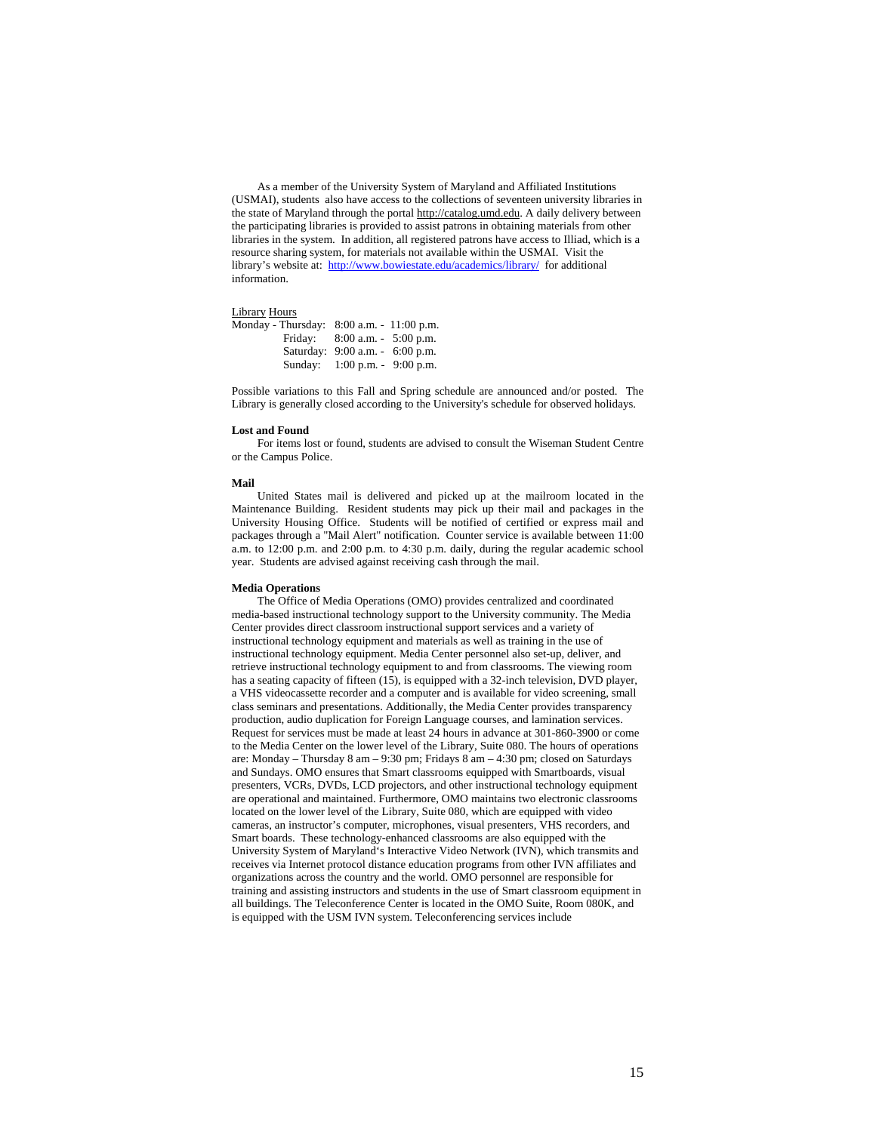As a member of the University System of Maryland and Affiliated Institutions (USMAI), students also have access to the collections of seventeen university libraries in the state of Maryland through the portal http://catalog.umd.edu. A daily delivery between the participating libraries is provided to assist patrons in obtaining materials from other libraries in the system. In addition, all registered patrons have access to Illiad, which is a resource sharing system, for materials not available within the USMAI. Visit the library's website at: http://www.bowiestate.edu/academics/library/ for additional information.

# Library Hours

| Monday - Thursday: 8:00 a.m. - 11:00 p.m. |                                 |  |
|-------------------------------------------|---------------------------------|--|
| Fridav:                                   | $8:00$ a.m. $-5:00$ p.m.        |  |
|                                           | Saturday: 9:00 a.m. - 6:00 p.m. |  |
|                                           | Sunday: 1:00 p.m. - 9:00 p.m.   |  |

Possible variations to this Fall and Spring schedule are announced and/or posted. The Library is generally closed according to the University's schedule for observed holidays.

#### **Lost and Found**

For items lost or found, students are advised to consult the Wiseman Student Centre or the Campus Police.

#### **Mail**

United States mail is delivered and picked up at the mailroom located in the Maintenance Building. Resident students may pick up their mail and packages in the University Housing Office. Students will be notified of certified or express mail and packages through a "Mail Alert" notification. Counter service is available between 11:00 a.m. to 12:00 p.m. and 2:00 p.m. to 4:30 p.m. daily, during the regular academic school year. Students are advised against receiving cash through the mail.

# **Media Operations**

The Office of Media Operations (OMO) provides centralized and coordinated media-based instructional technology support to the University community. The Media Center provides direct classroom instructional support services and a variety of instructional technology equipment and materials as well as training in the use of instructional technology equipment. Media Center personnel also set-up, deliver, and retrieve instructional technology equipment to and from classrooms. The viewing room has a seating capacity of fifteen (15), is equipped with a 32-inch television, DVD player, a VHS videocassette recorder and a computer and is available for video screening, small class seminars and presentations. Additionally, the Media Center provides transparency production, audio duplication for Foreign Language courses, and lamination services. Request for services must be made at least 24 hours in advance at 301-860-3900 or come to the Media Center on the lower level of the Library, Suite 080. The hours of operations are: Monday – Thursday 8 am – 9:30 pm; Fridays 8 am – 4:30 pm; closed on Saturdays and Sundays. OMO ensures that Smart classrooms equipped with Smartboards, visual presenters, VCRs, DVDs, LCD projectors, and other instructional technology equipment are operational and maintained. Furthermore, OMO maintains two electronic classrooms located on the lower level of the Library, Suite 080, which are equipped with video cameras, an instructor's computer, microphones, visual presenters, VHS recorders, and Smart boards. These technology-enhanced classrooms are also equipped with the University System of Maryland's Interactive Video Network (IVN), which transmits and receives via Internet protocol distance education programs from other IVN affiliates and organizations across the country and the world. OMO personnel are responsible for training and assisting instructors and students in the use of Smart classroom equipment in all buildings. The Teleconference Center is located in the OMO Suite, Room 080K, and is equipped with the USM IVN system. Teleconferencing services include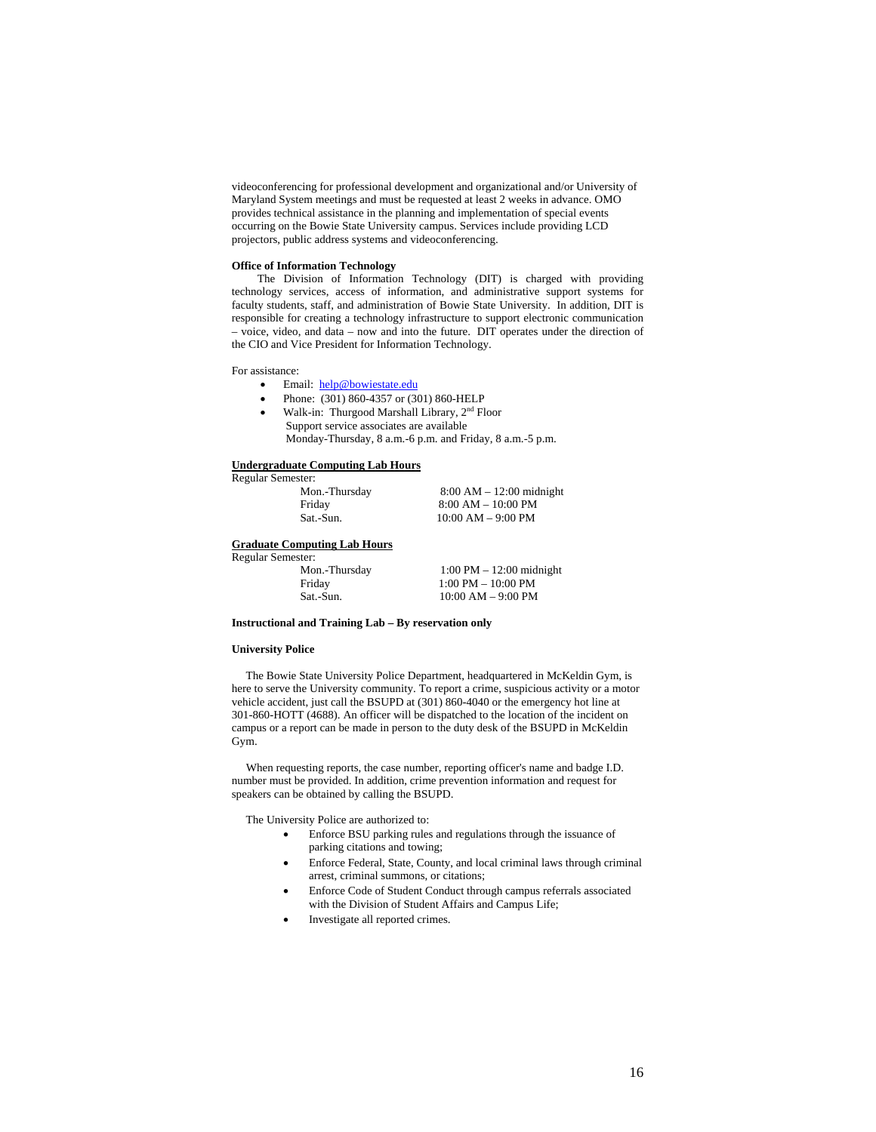videoconferencing for professional development and organizational and/or University of Maryland System meetings and must be requested at least 2 weeks in advance. OMO provides technical assistance in the planning and implementation of special events occurring on the Bowie State University campus. Services include providing LCD projectors, public address systems and videoconferencing.

## **Office of Information Technology**

The Division of Information Technology (DIT) is charged with providing technology services, access of information, and administrative support systems for faculty students, staff, and administration of Bowie State University. In addition, DIT is responsible for creating a technology infrastructure to support electronic communication – voice, video, and data – now and into the future. DIT operates under the direction of the CIO and Vice President for Information Technology.

For assistance:

- Email: help@bowiestate.edu
- Phone: (301) 860-4357 or (301) 860-HELP
- Walk-in: Thurgood Marshall Library, 2nd Floor
- Support service associates are available Monday-Thursday, 8 a.m.-6 p.m. and Friday, 8 a.m.-5 p.m.

# **Undergraduate Computing Lab Hours**

Regular Semester:

| Mon.-Thursday |  |
|---------------|--|
| Friday        |  |
| Sat.-Sun.     |  |

 $8:00 AM - 12:00 midnight$  $8:00$  AM – 10:00 PM  $10:00$  AM  $-$  9:00 PM

# **Graduate Computing Lab Hours**

Regular Semester:

| Mon.-Thursday | $1:00 \text{ PM} - 12:00 \text{ midnight}$ |
|---------------|--------------------------------------------|
| Friday        | $1:00 \text{ PM} - 10:00 \text{ PM}$       |
| Sat.-Sun.     | $10:00$ AM $-9:00$ PM                      |

**Instructional and Training Lab – By reservation only** 

# **University Police**

 The Bowie State University Police Department, headquartered in McKeldin Gym, is here to serve the University community. To report a crime, suspicious activity or a motor vehicle accident, just call the BSUPD at (301) 860-4040 or the emergency hot line at 301-860-HOTT (4688). An officer will be dispatched to the location of the incident on campus or a report can be made in person to the duty desk of the BSUPD in McKeldin Gym.

 When requesting reports, the case number, reporting officer's name and badge I.D. number must be provided. In addition, crime prevention information and request for speakers can be obtained by calling the BSUPD.

The University Police are authorized to:

- Enforce BSU parking rules and regulations through the issuance of parking citations and towing;
- Enforce Federal, State, County, and local criminal laws through criminal arrest, criminal summons, or citations;
- Enforce Code of Student Conduct through campus referrals associated with the Division of Student Affairs and Campus Life;
- Investigate all reported crimes.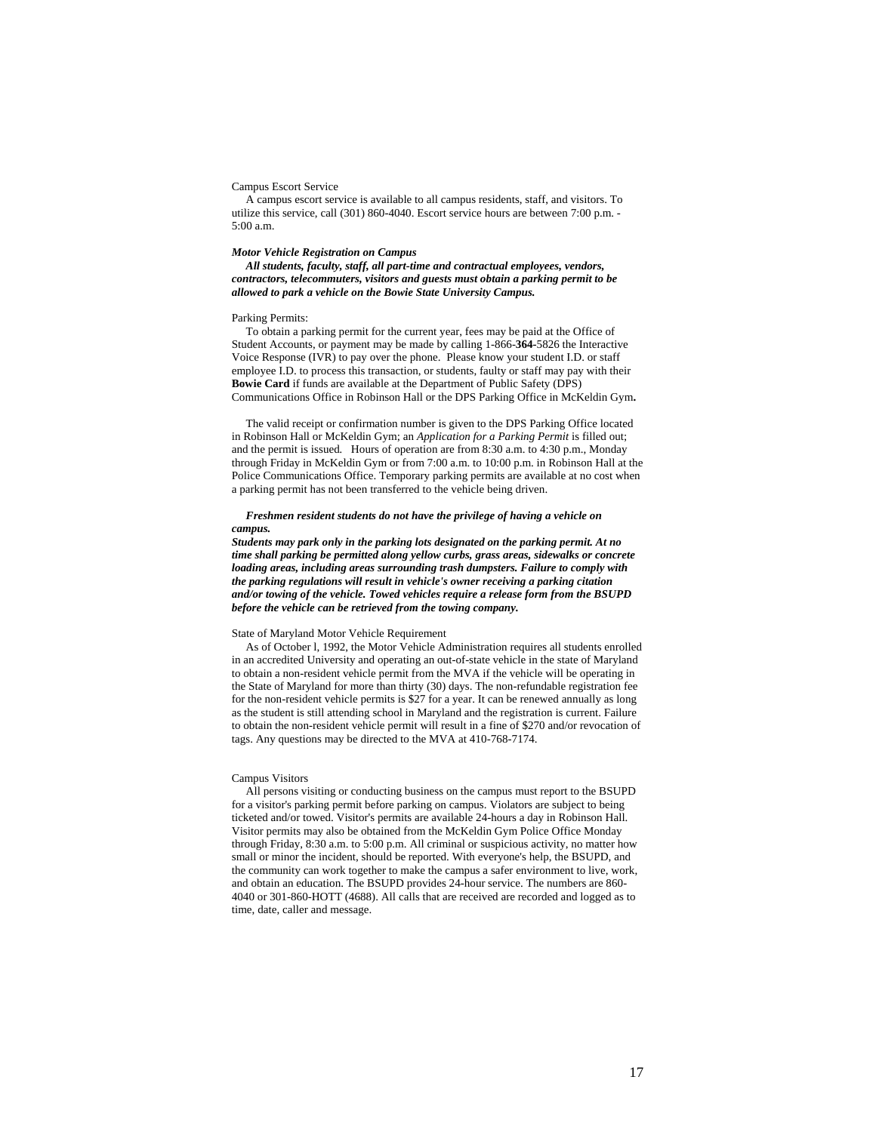#### Campus Escort Service

 A campus escort service is available to all campus residents, staff, and visitors. To utilize this service, call (301) 860-4040. Escort service hours are between 7:00 p.m. -  $5:00 \text{ a m}$ 

## *Motor Vehicle Registration on Campus*

 *All students, faculty, staff, all part-time and contractual employees, vendors, contractors, telecommuters, visitors and guests must obtain a parking permit to be allowed to park a vehicle on the Bowie State University Campus.* 

## Parking Permits:

 To obtain a parking permit for the current year, fees may be paid at the Office of Student Accounts, or payment may be made by calling 1-866-**364-**5826 the Interactive Voice Response (IVR) to pay over the phone. Please know your student I.D. or staff employee I.D. to process this transaction, or students, faulty or staff may pay with their **Bowie Card** if funds are available at the Department of Public Safety (DPS) Communications Office in Robinson Hall or the DPS Parking Office in McKeldin Gym**.** 

 The valid receipt or confirmation number is given to the DPS Parking Office located in Robinson Hall or McKeldin Gym; an *Application for a Parking Permit* is filled out; and the permit is issued*.* Hours of operation are from 8:30 a.m. to 4:30 p.m., Monday through Friday in McKeldin Gym or from 7:00 a.m. to 10:00 p.m. in Robinson Hall at the Police Communications Office. Temporary parking permits are available at no cost when a parking permit has not been transferred to the vehicle being driven.

## *Freshmen resident students do not have the privilege of having a vehicle on campus.*

*Students may park only in the parking lots designated on the parking permit. At no time shall parking be permitted along yellow curbs, grass areas, sidewalks or concrete loading areas, including areas surrounding trash dumpsters. Failure to comply with the parking regulations will result in vehicle's owner receiving a parking citation and/or towing of the vehicle. Towed vehicles require a release form from the BSUPD before the vehicle can be retrieved from the towing company.* 

# State of Maryland Motor Vehicle Requirement

 As of October l, 1992, the Motor Vehicle Administration requires all students enrolled in an accredited University and operating an out-of-state vehicle in the state of Maryland to obtain a non-resident vehicle permit from the MVA if the vehicle will be operating in the State of Maryland for more than thirty (30) days. The non-refundable registration fee for the non-resident vehicle permits is \$27 for a year. It can be renewed annually as long as the student is still attending school in Maryland and the registration is current. Failure to obtain the non-resident vehicle permit will result in a fine of \$270 and/or revocation of tags. Any questions may be directed to the MVA at 410-768-7174.

#### Campus Visitors

 All persons visiting or conducting business on the campus must report to the BSUPD for a visitor's parking permit before parking on campus. Violators are subject to being ticketed and/or towed. Visitor's permits are available 24-hours a day in Robinson Hall. Visitor permits may also be obtained from the McKeldin Gym Police Office Monday through Friday, 8:30 a.m. to 5:00 p.m. All criminal or suspicious activity, no matter how small or minor the incident, should be reported. With everyone's help, the BSUPD, and the community can work together to make the campus a safer environment to live, work, and obtain an education. The BSUPD provides 24-hour service. The numbers are 860- 4040 or 301-860-HOTT (4688). All calls that are received are recorded and logged as to time, date, caller and message.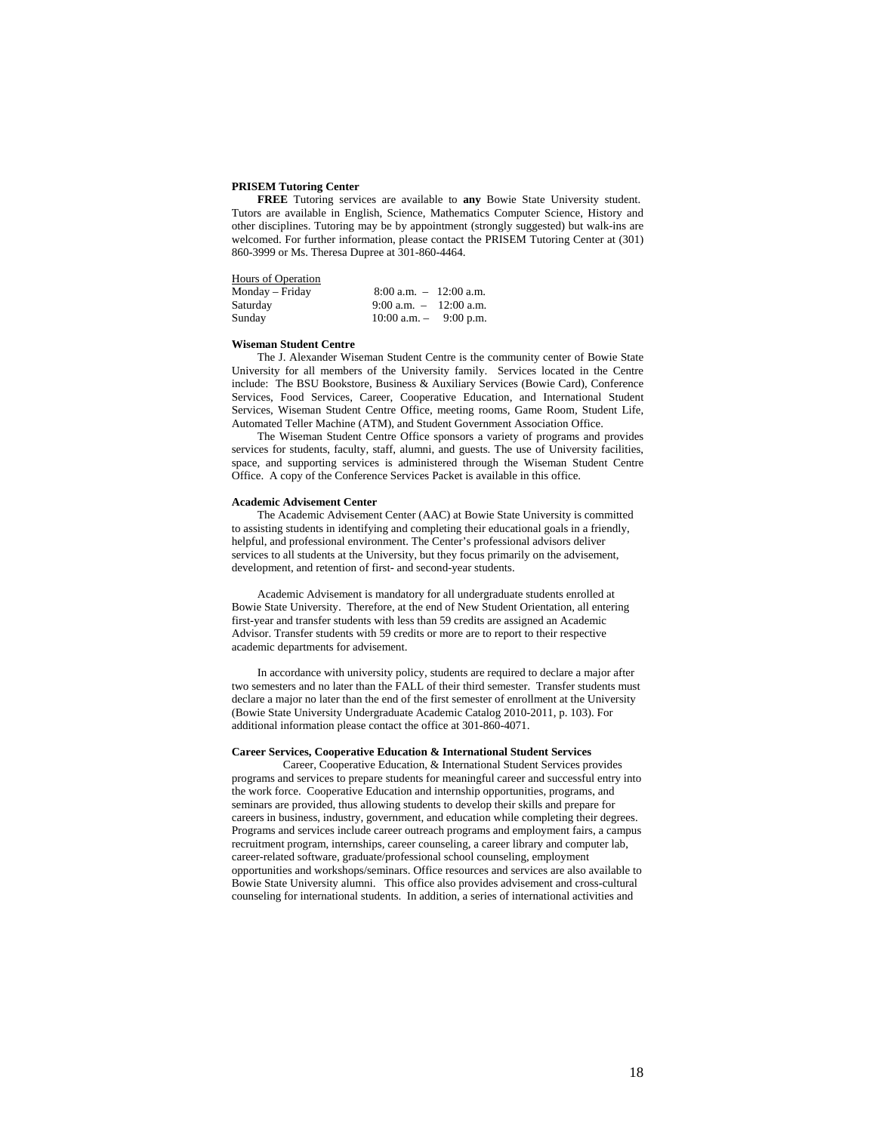## **PRISEM Tutoring Center**

**FREE** Tutoring services are available to **any** Bowie State University student. Tutors are available in English, Science, Mathematics Computer Science, History and other disciplines. Tutoring may be by appointment (strongly suggested) but walk-ins are welcomed. For further information, please contact the PRISEM Tutoring Center at (301) 860-3999 or Ms. Theresa Dupree at 301-860-4464.

| Hours of Operation |                            |  |
|--------------------|----------------------------|--|
| Monday – Friday    | $8:00$ a.m. $-12:00$ a.m.  |  |
| Saturday           | 9:00 a.m. $-$ 12:00 a.m.   |  |
| Sunday             | $10:00$ a.m. $-$ 9:00 p.m. |  |

# **Wiseman Student Centre**

The J. Alexander Wiseman Student Centre is the community center of Bowie State University for all members of the University family. Services located in the Centre include: The BSU Bookstore, Business & Auxiliary Services (Bowie Card), Conference Services, Food Services, Career, Cooperative Education, and International Student Services, Wiseman Student Centre Office, meeting rooms, Game Room, Student Life, Automated Teller Machine (ATM), and Student Government Association Office.

The Wiseman Student Centre Office sponsors a variety of programs and provides services for students, faculty, staff, alumni, and guests. The use of University facilities, space, and supporting services is administered through the Wiseman Student Centre Office. A copy of the Conference Services Packet is available in this office.

#### **Academic Advisement Center**

The Academic Advisement Center (AAC) at Bowie State University is committed to assisting students in identifying and completing their educational goals in a friendly, helpful, and professional environment. The Center's professional advisors deliver services to all students at the University, but they focus primarily on the advisement, development, and retention of first- and second-year students.

Academic Advisement is mandatory for all undergraduate students enrolled at Bowie State University. Therefore, at the end of New Student Orientation, all entering first-year and transfer students with less than 59 credits are assigned an Academic Advisor. Transfer students with 59 credits or more are to report to their respective academic departments for advisement.

In accordance with university policy, students are required to declare a major after two semesters and no later than the FALL of their third semester. Transfer students must declare a major no later than the end of the first semester of enrollment at the University (Bowie State University Undergraduate Academic Catalog 2010-2011, p. 103). For additional information please contact the office at 301-860-4071.

# **Career Services, Cooperative Education & International Student Services**

Career, Cooperative Education, & International Student Services provides programs and services to prepare students for meaningful career and successful entry into the work force. Cooperative Education and internship opportunities, programs, and seminars are provided, thus allowing students to develop their skills and prepare for careers in business, industry, government, and education while completing their degrees. Programs and services include career outreach programs and employment fairs, a campus recruitment program, internships, career counseling, a career library and computer lab, career-related software, graduate/professional school counseling, employment opportunities and workshops/seminars. Office resources and services are also available to Bowie State University alumni. This office also provides advisement and cross-cultural counseling for international students. In addition, a series of international activities and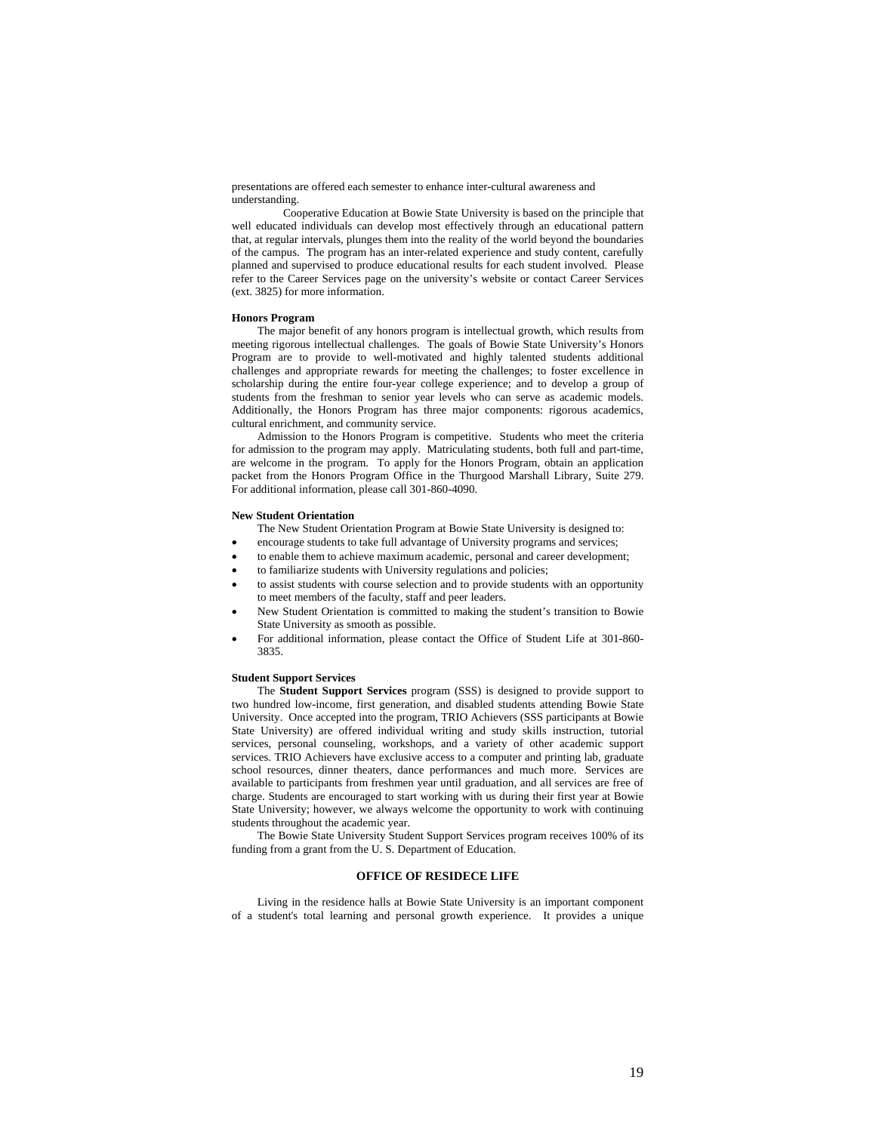presentations are offered each semester to enhance inter-cultural awareness and understanding.

 Cooperative Education at Bowie State University is based on the principle that well educated individuals can develop most effectively through an educational pattern that, at regular intervals, plunges them into the reality of the world beyond the boundaries of the campus. The program has an inter-related experience and study content, carefully planned and supervised to produce educational results for each student involved. Please refer to the Career Services page on the university's website or contact Career Services (ext. 3825) for more information.

#### **Honors Program**

The major benefit of any honors program is intellectual growth, which results from meeting rigorous intellectual challenges. The goals of Bowie State University's Honors Program are to provide to well-motivated and highly talented students additional challenges and appropriate rewards for meeting the challenges; to foster excellence in scholarship during the entire four-year college experience; and to develop a group of students from the freshman to senior year levels who can serve as academic models. Additionally, the Honors Program has three major components: rigorous academics, cultural enrichment, and community service.

Admission to the Honors Program is competitive. Students who meet the criteria for admission to the program may apply. Matriculating students, both full and part-time, are welcome in the program. To apply for the Honors Program, obtain an application packet from the Honors Program Office in the Thurgood Marshall Library, Suite 279. For additional information, please call 301-860-4090.

## **New Student Orientation**

The New Student Orientation Program at Bowie State University is designed to:

- encourage students to take full advantage of University programs and services;
- to enable them to achieve maximum academic, personal and career development;
- to familiarize students with University regulations and policies;
- to assist students with course selection and to provide students with an opportunity to meet members of the faculty, staff and peer leaders.
- New Student Orientation is committed to making the student's transition to Bowie State University as smooth as possible.
- For additional information, please contact the Office of Student Life at 301-860- 3835.

#### **Student Support Services**

The **Student Support Services** program (SSS) is designed to provide support to two hundred low-income, first generation, and disabled students attending Bowie State University. Once accepted into the program, TRIO Achievers (SSS participants at Bowie State University) are offered individual writing and study skills instruction, tutorial services, personal counseling, workshops, and a variety of other academic support services. TRIO Achievers have exclusive access to a computer and printing lab, graduate school resources, dinner theaters, dance performances and much more. Services are available to participants from freshmen year until graduation, and all services are free of charge. Students are encouraged to start working with us during their first year at Bowie State University; however, we always welcome the opportunity to work with continuing students throughout the academic year.

The Bowie State University Student Support Services program receives 100% of its funding from a grant from the U. S. Department of Education.

# **OFFICE OF RESIDECE LIFE**

Living in the residence halls at Bowie State University is an important component of a student's total learning and personal growth experience. It provides a unique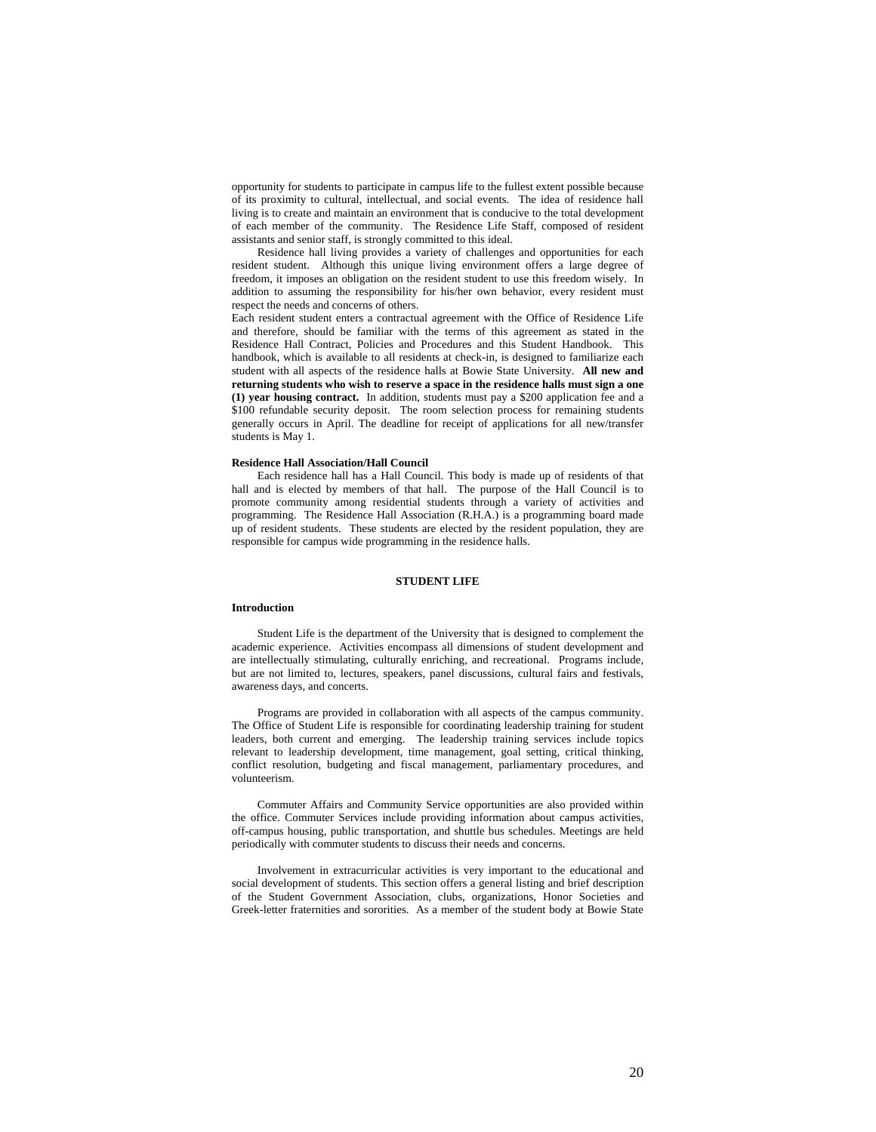opportunity for students to participate in campus life to the fullest extent possible because of its proximity to cultural, intellectual, and social events. The idea of residence hall living is to create and maintain an environment that is conducive to the total development of each member of the community. The Residence Life Staff, composed of resident assistants and senior staff, is strongly committed to this ideal.

Residence hall living provides a variety of challenges and opportunities for each resident student. Although this unique living environment offers a large degree of freedom, it imposes an obligation on the resident student to use this freedom wisely. In addition to assuming the responsibility for his/her own behavior, every resident must respect the needs and concerns of others.

Each resident student enters a contractual agreement with the Office of Residence Life and therefore, should be familiar with the terms of this agreement as stated in the Residence Hall Contract, Policies and Procedures and this Student Handbook. This handbook, which is available to all residents at check-in, is designed to familiarize each student with all aspects of the residence halls at Bowie State University. **All new and returning students who wish to reserve a space in the residence halls must sign a one (1) year housing contract.** In addition, students must pay a \$200 application fee and a \$100 refundable security deposit. The room selection process for remaining students generally occurs in April. The deadline for receipt of applications for all new/transfer students is May 1.

#### **Residence Hall Association/Hall Council**

Each residence hall has a Hall Council. This body is made up of residents of that hall and is elected by members of that hall. The purpose of the Hall Council is to promote community among residential students through a variety of activities and programming. The Residence Hall Association (R.H.A.) is a programming board made up of resident students. These students are elected by the resident population, they are responsible for campus wide programming in the residence halls.

## **STUDENT LIFE**

#### **Introduction**

Student Life is the department of the University that is designed to complement the academic experience. Activities encompass all dimensions of student development and are intellectually stimulating, culturally enriching, and recreational. Programs include, but are not limited to, lectures, speakers, panel discussions, cultural fairs and festivals, awareness days, and concerts.

Programs are provided in collaboration with all aspects of the campus community. The Office of Student Life is responsible for coordinating leadership training for student leaders, both current and emerging. The leadership training services include topics relevant to leadership development, time management, goal setting, critical thinking, conflict resolution, budgeting and fiscal management, parliamentary procedures, and volunteerism.

Commuter Affairs and Community Service opportunities are also provided within the office. Commuter Services include providing information about campus activities, off-campus housing, public transportation, and shuttle bus schedules. Meetings are held periodically with commuter students to discuss their needs and concerns.

Involvement in extracurricular activities is very important to the educational and social development of students. This section offers a general listing and brief description of the Student Government Association, clubs, organizations, Honor Societies and Greek-letter fraternities and sororities. As a member of the student body at Bowie State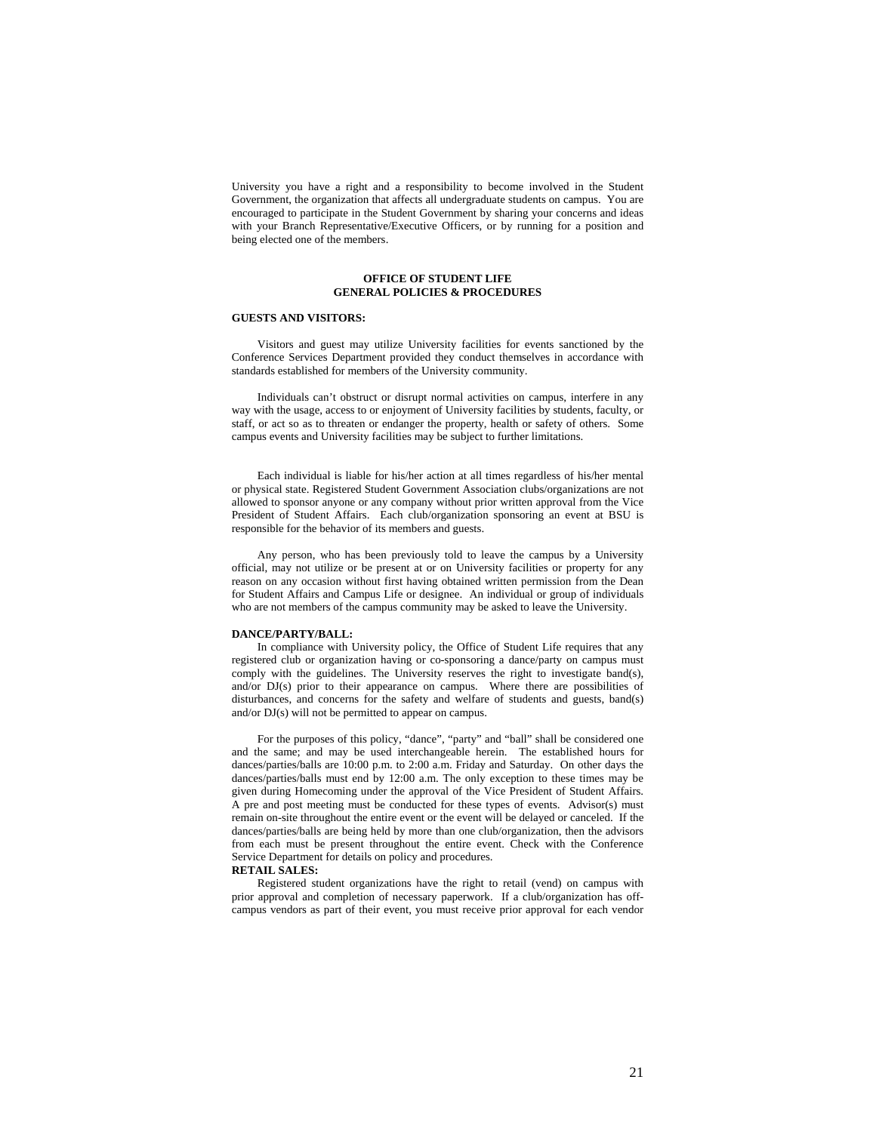University you have a right and a responsibility to become involved in the Student Government, the organization that affects all undergraduate students on campus. You are encouraged to participate in the Student Government by sharing your concerns and ideas with your Branch Representative/Executive Officers, or by running for a position and being elected one of the members.

# **OFFICE OF STUDENT LIFE GENERAL POLICIES & PROCEDURES**

# **GUESTS AND VISITORS:**

Visitors and guest may utilize University facilities for events sanctioned by the Conference Services Department provided they conduct themselves in accordance with standards established for members of the University community.

Individuals can't obstruct or disrupt normal activities on campus, interfere in any way with the usage, access to or enjoyment of University facilities by students, faculty, or staff, or act so as to threaten or endanger the property, health or safety of others. Some campus events and University facilities may be subject to further limitations.

Each individual is liable for his/her action at all times regardless of his/her mental or physical state. Registered Student Government Association clubs/organizations are not allowed to sponsor anyone or any company without prior written approval from the Vice President of Student Affairs. Each club/organization sponsoring an event at BSU is responsible for the behavior of its members and guests.

Any person, who has been previously told to leave the campus by a University official, may not utilize or be present at or on University facilities or property for any reason on any occasion without first having obtained written permission from the Dean for Student Affairs and Campus Life or designee. An individual or group of individuals who are not members of the campus community may be asked to leave the University.

## **DANCE/PARTY/BALL:**

In compliance with University policy, the Office of Student Life requires that any registered club or organization having or co-sponsoring a dance/party on campus must comply with the guidelines. The University reserves the right to investigate band(s), and/or DJ(s) prior to their appearance on campus. Where there are possibilities of disturbances, and concerns for the safety and welfare of students and guests, band(s) and/or DJ(s) will not be permitted to appear on campus.

For the purposes of this policy, "dance", "party" and "ball" shall be considered one and the same; and may be used interchangeable herein. The established hours for dances/parties/balls are 10:00 p.m. to 2:00 a.m. Friday and Saturday. On other days the dances/parties/balls must end by 12:00 a.m. The only exception to these times may be given during Homecoming under the approval of the Vice President of Student Affairs. A pre and post meeting must be conducted for these types of events. Advisor(s) must remain on-site throughout the entire event or the event will be delayed or canceled. If the dances/parties/balls are being held by more than one club/organization, then the advisors from each must be present throughout the entire event. Check with the Conference Service Department for details on policy and procedures.

#### **RETAIL SALES:**

Registered student organizations have the right to retail (vend) on campus with prior approval and completion of necessary paperwork. If a club/organization has offcampus vendors as part of their event, you must receive prior approval for each vendor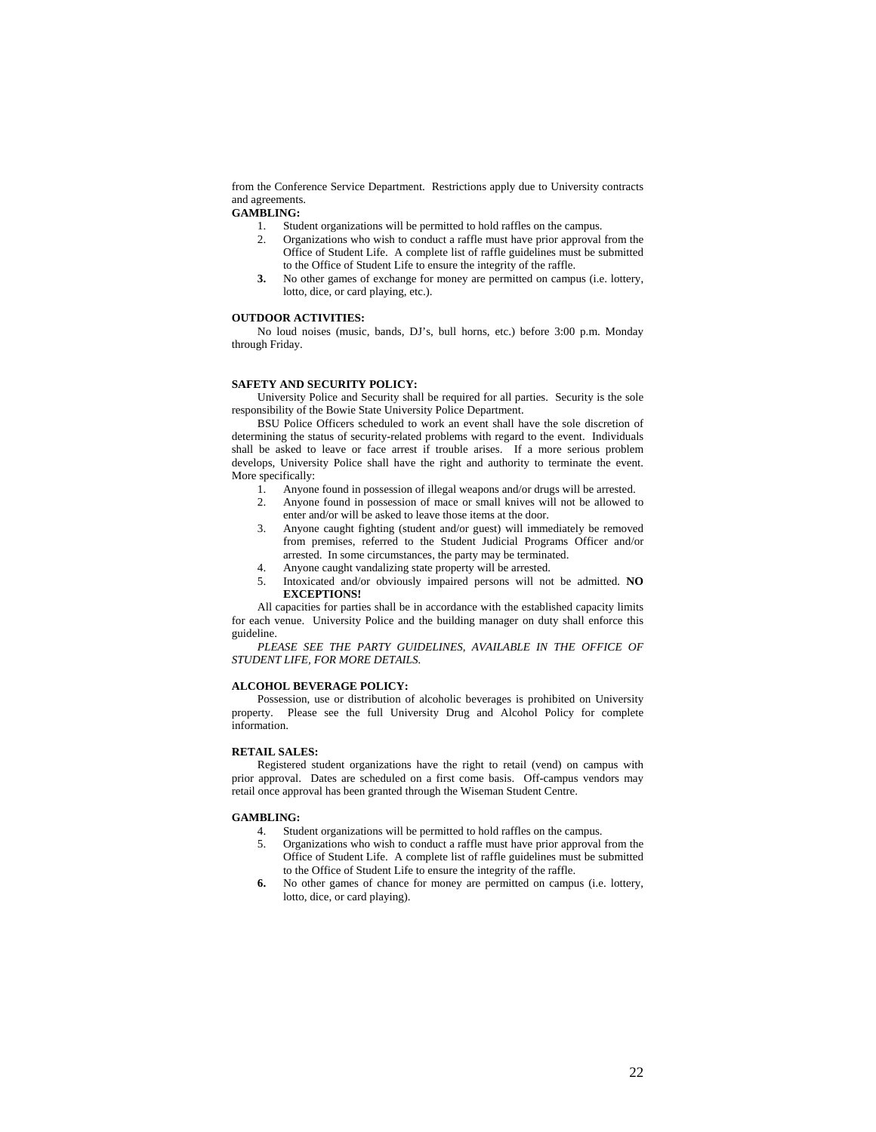from the Conference Service Department. Restrictions apply due to University contracts and agreements.

# **GAMBLING:**<br>1. Stud

- Student organizations will be permitted to hold raffles on the campus.
- 2. Organizations who wish to conduct a raffle must have prior approval from the Office of Student Life. A complete list of raffle guidelines must be submitted to the Office of Student Life to ensure the integrity of the raffle.
- **3.** No other games of exchange for money are permitted on campus (i.e. lottery, lotto, dice, or card playing, etc.).

# **OUTDOOR ACTIVITIES:**

No loud noises (music, bands, DJ's, bull horns, etc.) before 3:00 p.m. Monday through Friday.

# **SAFETY AND SECURITY POLICY:**

University Police and Security shall be required for all parties. Security is the sole responsibility of the Bowie State University Police Department.

BSU Police Officers scheduled to work an event shall have the sole discretion of determining the status of security-related problems with regard to the event. Individuals shall be asked to leave or face arrest if trouble arises. If a more serious problem develops, University Police shall have the right and authority to terminate the event. More specifically:

- 1. Anyone found in possession of illegal weapons and/or drugs will be arrested.
- 2. Anyone found in possession of mace or small knives will not be allowed to enter and/or will be asked to leave those items at the door.
- 3. Anyone caught fighting (student and/or guest) will immediately be removed from premises, referred to the Student Judicial Programs Officer and/or arrested. In some circumstances, the party may be terminated.
- 4. Anyone caught vandalizing state property will be arrested.
- 5. Intoxicated and/or obviously impaired persons will not be admitted. **NO EXCEPTIONS!**

All capacities for parties shall be in accordance with the established capacity limits for each venue. University Police and the building manager on duty shall enforce this guideline.

PLEASE SEE THE PARTY GUIDELINES, AVAILABLE IN THE OFFICE OF *STUDENT LIFE, FOR MORE DETAILS.* 

## **ALCOHOL BEVERAGE POLICY:**

Possession, use or distribution of alcoholic beverages is prohibited on University property. Please see the full University Drug and Alcohol Policy for complete information.

# **RETAIL SALES:**

Registered student organizations have the right to retail (vend) on campus with prior approval. Dates are scheduled on a first come basis. Off-campus vendors may retail once approval has been granted through the Wiseman Student Centre.

#### **GAMBLING:**

- 4. Student organizations will be permitted to hold raffles on the campus.
- 5. Organizations who wish to conduct a raffle must have prior approval from the Office of Student Life. A complete list of raffle guidelines must be submitted to the Office of Student Life to ensure the integrity of the raffle.
- **6.** No other games of chance for money are permitted on campus (i.e. lottery, lotto, dice, or card playing).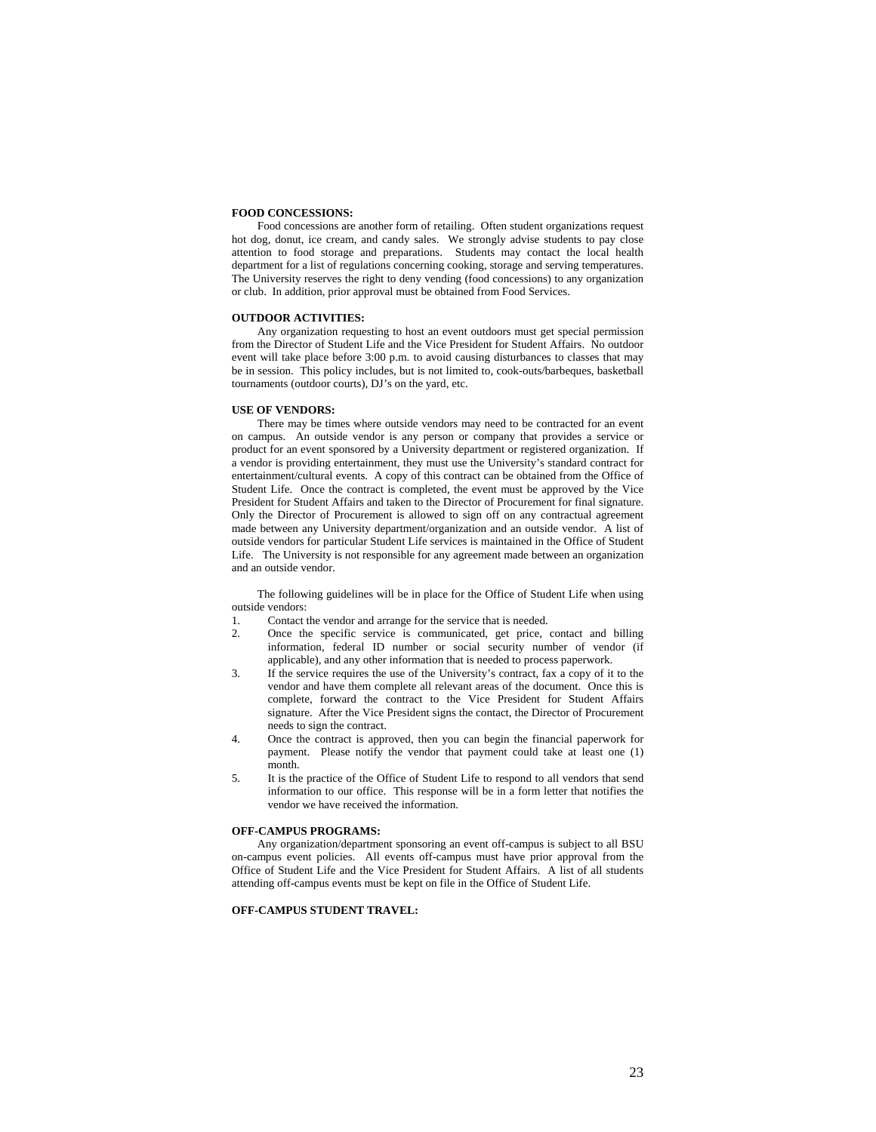# **FOOD CONCESSIONS:**

Food concessions are another form of retailing. Often student organizations request hot dog, donut, ice cream, and candy sales. We strongly advise students to pay close attention to food storage and preparations. Students may contact the local health department for a list of regulations concerning cooking, storage and serving temperatures. The University reserves the right to deny vending (food concessions) to any organization or club. In addition, prior approval must be obtained from Food Services.

#### **OUTDOOR ACTIVITIES:**

Any organization requesting to host an event outdoors must get special permission from the Director of Student Life and the Vice President for Student Affairs. No outdoor event will take place before 3:00 p.m. to avoid causing disturbances to classes that may be in session. This policy includes, but is not limited to, cook-outs/barbeques, basketball tournaments (outdoor courts), DJ's on the yard, etc.

# **USE OF VENDORS:**

There may be times where outside vendors may need to be contracted for an event on campus. An outside vendor is any person or company that provides a service or product for an event sponsored by a University department or registered organization. If a vendor is providing entertainment, they must use the University's standard contract for entertainment/cultural events. A copy of this contract can be obtained from the Office of Student Life. Once the contract is completed, the event must be approved by the Vice President for Student Affairs and taken to the Director of Procurement for final signature. Only the Director of Procurement is allowed to sign off on any contractual agreement made between any University department/organization and an outside vendor. A list of outside vendors for particular Student Life services is maintained in the Office of Student Life. The University is not responsible for any agreement made between an organization and an outside vendor.

The following guidelines will be in place for the Office of Student Life when using outside vendors:

- 1. Contact the vendor and arrange for the service that is needed.
- 2. Once the specific service is communicated, get price, contact and billing information, federal ID number or social security number of vendor (if applicable), and any other information that is needed to process paperwork.
- 3. If the service requires the use of the University's contract, fax a copy of it to the vendor and have them complete all relevant areas of the document. Once this is complete, forward the contract to the Vice President for Student Affairs signature. After the Vice President signs the contact, the Director of Procurement needs to sign the contract.
- 4. Once the contract is approved, then you can begin the financial paperwork for payment. Please notify the vendor that payment could take at least one (1) month.
- 5. It is the practice of the Office of Student Life to respond to all vendors that send information to our office. This response will be in a form letter that notifies the vendor we have received the information.

# **OFF-CAMPUS PROGRAMS:**

Any organization/department sponsoring an event off-campus is subject to all BSU on-campus event policies. All events off-campus must have prior approval from the Office of Student Life and the Vice President for Student Affairs. A list of all students attending off-campus events must be kept on file in the Office of Student Life.

# **OFF-CAMPUS STUDENT TRAVEL:**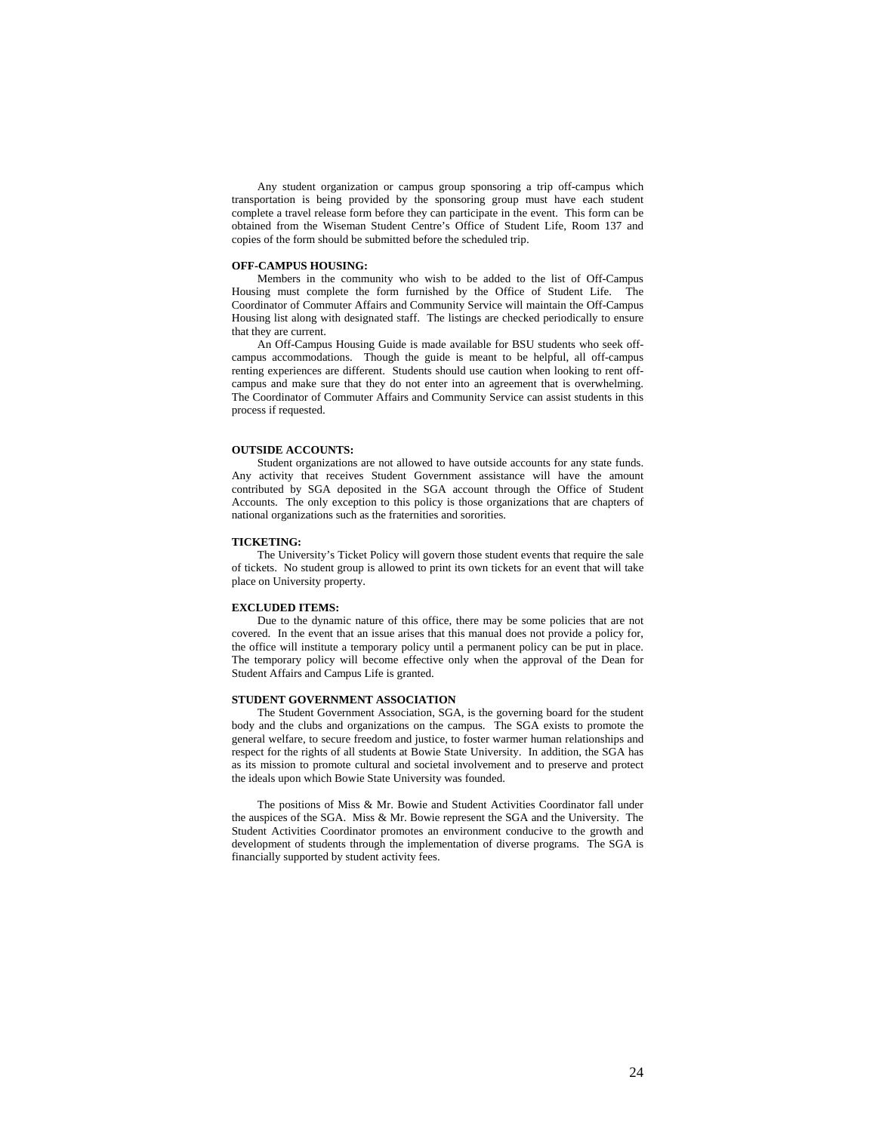Any student organization or campus group sponsoring a trip off-campus which transportation is being provided by the sponsoring group must have each student complete a travel release form before they can participate in the event. This form can be obtained from the Wiseman Student Centre's Office of Student Life, Room 137 and copies of the form should be submitted before the scheduled trip.

#### **OFF-CAMPUS HOUSING:**

Members in the community who wish to be added to the list of Off-Campus Housing must complete the form furnished by the Office of Student Life. The Coordinator of Commuter Affairs and Community Service will maintain the Off-Campus Housing list along with designated staff. The listings are checked periodically to ensure that they are current.

An Off-Campus Housing Guide is made available for BSU students who seek offcampus accommodations. Though the guide is meant to be helpful, all off-campus renting experiences are different. Students should use caution when looking to rent offcampus and make sure that they do not enter into an agreement that is overwhelming. The Coordinator of Commuter Affairs and Community Service can assist students in this process if requested.

### **OUTSIDE ACCOUNTS:**

Student organizations are not allowed to have outside accounts for any state funds. Any activity that receives Student Government assistance will have the amount contributed by SGA deposited in the SGA account through the Office of Student Accounts. The only exception to this policy is those organizations that are chapters of national organizations such as the fraternities and sororities.

#### **TICKETING:**

The University's Ticket Policy will govern those student events that require the sale of tickets. No student group is allowed to print its own tickets for an event that will take place on University property.

#### **EXCLUDED ITEMS:**

Due to the dynamic nature of this office, there may be some policies that are not covered. In the event that an issue arises that this manual does not provide a policy for, the office will institute a temporary policy until a permanent policy can be put in place. The temporary policy will become effective only when the approval of the Dean for Student Affairs and Campus Life is granted.

# **STUDENT GOVERNMENT ASSOCIATION**

The Student Government Association, SGA, is the governing board for the student body and the clubs and organizations on the campus. The SGA exists to promote the general welfare, to secure freedom and justice, to foster warmer human relationships and respect for the rights of all students at Bowie State University. In addition, the SGA has as its mission to promote cultural and societal involvement and to preserve and protect the ideals upon which Bowie State University was founded.

The positions of Miss & Mr. Bowie and Student Activities Coordinator fall under the auspices of the SGA. Miss & Mr. Bowie represent the SGA and the University. The Student Activities Coordinator promotes an environment conducive to the growth and development of students through the implementation of diverse programs. The SGA is financially supported by student activity fees.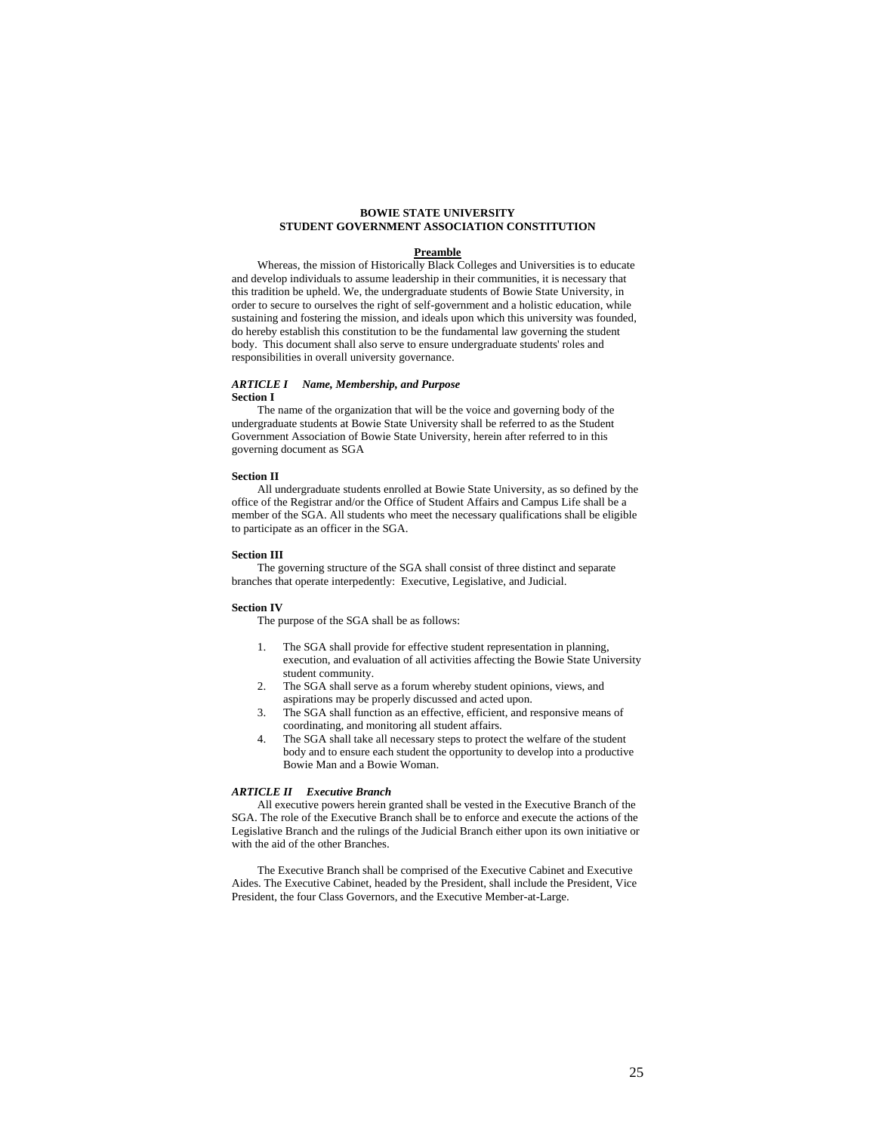# **BOWIE STATE UNIVERSITY STUDENT GOVERNMENT ASSOCIATION CONSTITUTION**

## **Preamble**

Whereas, the mission of Historically Black Colleges and Universities is to educate and develop individuals to assume leadership in their communities, it is necessary that this tradition be upheld. We, the undergraduate students of Bowie State University, in order to secure to ourselves the right of self-government and a holistic education, while sustaining and fostering the mission, and ideals upon which this university was founded, do hereby establish this constitution to be the fundamental law governing the student body. This document shall also serve to ensure undergraduate students' roles and responsibilities in overall university governance.

## *ARTICLE I Name, Membership, and Purpose*  **Section I**

The name of the organization that will be the voice and governing body of the undergraduate students at Bowie State University shall be referred to as the Student Government Association of Bowie State University, herein after referred to in this governing document as SGA

## **Section II**

All undergraduate students enrolled at Bowie State University, as so defined by the office of the Registrar and/or the Office of Student Affairs and Campus Life shall be a member of the SGA. All students who meet the necessary qualifications shall be eligible to participate as an officer in the SGA.

# **Section III**

The governing structure of the SGA shall consist of three distinct and separate branches that operate interpedently: Executive, Legislative, and Judicial.

#### **Section IV**

The purpose of the SGA shall be as follows:

- 1. The SGA shall provide for effective student representation in planning, execution, and evaluation of all activities affecting the Bowie State University student community.
- 2. The SGA shall serve as a forum whereby student opinions, views, and aspirations may be properly discussed and acted upon.
- 3. The SGA shall function as an effective, efficient, and responsive means of coordinating, and monitoring all student affairs.
- 4. The SGA shall take all necessary steps to protect the welfare of the student body and to ensure each student the opportunity to develop into a productive Bowie Man and a Bowie Woman.

#### *ARTICLE II Executive Branch*

All executive powers herein granted shall be vested in the Executive Branch of the SGA. The role of the Executive Branch shall be to enforce and execute the actions of the Legislative Branch and the rulings of the Judicial Branch either upon its own initiative or with the aid of the other Branches.

The Executive Branch shall be comprised of the Executive Cabinet and Executive Aides. The Executive Cabinet, headed by the President, shall include the President, Vice President, the four Class Governors, and the Executive Member-at-Large.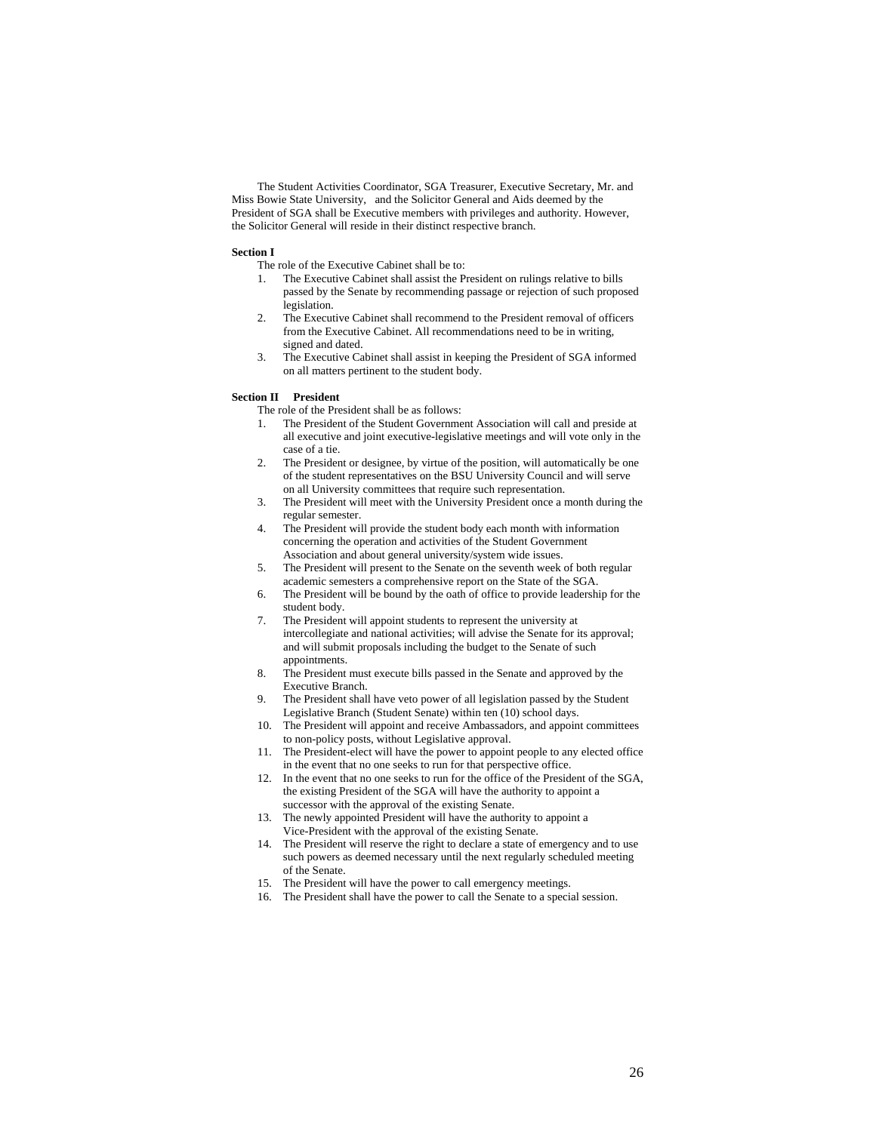The Student Activities Coordinator, SGA Treasurer, Executive Secretary, Mr. and Miss Bowie State University, and the Solicitor General and Aids deemed by the President of SGA shall be Executive members with privileges and authority. However, the Solicitor General will reside in their distinct respective branch.

# **Section I**

- The role of the Executive Cabinet shall be to:
- The Executive Cabinet shall assist the President on rulings relative to bills passed by the Senate by recommending passage or rejection of such proposed legislation.
- 2. The Executive Cabinet shall recommend to the President removal of officers from the Executive Cabinet. All recommendations need to be in writing, signed and dated.
- 3. The Executive Cabinet shall assist in keeping the President of SGA informed on all matters pertinent to the student body.

# **Section II President**

- The role of the President shall be as follows:
- 1. The President of the Student Government Association will call and preside at all executive and joint executive-legislative meetings and will vote only in the case of a tie.
- 2. The President or designee, by virtue of the position, will automatically be one of the student representatives on the BSU University Council and will serve on all University committees that require such representation.
- 3. The President will meet with the University President once a month during the regular semester.
- 4. The President will provide the student body each month with information concerning the operation and activities of the Student Government Association and about general university/system wide issues.
- 5. The President will present to the Senate on the seventh week of both regular academic semesters a comprehensive report on the State of the SGA.
- 6. The President will be bound by the oath of office to provide leadership for the student body.
- 7. The President will appoint students to represent the university at intercollegiate and national activities; will advise the Senate for its approval; and will submit proposals including the budget to the Senate of such appointments.
- 8. The President must execute bills passed in the Senate and approved by the Executive Branch.
- 9. The President shall have veto power of all legislation passed by the Student Legislative Branch (Student Senate) within ten (10) school days.
- 10. The President will appoint and receive Ambassadors, and appoint committees to non-policy posts, without Legislative approval.
- 11. The President-elect will have the power to appoint people to any elected office in the event that no one seeks to run for that perspective office.
- 12. In the event that no one seeks to run for the office of the President of the SGA, the existing President of the SGA will have the authority to appoint a successor with the approval of the existing Senate.
- 13. The newly appointed President will have the authority to appoint a Vice-President with the approval of the existing Senate.
- 14. The President will reserve the right to declare a state of emergency and to use such powers as deemed necessary until the next regularly scheduled meeting of the Senate.
- 15. The President will have the power to call emergency meetings.
- 16. The President shall have the power to call the Senate to a special session.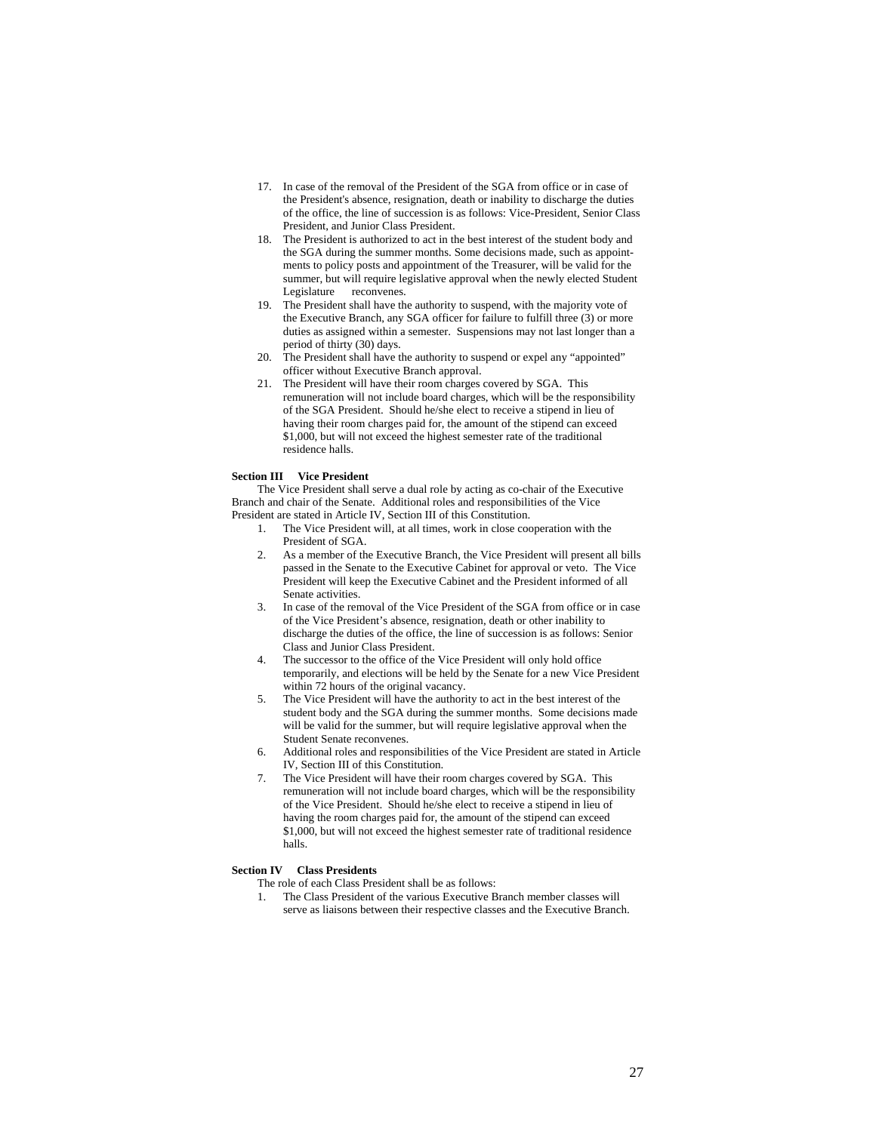- 17. In case of the removal of the President of the SGA from office or in case of the President's absence, resignation, death or inability to discharge the duties of the office, the line of succession is as follows: Vice-President, Senior Class President, and Junior Class President.
- 18. The President is authorized to act in the best interest of the student body and the SGA during the summer months. Some decisions made, such as appointments to policy posts and appointment of the Treasurer, will be valid for the summer, but will require legislative approval when the newly elected Student Legislature reconvenes.
- 19. The President shall have the authority to suspend, with the majority vote of the Executive Branch, any SGA officer for failure to fulfill three (3) or more duties as assigned within a semester. Suspensions may not last longer than a period of thirty (30) days.
- 20. The President shall have the authority to suspend or expel any "appointed" officer without Executive Branch approval.
- 21. The President will have their room charges covered by SGA. This remuneration will not include board charges, which will be the responsibility of the SGA President. Should he/she elect to receive a stipend in lieu of having their room charges paid for, the amount of the stipend can exceed \$1,000, but will not exceed the highest semester rate of the traditional residence halls.

## **Section III Vice President**

The Vice President shall serve a dual role by acting as co-chair of the Executive Branch and chair of the Senate. Additional roles and responsibilities of the Vice President are stated in Article IV, Section III of this Constitution.

- The Vice President will, at all times, work in close cooperation with the President of SGA
- 2. As a member of the Executive Branch, the Vice President will present all bills passed in the Senate to the Executive Cabinet for approval or veto. The Vice President will keep the Executive Cabinet and the President informed of all Senate activities.
- 3. In case of the removal of the Vice President of the SGA from office or in case of the Vice President's absence, resignation, death or other inability to discharge the duties of the office, the line of succession is as follows: Senior Class and Junior Class President.
- 4. The successor to the office of the Vice President will only hold office temporarily, and elections will be held by the Senate for a new Vice President within 72 hours of the original vacancy.
- 5. The Vice President will have the authority to act in the best interest of the student body and the SGA during the summer months. Some decisions made will be valid for the summer, but will require legislative approval when the Student Senate reconvenes.
- 6. Additional roles and responsibilities of the Vice President are stated in Article IV, Section III of this Constitution.
- 7. The Vice President will have their room charges covered by SGA. This remuneration will not include board charges, which will be the responsibility of the Vice President. Should he/she elect to receive a stipend in lieu of having the room charges paid for, the amount of the stipend can exceed \$1,000, but will not exceed the highest semester rate of traditional residence halls.

# **Section IV Class Presidents**

- The role of each Class President shall be as follows:
- 1. The Class President of the various Executive Branch member classes will serve as liaisons between their respective classes and the Executive Branch.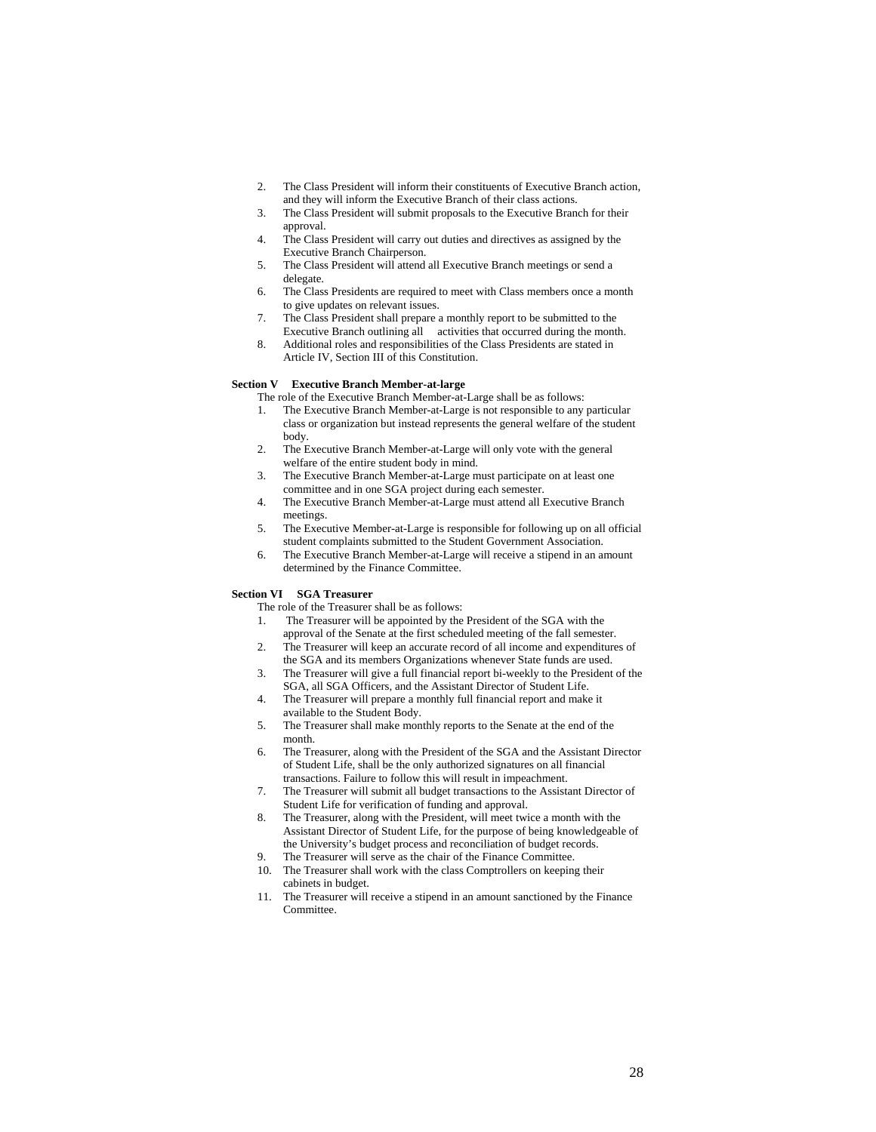- 2. The Class President will inform their constituents of Executive Branch action, and they will inform the Executive Branch of their class actions.
- 3. The Class President will submit proposals to the Executive Branch for their approval.
- 4. The Class President will carry out duties and directives as assigned by the Executive Branch Chairperson.
- 5. The Class President will attend all Executive Branch meetings or send a delegate.
- 6. The Class Presidents are required to meet with Class members once a month to give updates on relevant issues.
- 7. The Class President shall prepare a monthly report to be submitted to the Executive Branch outlining all activities that occurred during the month.
- 8. Additional roles and responsibilities of the Class Presidents are stated in Article IV, Section III of this Constitution.

# **Section V Executive Branch Member-at-large**

- The role of the Executive Branch Member-at-Large shall be as follows:
- 1. The Executive Branch Member-at-Large is not responsible to any particular class or organization but instead represents the general welfare of the student body.
- 2. The Executive Branch Member-at-Large will only vote with the general welfare of the entire student body in mind.
- 3. The Executive Branch Member-at-Large must participate on at least one committee and in one SGA project during each semester.
- 4. The Executive Branch Member-at-Large must attend all Executive Branch meetings.
- 5. The Executive Member-at-Large is responsible for following up on all official student complaints submitted to the Student Government Association.
- 6. The Executive Branch Member-at-Large will receive a stipend in an amount determined by the Finance Committee.

# **Section VI SGA Treasurer**

- The role of the Treasurer shall be as follows:
- 1. The Treasurer will be appointed by the President of the SGA with the
- approval of the Senate at the first scheduled meeting of the fall semester. 2. The Treasurer will keep an accurate record of all income and expenditures of
- the SGA and its members Organizations whenever State funds are used. 3. The Treasurer will give a full financial report bi-weekly to the President of the
- SGA, all SGA Officers, and the Assistant Director of Student Life. 4. The Treasurer will prepare a monthly full financial report and make it
- available to the Student Body. 5. The Treasurer shall make monthly reports to the Senate at the end of the
- month. 6. The Treasurer, along with the President of the SGA and the Assistant Director of Student Life, shall be the only authorized signatures on all financial
- transactions. Failure to follow this will result in impeachment. 7. The Treasurer will submit all budget transactions to the Assistant Director of Student Life for verification of funding and approval.
- 8. The Treasurer, along with the President, will meet twice a month with the Assistant Director of Student Life, for the purpose of being knowledgeable of the University's budget process and reconciliation of budget records.
- The Treasurer will serve as the chair of the Finance Committee.
- 10. The Treasurer shall work with the class Comptrollers on keeping their cabinets in budget.
- 11. The Treasurer will receive a stipend in an amount sanctioned by the Finance Committee.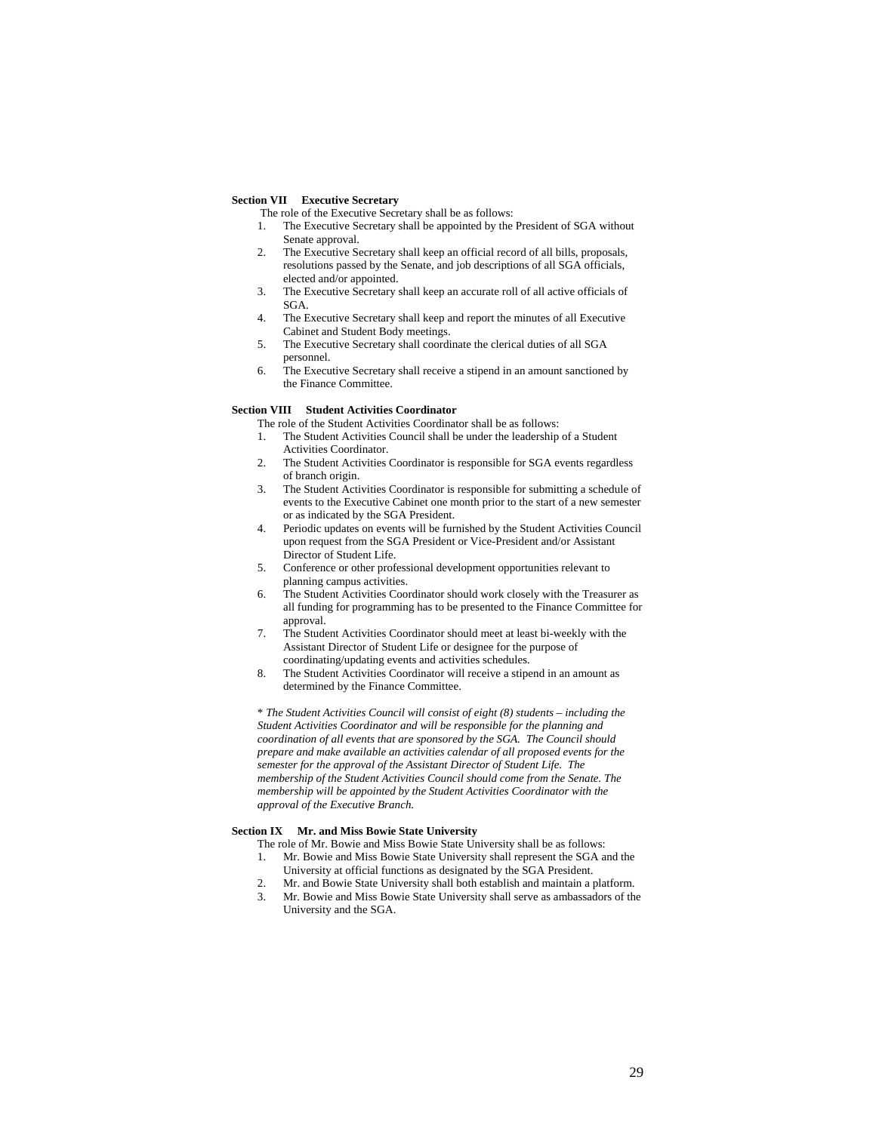#### **Section VII Executive Secretary**

The role of the Executive Secretary shall be as follows:

- 1. The Executive Secretary shall be appointed by the President of SGA without Senate approval.
- 2. The Executive Secretary shall keep an official record of all bills, proposals, resolutions passed by the Senate, and job descriptions of all SGA officials, elected and/or appointed.
- 3. The Executive Secretary shall keep an accurate roll of all active officials of SGA.
- 4. The Executive Secretary shall keep and report the minutes of all Executive Cabinet and Student Body meetings.
- 5. The Executive Secretary shall coordinate the clerical duties of all SGA personnel.
- 6. The Executive Secretary shall receive a stipend in an amount sanctioned by the Finance Committee.

# **Section VIII Student Activities Coordinator**

The role of the Student Activities Coordinator shall be as follows:

- 1. The Student Activities Council shall be under the leadership of a Student Activities Coordinator.
- 2. The Student Activities Coordinator is responsible for SGA events regardless of branch origin.
- 3. The Student Activities Coordinator is responsible for submitting a schedule of events to the Executive Cabinet one month prior to the start of a new semester or as indicated by the SGA President.
- 4. Periodic updates on events will be furnished by the Student Activities Council upon request from the SGA President or Vice-President and/or Assistant Director of Student Life.
- 5. Conference or other professional development opportunities relevant to planning campus activities.
- 6. The Student Activities Coordinator should work closely with the Treasurer as all funding for programming has to be presented to the Finance Committee for approval.
- 7. The Student Activities Coordinator should meet at least bi-weekly with the Assistant Director of Student Life or designee for the purpose of coordinating/updating events and activities schedules.
- 8. The Student Activities Coordinator will receive a stipend in an amount as determined by the Finance Committee.

\* *The Student Activities Council will consist of eight (8) students – including the Student Activities Coordinator and will be responsible for the planning and coordination of all events that are sponsored by the SGA. The Council should prepare and make available an activities calendar of all proposed events for the semester for the approval of the Assistant Director of Student Life. The membership of the Student Activities Council should come from the Senate. The membership will be appointed by the Student Activities Coordinator with the approval of the Executive Branch.* 

# **Section IX Mr. and Miss Bowie State University**

- The role of Mr. Bowie and Miss Bowie State University shall be as follows:
- 1. Mr. Bowie and Miss Bowie State University shall represent the SGA and the University at official functions as designated by the SGA President.
- 2. Mr. and Bowie State University shall both establish and maintain a platform.
- 3. Mr. Bowie and Miss Bowie State University shall serve as ambassadors of the University and the SGA.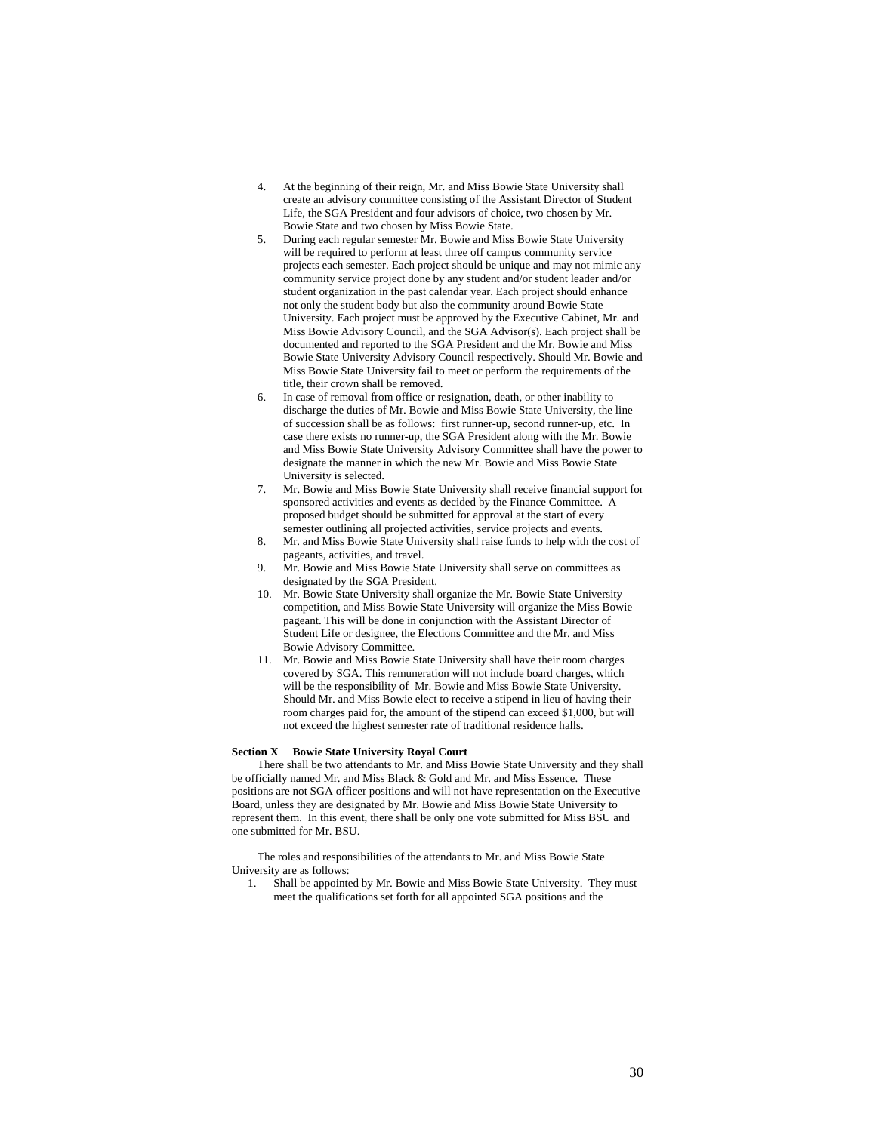- 4. At the beginning of their reign, Mr. and Miss Bowie State University shall create an advisory committee consisting of the Assistant Director of Student Life, the SGA President and four advisors of choice, two chosen by Mr. Bowie State and two chosen by Miss Bowie State.
- 5. During each regular semester Mr. Bowie and Miss Bowie State University will be required to perform at least three off campus community service projects each semester. Each project should be unique and may not mimic any community service project done by any student and/or student leader and/or student organization in the past calendar year. Each project should enhance not only the student body but also the community around Bowie State University. Each project must be approved by the Executive Cabinet, Mr. and Miss Bowie Advisory Council, and the SGA Advisor(s). Each project shall be documented and reported to the SGA President and the Mr. Bowie and Miss Bowie State University Advisory Council respectively. Should Mr. Bowie and Miss Bowie State University fail to meet or perform the requirements of the title, their crown shall be removed.
- 6. In case of removal from office or resignation, death, or other inability to discharge the duties of Mr. Bowie and Miss Bowie State University, the line of succession shall be as follows: first runner-up, second runner-up, etc. In case there exists no runner-up, the SGA President along with the Mr. Bowie and Miss Bowie State University Advisory Committee shall have the power to designate the manner in which the new Mr. Bowie and Miss Bowie State University is selected.
- 7. Mr. Bowie and Miss Bowie State University shall receive financial support for sponsored activities and events as decided by the Finance Committee. A proposed budget should be submitted for approval at the start of every semester outlining all projected activities, service projects and events.
- 8. Mr. and Miss Bowie State University shall raise funds to help with the cost of pageants, activities, and travel.
- 9. Mr. Bowie and Miss Bowie State University shall serve on committees as designated by the SGA President.
- 10. Mr. Bowie State University shall organize the Mr. Bowie State University competition, and Miss Bowie State University will organize the Miss Bowie pageant. This will be done in conjunction with the Assistant Director of Student Life or designee, the Elections Committee and the Mr. and Miss Bowie Advisory Committee.
- 11. Mr. Bowie and Miss Bowie State University shall have their room charges covered by SGA. This remuneration will not include board charges, which will be the responsibility of Mr. Bowie and Miss Bowie State University. Should Mr. and Miss Bowie elect to receive a stipend in lieu of having their room charges paid for, the amount of the stipend can exceed \$1,000, but will not exceed the highest semester rate of traditional residence halls.

# **Section X Bowie State University Royal Court**

There shall be two attendants to Mr. and Miss Bowie State University and they shall be officially named Mr. and Miss Black & Gold and Mr. and Miss Essence. These positions are not SGA officer positions and will not have representation on the Executive Board, unless they are designated by Mr. Bowie and Miss Bowie State University to represent them. In this event, there shall be only one vote submitted for Miss BSU and one submitted for Mr. BSU.

The roles and responsibilities of the attendants to Mr. and Miss Bowie State University are as follows:

1. Shall be appointed by Mr. Bowie and Miss Bowie State University. They must meet the qualifications set forth for all appointed SGA positions and the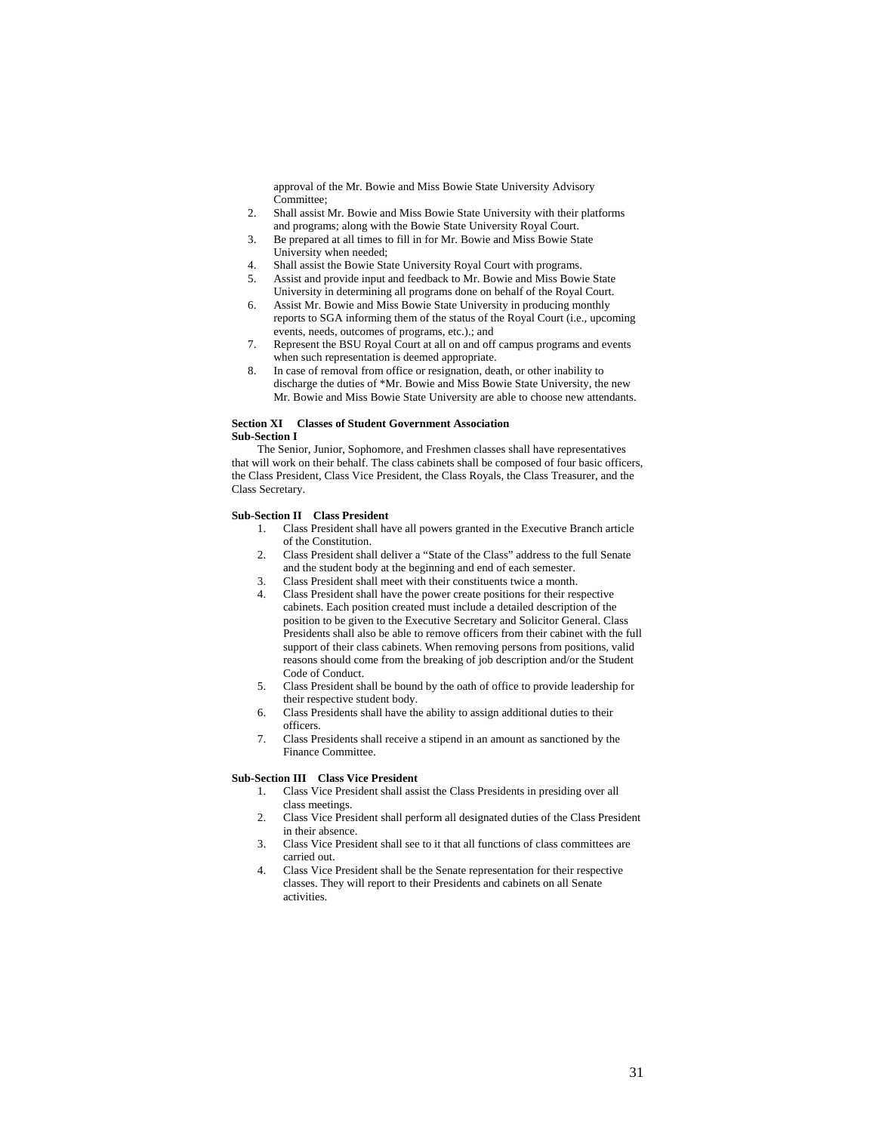approval of the Mr. Bowie and Miss Bowie State University Advisory Committee;

- 2. Shall assist Mr. Bowie and Miss Bowie State University with their platforms and programs; along with the Bowie State University Royal Court.
- 3. Be prepared at all times to fill in for Mr. Bowie and Miss Bowie State University when needed;
- 4. Shall assist the Bowie State University Royal Court with programs.
- 5. Assist and provide input and feedback to Mr. Bowie and Miss Bowie State University in determining all programs done on behalf of the Royal Court.
- 6. Assist Mr. Bowie and Miss Bowie State University in producing monthly reports to SGA informing them of the status of the Royal Court (i.e., upcoming events, needs, outcomes of programs, etc.).; and
- 7. Represent the BSU Royal Court at all on and off campus programs and events when such representation is deemed appropriate.
- 8. In case of removal from office or resignation, death, or other inability to discharge the duties of \*Mr. Bowie and Miss Bowie State University, the new Mr. Bowie and Miss Bowie State University are able to choose new attendants.

# **Section XI Classes of Student Government Association Sub-Section I**

The Senior, Junior, Sophomore, and Freshmen classes shall have representatives that will work on their behalf. The class cabinets shall be composed of four basic officers, the Class President, Class Vice President, the Class Royals, the Class Treasurer, and the Class Secretary.

# **Sub-Section II Class President**

- 1. Class President shall have all powers granted in the Executive Branch article of the Constitution.
- 2. Class President shall deliver a "State of the Class" address to the full Senate and the student body at the beginning and end of each semester.
- 3. Class President shall meet with their constituents twice a month.
- 4. Class President shall have the power create positions for their respective cabinets. Each position created must include a detailed description of the position to be given to the Executive Secretary and Solicitor General. Class Presidents shall also be able to remove officers from their cabinet with the full support of their class cabinets. When removing persons from positions, valid reasons should come from the breaking of job description and/or the Student Code of Conduct.
- 5. Class President shall be bound by the oath of office to provide leadership for their respective student body.
- 6. Class Presidents shall have the ability to assign additional duties to their officers.
- 7. Class Presidents shall receive a stipend in an amount as sanctioned by the Finance Committee.

# **Sub-Section III Class Vice President**

- 1. Class Vice President shall assist the Class Presidents in presiding over all class meetings.
- 2. Class Vice President shall perform all designated duties of the Class President in their absence.
- 3. Class Vice President shall see to it that all functions of class committees are carried out.
- 4. Class Vice President shall be the Senate representation for their respective classes. They will report to their Presidents and cabinets on all Senate activities.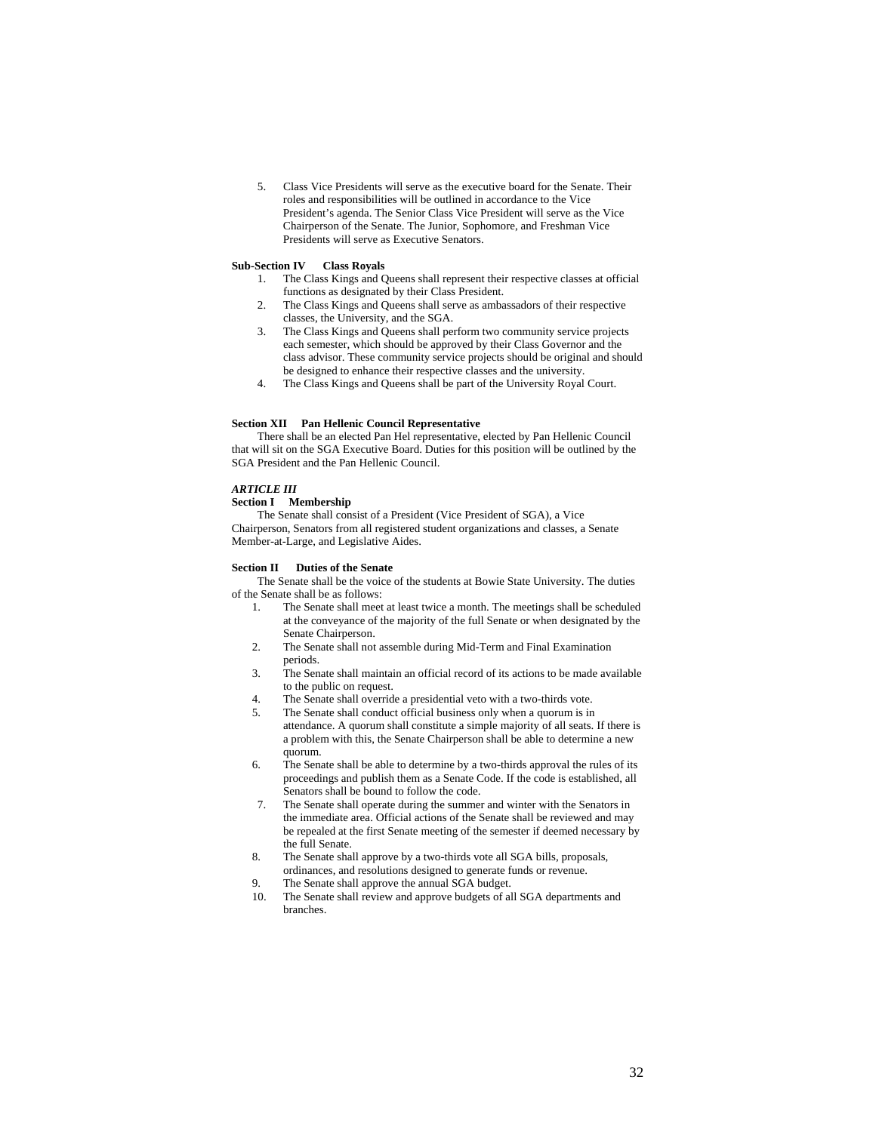5. Class Vice Presidents will serve as the executive board for the Senate. Their roles and responsibilities will be outlined in accordance to the Vice President's agenda. The Senior Class Vice President will serve as the Vice Chairperson of the Senate. The Junior, Sophomore, and Freshman Vice Presidents will serve as Executive Senators.

# **Sub-Section IV Class Royals**

- 1. The Class Kings and Queens shall represent their respective classes at official functions as designated by their Class President.
- 2. The Class Kings and Queens shall serve as ambassadors of their respective classes, the University, and the SGA.
- 3. The Class Kings and Queens shall perform two community service projects each semester, which should be approved by their Class Governor and the class advisor. These community service projects should be original and should be designed to enhance their respective classes and the university.
- 4. The Class Kings and Queens shall be part of the University Royal Court.

# **Section XII Pan Hellenic Council Representative**

There shall be an elected Pan Hel representative, elected by Pan Hellenic Council that will sit on the SGA Executive Board. Duties for this position will be outlined by the SGA President and the Pan Hellenic Council.

# *ARTICLE III*

# **Section I Membership**

The Senate shall consist of a President (Vice President of SGA), a Vice Chairperson, Senators from all registered student organizations and classes, a Senate Member-at-Large, and Legislative Aides.

# **Section II Duties of the Senate**

The Senate shall be the voice of the students at Bowie State University. The duties of the Senate shall be as follows:

- 1. The Senate shall meet at least twice a month. The meetings shall be scheduled at the conveyance of the majority of the full Senate or when designated by the Senate Chairperson.
- 2. The Senate shall not assemble during Mid-Term and Final Examination periods.
- 3. The Senate shall maintain an official record of its actions to be made available to the public on request.
- 4. The Senate shall override a presidential veto with a two-thirds vote.
- 5. The Senate shall conduct official business only when a quorum is in attendance. A quorum shall constitute a simple majority of all seats. If there is a problem with this, the Senate Chairperson shall be able to determine a new quorum.
- 6. The Senate shall be able to determine by a two-thirds approval the rules of its proceedings and publish them as a Senate Code. If the code is established, all Senators shall be bound to follow the code.
- 7. The Senate shall operate during the summer and winter with the Senators in the immediate area. Official actions of the Senate shall be reviewed and may be repealed at the first Senate meeting of the semester if deemed necessary by the full Senate.
- 8. The Senate shall approve by a two-thirds vote all SGA bills, proposals, ordinances, and resolutions designed to generate funds or revenue.
- 9. The Senate shall approve the annual SGA budget.
- 10. The Senate shall review and approve budgets of all SGA departments and branches.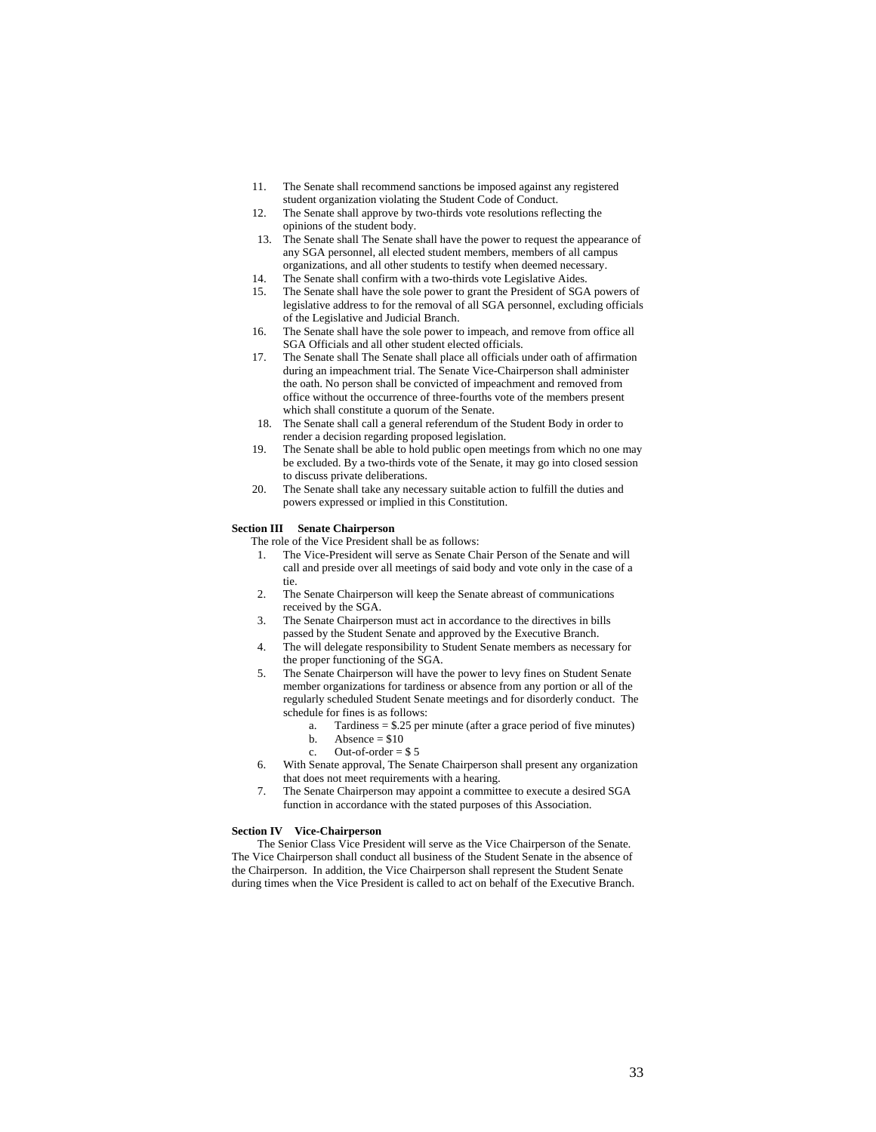- 11. The Senate shall recommend sanctions be imposed against any registered student organization violating the Student Code of Conduct.
- 12. The Senate shall approve by two-thirds vote resolutions reflecting the opinions of the student body.
- 13. The Senate shall The Senate shall have the power to request the appearance of any SGA personnel, all elected student members, members of all campus organizations, and all other students to testify when deemed necessary.
- 14. The Senate shall confirm with a two-thirds vote Legislative Aides.
- 15. The Senate shall have the sole power to grant the President of SGA powers of legislative address to for the removal of all SGA personnel, excluding officials of the Legislative and Judicial Branch.
- 16. The Senate shall have the sole power to impeach, and remove from office all SGA Officials and all other student elected officials.
- 17. The Senate shall The Senate shall place all officials under oath of affirmation during an impeachment trial. The Senate Vice-Chairperson shall administer the oath. No person shall be convicted of impeachment and removed from office without the occurrence of three-fourths vote of the members present which shall constitute a quorum of the Senate.
- 18. The Senate shall call a general referendum of the Student Body in order to render a decision regarding proposed legislation.
- 19. The Senate shall be able to hold public open meetings from which no one may be excluded. By a two-thirds vote of the Senate, it may go into closed session to discuss private deliberations.
- 20. The Senate shall take any necessary suitable action to fulfill the duties and powers expressed or implied in this Constitution.

## **Section III Senate Chairperson**

- The role of the Vice President shall be as follows:
	- The Vice-President will serve as Senate Chair Person of the Senate and will call and preside over all meetings of said body and vote only in the case of a tie.
- 2. The Senate Chairperson will keep the Senate abreast of communications received by the SGA.
- 3. The Senate Chairperson must act in accordance to the directives in bills passed by the Student Senate and approved by the Executive Branch.
- 4. The will delegate responsibility to Student Senate members as necessary for the proper functioning of the SGA.
- 5. The Senate Chairperson will have the power to levy fines on Student Senate member organizations for tardiness or absence from any portion or all of the regularly scheduled Student Senate meetings and for disorderly conduct. The schedule for fines is as follows:
	- a. Tardiness = \$.25 per minute (after a grace period of five minutes)
	- b. Absence =  $$10$
	- c. Out-of-order  $=$  \$5
- 6. With Senate approval, The Senate Chairperson shall present any organization that does not meet requirements with a hearing.
- 7. The Senate Chairperson may appoint a committee to execute a desired SGA function in accordance with the stated purposes of this Association.

#### **Section IV Vice-Chairperson**

The Senior Class Vice President will serve as the Vice Chairperson of the Senate. The Vice Chairperson shall conduct all business of the Student Senate in the absence of the Chairperson. In addition, the Vice Chairperson shall represent the Student Senate during times when the Vice President is called to act on behalf of the Executive Branch.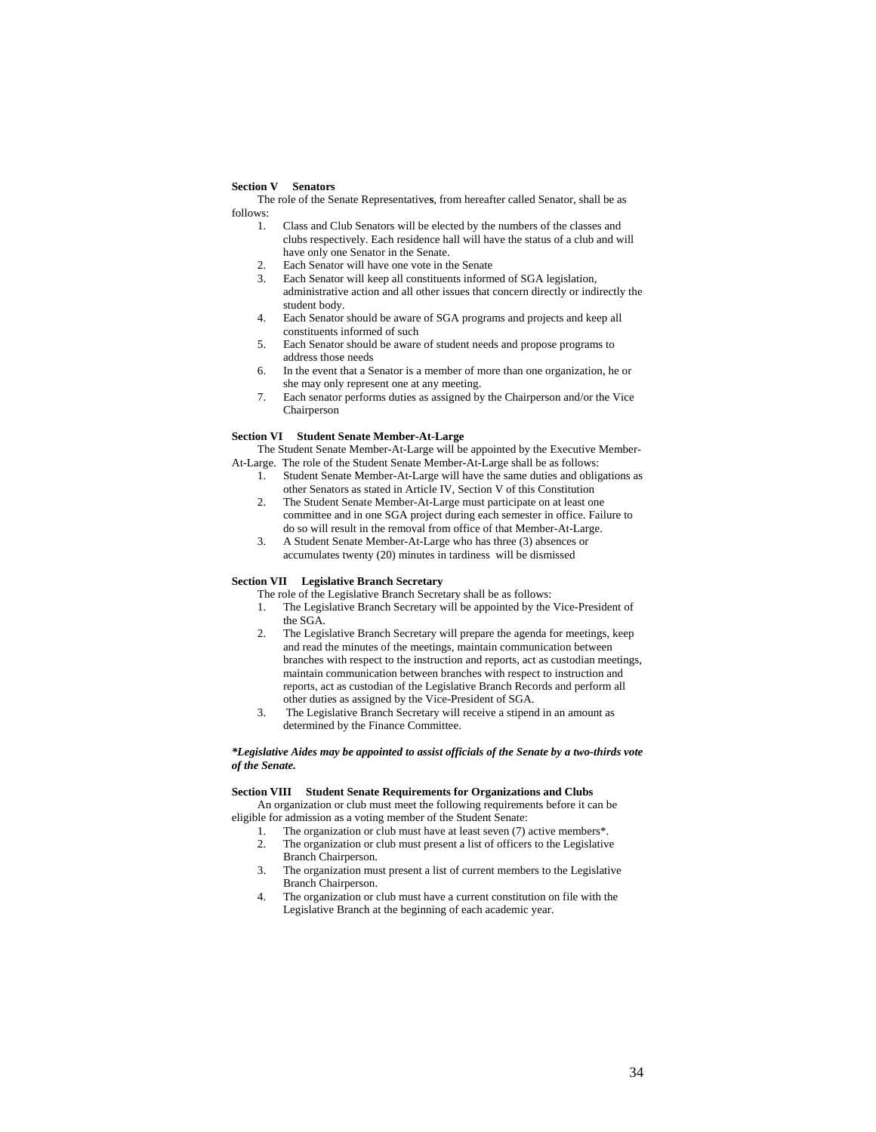# **Section V Senators**

The role of the Senate Representative**s**, from hereafter called Senator, shall be as follows:

- 1. Class and Club Senators will be elected by the numbers of the classes and clubs respectively. Each residence hall will have the status of a club and will have only one Senator in the Senate.
- 2. Each Senator will have one vote in the Senate
- Each Senator will keep all constituents informed of SGA legislation, administrative action and all other issues that concern directly or indirectly the student body.
- 4. Each Senator should be aware of SGA programs and projects and keep all constituents informed of such
- 5. Each Senator should be aware of student needs and propose programs to address those needs
- 6. In the event that a Senator is a member of more than one organization, he or she may only represent one at any meeting.
- 7. Each senator performs duties as assigned by the Chairperson and/or the Vice Chairperson

#### **Section VI Student Senate Member-At-Large**

The Student Senate Member-At-Large will be appointed by the Executive Member-At-Large. The role of the Student Senate Member-At-Large shall be as follows:

- 1. Student Senate Member-At-Large will have the same duties and obligations as other Senators as stated in Article IV, Section V of this Constitution
- 2. The Student Senate Member-At-Large must participate on at least one committee and in one SGA project during each semester in office. Failure to do so will result in the removal from office of that Member-At-Large.
- 3. A Student Senate Member-At-Large who has three (3) absences or accumulates twenty (20) minutes in tardiness will be dismissed

# **Section VII Legislative Branch Secretary**

- The role of the Legislative Branch Secretary shall be as follows:
- 1. The Legislative Branch Secretary will be appointed by the Vice-President of the SGA.
- 2. The Legislative Branch Secretary will prepare the agenda for meetings, keep and read the minutes of the meetings, maintain communication between branches with respect to the instruction and reports, act as custodian meetings, maintain communication between branches with respect to instruction and reports, act as custodian of the Legislative Branch Records and perform all other duties as assigned by the Vice-President of SGA.
- 3. The Legislative Branch Secretary will receive a stipend in an amount as determined by the Finance Committee.

# *\*Legislative Aides may be appointed to assist officials of the Senate by a two-thirds vote of the Senate.*

# **Section VIII Student Senate Requirements for Organizations and Clubs**

An organization or club must meet the following requirements before it can be eligible for admission as a voting member of the Student Senate:

- 1. The organization or club must have at least seven (7) active members\*.
- 2. The organization or club must present a list of officers to the Legislative Branch Chairperson.
- 3. The organization must present a list of current members to the Legislative Branch Chairperson.
- 4. The organization or club must have a current constitution on file with the Legislative Branch at the beginning of each academic year.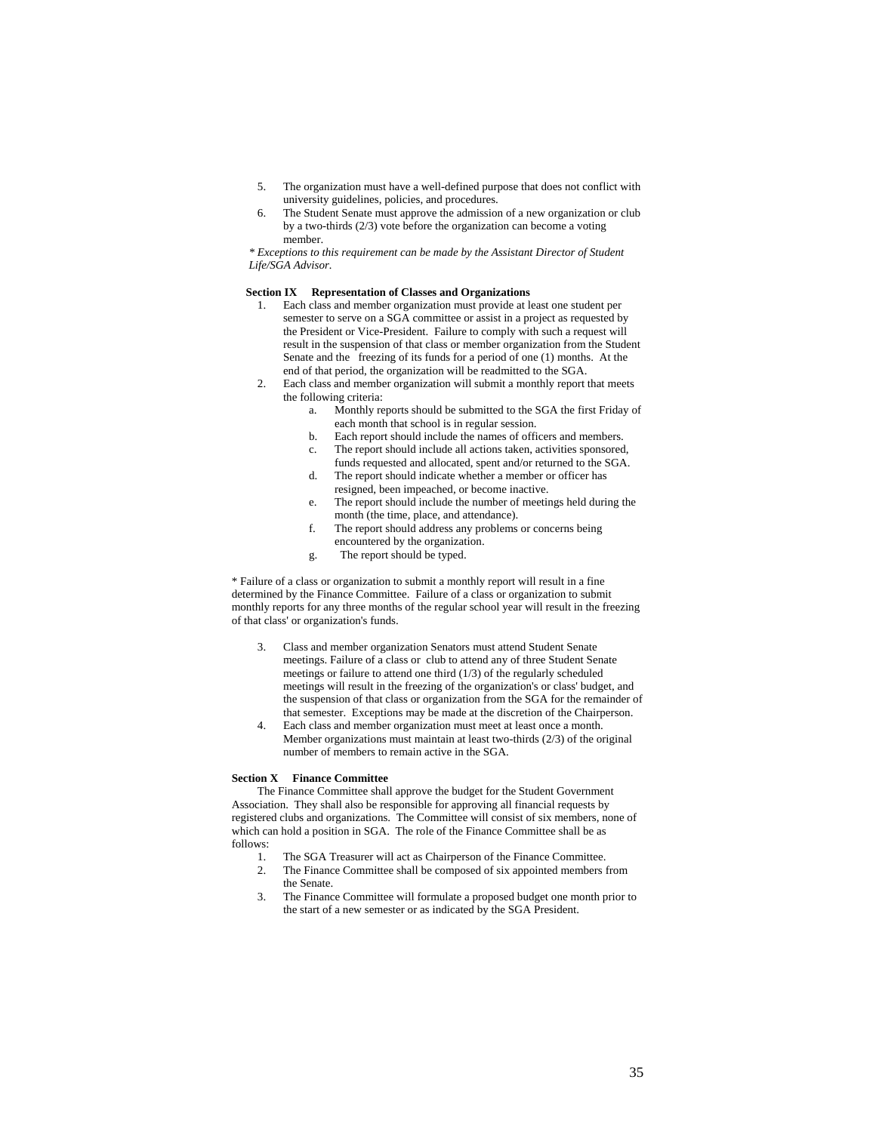- 5. The organization must have a well-defined purpose that does not conflict with university guidelines, policies, and procedures.
- 6. The Student Senate must approve the admission of a new organization or club by a two-thirds (2/3) vote before the organization can become a voting member.

*\* Exceptions to this requirement can be made by the Assistant Director of Student Life/SGA Advisor.* 

# **Section IX Representation of Classes and Organizations**

- 1. Each class and member organization must provide at least one student per semester to serve on a SGA committee or assist in a project as requested by the President or Vice-President. Failure to comply with such a request will result in the suspension of that class or member organization from the Student Senate and the freezing of its funds for a period of one (1) months. At the end of that period, the organization will be readmitted to the SGA.
- 2. Each class and member organization will submit a monthly report that meets the following criteria:
	- a. Monthly reports should be submitted to the SGA the first Friday of each month that school is in regular session.
	- b. Each report should include the names of officers and members.
	- c. The report should include all actions taken, activities sponsored, funds requested and allocated, spent and/or returned to the SGA.
	- d. The report should indicate whether a member or officer has resigned, been impeached, or become inactive.
	- e. The report should include the number of meetings held during the month (the time, place, and attendance).
	- f. The report should address any problems or concerns being encountered by the organization.
	- g. The report should be typed.

\* Failure of a class or organization to submit a monthly report will result in a fine determined by the Finance Committee. Failure of a class or organization to submit monthly reports for any three months of the regular school year will result in the freezing of that class' or organization's funds.

- 3. Class and member organization Senators must attend Student Senate meetings. Failure of a class or club to attend any of three Student Senate meetings or failure to attend one third (1/3) of the regularly scheduled meetings will result in the freezing of the organization's or class' budget, and the suspension of that class or organization from the SGA for the remainder of that semester. Exceptions may be made at the discretion of the Chairperson.
- 4. Each class and member organization must meet at least once a month. Member organizations must maintain at least two-thirds (2/3) of the original number of members to remain active in the SGA.

# **Section X Finance Committee**

The Finance Committee shall approve the budget for the Student Government Association. They shall also be responsible for approving all financial requests by registered clubs and organizations. The Committee will consist of six members, none of which can hold a position in SGA. The role of the Finance Committee shall be as follows:<br>1

- The SGA Treasurer will act as Chairperson of the Finance Committee.
- 2. The Finance Committee shall be composed of six appointed members from the Senate.
- 3. The Finance Committee will formulate a proposed budget one month prior to the start of a new semester or as indicated by the SGA President.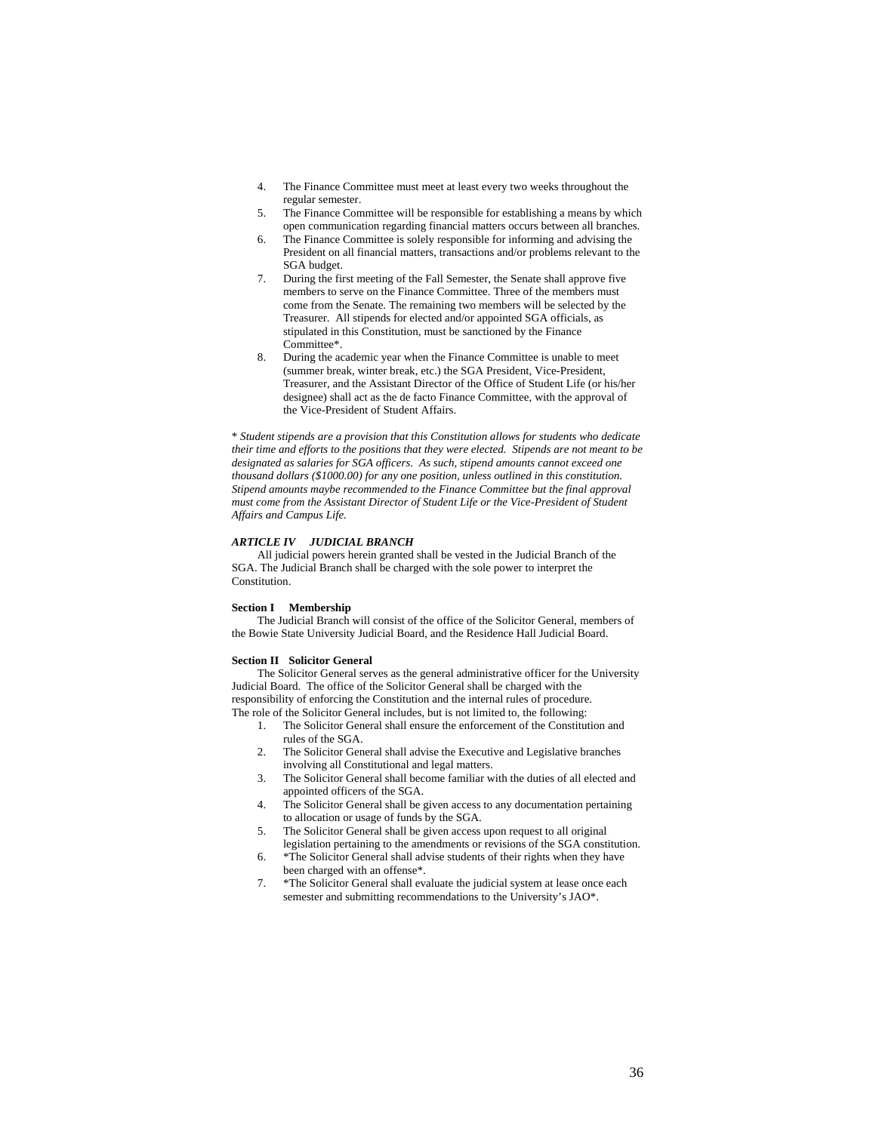- 4. The Finance Committee must meet at least every two weeks throughout the regular semester.
- 5. The Finance Committee will be responsible for establishing a means by which open communication regarding financial matters occurs between all branches.
- 6. The Finance Committee is solely responsible for informing and advising the President on all financial matters, transactions and/or problems relevant to the SGA budget.
- 7. During the first meeting of the Fall Semester, the Senate shall approve five members to serve on the Finance Committee. Three of the members must come from the Senate. The remaining two members will be selected by the Treasurer. All stipends for elected and/or appointed SGA officials, as stipulated in this Constitution, must be sanctioned by the Finance Committee\*.
- 8. During the academic year when the Finance Committee is unable to meet (summer break, winter break, etc.) the SGA President, Vice-President, Treasurer, and the Assistant Director of the Office of Student Life (or his/her designee) shall act as the de facto Finance Committee, with the approval of the Vice-President of Student Affairs.

\* *Student stipends are a provision that this Constitution allows for students who dedicate their time and efforts to the positions that they were elected. Stipends are not meant to be designated as salaries for SGA officers. As such, stipend amounts cannot exceed one thousand dollars (\$1000.00) for any one position, unless outlined in this constitution. Stipend amounts maybe recommended to the Finance Committee but the final approval must come from the Assistant Director of Student Life or the Vice-President of Student Affairs and Campus Life.* 

# *ARTICLE IV JUDICIAL BRANCH*

All judicial powers herein granted shall be vested in the Judicial Branch of the SGA. The Judicial Branch shall be charged with the sole power to interpret the Constitution.

# **Section I Membership**

The Judicial Branch will consist of the office of the Solicitor General, members of the Bowie State University Judicial Board, and the Residence Hall Judicial Board.

# **Section II Solicitor General**

The Solicitor General serves as the general administrative officer for the University Judicial Board. The office of the Solicitor General shall be charged with the responsibility of enforcing the Constitution and the internal rules of procedure. The role of the Solicitor General includes, but is not limited to, the following:

- 1. The Solicitor General shall ensure the enforcement of the Constitution and rules of the SGA.
- 2. The Solicitor General shall advise the Executive and Legislative branches involving all Constitutional and legal matters.
- 3. The Solicitor General shall become familiar with the duties of all elected and appointed officers of the SGA.
- 4. The Solicitor General shall be given access to any documentation pertaining to allocation or usage of funds by the SGA.
- 5. The Solicitor General shall be given access upon request to all original legislation pertaining to the amendments or revisions of the SGA constitution.
- 6. \*The Solicitor General shall advise students of their rights when they have been charged with an offense\*.
- 7. \*The Solicitor General shall evaluate the judicial system at lease once each semester and submitting recommendations to the University's JAO\*.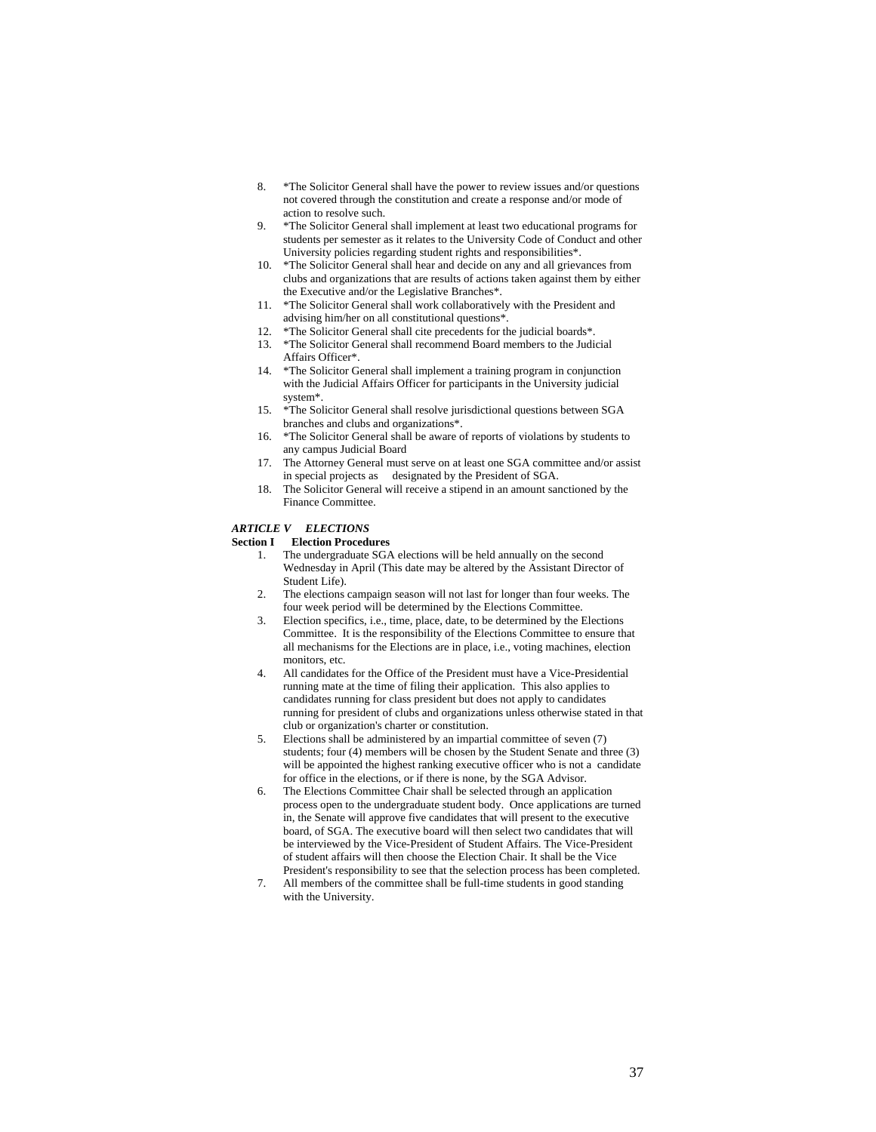- 8. \*The Solicitor General shall have the power to review issues and/or questions not covered through the constitution and create a response and/or mode of action to resolve such.
- 9. \*The Solicitor General shall implement at least two educational programs for students per semester as it relates to the University Code of Conduct and other University policies regarding student rights and responsibilities\*.
- 10. \*The Solicitor General shall hear and decide on any and all grievances from clubs and organizations that are results of actions taken against them by either the Executive and/or the Legislative Branches\*.
- 11. \*The Solicitor General shall work collaboratively with the President and advising him/her on all constitutional questions\*.
- 12. \*The Solicitor General shall cite precedents for the judicial boards\*.
- 13. \*The Solicitor General shall recommend Board members to the Judicial Affairs Officer\*.
- 14. \*The Solicitor General shall implement a training program in conjunction with the Judicial Affairs Officer for participants in the University judicial system\*.
- 15. \*The Solicitor General shall resolve jurisdictional questions between SGA branches and clubs and organizations\*.
- 16. \*The Solicitor General shall be aware of reports of violations by students to any campus Judicial Board
- 17. The Attorney General must serve on at least one SGA committee and/or assist in special projects as designated by the President of SGA.
- 18. The Solicitor General will receive a stipend in an amount sanctioned by the Finance Committee.

# *ARTICLE V ELECTIONS*

# **Section I Election Procedures**

- 1. The undergraduate SGA elections will be held annually on the second Wednesday in April (This date may be altered by the Assistant Director of Student Life).
- 2. The elections campaign season will not last for longer than four weeks. The four week period will be determined by the Elections Committee.
- 3. Election specifics, i.e., time, place, date, to be determined by the Elections Committee. It is the responsibility of the Elections Committee to ensure that all mechanisms for the Elections are in place, i.e., voting machines, election monitors, etc.
- 4. All candidates for the Office of the President must have a Vice-Presidential running mate at the time of filing their application. This also applies to candidates running for class president but does not apply to candidates running for president of clubs and organizations unless otherwise stated in that club or organization's charter or constitution.
- 5. Elections shall be administered by an impartial committee of seven (7) students; four (4) members will be chosen by the Student Senate and three (3) will be appointed the highest ranking executive officer who is not a candidate for office in the elections, or if there is none, by the SGA Advisor.
- 6. The Elections Committee Chair shall be selected through an application process open to the undergraduate student body. Once applications are turned in, the Senate will approve five candidates that will present to the executive board, of SGA. The executive board will then select two candidates that will be interviewed by the Vice-President of Student Affairs. The Vice-President of student affairs will then choose the Election Chair. It shall be the Vice President's responsibility to see that the selection process has been completed.
- 7. All members of the committee shall be full-time students in good standing with the University.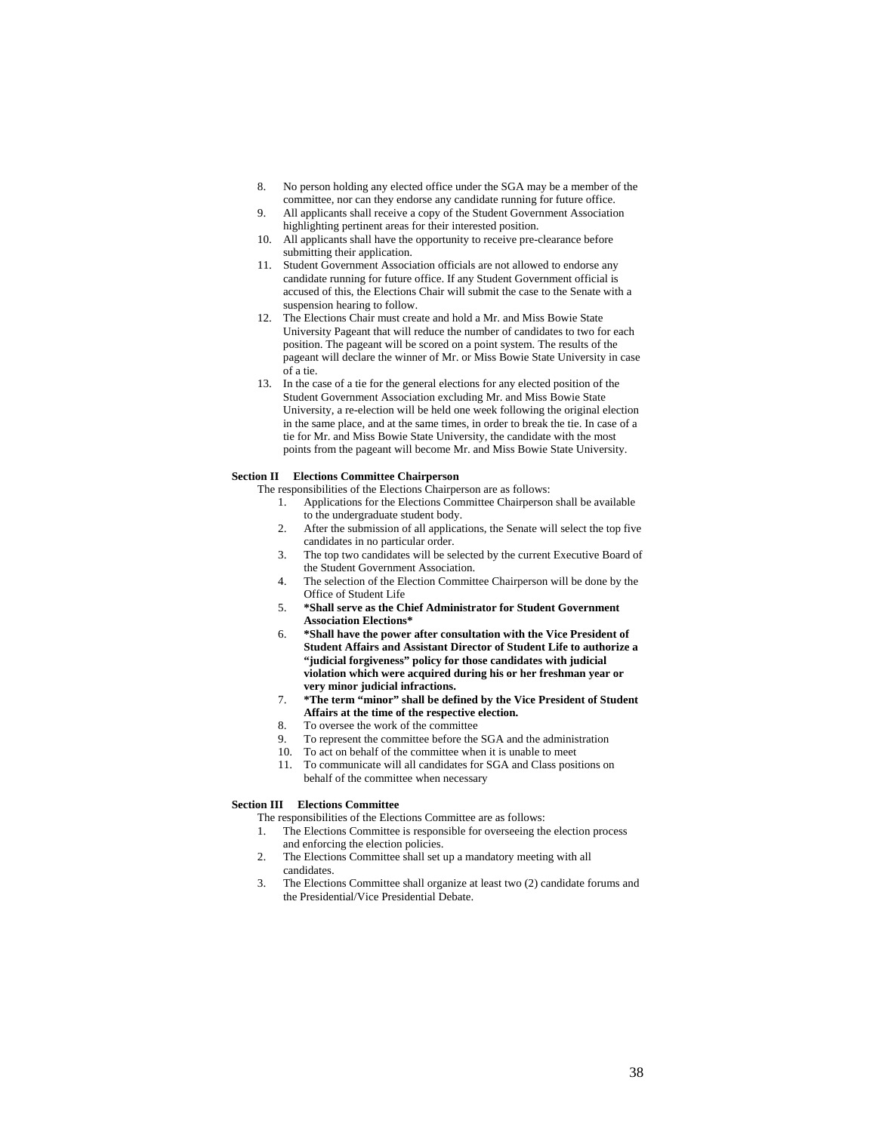- 8. No person holding any elected office under the SGA may be a member of the committee, nor can they endorse any candidate running for future office.
- 9. All applicants shall receive a copy of the Student Government Association highlighting pertinent areas for their interested position.
- 10. All applicants shall have the opportunity to receive pre-clearance before submitting their application.
- 11. Student Government Association officials are not allowed to endorse any candidate running for future office. If any Student Government official is accused of this, the Elections Chair will submit the case to the Senate with a suspension hearing to follow.
- 12. The Elections Chair must create and hold a Mr. and Miss Bowie State University Pageant that will reduce the number of candidates to two for each position. The pageant will be scored on a point system. The results of the pageant will declare the winner of Mr. or Miss Bowie State University in case of a tie.
- 13. In the case of a tie for the general elections for any elected position of the Student Government Association excluding Mr. and Miss Bowie State University, a re-election will be held one week following the original election in the same place, and at the same times, in order to break the tie. In case of a tie for Mr. and Miss Bowie State University, the candidate with the most points from the pageant will become Mr. and Miss Bowie State University.

# **Section II Elections Committee Chairperson**

- The responsibilities of the Elections Chairperson are as follows:
	- 1. Applications for the Elections Committee Chairperson shall be available to the undergraduate student body.
	- 2. After the submission of all applications, the Senate will select the top five candidates in no particular order.
	- 3. The top two candidates will be selected by the current Executive Board of the Student Government Association.
	- 4. The selection of the Election Committee Chairperson will be done by the Office of Student Life
	- 5. **\*Shall serve as the Chief Administrator for Student Government Association Elections\***
	- 6. **\*Shall have the power after consultation with the Vice President of Student Affairs and Assistant Director of Student Life to authorize a "judicial forgiveness" policy for those candidates with judicial violation which were acquired during his or her freshman year or very minor judicial infractions.**
	- 7. **\*The term "minor" shall be defined by the Vice President of Student Affairs at the time of the respective election.**
	- 8. To oversee the work of the committee
	- 9. To represent the committee before the SGA and the administration
	- 10. To act on behalf of the committee when it is unable to meet
	- 11. To communicate will all candidates for SGA and Class positions on behalf of the committee when necessary

# **Section III Elections Committee**

- The responsibilities of the Elections Committee are as follows:
- 1. The Elections Committee is responsible for overseeing the election process and enforcing the election policies.
- 2. The Elections Committee shall set up a mandatory meeting with all candidates.
- 3. The Elections Committee shall organize at least two (2) candidate forums and the Presidential/Vice Presidential Debate.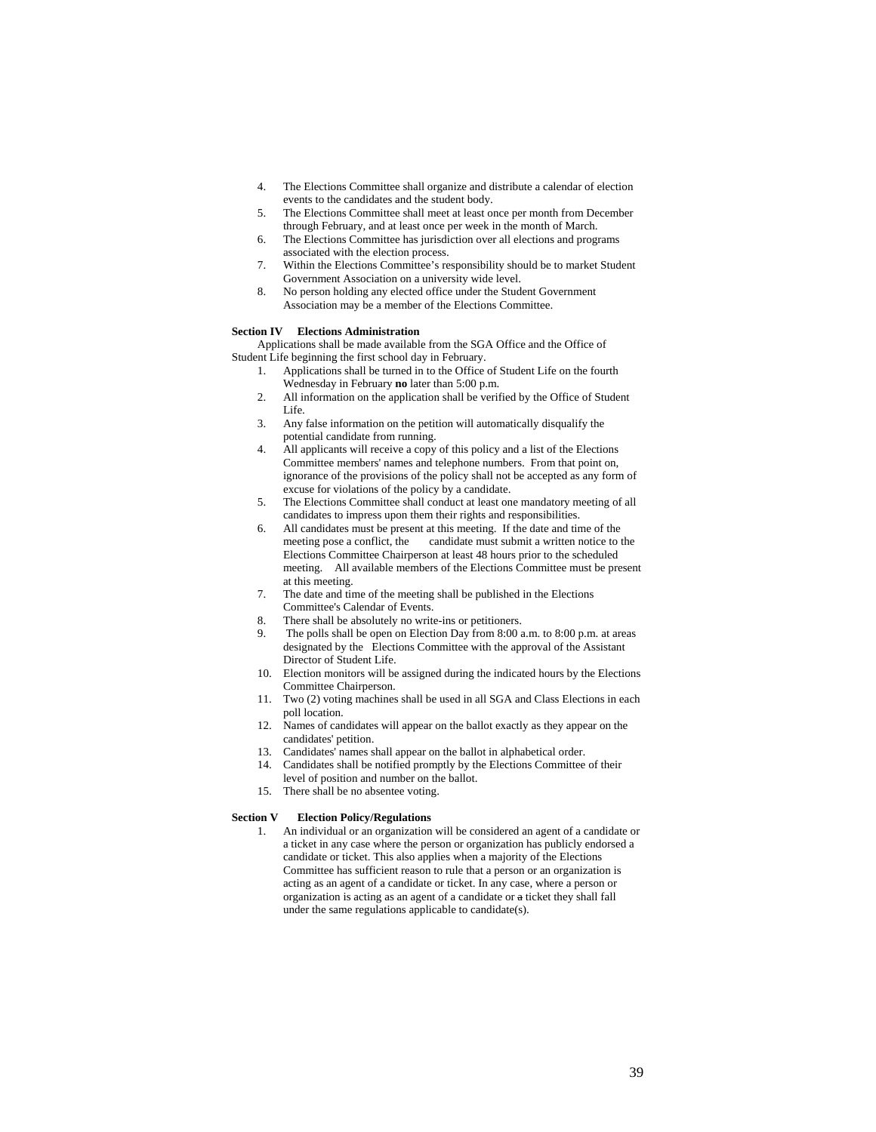- 4. The Elections Committee shall organize and distribute a calendar of election events to the candidates and the student body.
- 5. The Elections Committee shall meet at least once per month from December through February, and at least once per week in the month of March.
- 6. The Elections Committee has jurisdiction over all elections and programs associated with the election process.
- 7. Within the Elections Committee's responsibility should be to market Student Government Association on a university wide level.
- 8. No person holding any elected office under the Student Government Association may be a member of the Elections Committee.

# **Section IV Elections Administration**

Applications shall be made available from the SGA Office and the Office of Student Life beginning the first school day in February.

- 1. Applications shall be turned in to the Office of Student Life on the fourth Wednesday in February **no** later than 5:00 p.m.
- 2. All information on the application shall be verified by the Office of Student Life.
- 3. Any false information on the petition will automatically disqualify the potential candidate from running.
- 4. All applicants will receive a copy of this policy and a list of the Elections Committee members' names and telephone numbers. From that point on, ignorance of the provisions of the policy shall not be accepted as any form of excuse for violations of the policy by a candidate.
- 5. The Elections Committee shall conduct at least one mandatory meeting of all candidates to impress upon them their rights and responsibilities.
- 6. All candidates must be present at this meeting. If the date and time of the meeting pose a conflict, the candidate must submit a written notice to the Elections Committee Chairperson at least 48 hours prior to the scheduled meeting. All available members of the Elections Committee must be present at this meeting.
- 7. The date and time of the meeting shall be published in the Elections Committee's Calendar of Events.
- 8. There shall be absolutely no write-ins or petitioners.
- The polls shall be open on Election Day from 8:00 a.m. to 8:00 p.m. at areas designated by the Elections Committee with the approval of the Assistant Director of Student Life.
- 10. Election monitors will be assigned during the indicated hours by the Elections Committee Chairperson.
- 11. Two (2) voting machines shall be used in all SGA and Class Elections in each poll location.
- 12. Names of candidates will appear on the ballot exactly as they appear on the candidates' petition.
- 13. Candidates' names shall appear on the ballot in alphabetical order.
- 14. Candidates shall be notified promptly by the Elections Committee of their level of position and number on the ballot.
- 15. There shall be no absentee voting.

# **Section V Election Policy/Regulations**

1. An individual or an organization will be considered an agent of a candidate or a ticket in any case where the person or organization has publicly endorsed a candidate or ticket. This also applies when a majority of the Elections Committee has sufficient reason to rule that a person or an organization is acting as an agent of a candidate or ticket. In any case, where a person or organization is acting as an agent of a candidate or a ticket they shall fall under the same regulations applicable to candidate(s).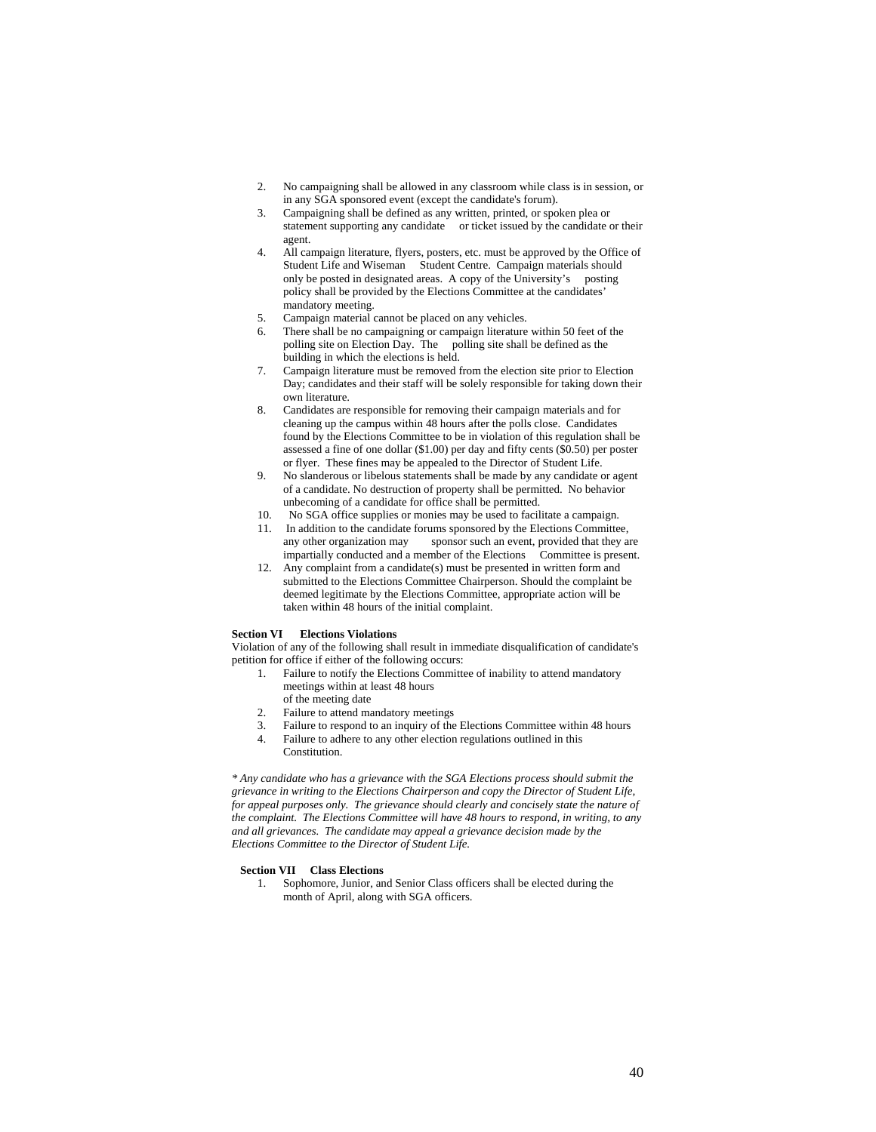- 2. No campaigning shall be allowed in any classroom while class is in session, or in any SGA sponsored event (except the candidate's forum).
- 3. Campaigning shall be defined as any written, printed, or spoken plea or statement supporting any candidate or ticket issued by the candidate or their agent.
- 4. All campaign literature, flyers, posters, etc. must be approved by the Office of Student Life and Wiseman Student Centre. Campaign materials should only be posted in designated areas. A copy of the University's posting policy shall be provided by the Elections Committee at the candidates' mandatory meeting.
- 5. Campaign material cannot be placed on any vehicles.
- 6. There shall be no campaigning or campaign literature within 50 feet of the polling site on Election Day. The polling site shall be defined as the building in which the elections is held.
- 7. Campaign literature must be removed from the election site prior to Election Day; candidates and their staff will be solely responsible for taking down their own literature.
- 8. Candidates are responsible for removing their campaign materials and for cleaning up the campus within 48 hours after the polls close. Candidates found by the Elections Committee to be in violation of this regulation shall be assessed a fine of one dollar (\$1.00) per day and fifty cents (\$0.50) per poster or flyer. These fines may be appealed to the Director of Student Life.
- 9. No slanderous or libelous statements shall be made by any candidate or agent of a candidate. No destruction of property shall be permitted. No behavior unbecoming of a candidate for office shall be permitted.
- 10. No SGA office supplies or monies may be used to facilitate a campaign.
- 11. In addition to the candidate forums sponsored by the Elections Committee, any other organization may sponsor such an event, provided that they are impartially conducted and a member of the Elections Committee is present.
- 12. Any complaint from a candidate(s) must be presented in written form and submitted to the Elections Committee Chairperson. Should the complaint be deemed legitimate by the Elections Committee, appropriate action will be taken within 48 hours of the initial complaint.

# **Section VI Elections Violations**

Violation of any of the following shall result in immediate disqualification of candidate's petition for office if either of the following occurs:

- 1. Failure to notify the Elections Committee of inability to attend mandatory meetings within at least 48 hours of the meeting date
- 2. Failure to attend mandatory meetings
- 
- 3. Failure to respond to an inquiry of the Elections Committee within 48 hours 4. Failure to adhere to any other election regulations outlined in this
	- Constitution.

*\* Any candidate who has a grievance with the SGA Elections process should submit the grievance in writing to the Elections Chairperson and copy the Director of Student Life, for appeal purposes only. The grievance should clearly and concisely state the nature of the complaint. The Elections Committee will have 48 hours to respond, in writing, to any and all grievances. The candidate may appeal a grievance decision made by the Elections Committee to the Director of Student Life.* 

# **Section VII Class Elections**

1. Sophomore, Junior, and Senior Class officers shall be elected during the month of April, along with SGA officers.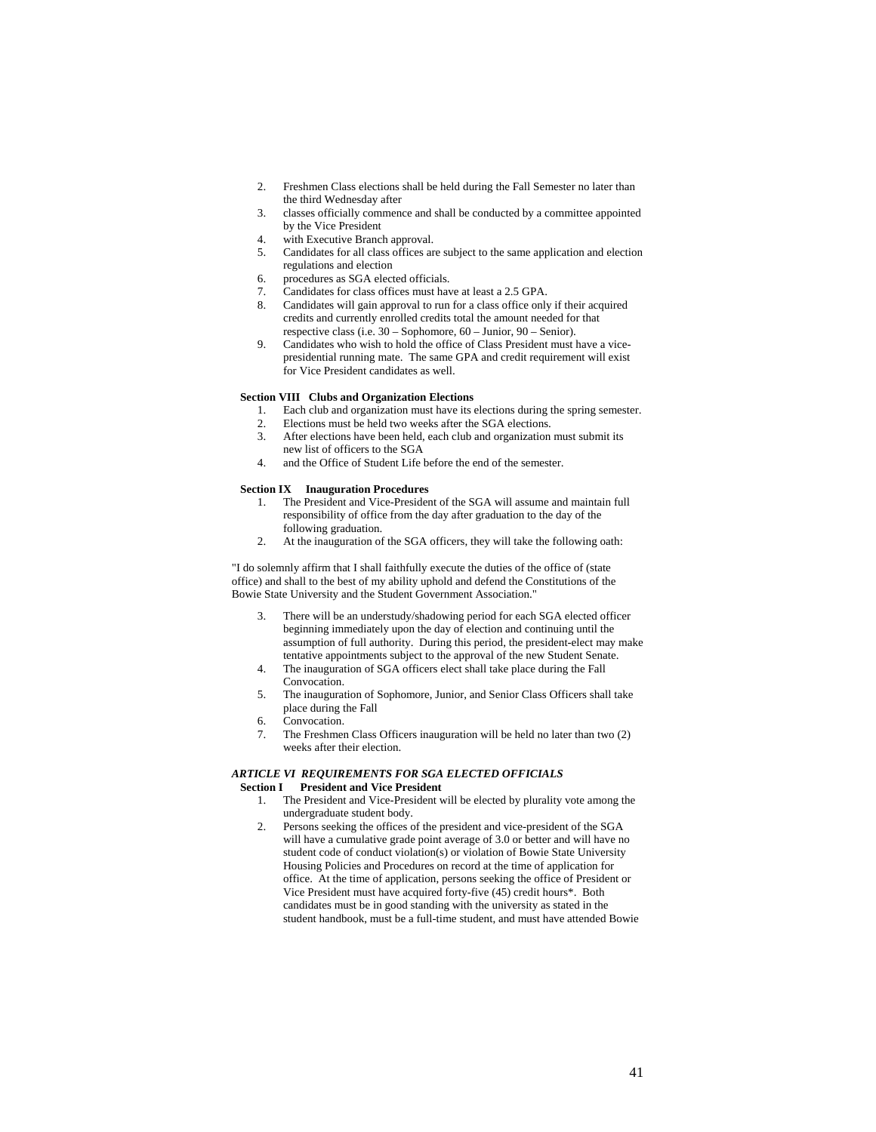- 2. Freshmen Class elections shall be held during the Fall Semester no later than the third Wednesday after
- 3. classes officially commence and shall be conducted by a committee appointed by the Vice President
- 4. with Executive Branch approval.
- 5. Candidates for all class offices are subject to the same application and election regulations and election
- 6. procedures as SGA elected officials.
- 7. Candidates for class offices must have at least a 2.5 GPA.
- 8. Candidates will gain approval to run for a class office only if their acquired credits and currently enrolled credits total the amount needed for that respective class (i.e. 30 – Sophomore, 60 – Junior, 90 – Senior).
- 9. Candidates who wish to hold the office of Class President must have a vicepresidential running mate. The same GPA and credit requirement will exist for Vice President candidates as well.

# **Section VIII Clubs and Organization Elections**

- 1. Each club and organization must have its elections during the spring semester.<br>2. Elections must be held two weeks after the SGA elections
- Elections must be held two weeks after the SGA elections.
- 3. After elections have been held, each club and organization must submit its new list of officers to the SGA
- 4. and the Office of Student Life before the end of the semester.

#### **Section IX Inauguration Procedures**

- 1. The President and Vice-President of the SGA will assume and maintain full responsibility of office from the day after graduation to the day of the following graduation.
- 2. At the inauguration of the SGA officers, they will take the following oath:

"I do solemnly affirm that I shall faithfully execute the duties of the office of (state office) and shall to the best of my ability uphold and defend the Constitutions of the Bowie State University and the Student Government Association."

- 3. There will be an understudy/shadowing period for each SGA elected officer beginning immediately upon the day of election and continuing until the assumption of full authority. During this period, the president-elect may make tentative appointments subject to the approval of the new Student Senate.
- 4. The inauguration of SGA officers elect shall take place during the Fall Convocation.
- 5. The inauguration of Sophomore, Junior, and Senior Class Officers shall take place during the Fall
- 6. Convocation.
- 7. The Freshmen Class Officers inauguration will be held no later than two (2) weeks after their election.

# *ARTICLE VI REQUIREMENTS FOR SGA ELECTED OFFICIALS*   **Section I President and Vice President**

- 1. The President and Vice-President will be elected by plurality vote among the undergraduate student body.
- 2. Persons seeking the offices of the president and vice-president of the SGA will have a cumulative grade point average of 3.0 or better and will have no student code of conduct violation(s) or violation of Bowie State University Housing Policies and Procedures on record at the time of application for office. At the time of application, persons seeking the office of President or Vice President must have acquired forty-five (45) credit hours\*. Both candidates must be in good standing with the university as stated in the student handbook, must be a full-time student, and must have attended Bowie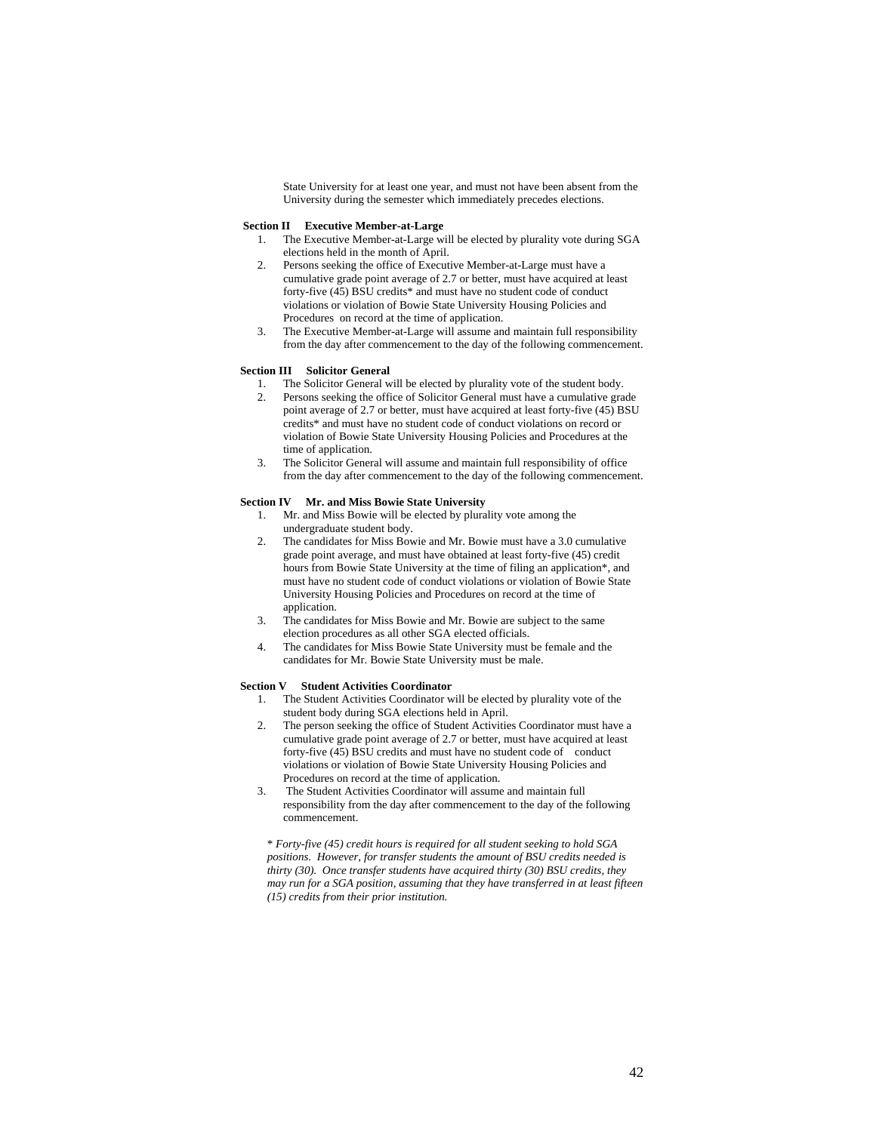State University for at least one year, and must not have been absent from the University during the semester which immediately precedes elections.

# **Section II Executive Member-at-Large**

- 1. The Executive Member-at-Large will be elected by plurality vote during SGA elections held in the month of April.
- 2. Persons seeking the office of Executive Member-at-Large must have a cumulative grade point average of 2.7 or better, must have acquired at least forty-five  $(45)$  BSU credits\* and must have no student code of conduct violations or violation of Bowie State University Housing Policies and Procedures on record at the time of application.
- 3. The Executive Member-at-Large will assume and maintain full responsibility from the day after commencement to the day of the following commencement.

# **Section III Solicitor General**

- The Solicitor General will be elected by plurality vote of the student body.
- 2. Persons seeking the office of Solicitor General must have a cumulative grade point average of 2.7 or better, must have acquired at least forty-five (45) BSU credits\* and must have no student code of conduct violations on record or violation of Bowie State University Housing Policies and Procedures at the time of application.
- 3. The Solicitor General will assume and maintain full responsibility of office from the day after commencement to the day of the following commencement.

# **Section IV Mr. and Miss Bowie State University**

- 1. Mr. and Miss Bowie will be elected by plurality vote among the undergraduate student body.
- 2. The candidates for Miss Bowie and Mr. Bowie must have a 3.0 cumulative grade point average, and must have obtained at least forty-five (45) credit hours from Bowie State University at the time of filing an application\*, and must have no student code of conduct violations or violation of Bowie State University Housing Policies and Procedures on record at the time of application.
- 3. The candidates for Miss Bowie and Mr. Bowie are subject to the same election procedures as all other SGA elected officials.
- 4. The candidates for Miss Bowie State University must be female and the candidates for Mr. Bowie State University must be male.

### **Section V Student Activities Coordinator**

- 1. The Student Activities Coordinator will be elected by plurality vote of the student body during SGA elections held in April.
- 2. The person seeking the office of Student Activities Coordinator must have a cumulative grade point average of 2.7 or better, must have acquired at least forty-five  $(45)$  BSU credits and must have no student code of conduct violations or violation of Bowie State University Housing Policies and Procedures on record at the time of application.
- 3. The Student Activities Coordinator will assume and maintain full responsibility from the day after commencement to the day of the following commencement.

\* *Forty-five (45) credit hours is required for all student seeking to hold SGA positions. However, for transfer students the amount of BSU credits needed is thirty (30). Once transfer students have acquired thirty (30) BSU credits, they may run for a SGA position, assuming that they have transferred in at least fifteen (15) credits from their prior institution.*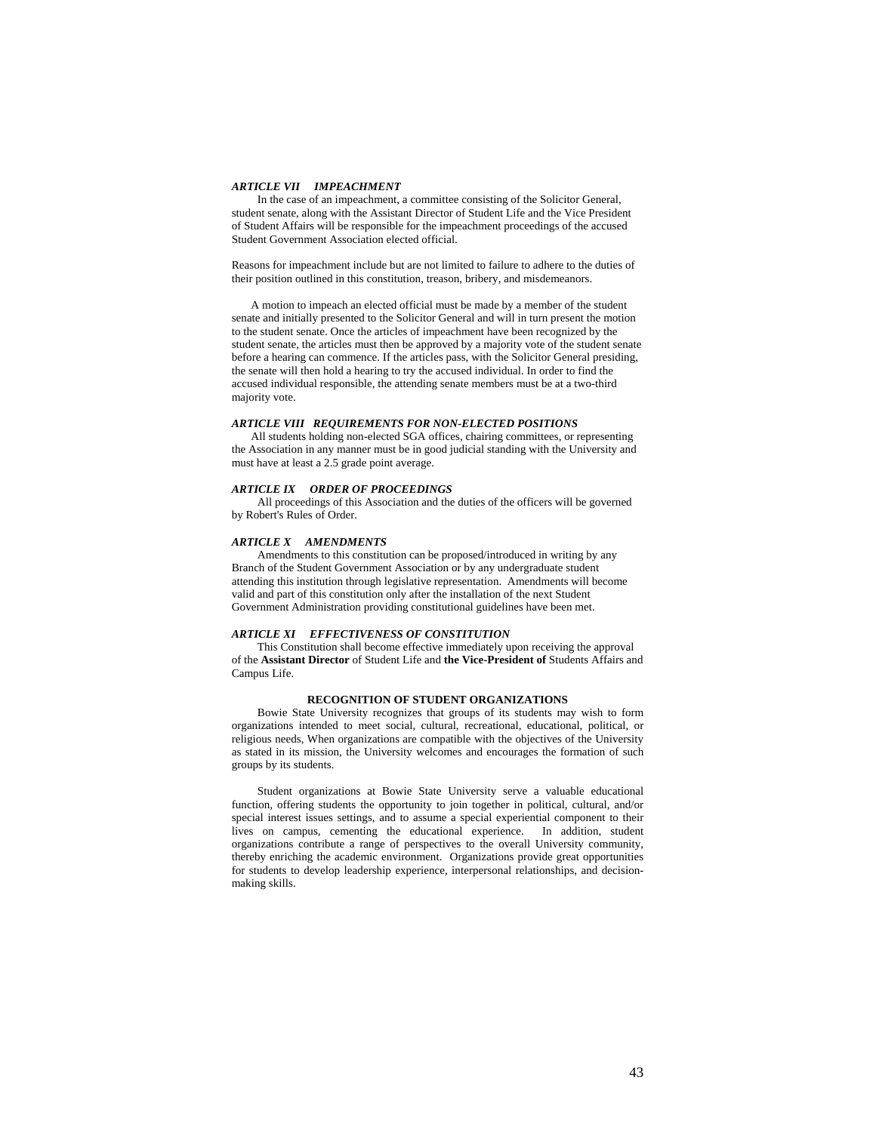# *ARTICLE VII IMPEACHMENT*

In the case of an impeachment, a committee consisting of the Solicitor General, student senate, along with the Assistant Director of Student Life and the Vice President of Student Affairs will be responsible for the impeachment proceedings of the accused Student Government Association elected official.

Reasons for impeachment include but are not limited to failure to adhere to the duties of their position outlined in this constitution, treason, bribery, and misdemeanors.

A motion to impeach an elected official must be made by a member of the student senate and initially presented to the Solicitor General and will in turn present the motion to the student senate. Once the articles of impeachment have been recognized by the student senate, the articles must then be approved by a majority vote of the student senate before a hearing can commence. If the articles pass, with the Solicitor General presiding, the senate will then hold a hearing to try the accused individual. In order to find the accused individual responsible, the attending senate members must be at a two-third majority vote.

# *ARTICLE VIII REQUIREMENTS FOR NON-ELECTED POSITIONS*

All students holding non-elected SGA offices, chairing committees, or representing the Association in any manner must be in good judicial standing with the University and must have at least a 2.5 grade point average.

### *ARTICLE IX ORDER OF PROCEEDINGS*

All proceedings of this Association and the duties of the officers will be governed by Robert's Rules of Order.

# *ARTICLE X AMENDMENTS*

Amendments to this constitution can be proposed/introduced in writing by any Branch of the Student Government Association or by any undergraduate student attending this institution through legislative representation. Amendments will become valid and part of this constitution only after the installation of the next Student Government Administration providing constitutional guidelines have been met.

# *ARTICLE XI EFFECTIVENESS OF CONSTITUTION*

This Constitution shall become effective immediately upon receiving the approval of the **Assistant Director** of Student Life and **the Vice-President of** Students Affairs and Campus Life.

# **RECOGNITION OF STUDENT ORGANIZATIONS**

Bowie State University recognizes that groups of its students may wish to form organizations intended to meet social, cultural, recreational, educational, political, or religious needs, When organizations are compatible with the objectives of the University as stated in its mission, the University welcomes and encourages the formation of such groups by its students.

Student organizations at Bowie State University serve a valuable educational function, offering students the opportunity to join together in political, cultural, and/or special interest issues settings, and to assume a special experiential component to their lives on campus, cementing the educational experience. In addition, student organizations contribute a range of perspectives to the overall University community, thereby enriching the academic environment. Organizations provide great opportunities for students to develop leadership experience, interpersonal relationships, and decisionmaking skills.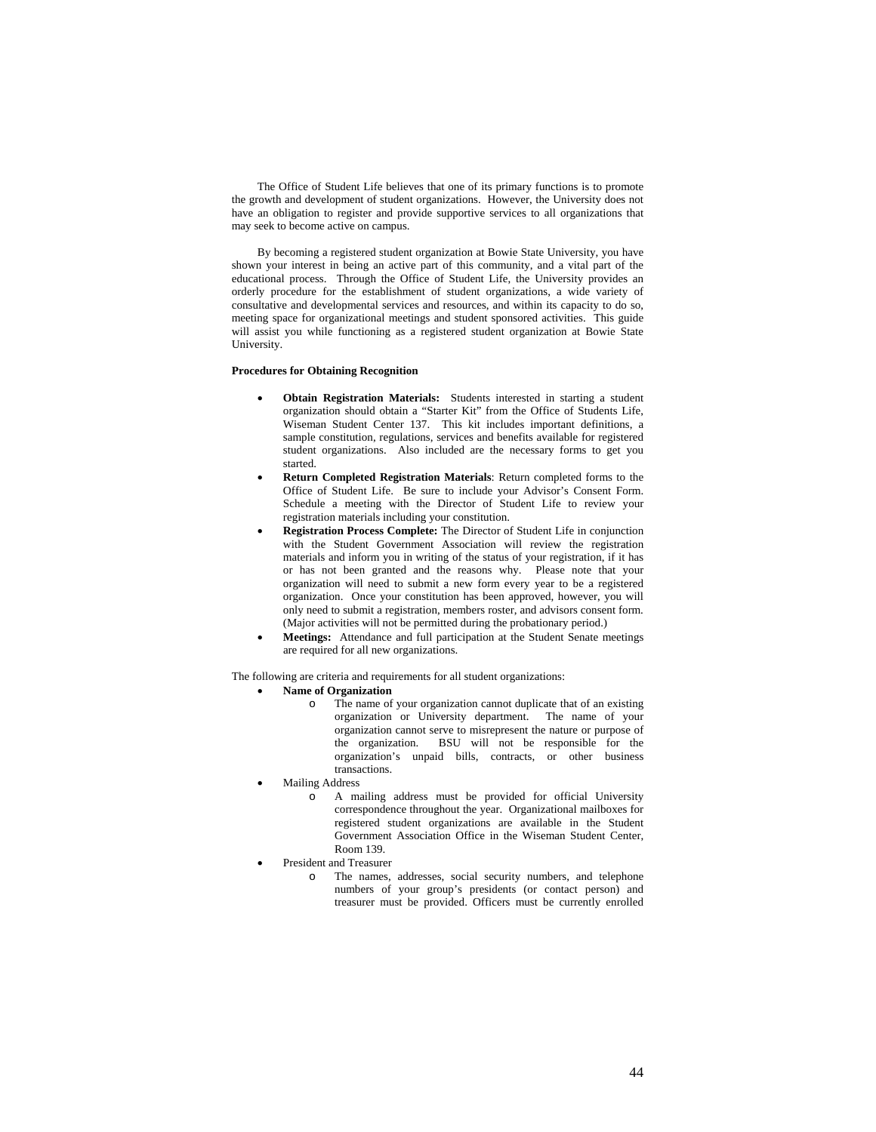The Office of Student Life believes that one of its primary functions is to promote the growth and development of student organizations. However, the University does not have an obligation to register and provide supportive services to all organizations that may seek to become active on campus.

By becoming a registered student organization at Bowie State University, you have shown your interest in being an active part of this community, and a vital part of the educational process. Through the Office of Student Life, the University provides an orderly procedure for the establishment of student organizations, a wide variety of consultative and developmental services and resources, and within its capacity to do so, meeting space for organizational meetings and student sponsored activities. This guide will assist you while functioning as a registered student organization at Bowie State University.

# **Procedures for Obtaining Recognition**

- **Obtain Registration Materials:** Students interested in starting a student organization should obtain a "Starter Kit" from the Office of Students Life, Wiseman Student Center 137. This kit includes important definitions, a sample constitution, regulations, services and benefits available for registered student organizations. Also included are the necessary forms to get you started.
- **Return Completed Registration Materials**: Return completed forms to the Office of Student Life. Be sure to include your Advisor's Consent Form. Schedule a meeting with the Director of Student Life to review your registration materials including your constitution.
- **Registration Process Complete:** The Director of Student Life in conjunction with the Student Government Association will review the registration materials and inform you in writing of the status of your registration, if it has or has not been granted and the reasons why. Please note that your organization will need to submit a new form every year to be a registered organization. Once your constitution has been approved, however, you will only need to submit a registration, members roster, and advisors consent form. (Major activities will not be permitted during the probationary period.)
- **Meetings:** Attendance and full participation at the Student Senate meetings are required for all new organizations.

The following are criteria and requirements for all student organizations:

# • **Name of Organization**

- o The name of your organization cannot duplicate that of an existing organization or University department. The name of your organization cannot serve to misrepresent the nature or purpose of the organization. BSU will not be responsible for the organization's unpaid bills, contracts, or other business transactions.
- Mailing Address
	- o A mailing address must be provided for official University correspondence throughout the year. Organizational mailboxes for registered student organizations are available in the Student Government Association Office in the Wiseman Student Center, Room 139.
- President and Treasurer
	- o The names, addresses, social security numbers, and telephone numbers of your group's presidents (or contact person) and treasurer must be provided. Officers must be currently enrolled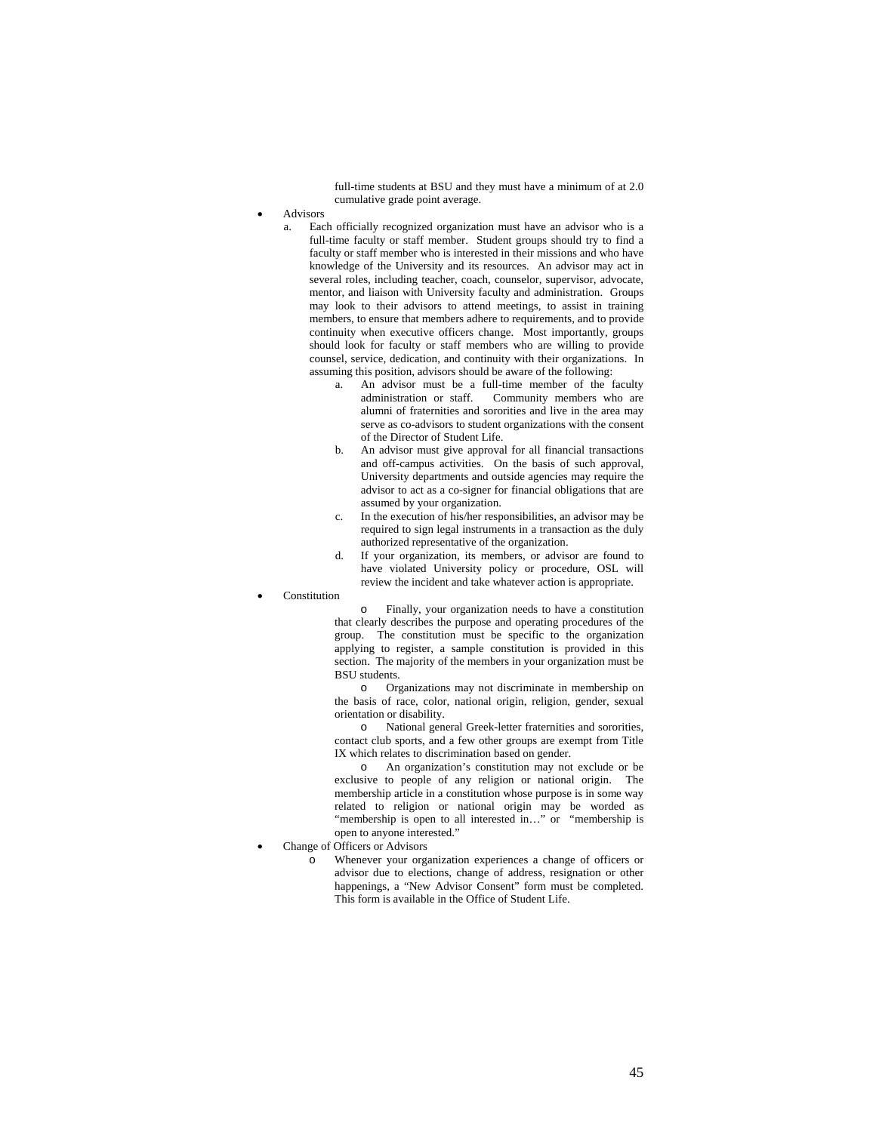full-time students at BSU and they must have a minimum of at 2.0 cumulative grade point average.

- **Advisors** 
	- a. Each officially recognized organization must have an advisor who is a full-time faculty or staff member. Student groups should try to find a faculty or staff member who is interested in their missions and who have knowledge of the University and its resources. An advisor may act in several roles, including teacher, coach, counselor, supervisor, advocate, mentor, and liaison with University faculty and administration. Groups may look to their advisors to attend meetings, to assist in training members, to ensure that members adhere to requirements, and to provide continuity when executive officers change. Most importantly, groups should look for faculty or staff members who are willing to provide counsel, service, dedication, and continuity with their organizations. In assuming this position, advisors should be aware of the following:
		- a. An advisor must be a full-time member of the faculty administration or staff. Community members who are alumni of fraternities and sororities and live in the area may serve as co-advisors to student organizations with the consent of the Director of Student Life.
		- b. An advisor must give approval for all financial transactions and off-campus activities. On the basis of such approval, University departments and outside agencies may require the advisor to act as a co-signer for financial obligations that are assumed by your organization.
		- c. In the execution of his/her responsibilities, an advisor may be required to sign legal instruments in a transaction as the duly authorized representative of the organization.
		- d. If your organization, its members, or advisor are found to have violated University policy or procedure, OSL will review the incident and take whatever action is appropriate.
- **Constitution**

o Finally, your organization needs to have a constitution that clearly describes the purpose and operating procedures of the group. The constitution must be specific to the organization applying to register, a sample constitution is provided in this section. The majority of the members in your organization must be BSU students.

o Organizations may not discriminate in membership on the basis of race, color, national origin, religion, gender, sexual orientation or disability.

o National general Greek-letter fraternities and sororities, contact club sports, and a few other groups are exempt from Title IX which relates to discrimination based on gender.

o An organization's constitution may not exclude or be exclusive to people of any religion or national origin. The membership article in a constitution whose purpose is in some way related to religion or national origin may be worded as "membership is open to all interested in…" or "membership is open to anyone interested."

- Change of Officers or Advisors
	- o Whenever your organization experiences a change of officers or advisor due to elections, change of address, resignation or other happenings, a "New Advisor Consent" form must be completed. This form is available in the Office of Student Life.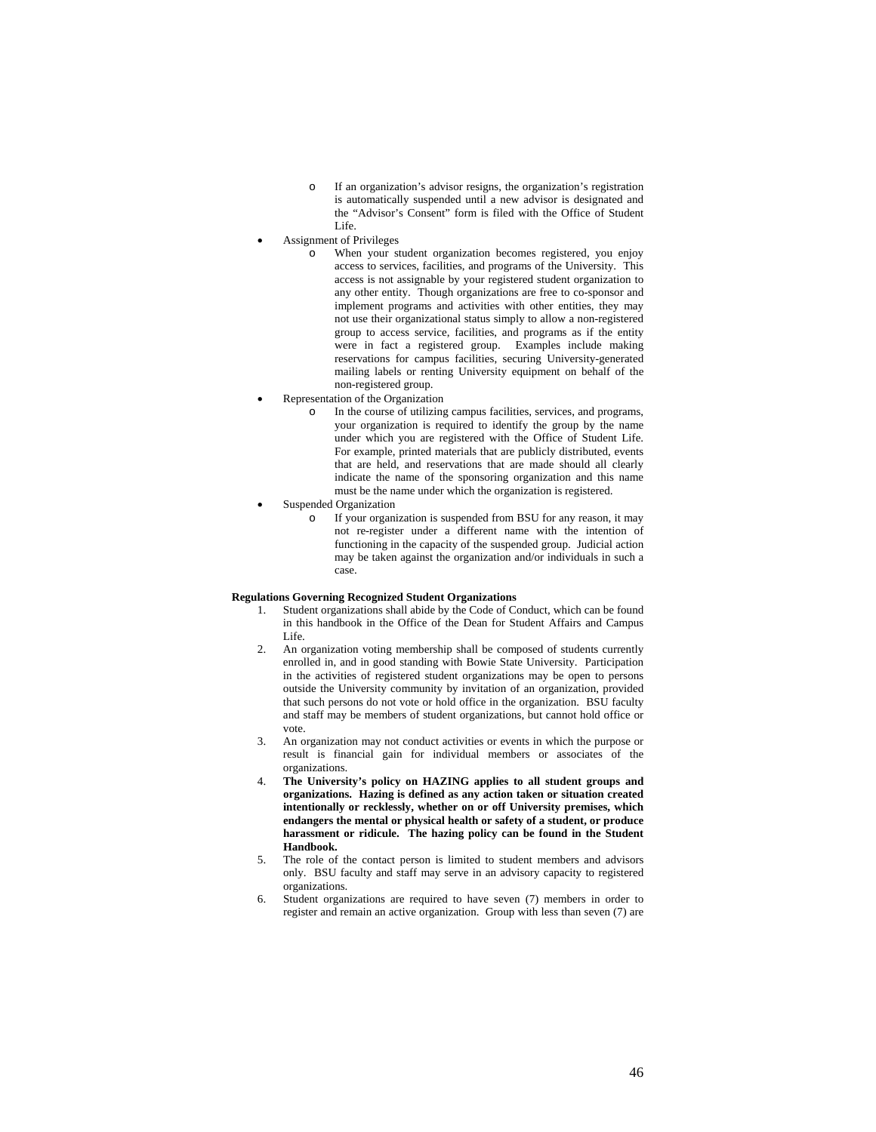- o If an organization's advisor resigns, the organization's registration is automatically suspended until a new advisor is designated and the "Advisor's Consent" form is filed with the Office of Student Life.
- Assignment of Privileges
	- When your student organization becomes registered, you enjoy access to services, facilities, and programs of the University. This access is not assignable by your registered student organization to any other entity. Though organizations are free to co-sponsor and implement programs and activities with other entities, they may not use their organizational status simply to allow a non-registered group to access service, facilities, and programs as if the entity were in fact a registered group. Examples include making reservations for campus facilities, securing University-generated mailing labels or renting University equipment on behalf of the non-registered group.
- Representation of the Organization
	- o In the course of utilizing campus facilities, services, and programs, your organization is required to identify the group by the name under which you are registered with the Office of Student Life. For example, printed materials that are publicly distributed, events that are held, and reservations that are made should all clearly indicate the name of the sponsoring organization and this name must be the name under which the organization is registered.
- Suspended Organization
	- o If your organization is suspended from BSU for any reason, it may not re-register under a different name with the intention of functioning in the capacity of the suspended group. Judicial action may be taken against the organization and/or individuals in such a case.

# **Regulations Governing Recognized Student Organizations**

- 1. Student organizations shall abide by the Code of Conduct, which can be found in this handbook in the Office of the Dean for Student Affairs and Campus Life.
- 2. An organization voting membership shall be composed of students currently enrolled in, and in good standing with Bowie State University. Participation in the activities of registered student organizations may be open to persons outside the University community by invitation of an organization, provided that such persons do not vote or hold office in the organization. BSU faculty and staff may be members of student organizations, but cannot hold office or vote.
- 3. An organization may not conduct activities or events in which the purpose or result is financial gain for individual members or associates of the organizations.
- 4. **The University's policy on HAZING applies to all student groups and organizations. Hazing is defined as any action taken or situation created intentionally or recklessly, whether on or off University premises, which endangers the mental or physical health or safety of a student, or produce harassment or ridicule. The hazing policy can be found in the Student Handbook.**
- 5. The role of the contact person is limited to student members and advisors only. BSU faculty and staff may serve in an advisory capacity to registered organizations.
- 6. Student organizations are required to have seven (7) members in order to register and remain an active organization. Group with less than seven (7) are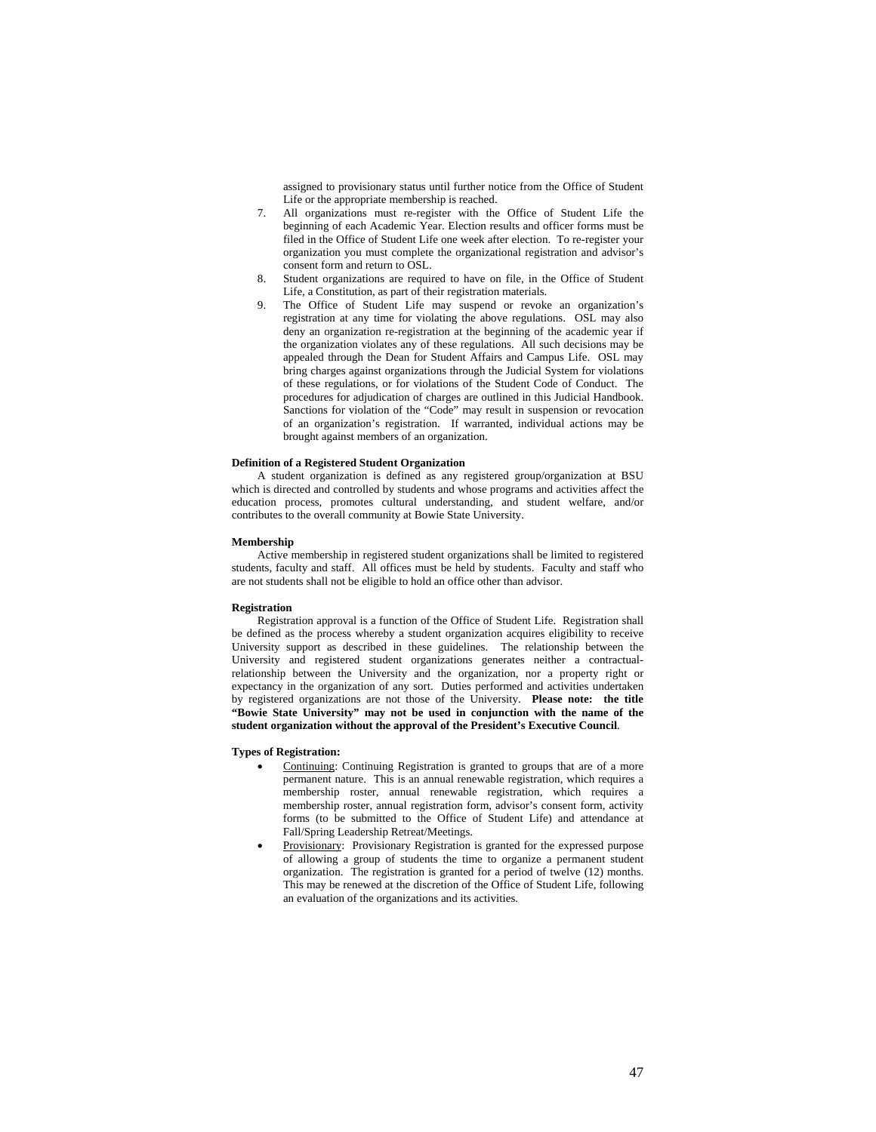assigned to provisionary status until further notice from the Office of Student Life or the appropriate membership is reached.

- 7. All organizations must re-register with the Office of Student Life the beginning of each Academic Year. Election results and officer forms must be filed in the Office of Student Life one week after election. To re-register your organization you must complete the organizational registration and advisor's consent form and return to OSL.
- 8. Student organizations are required to have on file, in the Office of Student Life, a Constitution, as part of their registration materials.
- 9. The Office of Student Life may suspend or revoke an organization's registration at any time for violating the above regulations. OSL may also deny an organization re-registration at the beginning of the academic year if the organization violates any of these regulations. All such decisions may be appealed through the Dean for Student Affairs and Campus Life. OSL may bring charges against organizations through the Judicial System for violations of these regulations, or for violations of the Student Code of Conduct. The procedures for adjudication of charges are outlined in this Judicial Handbook. Sanctions for violation of the "Code" may result in suspension or revocation of an organization's registration. If warranted, individual actions may be brought against members of an organization.

### **Definition of a Registered Student Organization**

A student organization is defined as any registered group/organization at BSU which is directed and controlled by students and whose programs and activities affect the education process, promotes cultural understanding, and student welfare, and/or contributes to the overall community at Bowie State University.

#### **Membership**

Active membership in registered student organizations shall be limited to registered students, faculty and staff. All offices must be held by students. Faculty and staff who are not students shall not be eligible to hold an office other than advisor.

# **Registration**

Registration approval is a function of the Office of Student Life. Registration shall be defined as the process whereby a student organization acquires eligibility to receive University support as described in these guidelines. The relationship between the University and registered student organizations generates neither a contractualrelationship between the University and the organization, nor a property right or expectancy in the organization of any sort. Duties performed and activities undertaken by registered organizations are not those of the University. **Please note: the title "Bowie State University" may not be used in conjunction with the name of the student organization without the approval of the President's Executive Council**.

### **Types of Registration:**

- Continuing: Continuing Registration is granted to groups that are of a more permanent nature. This is an annual renewable registration, which requires a membership roster, annual renewable registration, which requires a membership roster, annual registration form, advisor's consent form, activity forms (to be submitted to the Office of Student Life) and attendance at Fall/Spring Leadership Retreat/Meetings.
- Provisionary: Provisionary Registration is granted for the expressed purpose of allowing a group of students the time to organize a permanent student organization. The registration is granted for a period of twelve (12) months. This may be renewed at the discretion of the Office of Student Life, following an evaluation of the organizations and its activities.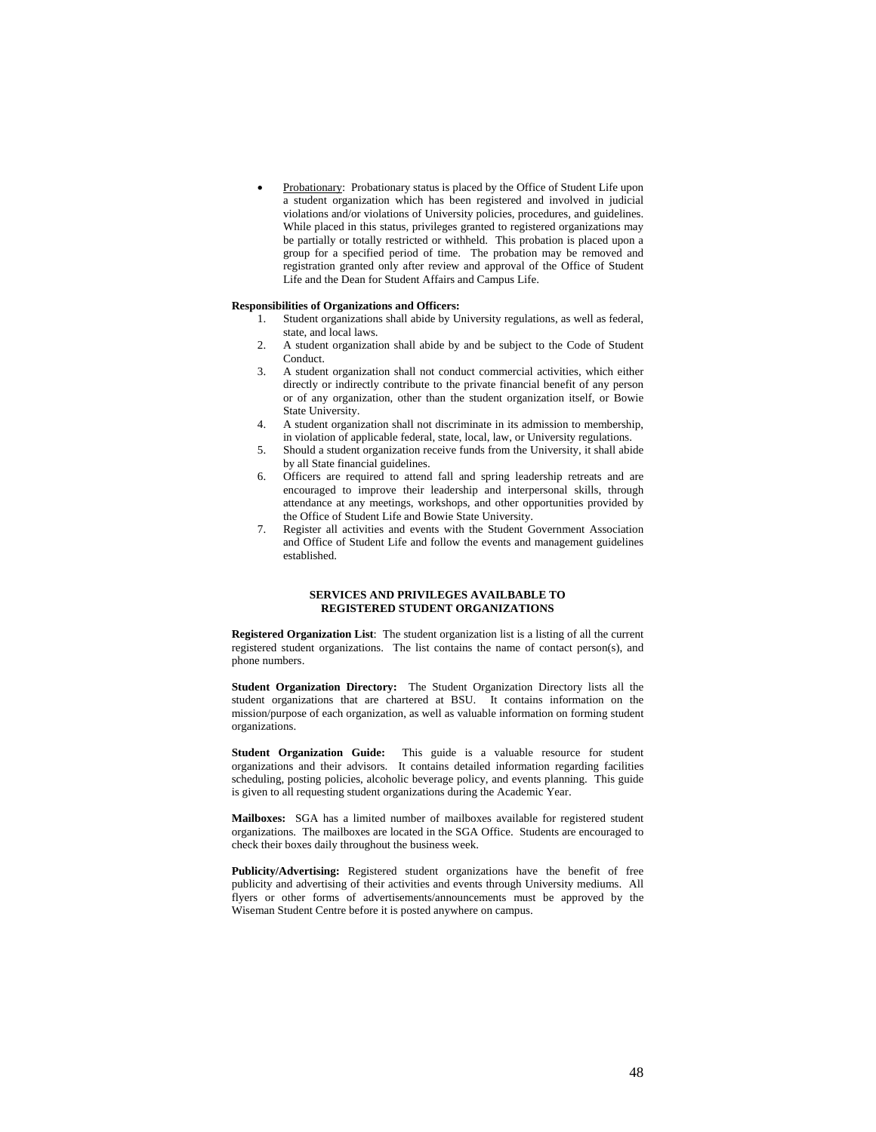Probationary: Probationary status is placed by the Office of Student Life upon a student organization which has been registered and involved in judicial violations and/or violations of University policies, procedures, and guidelines. While placed in this status, privileges granted to registered organizations may be partially or totally restricted or withheld. This probation is placed upon a group for a specified period of time. The probation may be removed and registration granted only after review and approval of the Office of Student Life and the Dean for Student Affairs and Campus Life.

# **Responsibilities of Organizations and Officers:**

- 1. Student organizations shall abide by University regulations, as well as federal, state, and local laws.
- 2. A student organization shall abide by and be subject to the Code of Student Conduct.
- 3. A student organization shall not conduct commercial activities, which either directly or indirectly contribute to the private financial benefit of any person or of any organization, other than the student organization itself, or Bowie State University.
- 4. A student organization shall not discriminate in its admission to membership, in violation of applicable federal, state, local, law, or University regulations.
- 5. Should a student organization receive funds from the University, it shall abide by all State financial guidelines.
- 6. Officers are required to attend fall and spring leadership retreats and are encouraged to improve their leadership and interpersonal skills, through attendance at any meetings, workshops, and other opportunities provided by the Office of Student Life and Bowie State University.
- 7. Register all activities and events with the Student Government Association and Office of Student Life and follow the events and management guidelines established.

# **SERVICES AND PRIVILEGES AVAILBABLE TO REGISTERED STUDENT ORGANIZATIONS**

**Registered Organization List**: The student organization list is a listing of all the current registered student organizations. The list contains the name of contact person(s), and phone numbers.

**Student Organization Directory:** The Student Organization Directory lists all the student organizations that are chartered at BSU. It contains information on the mission/purpose of each organization, as well as valuable information on forming student organizations.

**Student Organization Guide:** This guide is a valuable resource for student organizations and their advisors. It contains detailed information regarding facilities scheduling, posting policies, alcoholic beverage policy, and events planning. This guide is given to all requesting student organizations during the Academic Year.

**Mailboxes:** SGA has a limited number of mailboxes available for registered student organizations. The mailboxes are located in the SGA Office. Students are encouraged to check their boxes daily throughout the business week.

**Publicity/Advertising:** Registered student organizations have the benefit of free publicity and advertising of their activities and events through University mediums. All flyers or other forms of advertisements/announcements must be approved by the Wiseman Student Centre before it is posted anywhere on campus.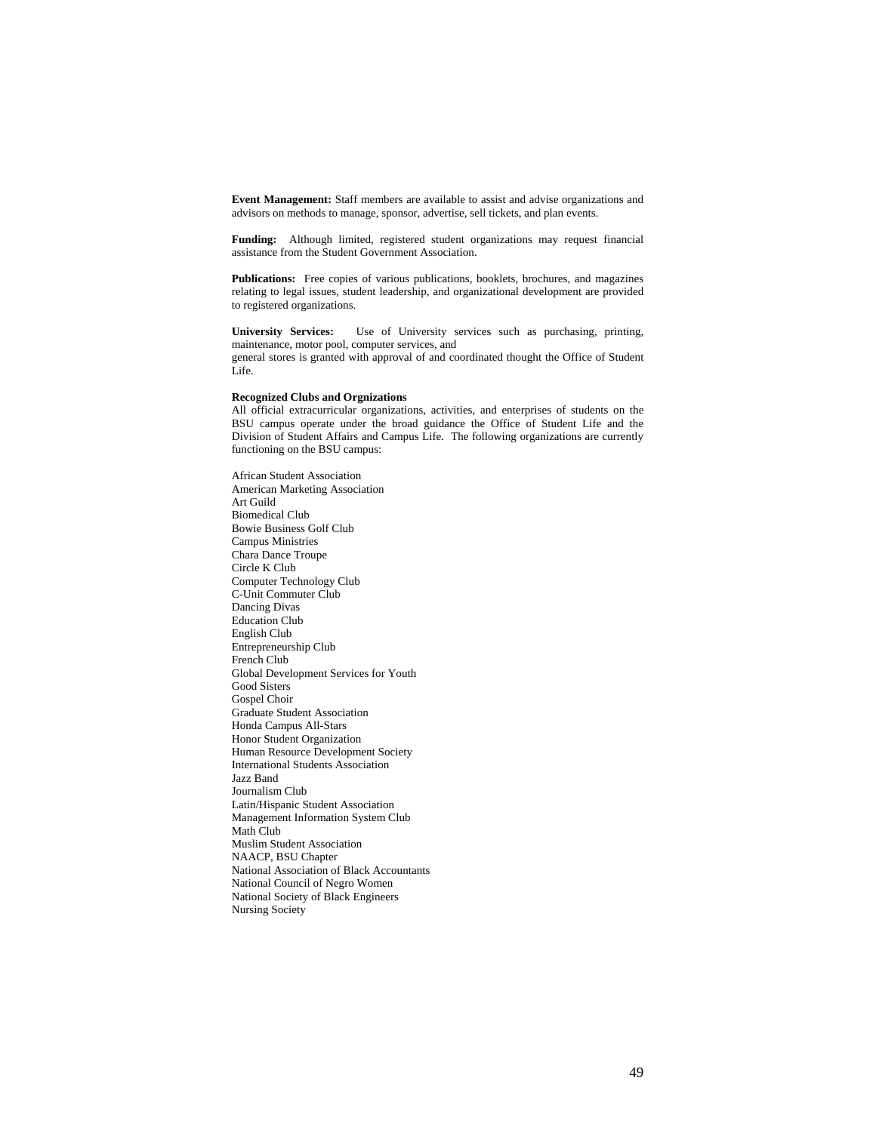**Event Management:** Staff members are available to assist and advise organizations and advisors on methods to manage, sponsor, advertise, sell tickets, and plan events.

**Funding:** Although limited, registered student organizations may request financial assistance from the Student Government Association.

**Publications:** Free copies of various publications, booklets, brochures, and magazines relating to legal issues, student leadership, and organizational development are provided to registered organizations.

**University Services:** Use of University services such as purchasing, printing, maintenance, motor pool, computer services, and general stores is granted with approval of and coordinated thought the Office of Student Life.

# **Recognized Clubs and Orgnizations**

All official extracurricular organizations, activities, and enterprises of students on the BSU campus operate under the broad guidance the Office of Student Life and the Division of Student Affairs and Campus Life. The following organizations are currently functioning on the BSU campus:

African Student Association American Marketing Association Art Guild Biomedical Club Bowie Business Golf Club Campus Ministries Chara Dance Troupe Circle K Club Computer Technology Club C-Unit Commuter Club Dancing Divas Education Club English Club Entrepreneurship Club French Club Global Development Services for Youth Good Sisters Gospel Choir Graduate Student Association Honda Campus All-Stars Honor Student Organization Human Resource Development Society International Students Association Jazz Band Journalism Club Latin/Hispanic Student Association Management Information System Club Math Club Muslim Student Association NAACP, BSU Chapter National Association of Black Accountants National Council of Negro Women National Society of Black Engineers Nursing Society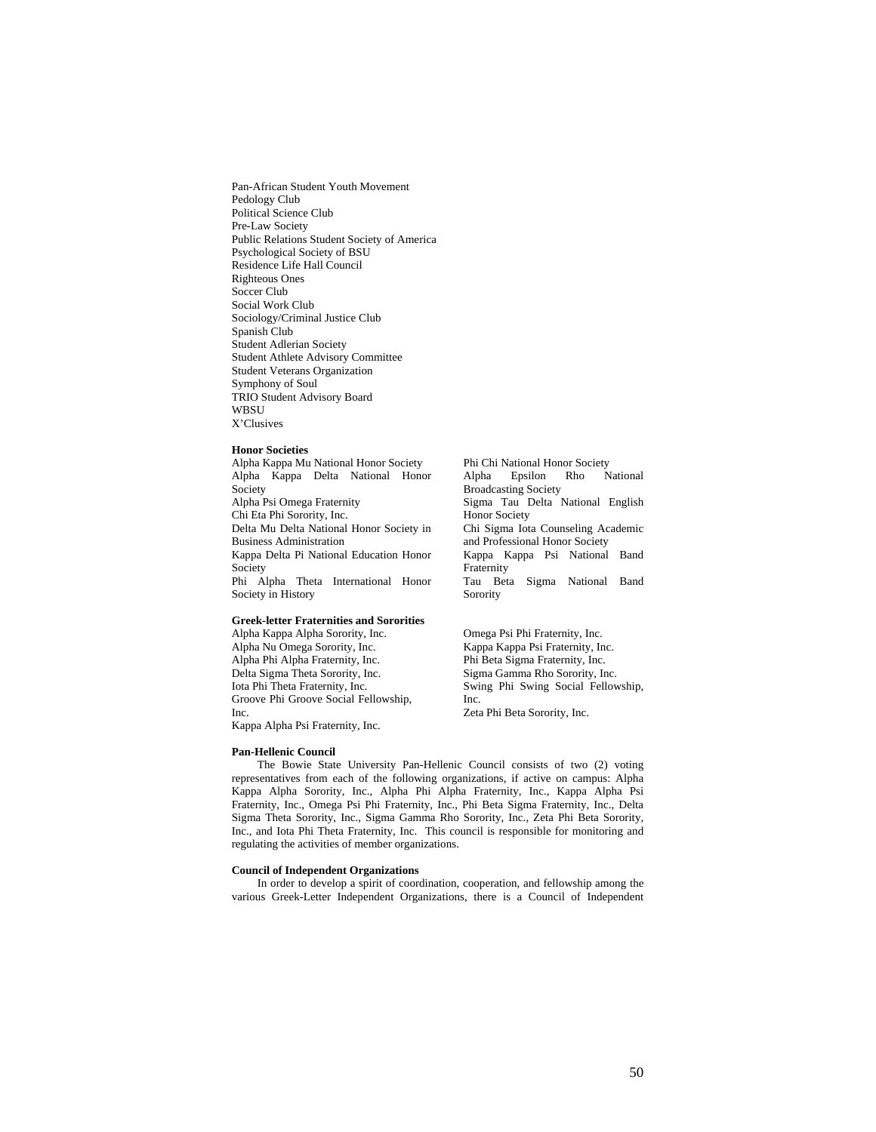Pan-African Student Youth Movement Pedology Club Political Science Club Pre-Law Society Public Relations Student Society of America Psychological Society of BSU Residence Life Hall Council Righteous Ones Soccer Club Social Work Club Sociology/Criminal Justice Club Spanish Club Student Adlerian Society Student Athlete Advisory Committee Student Veterans Organization Symphony of Soul TRIO Student Advisory Board WBSU X'Clusives

### **Honor Societies**

Alpha Kappa Mu National Honor Society Alpha Kappa Delta National Honor Society Alpha Psi Omega Fraternity Chi Eta Phi Sorority, Inc. Delta Mu Delta National Honor Society in Business Administration Kappa Delta Pi National Education Honor Society Phi Alpha Theta International Honor Society in History

# **Greek-letter Fraternities and Sororities**

Alpha Kappa Alpha Sorority, Inc. Alpha Nu Omega Sorority, Inc. Alpha Phi Alpha Fraternity, Inc. Delta Sigma Theta Sorority, Inc. Iota Phi Theta Fraternity, Inc. Groove Phi Groove Social Fellowship, Inc. Kappa Alpha Psi Fraternity, Inc.

Phi Chi National Honor Society Alpha Epsilon Rho National Broadcasting Society Sigma Tau Delta National English Honor Society Chi Sigma Iota Counseling Academic and Professional Honor Society Kappa Kappa Psi National Band Fraternity Tau Beta Sigma National Band Sorority

Omega Psi Phi Fraternity, Inc. Kappa Kappa Psi Fraternity, Inc. Phi Beta Sigma Fraternity, Inc. Sigma Gamma Rho Sorority, Inc. Swing Phi Swing Social Fellowship, Inc. Zeta Phi Beta Sorority, Inc.

**Pan-Hellenic Council**

The Bowie State University Pan-Hellenic Council consists of two (2) voting representatives from each of the following organizations, if active on campus: Alpha Kappa Alpha Sorority, Inc., Alpha Phi Alpha Fraternity, Inc., Kappa Alpha Psi Fraternity, Inc., Omega Psi Phi Fraternity, Inc., Phi Beta Sigma Fraternity, Inc., Delta Sigma Theta Sorority, Inc., Sigma Gamma Rho Sorority, Inc., Zeta Phi Beta Sorority, Inc., and Iota Phi Theta Fraternity, Inc. This council is responsible for monitoring and regulating the activities of member organizations.

### **Council of Independent Organizations**

In order to develop a spirit of coordination, cooperation, and fellowship among the various Greek-Letter Independent Organizations, there is a Council of Independent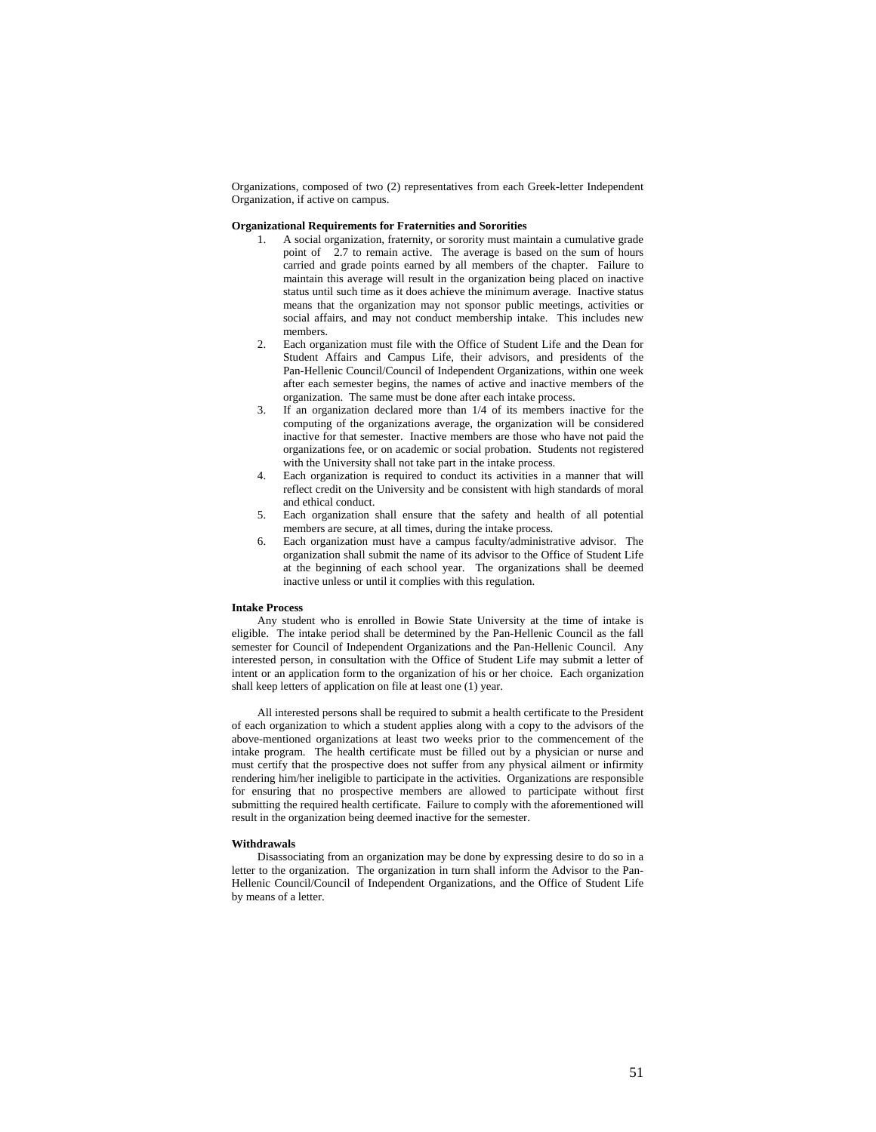Organizations, composed of two (2) representatives from each Greek-letter Independent Organization, if active on campus.

# **Organizational Requirements for Fraternities and Sororities**

- 1. A social organization, fraternity, or sorority must maintain a cumulative grade point of 2.7 to remain active. The average is based on the sum of hours carried and grade points earned by all members of the chapter. Failure to maintain this average will result in the organization being placed on inactive status until such time as it does achieve the minimum average. Inactive status means that the organization may not sponsor public meetings, activities or social affairs, and may not conduct membership intake. This includes new members.
- 2. Each organization must file with the Office of Student Life and the Dean for Student Affairs and Campus Life, their advisors, and presidents of the Pan-Hellenic Council/Council of Independent Organizations, within one week after each semester begins, the names of active and inactive members of the organization. The same must be done after each intake process.
- 3. If an organization declared more than 1/4 of its members inactive for the computing of the organizations average, the organization will be considered inactive for that semester. Inactive members are those who have not paid the organizations fee, or on academic or social probation. Students not registered with the University shall not take part in the intake process.
- 4. Each organization is required to conduct its activities in a manner that will reflect credit on the University and be consistent with high standards of moral and ethical conduct.
- 5. Each organization shall ensure that the safety and health of all potential members are secure, at all times, during the intake process.
- 6. Each organization must have a campus faculty/administrative advisor. The organization shall submit the name of its advisor to the Office of Student Life at the beginning of each school year. The organizations shall be deemed inactive unless or until it complies with this regulation.

### **Intake Process**

Any student who is enrolled in Bowie State University at the time of intake is eligible. The intake period shall be determined by the Pan-Hellenic Council as the fall semester for Council of Independent Organizations and the Pan-Hellenic Council. Any interested person, in consultation with the Office of Student Life may submit a letter of intent or an application form to the organization of his or her choice. Each organization shall keep letters of application on file at least one (1) year.

All interested persons shall be required to submit a health certificate to the President of each organization to which a student applies along with a copy to the advisors of the above-mentioned organizations at least two weeks prior to the commencement of the intake program. The health certificate must be filled out by a physician or nurse and must certify that the prospective does not suffer from any physical ailment or infirmity rendering him/her ineligible to participate in the activities. Organizations are responsible for ensuring that no prospective members are allowed to participate without first submitting the required health certificate. Failure to comply with the aforementioned will result in the organization being deemed inactive for the semester.

#### **Withdrawals**

Disassociating from an organization may be done by expressing desire to do so in a letter to the organization. The organization in turn shall inform the Advisor to the Pan-Hellenic Council/Council of Independent Organizations, and the Office of Student Life by means of a letter.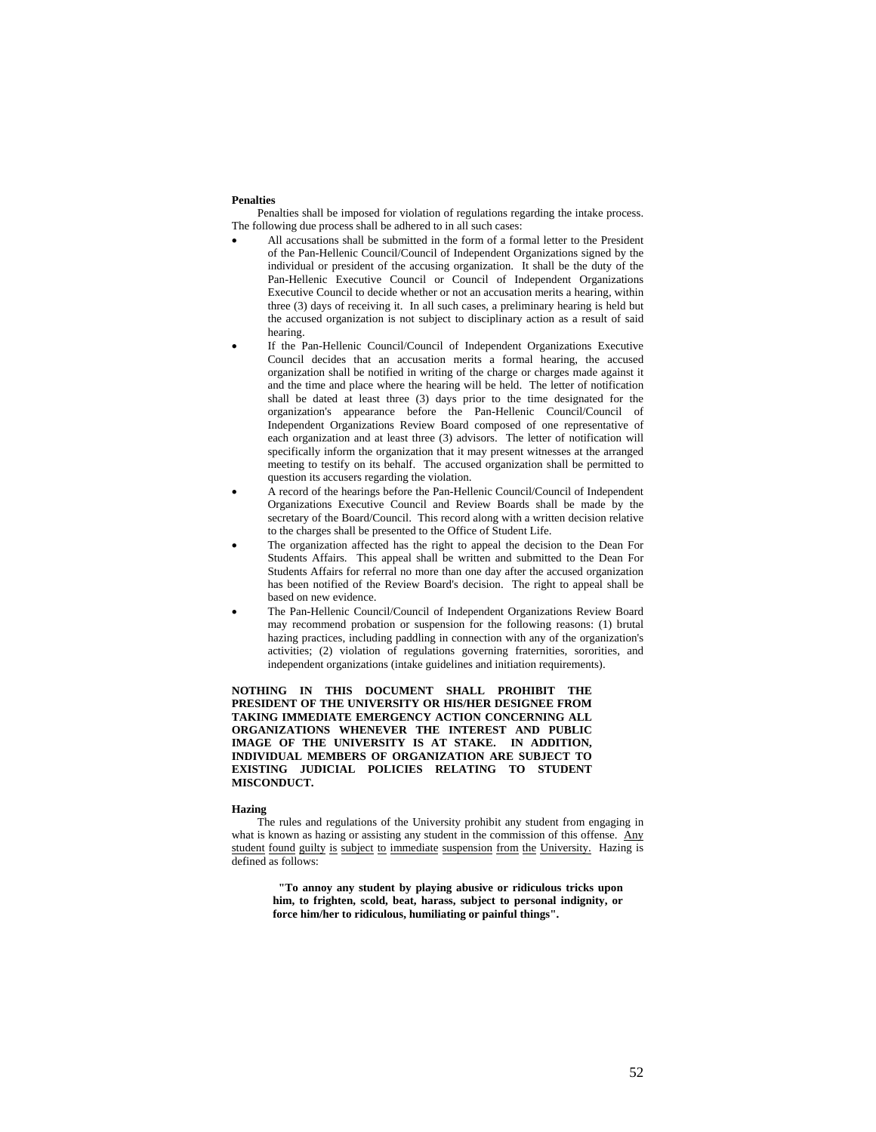#### **Penalties**

Penalties shall be imposed for violation of regulations regarding the intake process. The following due process shall be adhered to in all such cases:

- All accusations shall be submitted in the form of a formal letter to the President of the Pan-Hellenic Council/Council of Independent Organizations signed by the individual or president of the accusing organization. It shall be the duty of the Pan-Hellenic Executive Council or Council of Independent Organizations Executive Council to decide whether or not an accusation merits a hearing, within three (3) days of receiving it. In all such cases, a preliminary hearing is held but the accused organization is not subject to disciplinary action as a result of said hearing.
- If the Pan-Hellenic Council/Council of Independent Organizations Executive Council decides that an accusation merits a formal hearing, the accused organization shall be notified in writing of the charge or charges made against it and the time and place where the hearing will be held. The letter of notification shall be dated at least three (3) days prior to the time designated for the organization's appearance before the Pan-Hellenic Council/Council of Independent Organizations Review Board composed of one representative of each organization and at least three (3) advisors. The letter of notification will specifically inform the organization that it may present witnesses at the arranged meeting to testify on its behalf. The accused organization shall be permitted to question its accusers regarding the violation.
- A record of the hearings before the Pan-Hellenic Council/Council of Independent Organizations Executive Council and Review Boards shall be made by the secretary of the Board/Council. This record along with a written decision relative to the charges shall be presented to the Office of Student Life.
- The organization affected has the right to appeal the decision to the Dean For Students Affairs. This appeal shall be written and submitted to the Dean For Students Affairs for referral no more than one day after the accused organization has been notified of the Review Board's decision. The right to appeal shall be based on new evidence.
- The Pan-Hellenic Council/Council of Independent Organizations Review Board may recommend probation or suspension for the following reasons: (1) brutal hazing practices, including paddling in connection with any of the organization's activities; (2) violation of regulations governing fraternities, sororities, and independent organizations (intake guidelines and initiation requirements).

**NOTHING IN THIS DOCUMENT SHALL PROHIBIT THE PRESIDENT OF THE UNIVERSITY OR HIS/HER DESIGNEE FROM TAKING IMMEDIATE EMERGENCY ACTION CONCERNING ALL ORGANIZATIONS WHENEVER THE INTEREST AND PUBLIC IMAGE OF THE UNIVERSITY IS AT STAKE. IN ADDITION, INDIVIDUAL MEMBERS OF ORGANIZATION ARE SUBJECT TO EXISTING JUDICIAL POLICIES RELATING TO STUDENT MISCONDUCT.** 

### **Hazing**

The rules and regulations of the University prohibit any student from engaging in what is known as hazing or assisting any student in the commission of this offense. Any student found guilty is subject to immediate suspension from the University. Hazing is defined as follows:

 **"To annoy any student by playing abusive or ridiculous tricks upon him, to frighten, scold, beat, harass, subject to personal indignity, or force him/her to ridiculous, humiliating or painful things".**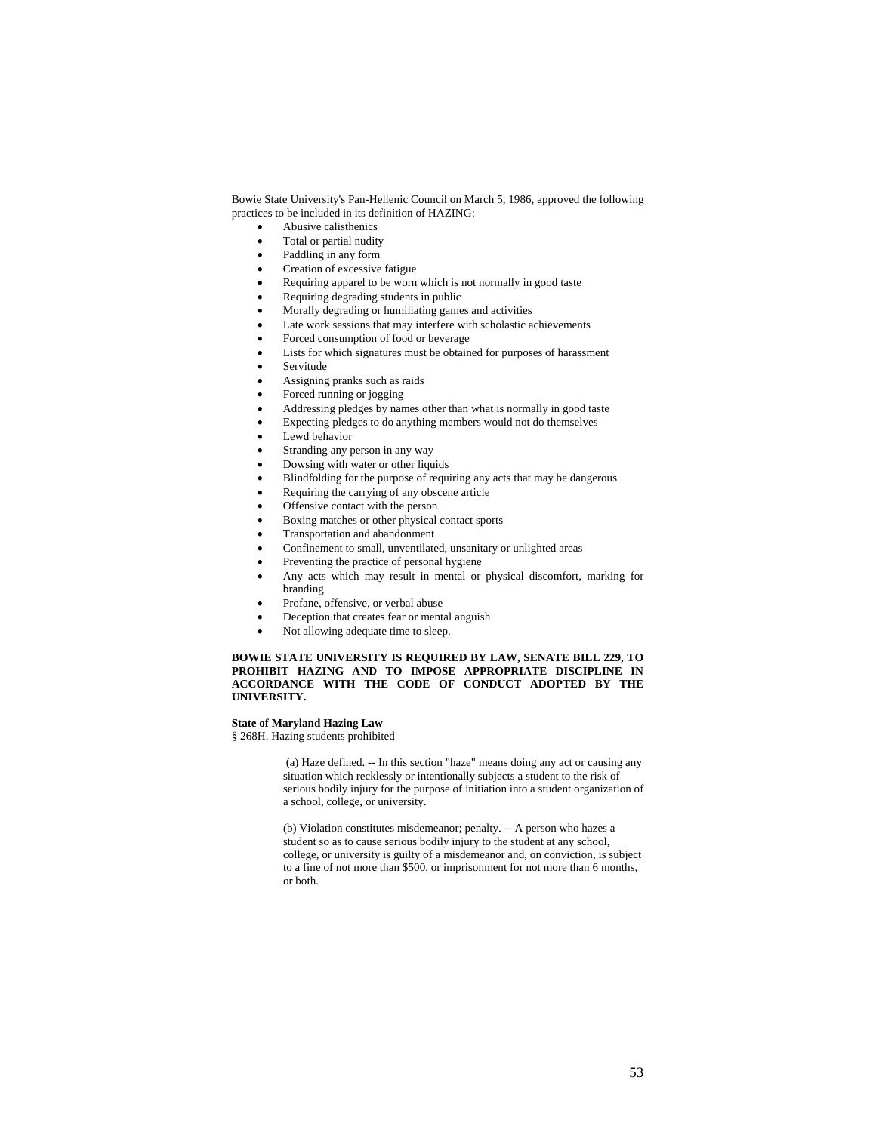Bowie State University's Pan-Hellenic Council on March 5, 1986, approved the following practices to be included in its definition of HAZING:

- Abusive calisthenics
- Total or partial nudity
- Paddling in any form
- Creation of excessive fatigue
- Requiring apparel to be worn which is not normally in good taste
- Requiring degrading students in public
- Morally degrading or humiliating games and activities
- Late work sessions that may interfere with scholastic achievements
- Forced consumption of food or beverage
- Lists for which signatures must be obtained for purposes of harassment
- **Servitude**
- Assigning pranks such as raids
- Forced running or jogging
- Addressing pledges by names other than what is normally in good taste
- Expecting pledges to do anything members would not do themselves
- Lewd behavior
- Stranding any person in any way
- Dowsing with water or other liquids
- Blindfolding for the purpose of requiring any acts that may be dangerous
- Requiring the carrying of any obscene article
- Offensive contact with the person
- Boxing matches or other physical contact sports
- Transportation and abandonment
- Confinement to small, unventilated, unsanitary or unlighted areas
- Preventing the practice of personal hygiene
- Any acts which may result in mental or physical discomfort, marking for branding
- Profane, offensive, or verbal abuse
- Deception that creates fear or mental anguish
- Not allowing adequate time to sleep.

# **BOWIE STATE UNIVERSITY IS REQUIRED BY LAW, SENATE BILL 229, TO PROHIBIT HAZING AND TO IMPOSE APPROPRIATE DISCIPLINE IN ACCORDANCE WITH THE CODE OF CONDUCT ADOPTED BY THE UNIVERSITY.**

# **State of Maryland Hazing Law**

§ 268H. Hazing students prohibited

 (a) Haze defined. -- In this section "haze" means doing any act or causing any situation which recklessly or intentionally subjects a student to the risk of serious bodily injury for the purpose of initiation into a student organization of a school, college, or university.

(b) Violation constitutes misdemeanor; penalty. -- A person who hazes a student so as to cause serious bodily injury to the student at any school, college, or university is guilty of a misdemeanor and, on conviction, is subject to a fine of not more than \$500, or imprisonment for not more than 6 months, or both.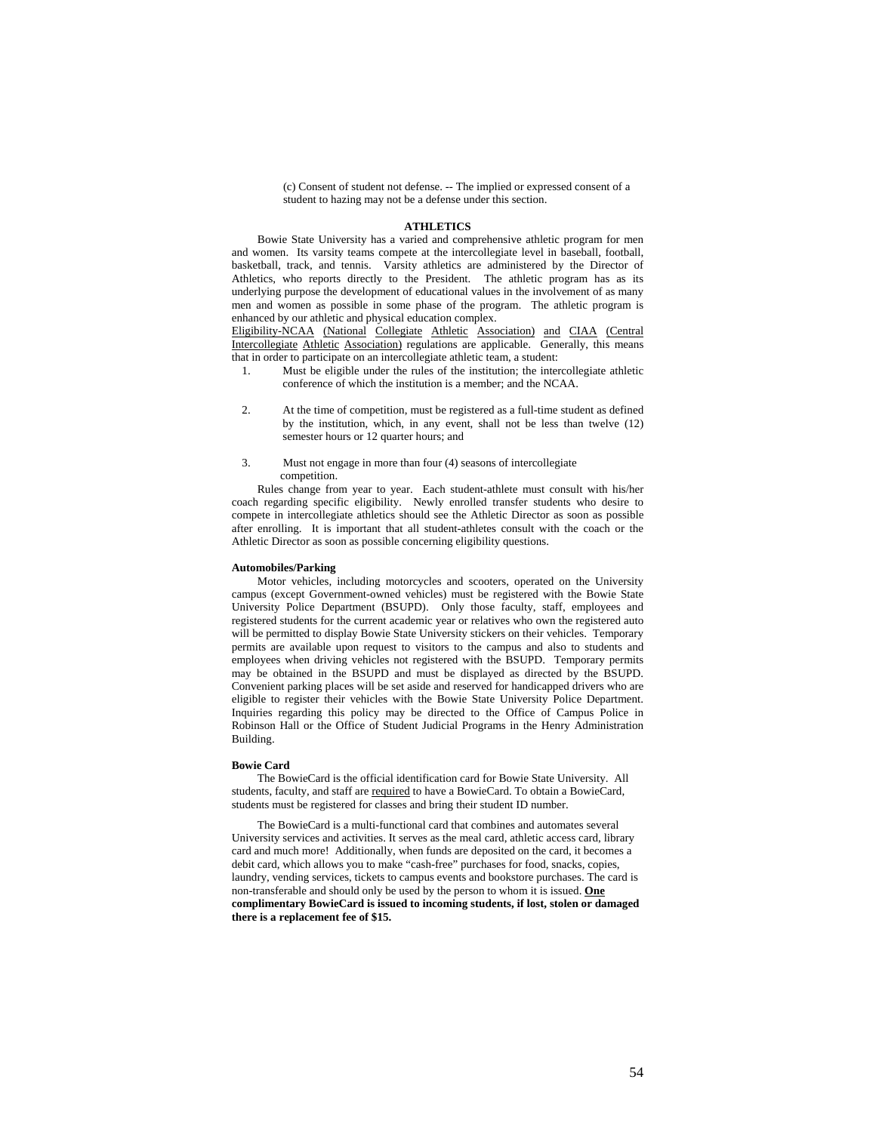(c) Consent of student not defense. -- The implied or expressed consent of a student to hazing may not be a defense under this section.

#### **ATHLETICS**

Bowie State University has a varied and comprehensive athletic program for men and women. Its varsity teams compete at the intercollegiate level in baseball, football, basketball, track, and tennis. Varsity athletics are administered by the Director of Athletics, who reports directly to the President. The athletic program has as its underlying purpose the development of educational values in the involvement of as many men and women as possible in some phase of the program. The athletic program is enhanced by our athletic and physical education complex.

Eligibility-NCAA (National Collegiate Athletic Association) and CIAA (Central Intercollegiate Athletic Association) regulations are applicable. Generally, this means that in order to participate on an intercollegiate athletic team, a student:

- 1. Must be eligible under the rules of the institution; the intercollegiate athletic conference of which the institution is a member; and the NCAA.
- 2. At the time of competition, must be registered as a full-time student as defined by the institution, which, in any event, shall not be less than twelve (12) semester hours or 12 quarter hours; and
- 3. Must not engage in more than four (4) seasons of intercollegiate competition.

Rules change from year to year. Each student-athlete must consult with his/her coach regarding specific eligibility. Newly enrolled transfer students who desire to compete in intercollegiate athletics should see the Athletic Director as soon as possible after enrolling. It is important that all student-athletes consult with the coach or the Athletic Director as soon as possible concerning eligibility questions.

#### **Automobiles/Parking**

Motor vehicles, including motorcycles and scooters, operated on the University campus (except Government-owned vehicles) must be registered with the Bowie State University Police Department (BSUPD). Only those faculty, staff, employees and registered students for the current academic year or relatives who own the registered auto will be permitted to display Bowie State University stickers on their vehicles. Temporary permits are available upon request to visitors to the campus and also to students and employees when driving vehicles not registered with the BSUPD. Temporary permits may be obtained in the BSUPD and must be displayed as directed by the BSUPD. Convenient parking places will be set aside and reserved for handicapped drivers who are eligible to register their vehicles with the Bowie State University Police Department. Inquiries regarding this policy may be directed to the Office of Campus Police in Robinson Hall or the Office of Student Judicial Programs in the Henry Administration Building.

#### **Bowie Card**

The BowieCard is the official identification card for Bowie State University. All students, faculty, and staff are required to have a BowieCard. To obtain a BowieCard, students must be registered for classes and bring their student ID number.

The BowieCard is a multi-functional card that combines and automates several University services and activities. It serves as the meal card, athletic access card, library card and much more! Additionally, when funds are deposited on the card, it becomes a debit card, which allows you to make "cash-free" purchases for food, snacks, copies, laundry, vending services, tickets to campus events and bookstore purchases. The card is non-transferable and should only be used by the person to whom it is issued. **One complimentary BowieCard is issued to incoming students, if lost, stolen or damaged there is a replacement fee of \$15.**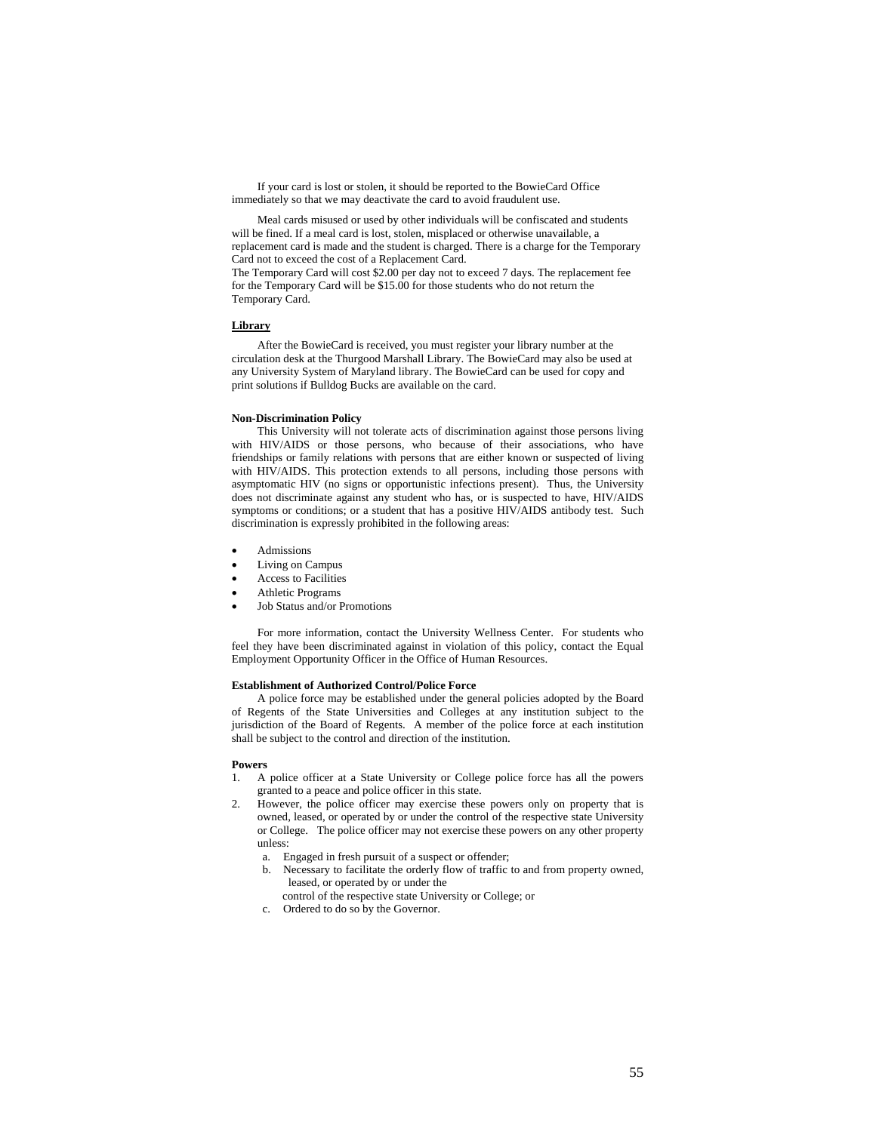If your card is lost or stolen, it should be reported to the BowieCard Office immediately so that we may deactivate the card to avoid fraudulent use.

Meal cards misused or used by other individuals will be confiscated and students will be fined. If a meal card is lost, stolen, misplaced or otherwise unavailable, a replacement card is made and the student is charged. There is a charge for the Temporary Card not to exceed the cost of a Replacement Card.

The Temporary Card will cost \$2.00 per day not to exceed 7 days. The replacement fee for the Temporary Card will be \$15.00 for those students who do not return the Temporary Card.

# **Library**

After the BowieCard is received, you must register your library number at the circulation desk at the Thurgood Marshall Library. The BowieCard may also be used at any University System of Maryland library. The BowieCard can be used for copy and print solutions if Bulldog Bucks are available on the card.

### **Non-Discrimination Policy**

This University will not tolerate acts of discrimination against those persons living with HIV/AIDS or those persons, who because of their associations, who have friendships or family relations with persons that are either known or suspected of living with HIV/AIDS. This protection extends to all persons, including those persons with asymptomatic HIV (no signs or opportunistic infections present). Thus, the University does not discriminate against any student who has, or is suspected to have, HIV/AIDS symptoms or conditions; or a student that has a positive HIV/AIDS antibody test. Such discrimination is expressly prohibited in the following areas:

- Admissions
- Living on Campus
- Access to Facilities
- Athletic Programs
- Job Status and/or Promotions

For more information, contact the University Wellness Center. For students who feel they have been discriminated against in violation of this policy, contact the Equal Employment Opportunity Officer in the Office of Human Resources.

# **Establishment of Authorized Control/Police Force**

A police force may be established under the general policies adopted by the Board of Regents of the State Universities and Colleges at any institution subject to the jurisdiction of the Board of Regents. A member of the police force at each institution shall be subject to the control and direction of the institution.

#### **Powers**

- 1. A police officer at a State University or College police force has all the powers granted to a peace and police officer in this state.
- However, the police officer may exercise these powers only on property that is owned, leased, or operated by or under the control of the respective state University or College. The police officer may not exercise these powers on any other property unless:
	- a. Engaged in fresh pursuit of a suspect or offender;
	- b. Necessary to facilitate the orderly flow of traffic to and from property owned, leased, or operated by or under the
	- control of the respective state University or College; or
	- c. Ordered to do so by the Governor.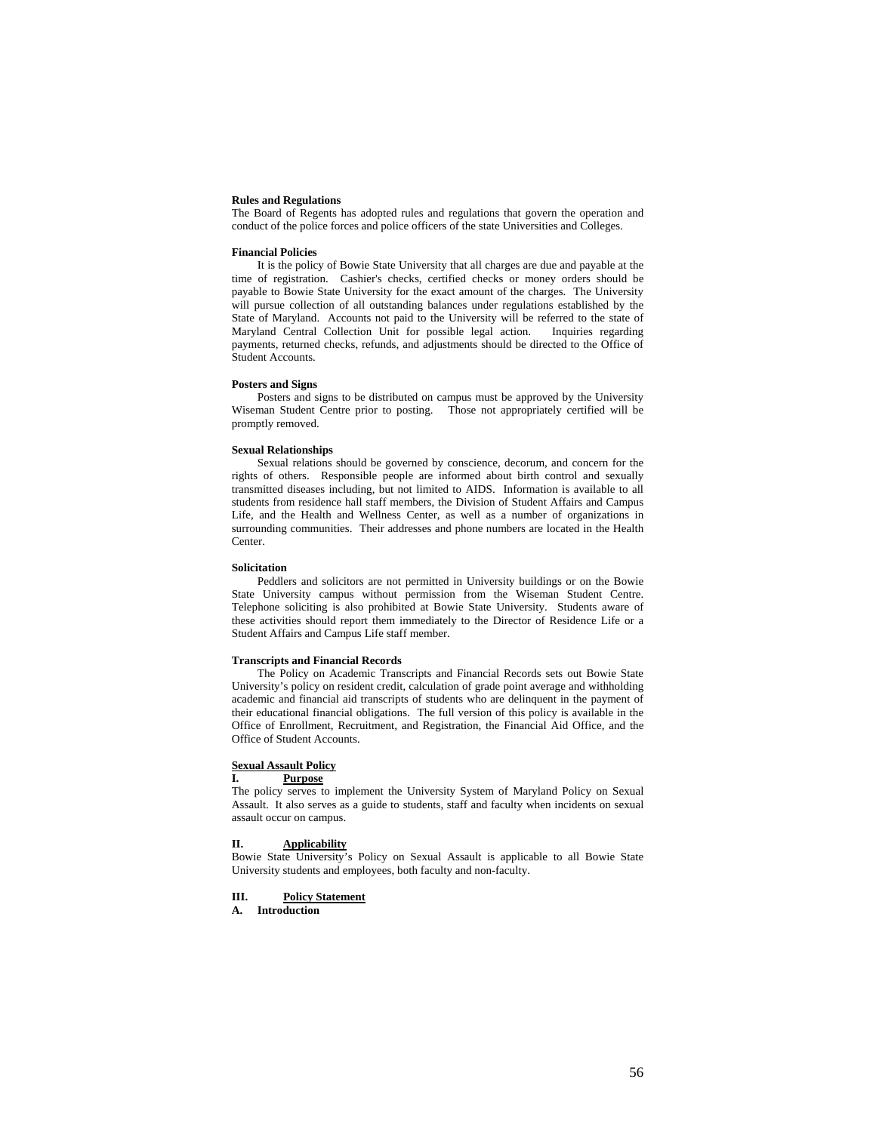### **Rules and Regulations**

The Board of Regents has adopted rules and regulations that govern the operation and conduct of the police forces and police officers of the state Universities and Colleges.

### **Financial Policies**

It is the policy of Bowie State University that all charges are due and payable at the time of registration. Cashier's checks, certified checks or money orders should be payable to Bowie State University for the exact amount of the charges. The University will pursue collection of all outstanding balances under regulations established by the State of Maryland. Accounts not paid to the University will be referred to the state of Maryland Central Collection Unit for possible legal action. Inquiries regarding payments, returned checks, refunds, and adjustments should be directed to the Office of Student Accounts.

### **Posters and Signs**

Posters and signs to be distributed on campus must be approved by the University Wiseman Student Centre prior to posting. Those not appropriately certified will be promptly removed.

# **Sexual Relationships**

Sexual relations should be governed by conscience, decorum, and concern for the rights of others. Responsible people are informed about birth control and sexually transmitted diseases including, but not limited to AIDS. Information is available to all students from residence hall staff members, the Division of Student Affairs and Campus Life, and the Health and Wellness Center, as well as a number of organizations in surrounding communities. Their addresses and phone numbers are located in the Health Center.

#### **Solicitation**

Peddlers and solicitors are not permitted in University buildings or on the Bowie State University campus without permission from the Wiseman Student Centre. Telephone soliciting is also prohibited at Bowie State University. Students aware of these activities should report them immediately to the Director of Residence Life or a Student Affairs and Campus Life staff member.

### **Transcripts and Financial Records**

The Policy on Academic Transcripts and Financial Records sets out Bowie State University's policy on resident credit, calculation of grade point average and withholding academic and financial aid transcripts of students who are delinquent in the payment of their educational financial obligations. The full version of this policy is available in the Office of Enrollment, Recruitment, and Registration, the Financial Aid Office, and the Office of Student Accounts.

# **Sexual Assault Policy**

# **I. Purpose**

The policy serves to implement the University System of Maryland Policy on Sexual Assault. It also serves as a guide to students, staff and faculty when incidents on sexual assault occur on campus.

# **II. Applicability**

Bowie State University's Policy on Sexual Assault is applicable to all Bowie State University students and employees, both faculty and non-faculty.

# **III. Policy Statement**

**A. Introduction**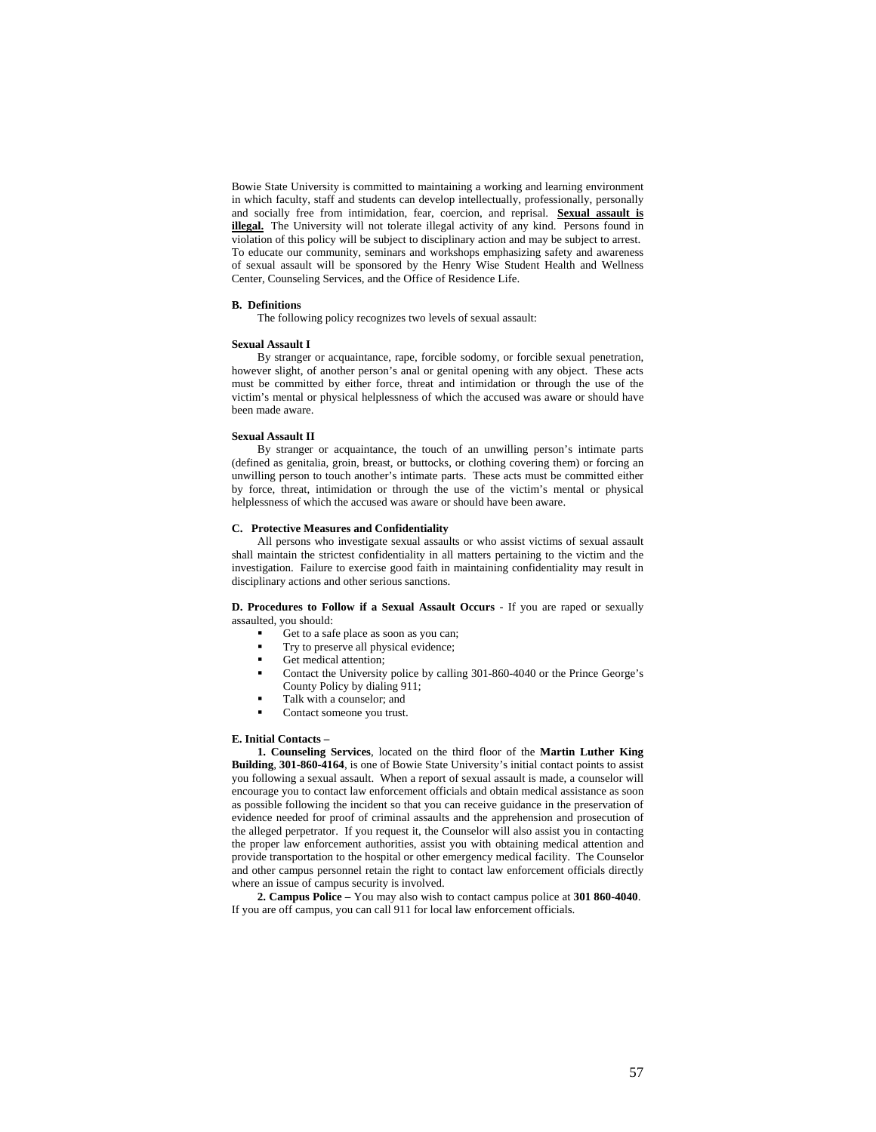Bowie State University is committed to maintaining a working and learning environment in which faculty, staff and students can develop intellectually, professionally, personally and socially free from intimidation, fear, coercion, and reprisal. **Sexual assault is illegal.** The University will not tolerate illegal activity of any kind. Persons found in violation of this policy will be subject to disciplinary action and may be subject to arrest. To educate our community, seminars and workshops emphasizing safety and awareness of sexual assault will be sponsored by the Henry Wise Student Health and Wellness Center, Counseling Services, and the Office of Residence Life.

### **B. Definitions**

The following policy recognizes two levels of sexual assault:

### **Sexual Assault I**

By stranger or acquaintance, rape, forcible sodomy, or forcible sexual penetration, however slight, of another person's anal or genital opening with any object. These acts must be committed by either force, threat and intimidation or through the use of the victim's mental or physical helplessness of which the accused was aware or should have been made aware.

#### **Sexual Assault II**

By stranger or acquaintance, the touch of an unwilling person's intimate parts (defined as genitalia, groin, breast, or buttocks, or clothing covering them) or forcing an unwilling person to touch another's intimate parts. These acts must be committed either by force, threat, intimidation or through the use of the victim's mental or physical helplessness of which the accused was aware or should have been aware.

# **C. Protective Measures and Confidentiality**

All persons who investigate sexual assaults or who assist victims of sexual assault shall maintain the strictest confidentiality in all matters pertaining to the victim and the investigation. Failure to exercise good faith in maintaining confidentiality may result in disciplinary actions and other serious sanctions.

**D. Procedures to Follow if a Sexual Assault Occurs** - If you are raped or sexually assaulted, you should:

- Get to a safe place as soon as you can;
- Try to preserve all physical evidence;<br>
Get modical ettention:
- Get medical attention;
- Contact the University police by calling 301-860-4040 or the Prince George's County Policy by dialing 911;
- Talk with a counselor; and
- Contact someone you trust.

# **E. Initial Contacts –**

**1. Counseling Services**, located on the third floor of the **Martin Luther King Building**, **301-860-4164**, is one of Bowie State University's initial contact points to assist you following a sexual assault. When a report of sexual assault is made, a counselor will encourage you to contact law enforcement officials and obtain medical assistance as soon as possible following the incident so that you can receive guidance in the preservation of evidence needed for proof of criminal assaults and the apprehension and prosecution of the alleged perpetrator. If you request it, the Counselor will also assist you in contacting the proper law enforcement authorities, assist you with obtaining medical attention and provide transportation to the hospital or other emergency medical facility. The Counselor and other campus personnel retain the right to contact law enforcement officials directly where an issue of campus security is involved.

**2. Campus Police –** You may also wish to contact campus police at **301 860-4040**. If you are off campus, you can call 911 for local law enforcement officials.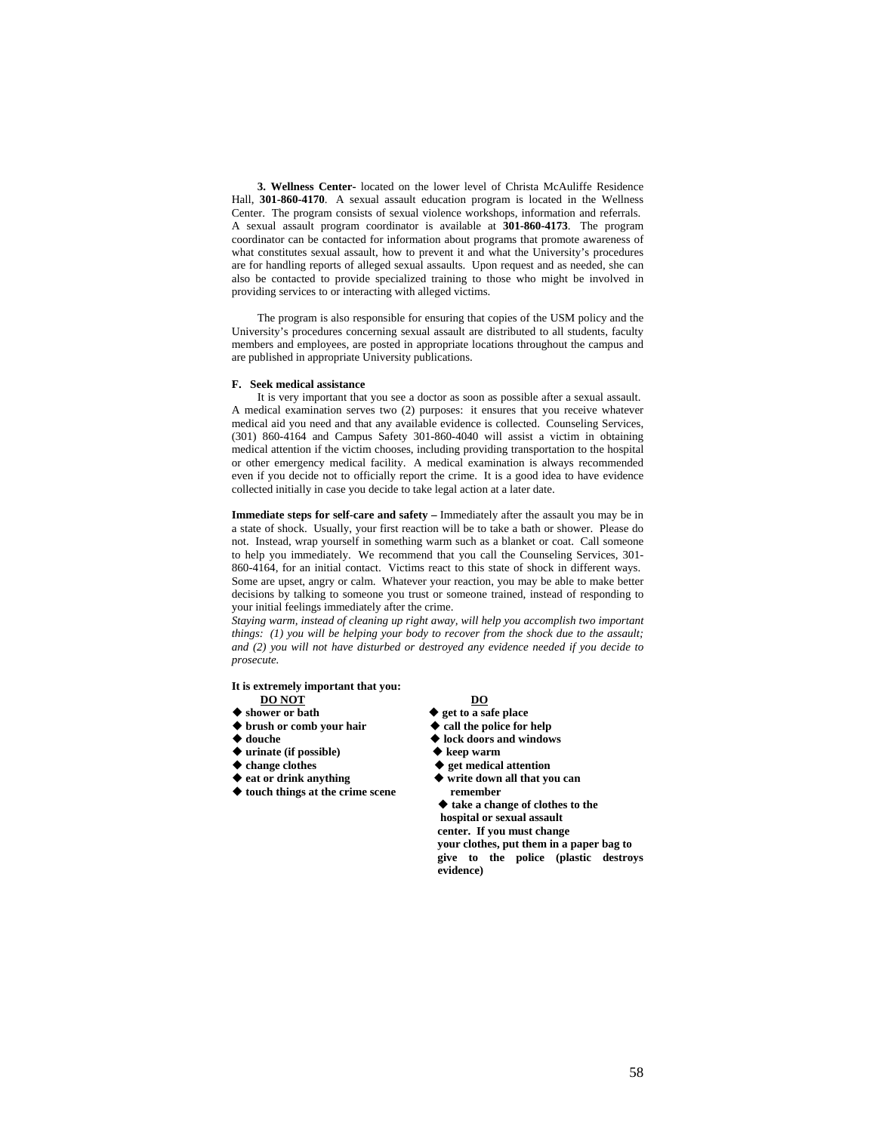**3. Wellness Center-** located on the lower level of Christa McAuliffe Residence Hall, **301-860-4170**. A sexual assault education program is located in the Wellness Center. The program consists of sexual violence workshops, information and referrals. A sexual assault program coordinator is available at **301-860-4173**. The program coordinator can be contacted for information about programs that promote awareness of what constitutes sexual assault, how to prevent it and what the University's procedures are for handling reports of alleged sexual assaults. Upon request and as needed, she can also be contacted to provide specialized training to those who might be involved in providing services to or interacting with alleged victims.

The program is also responsible for ensuring that copies of the USM policy and the University's procedures concerning sexual assault are distributed to all students, faculty members and employees, are posted in appropriate locations throughout the campus and are published in appropriate University publications.

### **F. Seek medical assistance**

It is very important that you see a doctor as soon as possible after a sexual assault. A medical examination serves two (2) purposes: it ensures that you receive whatever medical aid you need and that any available evidence is collected. Counseling Services, (301) 860-4164 and Campus Safety 301-860-4040 will assist a victim in obtaining medical attention if the victim chooses, including providing transportation to the hospital or other emergency medical facility. A medical examination is always recommended even if you decide not to officially report the crime. It is a good idea to have evidence collected initially in case you decide to take legal action at a later date.

**Immediate steps for self-care and safety –** Immediately after the assault you may be in a state of shock. Usually, your first reaction will be to take a bath or shower. Please do not. Instead, wrap yourself in something warm such as a blanket or coat. Call someone to help you immediately. We recommend that you call the Counseling Services, 301- 860-4164, for an initial contact. Victims react to this state of shock in different ways. Some are upset, angry or calm. Whatever your reaction, you may be able to make better decisions by talking to someone you trust or someone trained, instead of responding to your initial feelings immediately after the crime.

*Staying warm, instead of cleaning up right away, will help you accomplish two important things: (1) you will be helping your body to recover from the shock due to the assault; and (2) you will not have disturbed or destroyed any evidence needed if you decide to prosecute.* 

### **It is extremely important that you: DO NOT DO**

- 
- ◆ shower or bath  get to a safe place<br>◆ brush or comb your hair ◆ call the police for help  $\blacklozenge$  brush or comb your hair
- 
- ◆ urinate (if possible)
- 
- 
- ◆ touch things at the crime scene **remember**

- 
- 
- **douche lock doors and windows** 
	-
	-
- ◆ change clothes **◆ get medical attention**<br>◆ eat or drink anything ◆ write down all that vo  $\blacklozenge$  write down all that you can
	- **take a change of clothes to the hospital or sexual assault center. If you must change your clothes, put them in a paper bag to give to the police (plastic destroys evidence)**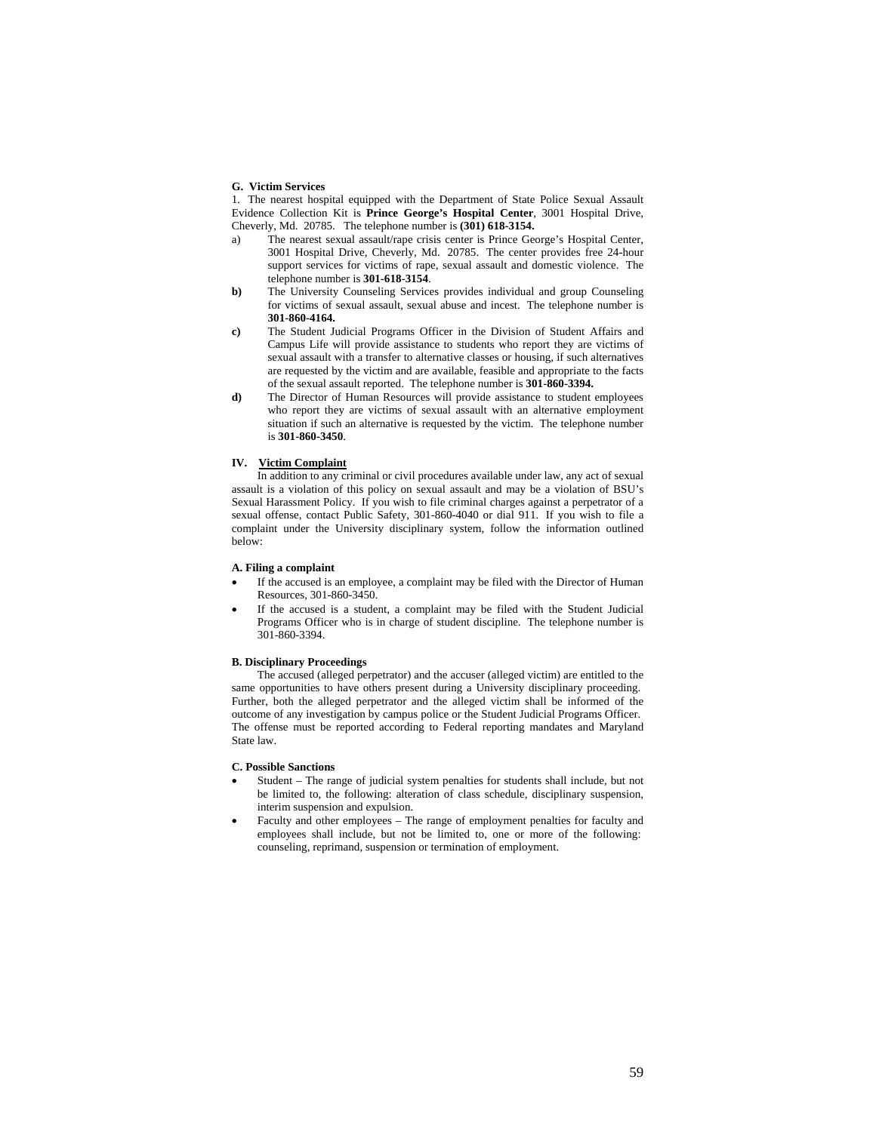### **G. Victim Services**

1. The nearest hospital equipped with the Department of State Police Sexual Assault Evidence Collection Kit is **Prince George's Hospital Center**, 3001 Hospital Drive, Cheverly, Md. 20785. The telephone number is **(301) 618-3154.** 

- a) The nearest sexual assault/rape crisis center is Prince George's Hospital Center, 3001 Hospital Drive, Cheverly, Md. 20785. The center provides free 24-hour support services for victims of rape, sexual assault and domestic violence. The telephone number is **301-618-3154**.
- **b)** The University Counseling Services provides individual and group Counseling for victims of sexual assault, sexual abuse and incest. The telephone number is **301-860-4164.**
- **c)** The Student Judicial Programs Officer in the Division of Student Affairs and Campus Life will provide assistance to students who report they are victims of sexual assault with a transfer to alternative classes or housing, if such alternatives are requested by the victim and are available, feasible and appropriate to the facts of the sexual assault reported. The telephone number is **301-860-3394.**
- **d)** The Director of Human Resources will provide assistance to student employees who report they are victims of sexual assault with an alternative employment situation if such an alternative is requested by the victim. The telephone number is **301-860-3450**.

# **IV. Victim Complaint**

In addition to any criminal or civil procedures available under law, any act of sexual assault is a violation of this policy on sexual assault and may be a violation of BSU's Sexual Harassment Policy. If you wish to file criminal charges against a perpetrator of a sexual offense, contact Public Safety, 301-860-4040 or dial 911. If you wish to file a complaint under the University disciplinary system, follow the information outlined below:

# **A. Filing a complaint**

- If the accused is an employee, a complaint may be filed with the Director of Human Resources, 301-860-3450.
- If the accused is a student, a complaint may be filed with the Student Judicial Programs Officer who is in charge of student discipline. The telephone number is 301-860-3394.

# **B. Disciplinary Proceedings**

The accused (alleged perpetrator) and the accuser (alleged victim) are entitled to the same opportunities to have others present during a University disciplinary proceeding. Further, both the alleged perpetrator and the alleged victim shall be informed of the outcome of any investigation by campus police or the Student Judicial Programs Officer. The offense must be reported according to Federal reporting mandates and Maryland State law.

# **C. Possible Sanctions**

- Student The range of judicial system penalties for students shall include, but not be limited to, the following: alteration of class schedule, disciplinary suspension, interim suspension and expulsion.
- Faculty and other employees The range of employment penalties for faculty and employees shall include, but not be limited to, one or more of the following: counseling, reprimand, suspension or termination of employment.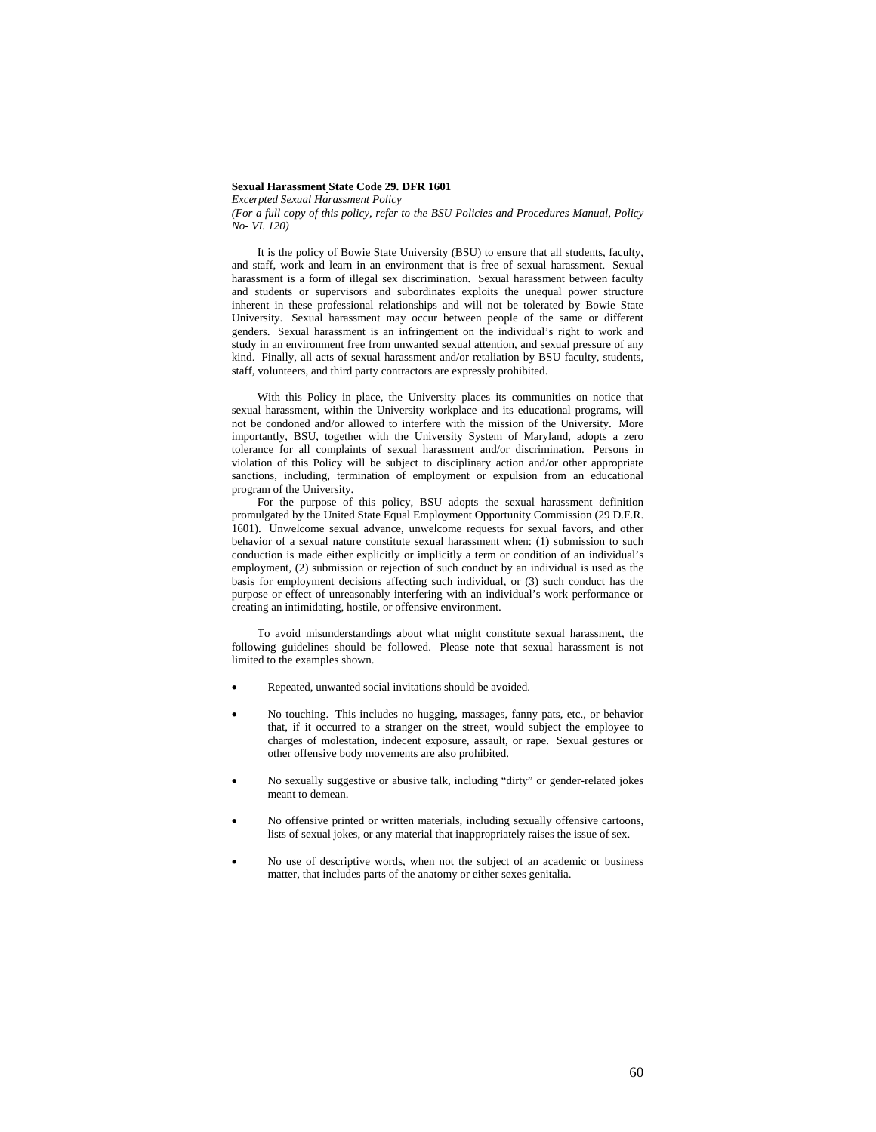### **Sexual Harassment State Code 29. DFR 1601**

*Excerpted Sexual Harassment Policy* 

*(For a full copy of this policy, refer to the BSU Policies and Procedures Manual, Policy No- VI. 120)* 

It is the policy of Bowie State University (BSU) to ensure that all students, faculty, and staff, work and learn in an environment that is free of sexual harassment. Sexual harassment is a form of illegal sex discrimination. Sexual harassment between faculty and students or supervisors and subordinates exploits the unequal power structure inherent in these professional relationships and will not be tolerated by Bowie State University. Sexual harassment may occur between people of the same or different genders. Sexual harassment is an infringement on the individual's right to work and study in an environment free from unwanted sexual attention, and sexual pressure of any kind. Finally, all acts of sexual harassment and/or retaliation by BSU faculty, students, staff, volunteers, and third party contractors are expressly prohibited.

With this Policy in place, the University places its communities on notice that sexual harassment, within the University workplace and its educational programs, will not be condoned and/or allowed to interfere with the mission of the University. More importantly, BSU, together with the University System of Maryland, adopts a zero tolerance for all complaints of sexual harassment and/or discrimination. Persons in violation of this Policy will be subject to disciplinary action and/or other appropriate sanctions, including, termination of employment or expulsion from an educational program of the University.

For the purpose of this policy, BSU adopts the sexual harassment definition promulgated by the United State Equal Employment Opportunity Commission (29 D.F.R. 1601). Unwelcome sexual advance, unwelcome requests for sexual favors, and other behavior of a sexual nature constitute sexual harassment when: (1) submission to such conduction is made either explicitly or implicitly a term or condition of an individual's employment, (2) submission or rejection of such conduct by an individual is used as the basis for employment decisions affecting such individual, or (3) such conduct has the purpose or effect of unreasonably interfering with an individual's work performance or creating an intimidating, hostile, or offensive environment.

To avoid misunderstandings about what might constitute sexual harassment, the following guidelines should be followed. Please note that sexual harassment is not limited to the examples shown.

- Repeated, unwanted social invitations should be avoided.
- No touching. This includes no hugging, massages, fanny pats, etc., or behavior that, if it occurred to a stranger on the street, would subject the employee to charges of molestation, indecent exposure, assault, or rape. Sexual gestures or other offensive body movements are also prohibited.
- No sexually suggestive or abusive talk, including "dirty" or gender-related jokes meant to demean.
- No offensive printed or written materials, including sexually offensive cartoons, lists of sexual jokes, or any material that inappropriately raises the issue of sex.
- No use of descriptive words, when not the subject of an academic or business matter, that includes parts of the anatomy or either sexes genitalia.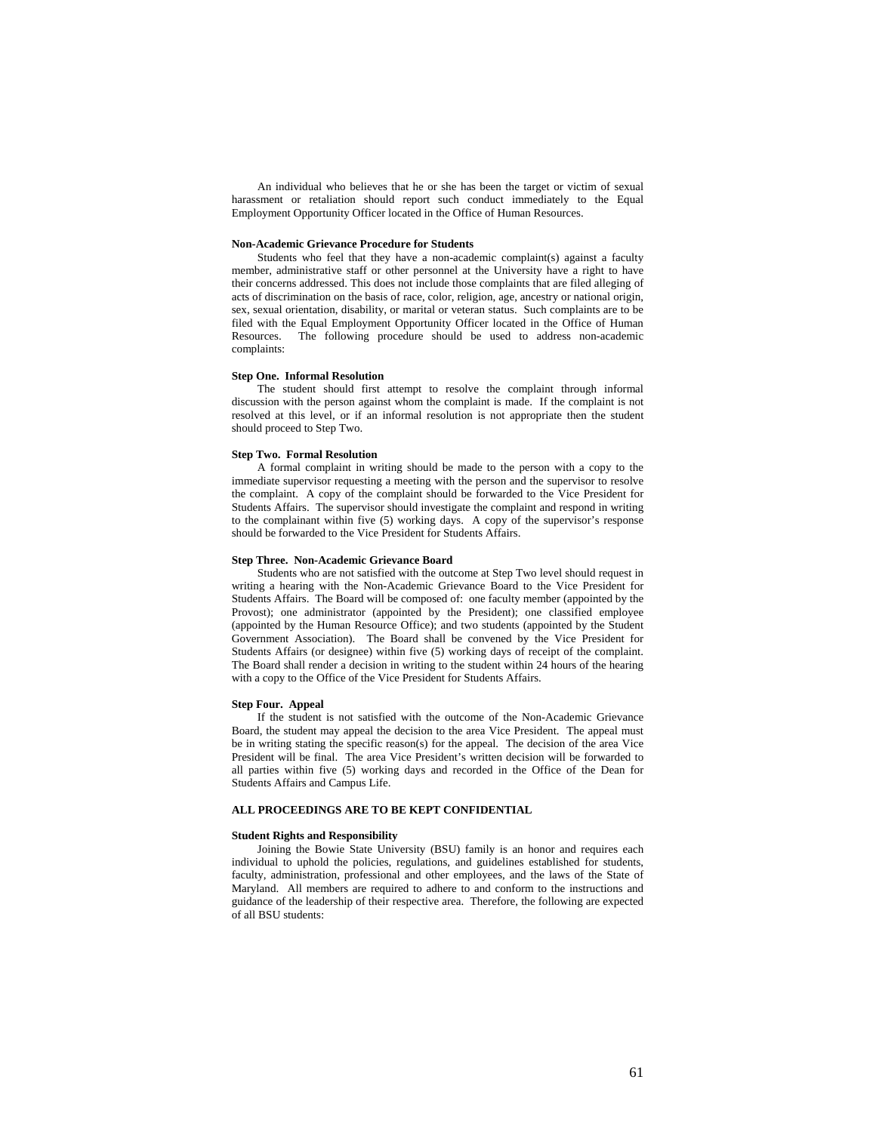An individual who believes that he or she has been the target or victim of sexual harassment or retaliation should report such conduct immediately to the Equal Employment Opportunity Officer located in the Office of Human Resources.

### **Non-Academic Grievance Procedure for Students**

Students who feel that they have a non-academic complaint(s) against a faculty member, administrative staff or other personnel at the University have a right to have their concerns addressed. This does not include those complaints that are filed alleging of acts of discrimination on the basis of race, color, religion, age, ancestry or national origin, sex, sexual orientation, disability, or marital or veteran status. Such complaints are to be filed with the Equal Employment Opportunity Officer located in the Office of Human<br>Resources The following procedure should be used to address non-academic The following procedure should be used to address non-academic complaints:

### **Step One. Informal Resolution**

The student should first attempt to resolve the complaint through informal discussion with the person against whom the complaint is made. If the complaint is not resolved at this level, or if an informal resolution is not appropriate then the student should proceed to Step Two.

#### **Step Two. Formal Resolution**

A formal complaint in writing should be made to the person with a copy to the immediate supervisor requesting a meeting with the person and the supervisor to resolve the complaint. A copy of the complaint should be forwarded to the Vice President for Students Affairs. The supervisor should investigate the complaint and respond in writing to the complainant within five (5) working days. A copy of the supervisor's response should be forwarded to the Vice President for Students Affairs.

#### **Step Three. Non-Academic Grievance Board**

Students who are not satisfied with the outcome at Step Two level should request in writing a hearing with the Non-Academic Grievance Board to the Vice President for Students Affairs. The Board will be composed of: one faculty member (appointed by the Provost); one administrator (appointed by the President); one classified employee (appointed by the Human Resource Office); and two students (appointed by the Student Government Association). The Board shall be convened by the Vice President for Students Affairs (or designee) within five (5) working days of receipt of the complaint. The Board shall render a decision in writing to the student within 24 hours of the hearing with a copy to the Office of the Vice President for Students Affairs.

# **Step Four. Appeal**

If the student is not satisfied with the outcome of the Non-Academic Grievance Board, the student may appeal the decision to the area Vice President. The appeal must be in writing stating the specific reason(s) for the appeal. The decision of the area Vice President will be final. The area Vice President's written decision will be forwarded to all parties within five (5) working days and recorded in the Office of the Dean for Students Affairs and Campus Life.

# **ALL PROCEEDINGS ARE TO BE KEPT CONFIDENTIAL**

#### **Student Rights and Responsibility**

Joining the Bowie State University (BSU) family is an honor and requires each individual to uphold the policies, regulations, and guidelines established for students, faculty, administration, professional and other employees, and the laws of the State of Maryland. All members are required to adhere to and conform to the instructions and guidance of the leadership of their respective area. Therefore, the following are expected of all BSU students: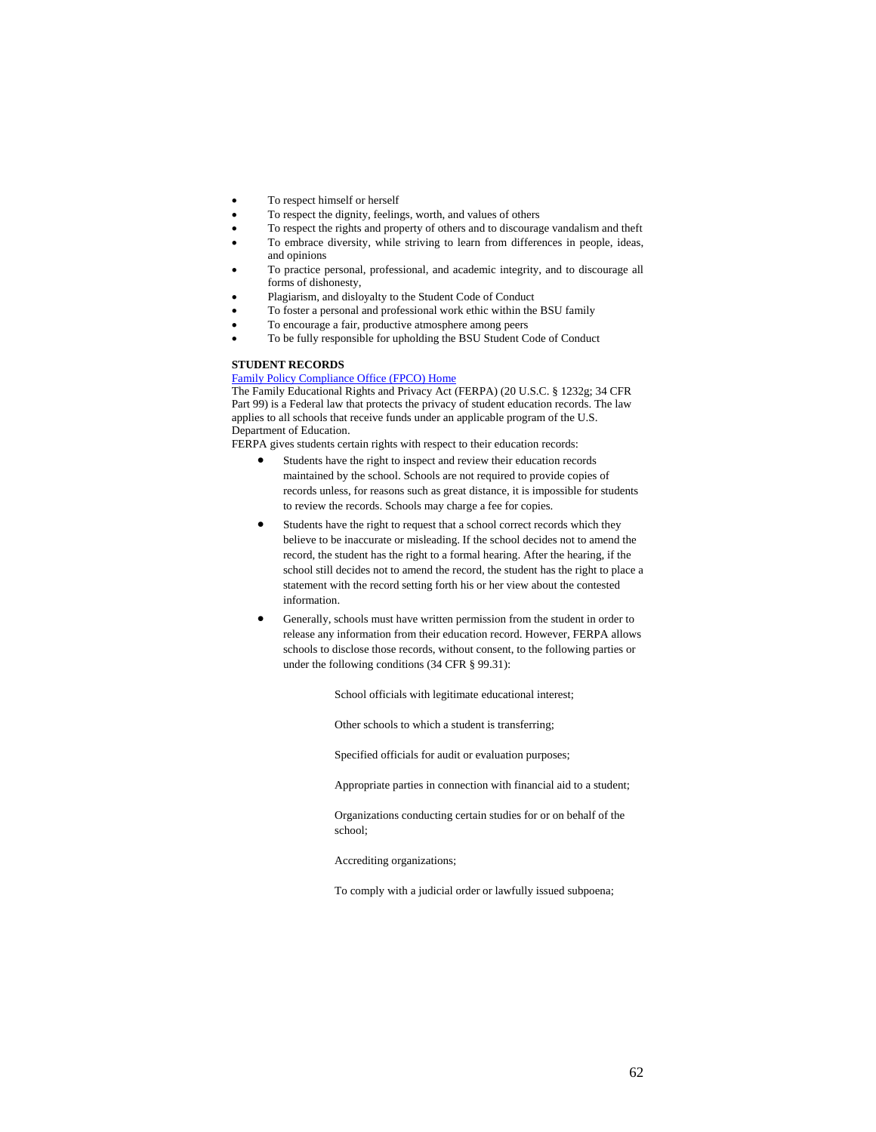- To respect himself or herself
- To respect the dignity, feelings, worth, and values of others
- To respect the rights and property of others and to discourage vandalism and theft
- To embrace diversity, while striving to learn from differences in people, ideas, and opinions
- To practice personal, professional, and academic integrity, and to discourage all forms of dishonesty,
- Plagiarism, and disloyalty to the Student Code of Conduct
- To foster a personal and professional work ethic within the BSU family
- To encourage a fair, productive atmosphere among peers
- To be fully responsible for upholding the BSU Student Code of Conduct

# **STUDENT RECORDS**

# Family Policy Compliance Office (FPCO) Home

The Family Educational Rights and Privacy Act (FERPA) (20 U.S.C. § 1232g; 34 CFR Part 99) is a Federal law that protects the privacy of student education records. The law applies to all schools that receive funds under an applicable program of the U.S. Department of Education.

FERPA gives students certain rights with respect to their education records:

- Students have the right to inspect and review their education records maintained by the school. Schools are not required to provide copies of records unless, for reasons such as great distance, it is impossible for students to review the records. Schools may charge a fee for copies.
- Students have the right to request that a school correct records which they believe to be inaccurate or misleading. If the school decides not to amend the record, the student has the right to a formal hearing. After the hearing, if the school still decides not to amend the record, the student has the right to place a statement with the record setting forth his or her view about the contested information.
- Generally, schools must have written permission from the student in order to release any information from their education record. However, FERPA allows schools to disclose those records, without consent, to the following parties or under the following conditions (34 CFR § 99.31):

School officials with legitimate educational interest;

Other schools to which a student is transferring;

Specified officials for audit or evaluation purposes;

Appropriate parties in connection with financial aid to a student;

Organizations conducting certain studies for or on behalf of the school;

Accrediting organizations;

To comply with a judicial order or lawfully issued subpoena;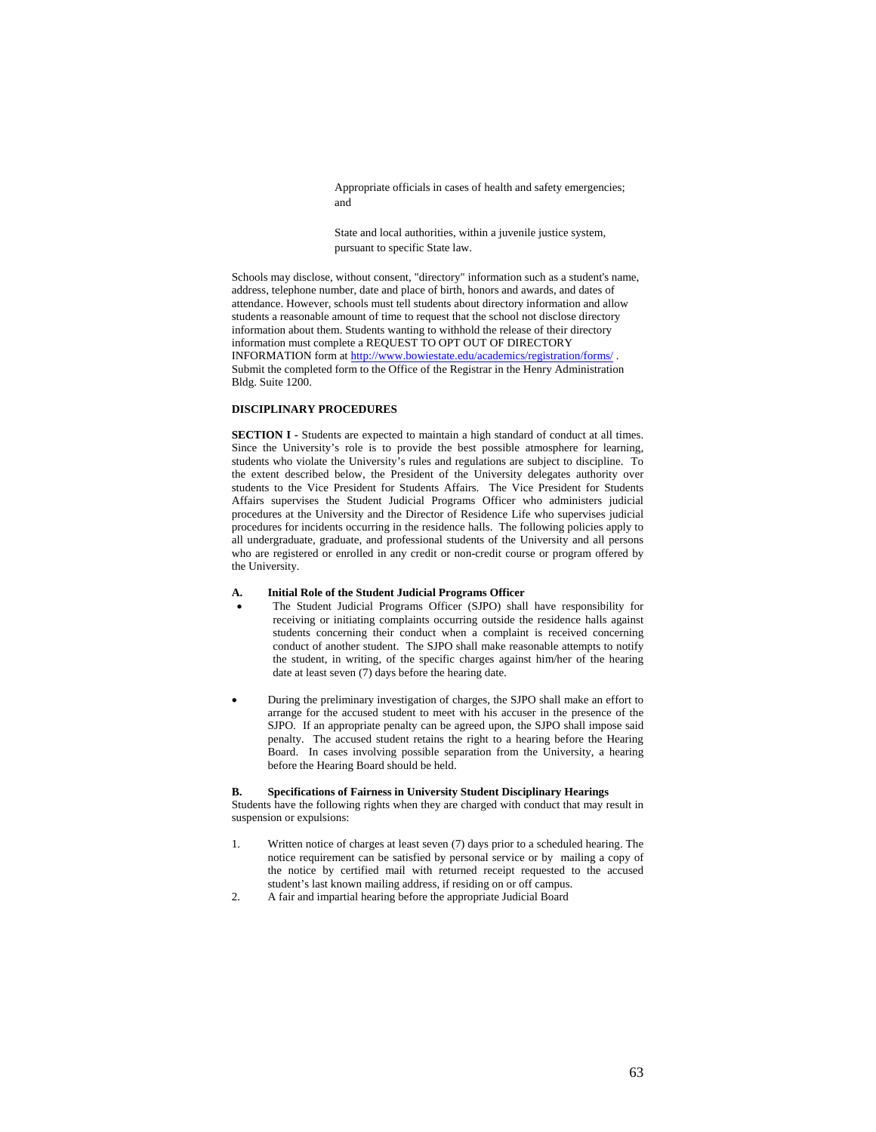Appropriate officials in cases of health and safety emergencies; and

State and local authorities, within a juvenile justice system, pursuant to specific State law.

Schools may disclose, without consent, "directory" information such as a student's name, address, telephone number, date and place of birth, honors and awards, and dates of attendance. However, schools must tell students about directory information and allow students a reasonable amount of time to request that the school not disclose directory information about them. Students wanting to withhold the release of their directory information must complete a REQUEST TO OPT OUT OF DIRECTORY INFORMATION form at http://www.bowiestate.edu/academics/registration/forms/ . Submit the completed form to the Office of the Registrar in the Henry Administration Bldg. Suite 1200.

# **DISCIPLINARY PROCEDURES**

**SECTION I -** Students are expected to maintain a high standard of conduct at all times. Since the University's role is to provide the best possible atmosphere for learning, students who violate the University's rules and regulations are subject to discipline. To the extent described below, the President of the University delegates authority over students to the Vice President for Students Affairs. The Vice President for Students Affairs supervises the Student Judicial Programs Officer who administers judicial procedures at the University and the Director of Residence Life who supervises judicial procedures for incidents occurring in the residence halls. The following policies apply to all undergraduate, graduate, and professional students of the University and all persons who are registered or enrolled in any credit or non-credit course or program offered by the University.

# **A. Initial Role of the Student Judicial Programs Officer**

- The Student Judicial Programs Officer (SJPO) shall have responsibility for receiving or initiating complaints occurring outside the residence halls against students concerning their conduct when a complaint is received concerning conduct of another student. The SJPO shall make reasonable attempts to notify the student, in writing, of the specific charges against him/her of the hearing date at least seven (7) days before the hearing date.
- During the preliminary investigation of charges, the SJPO shall make an effort to arrange for the accused student to meet with his accuser in the presence of the SJPO. If an appropriate penalty can be agreed upon, the SJPO shall impose said penalty. The accused student retains the right to a hearing before the Hearing Board. In cases involving possible separation from the University, a hearing before the Hearing Board should be held.

### **B. Specifications of Fairness in University Student Disciplinary Hearings**

Students have the following rights when they are charged with conduct that may result in suspension or expulsions:

- 1. Written notice of charges at least seven (7) days prior to a scheduled hearing. The notice requirement can be satisfied by personal service or by mailing a copy of the notice by certified mail with returned receipt requested to the accused student's last known mailing address, if residing on or off campus.
- 2. A fair and impartial hearing before the appropriate Judicial Board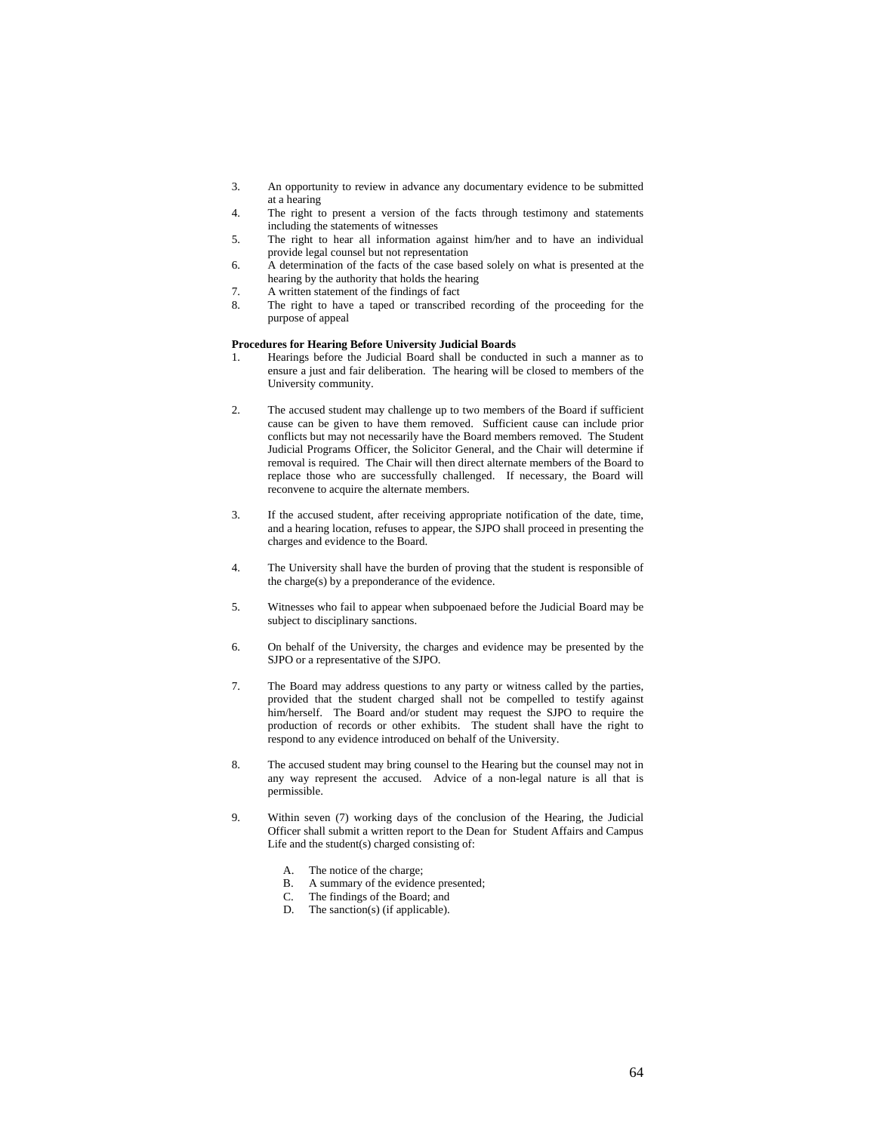- 3. An opportunity to review in advance any documentary evidence to be submitted at a hearing
- 4. The right to present a version of the facts through testimony and statements including the statements of witnesses
- 5. The right to hear all information against him/her and to have an individual provide legal counsel but not representation
- 6. A determination of the facts of the case based solely on what is presented at the hearing by the authority that holds the hearing
- 7. A written statement of the findings of fact
- 8. The right to have a taped or transcribed recording of the proceeding for the purpose of appeal

# **Procedures for Hearing Before University Judicial Boards**

- 1. Hearings before the Judicial Board shall be conducted in such a manner as to ensure a just and fair deliberation. The hearing will be closed to members of the University community.
- 2. The accused student may challenge up to two members of the Board if sufficient cause can be given to have them removed. Sufficient cause can include prior conflicts but may not necessarily have the Board members removed. The Student Judicial Programs Officer, the Solicitor General, and the Chair will determine if removal is required. The Chair will then direct alternate members of the Board to replace those who are successfully challenged. If necessary, the Board will reconvene to acquire the alternate members.
- 3. If the accused student, after receiving appropriate notification of the date, time, and a hearing location, refuses to appear, the SJPO shall proceed in presenting the charges and evidence to the Board.
- 4. The University shall have the burden of proving that the student is responsible of the charge(s) by a preponderance of the evidence.
- 5. Witnesses who fail to appear when subpoenaed before the Judicial Board may be subject to disciplinary sanctions.
- 6. On behalf of the University, the charges and evidence may be presented by the SJPO or a representative of the SJPO.
- 7. The Board may address questions to any party or witness called by the parties, provided that the student charged shall not be compelled to testify against him/herself. The Board and/or student may request the SJPO to require the production of records or other exhibits. The student shall have the right to respond to any evidence introduced on behalf of the University.
- 8. The accused student may bring counsel to the Hearing but the counsel may not in any way represent the accused. Advice of a non-legal nature is all that is permissible.
- 9. Within seven (7) working days of the conclusion of the Hearing, the Judicial Officer shall submit a written report to the Dean for Student Affairs and Campus Life and the student(s) charged consisting of:
	- A. The notice of the charge;
	- B. A summary of the evidence presented;
	- C. The findings of the Board; and
	- D. The sanction(s) (if applicable).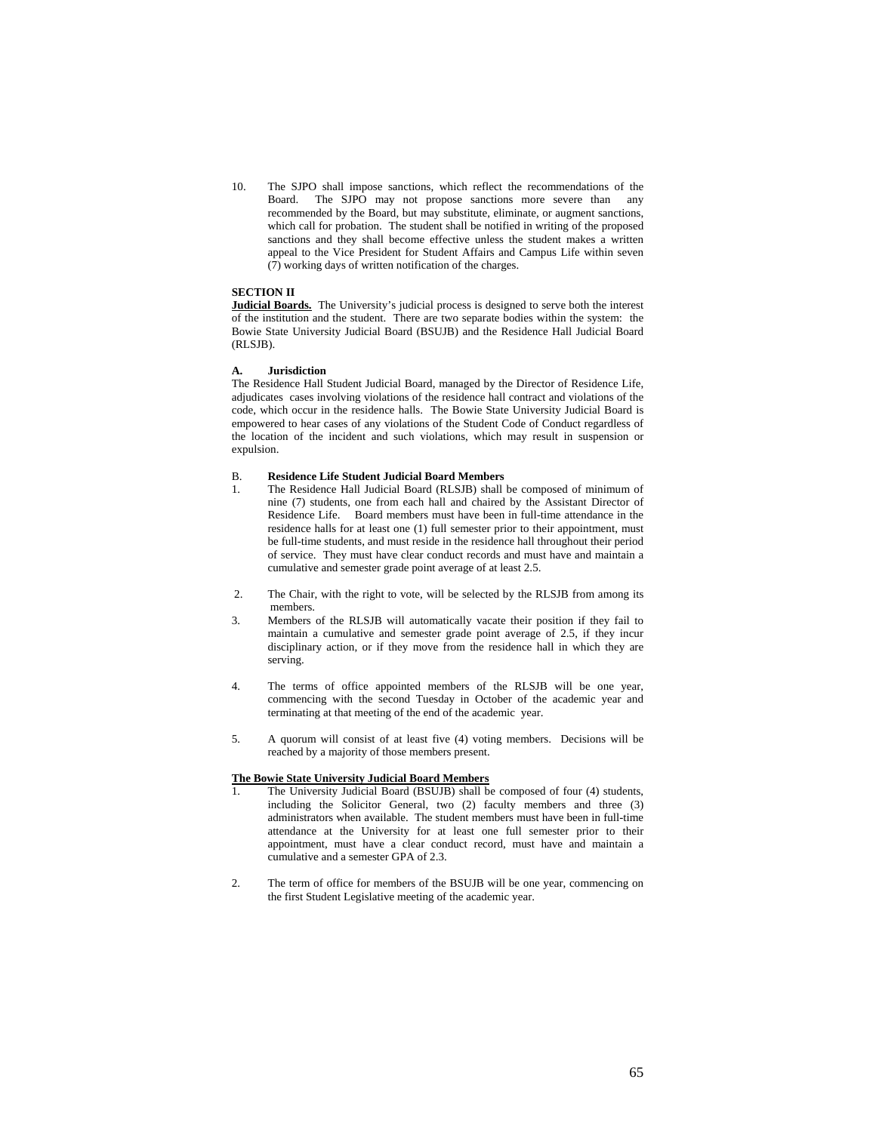10. The SJPO shall impose sanctions, which reflect the recommendations of the Board. The SJPO may not propose sanctions more severe than any recommended by the Board, but may substitute, eliminate, or augment sanctions, which call for probation. The student shall be notified in writing of the proposed sanctions and they shall become effective unless the student makes a written appeal to the Vice President for Student Affairs and Campus Life within seven (7) working days of written notification of the charges.

# **SECTION II**

**Judicial Boards.** The University's judicial process is designed to serve both the interest of the institution and the student. There are two separate bodies within the system: the Bowie State University Judicial Board (BSUJB) and the Residence Hall Judicial Board (RLSJB).

### **A. Jurisdiction**

The Residence Hall Student Judicial Board, managed by the Director of Residence Life, adjudicates cases involving violations of the residence hall contract and violations of the code, which occur in the residence halls. The Bowie State University Judicial Board is empowered to hear cases of any violations of the Student Code of Conduct regardless of the location of the incident and such violations, which may result in suspension or expulsion.

# B. **Residence Life Student Judicial Board Members**

- 1. The Residence Hall Judicial Board (RLSJB) shall be composed of minimum of nine (7) students, one from each hall and chaired by the Assistant Director of Residence Life. Board members must have been in full-time attendance in the residence halls for at least one (1) full semester prior to their appointment, must be full-time students, and must reside in the residence hall throughout their period of service. They must have clear conduct records and must have and maintain a cumulative and semester grade point average of at least 2.5.
- 2. The Chair, with the right to vote, will be selected by the RLSJB from among its members.
- 3. Members of the RLSJB will automatically vacate their position if they fail to maintain a cumulative and semester grade point average of 2.5, if they incur disciplinary action, or if they move from the residence hall in which they are serving.
- 4. The terms of office appointed members of the RLSJB will be one year, commencing with the second Tuesday in October of the academic year and terminating at that meeting of the end of the academic year.
- 5. A quorum will consist of at least five (4) voting members. Decisions will be reached by a majority of those members present.

# **The Bowie State University Judicial Board Members**

- The University Judicial Board (BSUJB) shall be composed of four (4) students, including the Solicitor General, two (2) faculty members and three (3) administrators when available. The student members must have been in full-time attendance at the University for at least one full semester prior to their appointment, must have a clear conduct record, must have and maintain a cumulative and a semester GPA of 2.3.
- 2. The term of office for members of the BSUJB will be one year, commencing on the first Student Legislative meeting of the academic year.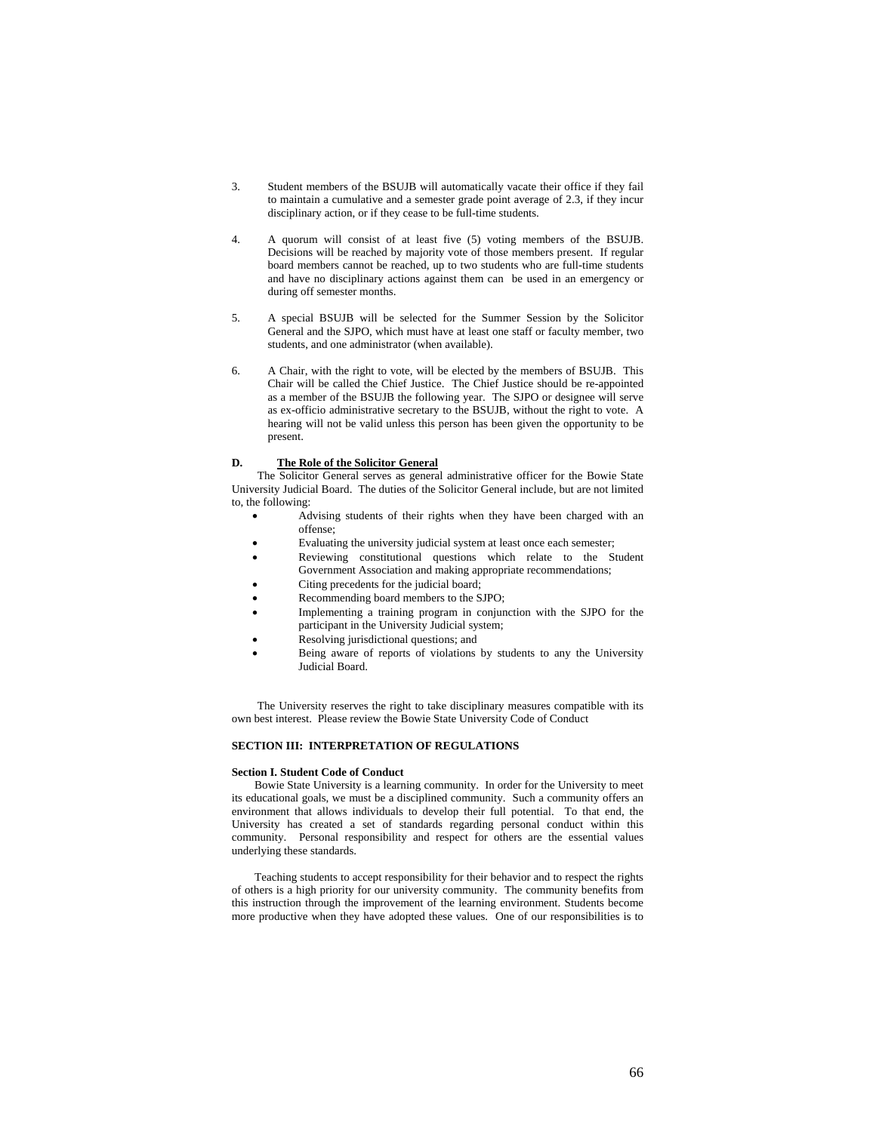- 3. Student members of the BSUJB will automatically vacate their office if they fail to maintain a cumulative and a semester grade point average of 2.3, if they incur disciplinary action, or if they cease to be full-time students.
- 4. A quorum will consist of at least five (5) voting members of the BSUJB. Decisions will be reached by majority vote of those members present. If regular board members cannot be reached, up to two students who are full-time students and have no disciplinary actions against them can be used in an emergency or during off semester months.
- 5. A special BSUJB will be selected for the Summer Session by the Solicitor General and the SJPO, which must have at least one staff or faculty member, two students, and one administrator (when available).
- 6. A Chair, with the right to vote, will be elected by the members of BSUJB. This Chair will be called the Chief Justice. The Chief Justice should be re-appointed as a member of the BSUJB the following year. The SJPO or designee will serve as ex-officio administrative secretary to the BSUJB, without the right to vote. A hearing will not be valid unless this person has been given the opportunity to be present.

### **D. The Role of the Solicitor General**

The Solicitor General serves as general administrative officer for the Bowie State University Judicial Board. The duties of the Solicitor General include, but are not limited to, the following:

- Advising students of their rights when they have been charged with an offense;
- Evaluating the university judicial system at least once each semester;
- Reviewing constitutional questions which relate to the Student Government Association and making appropriate recommendations;
- Citing precedents for the judicial board;
- Recommending board members to the SJPO;
- Implementing a training program in conjunction with the SJPO for the participant in the University Judicial system;
- Resolving jurisdictional questions; and
- Being aware of reports of violations by students to any the University Judicial Board.

The University reserves the right to take disciplinary measures compatible with its own best interest. Please review the Bowie State University Code of Conduct

# **SECTION III: INTERPRETATION OF REGULATIONS**

#### **Section I. Student Code of Conduct**

 Bowie State University is a learning community. In order for the University to meet its educational goals, we must be a disciplined community. Such a community offers an environment that allows individuals to develop their full potential. To that end, the University has created a set of standards regarding personal conduct within this community. Personal responsibility and respect for others are the essential values underlying these standards.

 Teaching students to accept responsibility for their behavior and to respect the rights of others is a high priority for our university community. The community benefits from this instruction through the improvement of the learning environment. Students become more productive when they have adopted these values. One of our responsibilities is to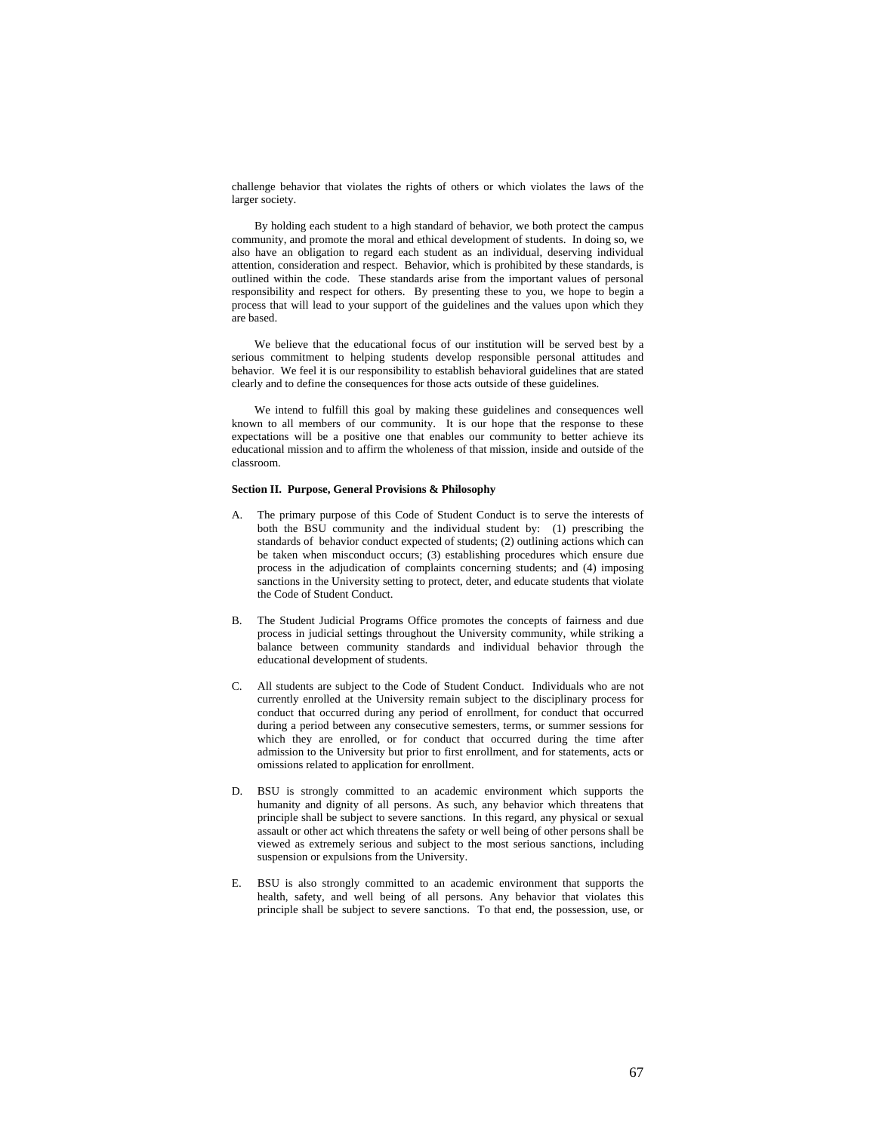challenge behavior that violates the rights of others or which violates the laws of the larger society.

 By holding each student to a high standard of behavior, we both protect the campus community, and promote the moral and ethical development of students. In doing so, we also have an obligation to regard each student as an individual, deserving individual attention, consideration and respect. Behavior, which is prohibited by these standards, is outlined within the code. These standards arise from the important values of personal responsibility and respect for others. By presenting these to you, we hope to begin a process that will lead to your support of the guidelines and the values upon which they are based.

 We believe that the educational focus of our institution will be served best by a serious commitment to helping students develop responsible personal attitudes and behavior. We feel it is our responsibility to establish behavioral guidelines that are stated clearly and to define the consequences for those acts outside of these guidelines.

 We intend to fulfill this goal by making these guidelines and consequences well known to all members of our community. It is our hope that the response to these expectations will be a positive one that enables our community to better achieve its educational mission and to affirm the wholeness of that mission, inside and outside of the classroom.

# **Section II. Purpose, General Provisions & Philosophy**

- A. The primary purpose of this Code of Student Conduct is to serve the interests of both the BSU community and the individual student by: (1) prescribing the standards of behavior conduct expected of students; (2) outlining actions which can be taken when misconduct occurs; (3) establishing procedures which ensure due process in the adjudication of complaints concerning students; and (4) imposing sanctions in the University setting to protect, deter, and educate students that violate the Code of Student Conduct.
- B. The Student Judicial Programs Office promotes the concepts of fairness and due process in judicial settings throughout the University community, while striking a balance between community standards and individual behavior through the educational development of students.
- C. All students are subject to the Code of Student Conduct. Individuals who are not currently enrolled at the University remain subject to the disciplinary process for conduct that occurred during any period of enrollment, for conduct that occurred during a period between any consecutive semesters, terms, or summer sessions for which they are enrolled, or for conduct that occurred during the time after admission to the University but prior to first enrollment, and for statements, acts or omissions related to application for enrollment.
- D. BSU is strongly committed to an academic environment which supports the humanity and dignity of all persons. As such, any behavior which threatens that principle shall be subject to severe sanctions. In this regard, any physical or sexual assault or other act which threatens the safety or well being of other persons shall be viewed as extremely serious and subject to the most serious sanctions, including suspension or expulsions from the University.
- E. BSU is also strongly committed to an academic environment that supports the health, safety, and well being of all persons. Any behavior that violates this principle shall be subject to severe sanctions. To that end, the possession, use, or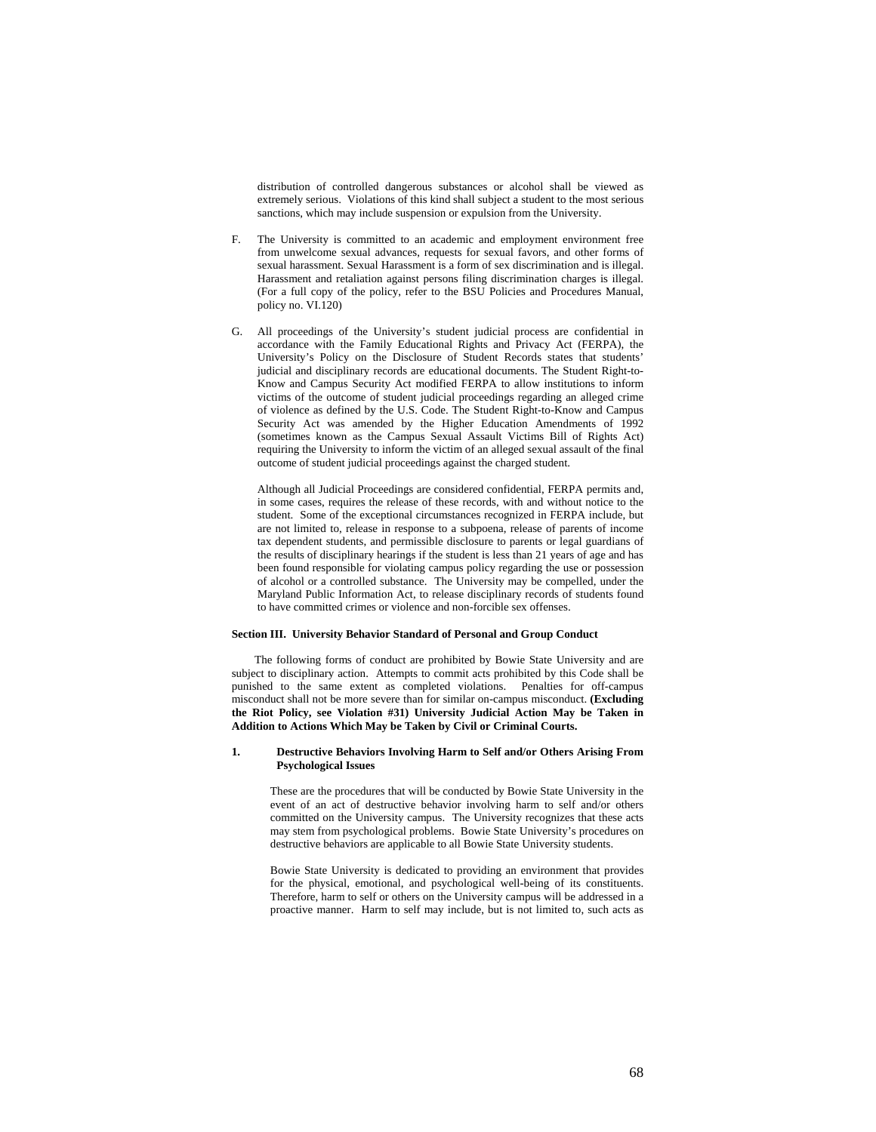distribution of controlled dangerous substances or alcohol shall be viewed as extremely serious. Violations of this kind shall subject a student to the most serious sanctions, which may include suspension or expulsion from the University.

- F. The University is committed to an academic and employment environment free from unwelcome sexual advances, requests for sexual favors, and other forms of sexual harassment. Sexual Harassment is a form of sex discrimination and is illegal. Harassment and retaliation against persons filing discrimination charges is illegal. (For a full copy of the policy, refer to the BSU Policies and Procedures Manual, policy no. VI.120)
- G. All proceedings of the University's student judicial process are confidential in accordance with the Family Educational Rights and Privacy Act (FERPA), the University's Policy on the Disclosure of Student Records states that students' judicial and disciplinary records are educational documents. The Student Right-to-Know and Campus Security Act modified FERPA to allow institutions to inform victims of the outcome of student judicial proceedings regarding an alleged crime of violence as defined by the U.S. Code. The Student Right-to-Know and Campus Security Act was amended by the Higher Education Amendments of 1992 (sometimes known as the Campus Sexual Assault Victims Bill of Rights Act) requiring the University to inform the victim of an alleged sexual assault of the final outcome of student judicial proceedings against the charged student.

 Although all Judicial Proceedings are considered confidential, FERPA permits and, in some cases, requires the release of these records, with and without notice to the student. Some of the exceptional circumstances recognized in FERPA include, but are not limited to, release in response to a subpoena, release of parents of income tax dependent students, and permissible disclosure to parents or legal guardians of the results of disciplinary hearings if the student is less than 21 years of age and has been found responsible for violating campus policy regarding the use or possession of alcohol or a controlled substance. The University may be compelled, under the Maryland Public Information Act, to release disciplinary records of students found to have committed crimes or violence and non-forcible sex offenses.

# **Section III. University Behavior Standard of Personal and Group Conduct**

 The following forms of conduct are prohibited by Bowie State University and are subject to disciplinary action. Attempts to commit acts prohibited by this Code shall be punished to the same extent as completed violations. Penalties for off-campus misconduct shall not be more severe than for similar on-campus misconduct. **(Excluding the Riot Policy, see Violation #31) University Judicial Action May be Taken in Addition to Actions Which May be Taken by Civil or Criminal Courts.** 

### **1. Destructive Behaviors Involving Harm to Self and/or Others Arising From Psychological Issues**

These are the procedures that will be conducted by Bowie State University in the event of an act of destructive behavior involving harm to self and/or others committed on the University campus. The University recognizes that these acts may stem from psychological problems. Bowie State University's procedures on destructive behaviors are applicable to all Bowie State University students.

Bowie State University is dedicated to providing an environment that provides for the physical, emotional, and psychological well-being of its constituents. Therefore, harm to self or others on the University campus will be addressed in a proactive manner. Harm to self may include, but is not limited to, such acts as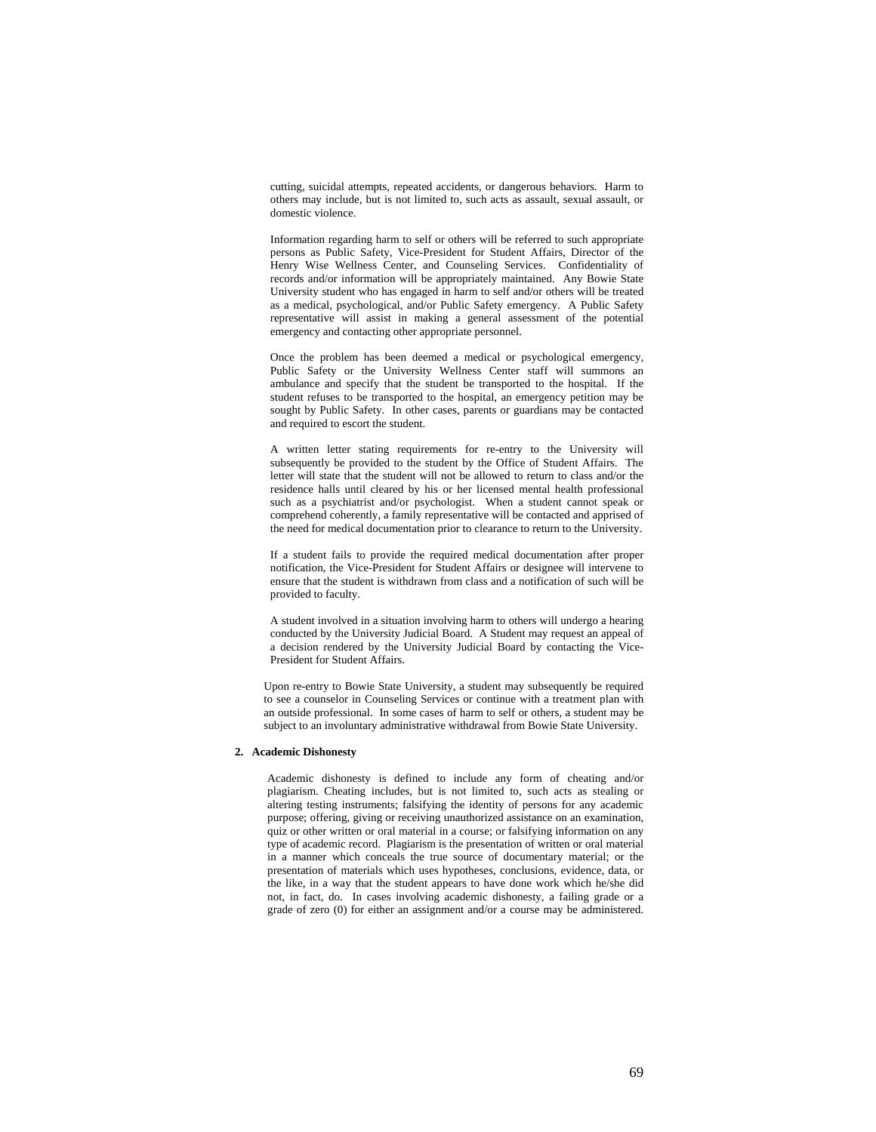cutting, suicidal attempts, repeated accidents, or dangerous behaviors. Harm to others may include, but is not limited to, such acts as assault, sexual assault, or domestic violence.

Information regarding harm to self or others will be referred to such appropriate persons as Public Safety, Vice-President for Student Affairs, Director of the Henry Wise Wellness Center, and Counseling Services. Confidentiality of records and/or information will be appropriately maintained. Any Bowie State University student who has engaged in harm to self and/or others will be treated as a medical, psychological, and/or Public Safety emergency. A Public Safety representative will assist in making a general assessment of the potential emergency and contacting other appropriate personnel.

Once the problem has been deemed a medical or psychological emergency, Public Safety or the University Wellness Center staff will summons an ambulance and specify that the student be transported to the hospital. If the student refuses to be transported to the hospital, an emergency petition may be sought by Public Safety. In other cases, parents or guardians may be contacted and required to escort the student.

A written letter stating requirements for re-entry to the University will subsequently be provided to the student by the Office of Student Affairs. The letter will state that the student will not be allowed to return to class and/or the residence halls until cleared by his or her licensed mental health professional such as a psychiatrist and/or psychologist. When a student cannot speak or comprehend coherently, a family representative will be contacted and apprised of the need for medical documentation prior to clearance to return to the University.

If a student fails to provide the required medical documentation after proper notification, the Vice-President for Student Affairs or designee will intervene to ensure that the student is withdrawn from class and a notification of such will be provided to faculty.

A student involved in a situation involving harm to others will undergo a hearing conducted by the University Judicial Board. A Student may request an appeal of a decision rendered by the University Judicial Board by contacting the Vice-President for Student Affairs.

Upon re-entry to Bowie State University, a student may subsequently be required to see a counselor in Counseling Services or continue with a treatment plan with an outside professional. In some cases of harm to self or others, a student may be subject to an involuntary administrative withdrawal from Bowie State University.

# **2. Academic Dishonesty**

Academic dishonesty is defined to include any form of cheating and/or plagiarism. Cheating includes, but is not limited to, such acts as stealing or altering testing instruments; falsifying the identity of persons for any academic purpose; offering, giving or receiving unauthorized assistance on an examination, quiz or other written or oral material in a course; or falsifying information on any type of academic record. Plagiarism is the presentation of written or oral material in a manner which conceals the true source of documentary material; or the presentation of materials which uses hypotheses, conclusions, evidence, data, or the like, in a way that the student appears to have done work which he/she did not, in fact, do. In cases involving academic dishonesty, a failing grade or a grade of zero (0) for either an assignment and/or a course may be administered.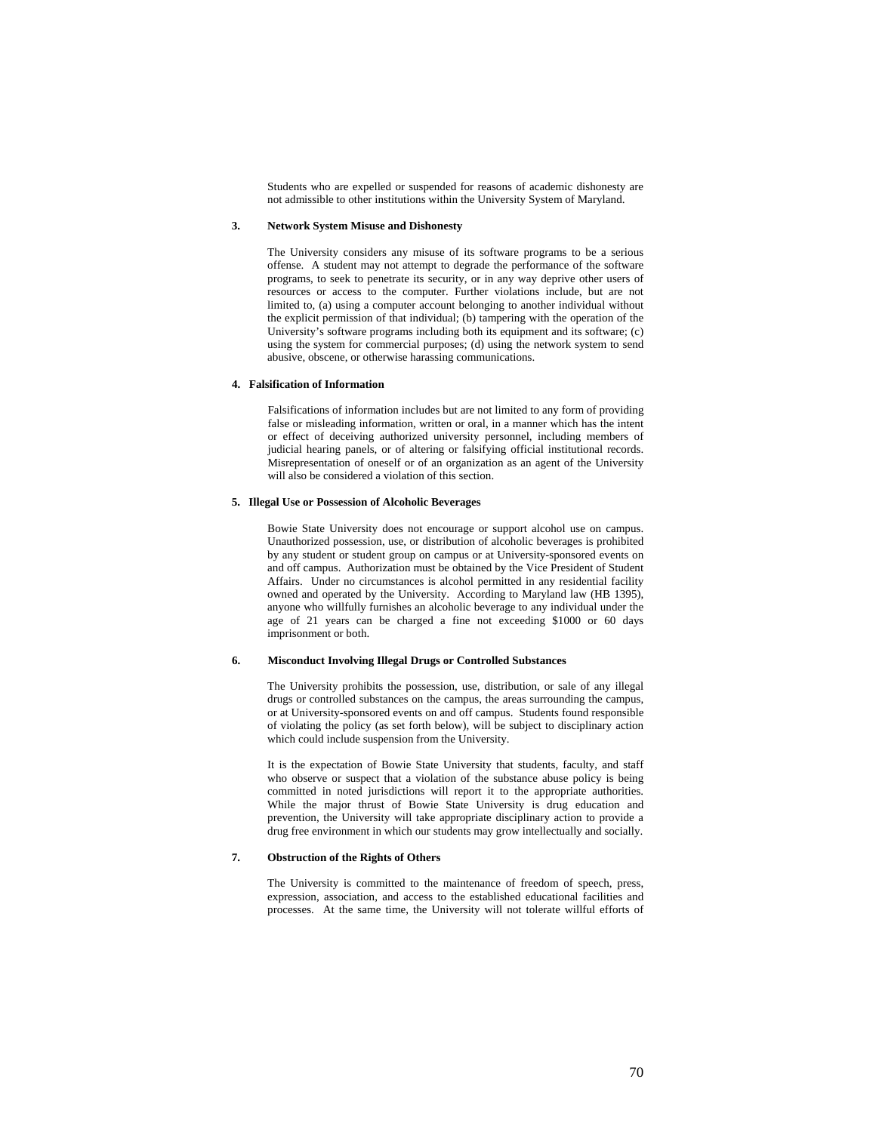Students who are expelled or suspended for reasons of academic dishonesty are not admissible to other institutions within the University System of Maryland.

# **3. Network System Misuse and Dishonesty**

The University considers any misuse of its software programs to be a serious offense. A student may not attempt to degrade the performance of the software programs, to seek to penetrate its security, or in any way deprive other users of resources or access to the computer. Further violations include, but are not limited to, (a) using a computer account belonging to another individual without the explicit permission of that individual; (b) tampering with the operation of the University's software programs including both its equipment and its software; (c) using the system for commercial purposes; (d) using the network system to send abusive, obscene, or otherwise harassing communications.

# **4. Falsification of Information**

Falsifications of information includes but are not limited to any form of providing false or misleading information, written or oral, in a manner which has the intent or effect of deceiving authorized university personnel, including members of judicial hearing panels, or of altering or falsifying official institutional records. Misrepresentation of oneself or of an organization as an agent of the University will also be considered a violation of this section.

# **5. Illegal Use or Possession of Alcoholic Beverages**

Bowie State University does not encourage or support alcohol use on campus. Unauthorized possession, use, or distribution of alcoholic beverages is prohibited by any student or student group on campus or at University-sponsored events on and off campus. Authorization must be obtained by the Vice President of Student Affairs. Under no circumstances is alcohol permitted in any residential facility owned and operated by the University. According to Maryland law (HB 1395), anyone who willfully furnishes an alcoholic beverage to any individual under the age of 21 years can be charged a fine not exceeding \$1000 or 60 days imprisonment or both.

# **6. Misconduct Involving Illegal Drugs or Controlled Substances**

The University prohibits the possession, use, distribution, or sale of any illegal drugs or controlled substances on the campus, the areas surrounding the campus, or at University-sponsored events on and off campus. Students found responsible of violating the policy (as set forth below), will be subject to disciplinary action which could include suspension from the University.

It is the expectation of Bowie State University that students, faculty, and staff who observe or suspect that a violation of the substance abuse policy is being committed in noted jurisdictions will report it to the appropriate authorities. While the major thrust of Bowie State University is drug education and prevention, the University will take appropriate disciplinary action to provide a drug free environment in which our students may grow intellectually and socially.

# **7. Obstruction of the Rights of Others**

The University is committed to the maintenance of freedom of speech, press, expression, association, and access to the established educational facilities and processes. At the same time, the University will not tolerate willful efforts of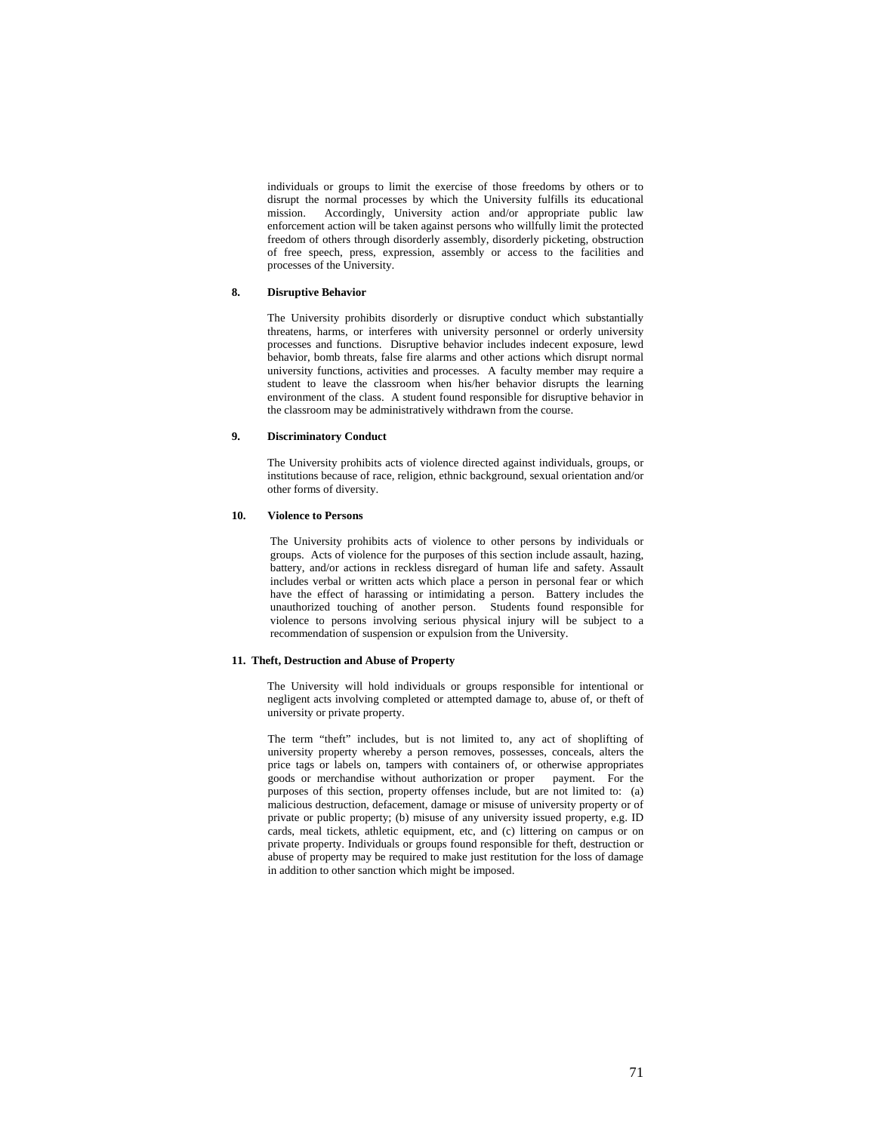individuals or groups to limit the exercise of those freedoms by others or to disrupt the normal processes by which the University fulfills its educational mission. Accordingly, University action and/or appropriate public law enforcement action will be taken against persons who willfully limit the protected freedom of others through disorderly assembly, disorderly picketing, obstruction of free speech, press, expression, assembly or access to the facilities and processes of the University.

# **8. Disruptive Behavior**

The University prohibits disorderly or disruptive conduct which substantially threatens, harms, or interferes with university personnel or orderly university processes and functions. Disruptive behavior includes indecent exposure, lewd behavior, bomb threats, false fire alarms and other actions which disrupt normal university functions, activities and processes. A faculty member may require a student to leave the classroom when his/her behavior disrupts the learning environment of the class. A student found responsible for disruptive behavior in the classroom may be administratively withdrawn from the course.

# **9. Discriminatory Conduct**

The University prohibits acts of violence directed against individuals, groups, or institutions because of race, religion, ethnic background, sexual orientation and/or other forms of diversity.

# **10. Violence to Persons**

The University prohibits acts of violence to other persons by individuals or groups. Acts of violence for the purposes of this section include assault, hazing, battery, and/or actions in reckless disregard of human life and safety. Assault includes verbal or written acts which place a person in personal fear or which have the effect of harassing or intimidating a person. Battery includes the unauthorized touching of another person. Students found responsible for violence to persons involving serious physical injury will be subject to a recommendation of suspension or expulsion from the University.

### **11. Theft, Destruction and Abuse of Property**

 The University will hold individuals or groups responsible for intentional or negligent acts involving completed or attempted damage to, abuse of, or theft of university or private property.

The term "theft" includes, but is not limited to, any act of shoplifting of university property whereby a person removes, possesses, conceals, alters the price tags or labels on, tampers with containers of, or otherwise appropriates goods or merchandise without authorization or proper payment. For the purposes of this section, property offenses include, but are not limited to: (a) malicious destruction, defacement, damage or misuse of university property or of private or public property; (b) misuse of any university issued property, e.g. ID cards, meal tickets, athletic equipment, etc, and (c) littering on campus or on private property. Individuals or groups found responsible for theft, destruction or abuse of property may be required to make just restitution for the loss of damage in addition to other sanction which might be imposed.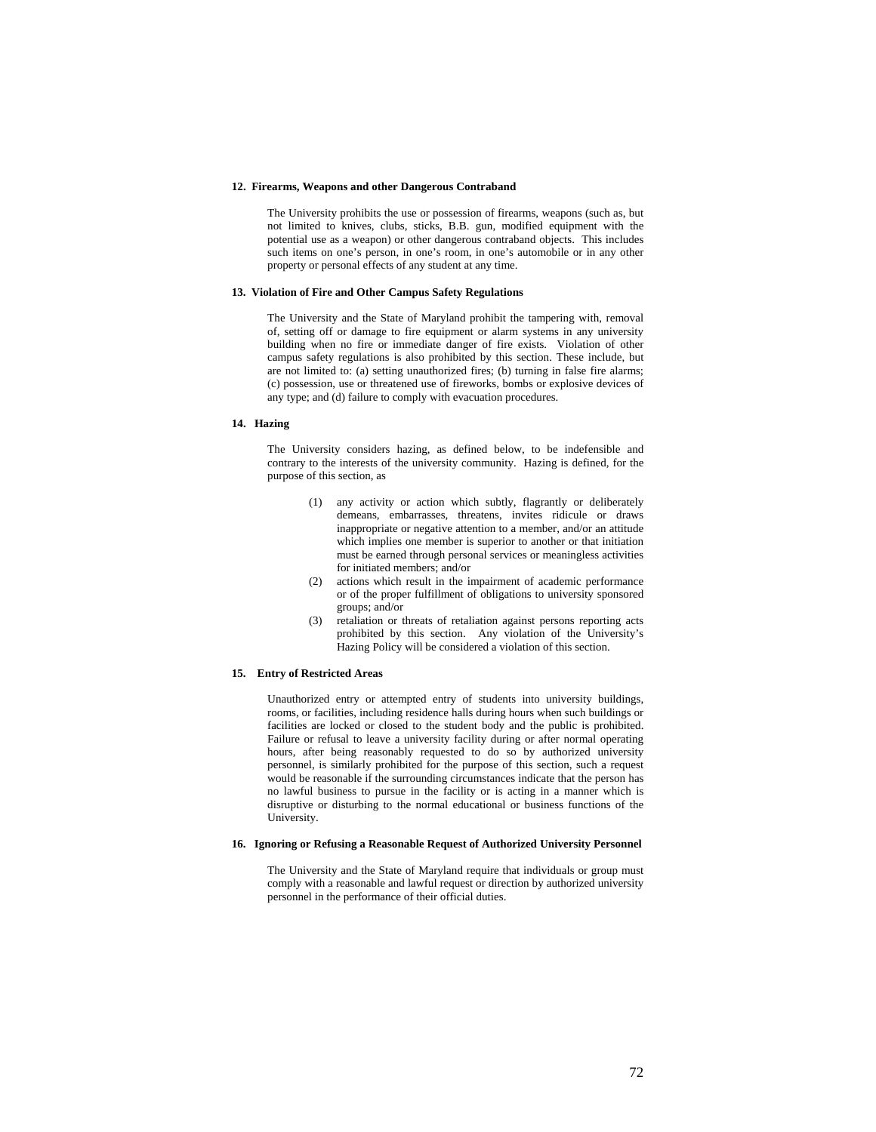### **12. Firearms, Weapons and other Dangerous Contraband**

 The University prohibits the use or possession of firearms, weapons (such as, but not limited to knives, clubs, sticks, B.B. gun, modified equipment with the potential use as a weapon) or other dangerous contraband objects. This includes such items on one's person, in one's room, in one's automobile or in any other property or personal effects of any student at any time.

# **13. Violation of Fire and Other Campus Safety Regulations**

The University and the State of Maryland prohibit the tampering with, removal of, setting off or damage to fire equipment or alarm systems in any university building when no fire or immediate danger of fire exists. Violation of other campus safety regulations is also prohibited by this section. These include, but are not limited to: (a) setting unauthorized fires; (b) turning in false fire alarms; (c) possession, use or threatened use of fireworks, bombs or explosive devices of any type; and (d) failure to comply with evacuation procedures.

# **14. Hazing**

The University considers hazing, as defined below, to be indefensible and contrary to the interests of the university community. Hazing is defined, for the purpose of this section, as

- (1) any activity or action which subtly, flagrantly or deliberately demeans, embarrasses, threatens, invites ridicule or draws inappropriate or negative attention to a member, and/or an attitude which implies one member is superior to another or that initiation must be earned through personal services or meaningless activities for initiated members; and/or
- (2) actions which result in the impairment of academic performance or of the proper fulfillment of obligations to university sponsored groups; and/or
- (3) retaliation or threats of retaliation against persons reporting acts prohibited by this section. Any violation of the University's Hazing Policy will be considered a violation of this section.

# **15. Entry of Restricted Areas**

Unauthorized entry or attempted entry of students into university buildings, rooms, or facilities, including residence halls during hours when such buildings or facilities are locked or closed to the student body and the public is prohibited. Failure or refusal to leave a university facility during or after normal operating hours, after being reasonably requested to do so by authorized university personnel, is similarly prohibited for the purpose of this section, such a request would be reasonable if the surrounding circumstances indicate that the person has no lawful business to pursue in the facility or is acting in a manner which is disruptive or disturbing to the normal educational or business functions of the University.

#### **16. Ignoring or Refusing a Reasonable Request of Authorized University Personnel**

 The University and the State of Maryland require that individuals or group must comply with a reasonable and lawful request or direction by authorized university personnel in the performance of their official duties.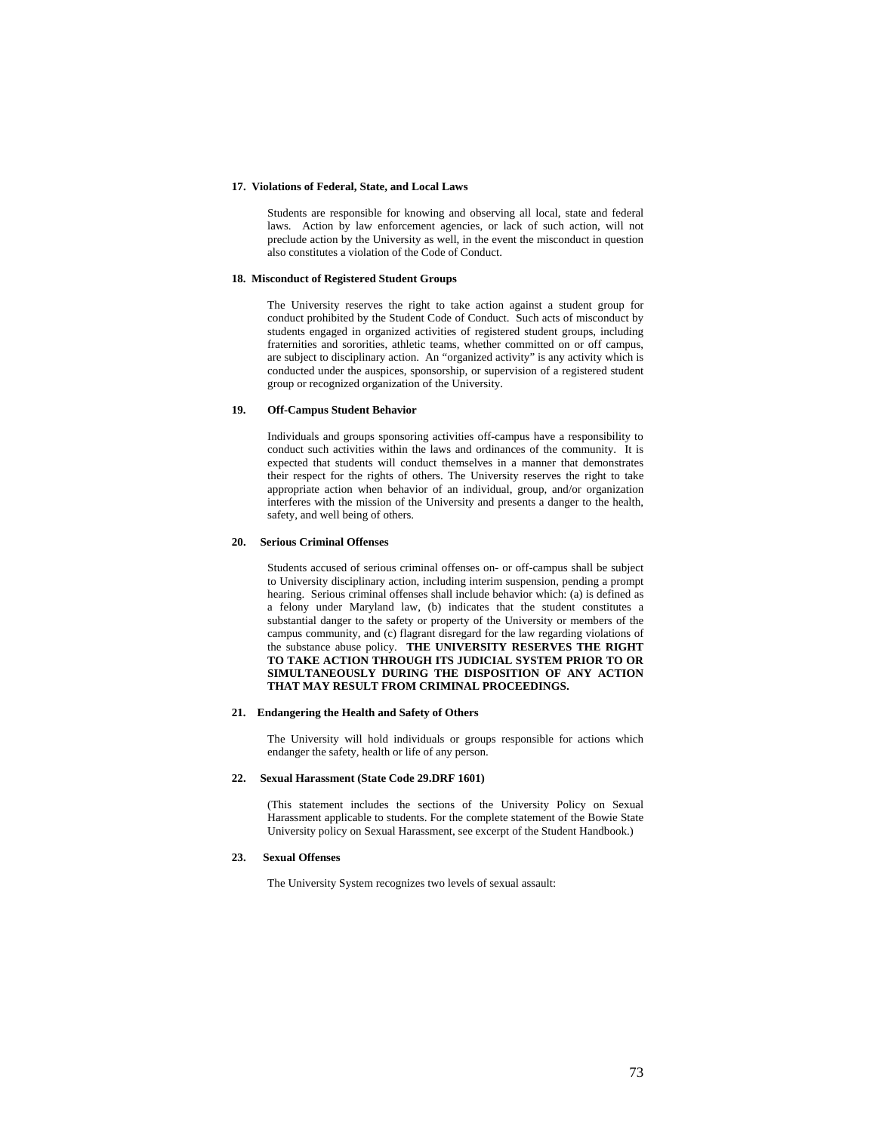## **17. Violations of Federal, State, and Local Laws**

Students are responsible for knowing and observing all local, state and federal laws. Action by law enforcement agencies, or lack of such action, will not preclude action by the University as well, in the event the misconduct in question also constitutes a violation of the Code of Conduct.

### **18. Misconduct of Registered Student Groups**

 The University reserves the right to take action against a student group for conduct prohibited by the Student Code of Conduct. Such acts of misconduct by students engaged in organized activities of registered student groups, including fraternities and sororities, athletic teams, whether committed on or off campus, are subject to disciplinary action. An "organized activity" is any activity which is conducted under the auspices, sponsorship, or supervision of a registered student group or recognized organization of the University.

### **19. Off-Campus Student Behavior**

Individuals and groups sponsoring activities off-campus have a responsibility to conduct such activities within the laws and ordinances of the community. It is expected that students will conduct themselves in a manner that demonstrates their respect for the rights of others. The University reserves the right to take appropriate action when behavior of an individual, group, and/or organization interferes with the mission of the University and presents a danger to the health, safety, and well being of others.

### **20. Serious Criminal Offenses**

 Students accused of serious criminal offenses on- or off-campus shall be subject to University disciplinary action, including interim suspension, pending a prompt hearing. Serious criminal offenses shall include behavior which: (a) is defined as a felony under Maryland law, (b) indicates that the student constitutes a substantial danger to the safety or property of the University or members of the campus community, and (c) flagrant disregard for the law regarding violations of the substance abuse policy. **THE UNIVERSITY RESERVES THE RIGHT TO TAKE ACTION THROUGH ITS JUDICIAL SYSTEM PRIOR TO OR SIMULTANEOUSLY DURING THE DISPOSITION OF ANY ACTION THAT MAY RESULT FROM CRIMINAL PROCEEDINGS.** 

### **21. Endangering the Health and Safety of Others**

The University will hold individuals or groups responsible for actions which endanger the safety, health or life of any person.

### **22. Sexual Harassment (State Code 29.DRF 1601)**

(This statement includes the sections of the University Policy on Sexual Harassment applicable to students. For the complete statement of the Bowie State University policy on Sexual Harassment, see excerpt of the Student Handbook.)

# **23. Sexual Offenses**

The University System recognizes two levels of sexual assault: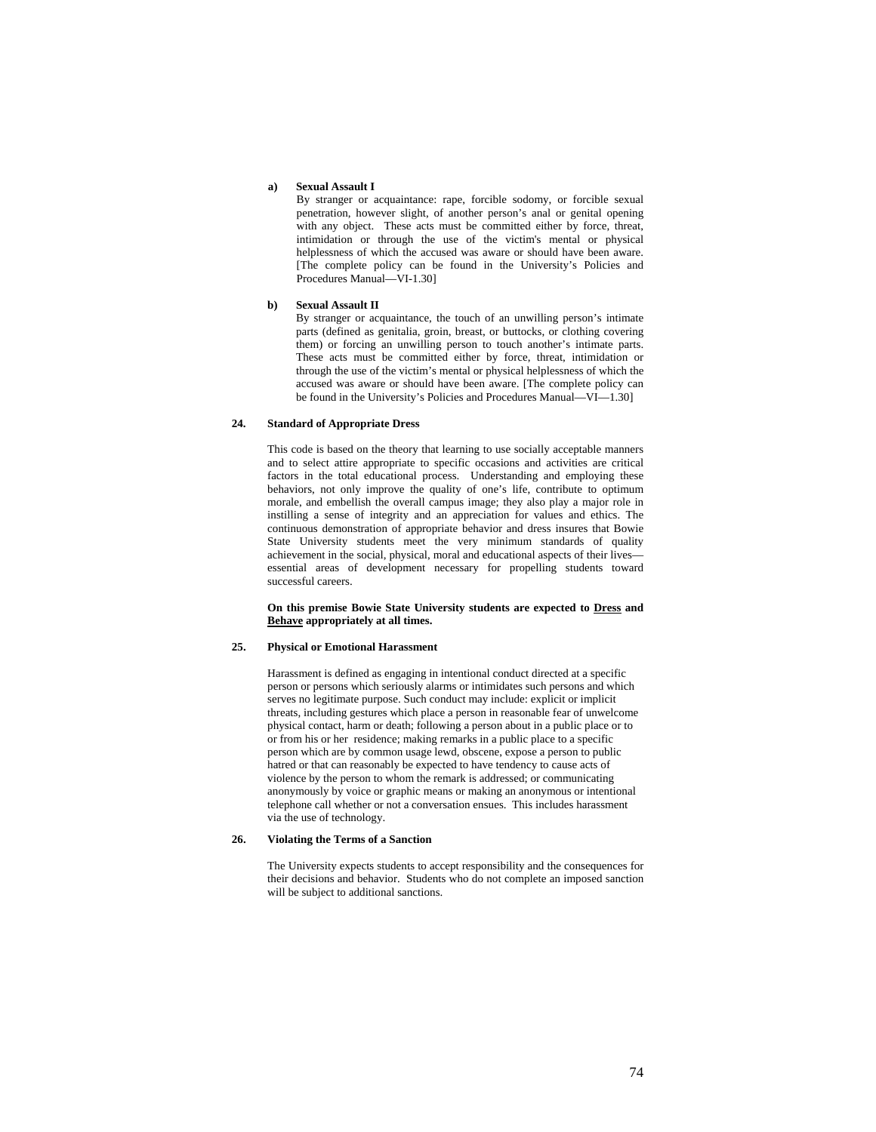#### **a) Sexual Assault I**

By stranger or acquaintance: rape, forcible sodomy, or forcible sexual penetration, however slight, of another person's anal or genital opening with any object. These acts must be committed either by force, threat, intimidation or through the use of the victim's mental or physical helplessness of which the accused was aware or should have been aware. [The complete policy can be found in the University's Policies and Procedures Manual—VI-1.30]

## **b) Sexual Assault II**

By stranger or acquaintance, the touch of an unwilling person's intimate parts (defined as genitalia, groin, breast, or buttocks, or clothing covering them) or forcing an unwilling person to touch another's intimate parts. These acts must be committed either by force, threat, intimidation or through the use of the victim's mental or physical helplessness of which the accused was aware or should have been aware. [The complete policy can be found in the University's Policies and Procedures Manual—VI—1.30]

# **24. Standard of Appropriate Dress**

This code is based on the theory that learning to use socially acceptable manners and to select attire appropriate to specific occasions and activities are critical factors in the total educational process. Understanding and employing these behaviors, not only improve the quality of one's life, contribute to optimum morale, and embellish the overall campus image; they also play a major role in instilling a sense of integrity and an appreciation for values and ethics. The continuous demonstration of appropriate behavior and dress insures that Bowie State University students meet the very minimum standards of quality achievement in the social, physical, moral and educational aspects of their lives essential areas of development necessary for propelling students toward successful careers.

**On this premise Bowie State University students are expected to Dress and Behave appropriately at all times.** 

# **25. Physical or Emotional Harassment**

Harassment is defined as engaging in intentional conduct directed at a specific person or persons which seriously alarms or intimidates such persons and which serves no legitimate purpose. Such conduct may include: explicit or implicit threats, including gestures which place a person in reasonable fear of unwelcome physical contact, harm or death; following a person about in a public place or to or from his or her residence; making remarks in a public place to a specific person which are by common usage lewd, obscene, expose a person to public hatred or that can reasonably be expected to have tendency to cause acts of violence by the person to whom the remark is addressed; or communicating anonymously by voice or graphic means or making an anonymous or intentional telephone call whether or not a conversation ensues. This includes harassment via the use of technology.

# **26. Violating the Terms of a Sanction**

The University expects students to accept responsibility and the consequences for their decisions and behavior. Students who do not complete an imposed sanction will be subject to additional sanctions.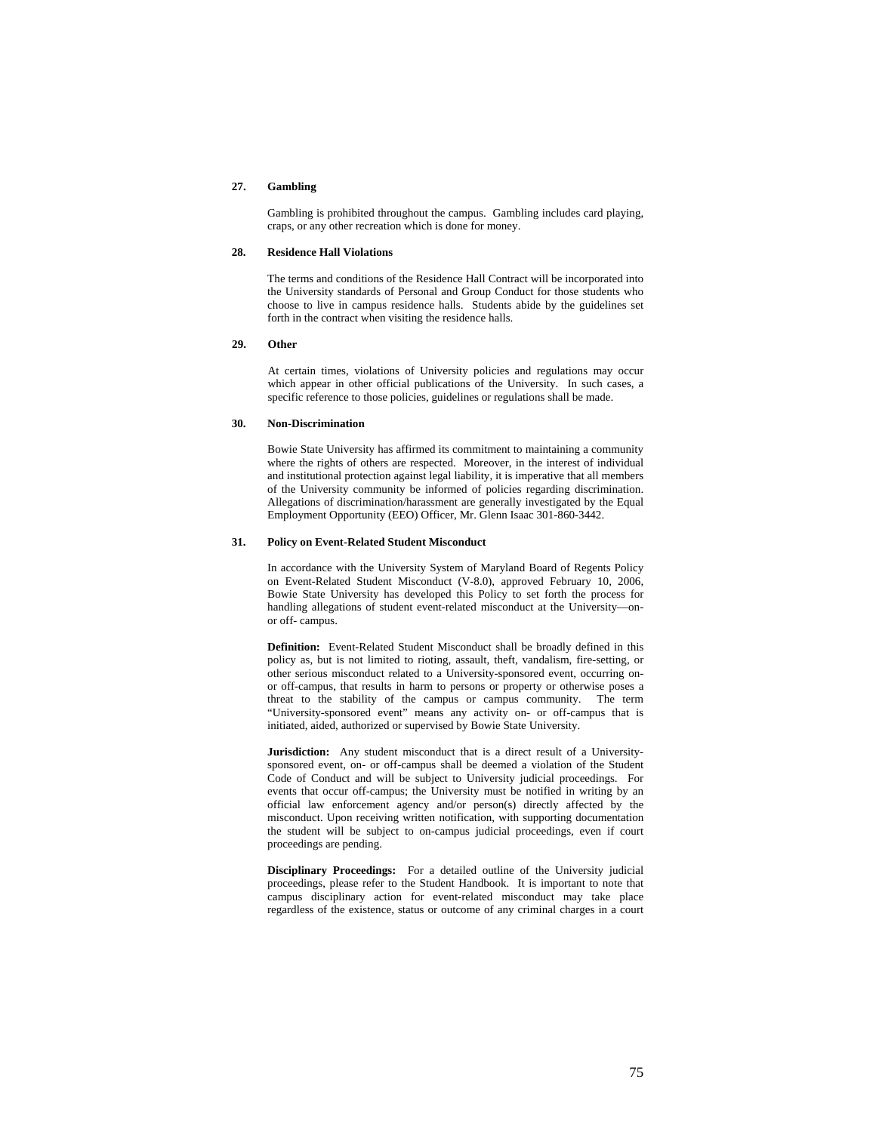# **27. Gambling**

Gambling is prohibited throughout the campus. Gambling includes card playing, craps, or any other recreation which is done for money.

## **28. Residence Hall Violations**

The terms and conditions of the Residence Hall Contract will be incorporated into the University standards of Personal and Group Conduct for those students who choose to live in campus residence halls. Students abide by the guidelines set forth in the contract when visiting the residence halls.

# **29. Other**

At certain times, violations of University policies and regulations may occur which appear in other official publications of the University. In such cases, a specific reference to those policies, guidelines or regulations shall be made.

# **30. Non-Discrimination**

Bowie State University has affirmed its commitment to maintaining a community where the rights of others are respected. Moreover, in the interest of individual and institutional protection against legal liability, it is imperative that all members of the University community be informed of policies regarding discrimination. Allegations of discrimination/harassment are generally investigated by the Equal Employment Opportunity (EEO) Officer, Mr. Glenn Isaac 301-860-3442.

### **31. Policy on Event-Related Student Misconduct**

In accordance with the University System of Maryland Board of Regents Policy on Event-Related Student Misconduct (V-8.0), approved February 10, 2006, Bowie State University has developed this Policy to set forth the process for handling allegations of student event-related misconduct at the University—onor off- campus.

**Definition:** Event-Related Student Misconduct shall be broadly defined in this policy as, but is not limited to rioting, assault, theft, vandalism, fire-setting, or other serious misconduct related to a University-sponsored event, occurring onor off-campus, that results in harm to persons or property or otherwise poses a threat to the stability of the campus or campus community. The term "University-sponsored event" means any activity on- or off-campus that is initiated, aided, authorized or supervised by Bowie State University.

**Jurisdiction:** Any student misconduct that is a direct result of a Universitysponsored event, on- or off-campus shall be deemed a violation of the Student Code of Conduct and will be subject to University judicial proceedings. For events that occur off-campus; the University must be notified in writing by an official law enforcement agency and/or person(s) directly affected by the misconduct. Upon receiving written notification, with supporting documentation the student will be subject to on-campus judicial proceedings, even if court proceedings are pending.

**Disciplinary Proceedings:** For a detailed outline of the University judicial proceedings, please refer to the Student Handbook. It is important to note that campus disciplinary action for event-related misconduct may take place regardless of the existence, status or outcome of any criminal charges in a court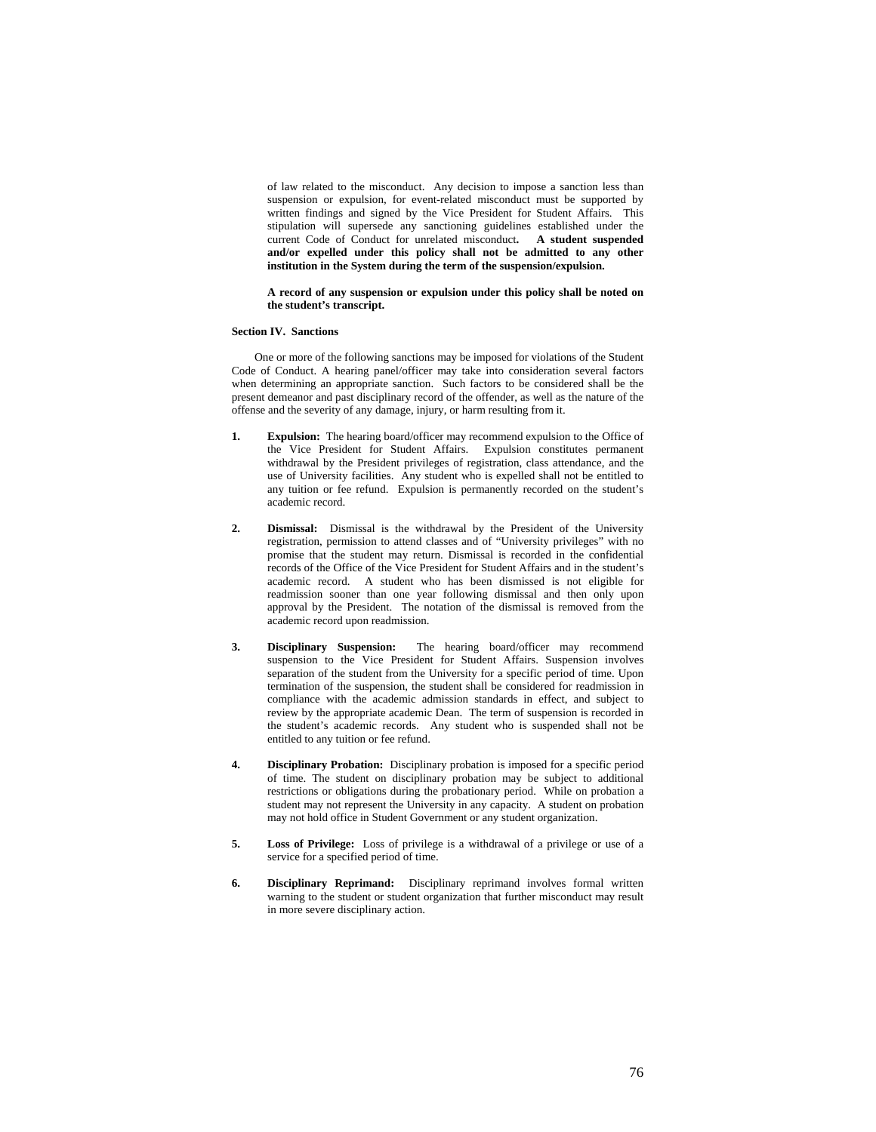of law related to the misconduct. Any decision to impose a sanction less than suspension or expulsion, for event-related misconduct must be supported by written findings and signed by the Vice President for Student Affairs. This stipulation will supersede any sanctioning guidelines established under the current Code of Conduct for unrelated misconduct**. A student suspended and/or expelled under this policy shall not be admitted to any other institution in the System during the term of the suspension/expulsion.** 

### **A record of any suspension or expulsion under this policy shall be noted on the student's transcript.**

### **Section IV. Sanctions**

 One or more of the following sanctions may be imposed for violations of the Student Code of Conduct. A hearing panel/officer may take into consideration several factors when determining an appropriate sanction. Such factors to be considered shall be the present demeanor and past disciplinary record of the offender, as well as the nature of the offense and the severity of any damage, injury, or harm resulting from it.

- **1.** Expulsion: The hearing board/officer may recommend expulsion to the Office of the Vice President for Student Affairs. Expulsion constitutes permanent withdrawal by the President privileges of registration, class attendance, and the use of University facilities. Any student who is expelled shall not be entitled to any tuition or fee refund. Expulsion is permanently recorded on the student's academic record.
- **2. Dismissal:** Dismissal is the withdrawal by the President of the University registration, permission to attend classes and of "University privileges" with no promise that the student may return. Dismissal is recorded in the confidential records of the Office of the Vice President for Student Affairs and in the student's academic record. A student who has been dismissed is not eligible for readmission sooner than one year following dismissal and then only upon approval by the President. The notation of the dismissal is removed from the academic record upon readmission.
- **3. Disciplinary Suspension:** The hearing board/officer may recommend suspension to the Vice President for Student Affairs. Suspension involves separation of the student from the University for a specific period of time. Upon termination of the suspension, the student shall be considered for readmission in compliance with the academic admission standards in effect, and subject to review by the appropriate academic Dean. The term of suspension is recorded in the student's academic records. Any student who is suspended shall not be entitled to any tuition or fee refund.
- **4. Disciplinary Probation:** Disciplinary probation is imposed for a specific period of time. The student on disciplinary probation may be subject to additional restrictions or obligations during the probationary period. While on probation a student may not represent the University in any capacity. A student on probation may not hold office in Student Government or any student organization.
- **5. Loss of Privilege:** Loss of privilege is a withdrawal of a privilege or use of a service for a specified period of time.
- **6. Disciplinary Reprimand:** Disciplinary reprimand involves formal written warning to the student or student organization that further misconduct may result in more severe disciplinary action.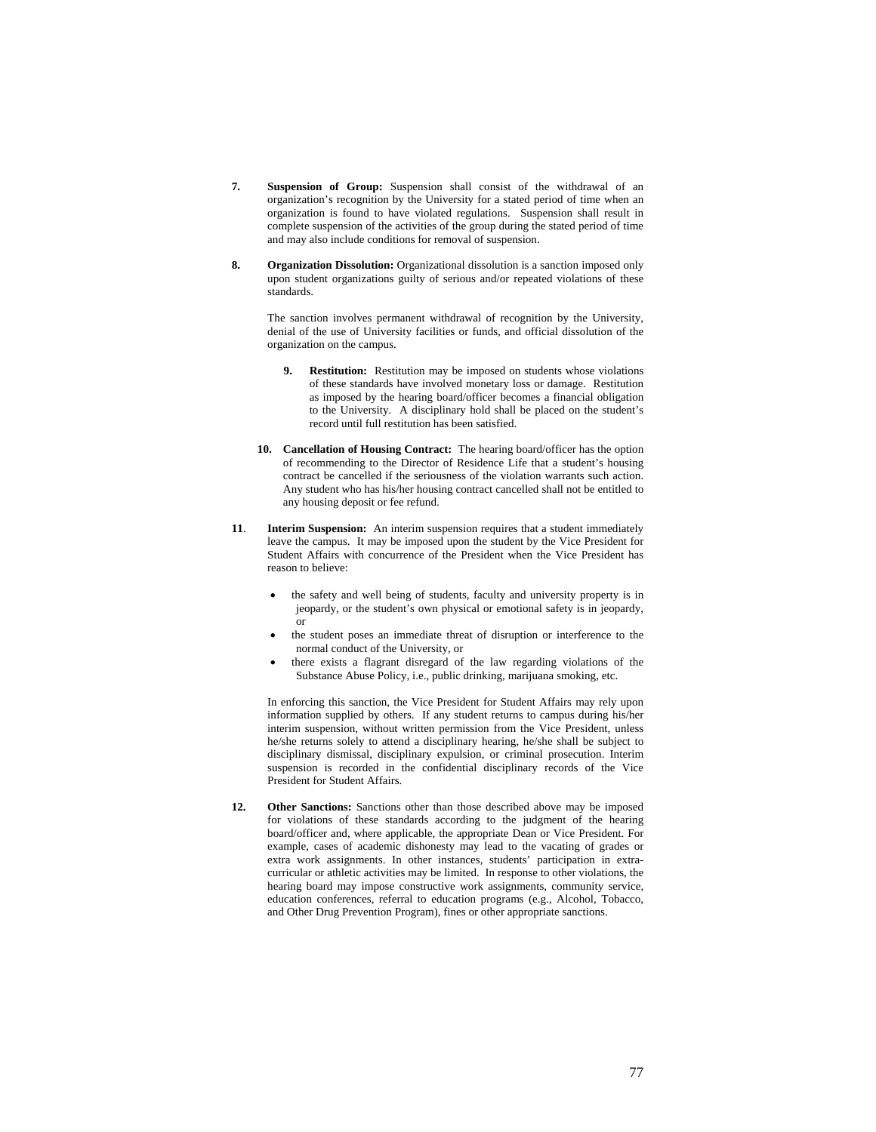- **7. Suspension of Group:** Suspension shall consist of the withdrawal of an organization's recognition by the University for a stated period of time when an organization is found to have violated regulations. Suspension shall result in complete suspension of the activities of the group during the stated period of time and may also include conditions for removal of suspension.
- **8. Organization Dissolution:** Organizational dissolution is a sanction imposed only upon student organizations guilty of serious and/or repeated violations of these standards.

 The sanction involves permanent withdrawal of recognition by the University, denial of the use of University facilities or funds, and official dissolution of the organization on the campus.

- **9. Restitution:** Restitution may be imposed on students whose violations of these standards have involved monetary loss or damage. Restitution as imposed by the hearing board/officer becomes a financial obligation to the University. A disciplinary hold shall be placed on the student's record until full restitution has been satisfied.
- **10. Cancellation of Housing Contract:** The hearing board/officer has the option of recommending to the Director of Residence Life that a student's housing contract be cancelled if the seriousness of the violation warrants such action. Any student who has his/her housing contract cancelled shall not be entitled to any housing deposit or fee refund.
- **11**. **Interim Suspension:** An interim suspension requires that a student immediately leave the campus. It may be imposed upon the student by the Vice President for Student Affairs with concurrence of the President when the Vice President has reason to believe:
	- the safety and well being of students, faculty and university property is in jeopardy, or the student's own physical or emotional safety is in jeopardy, or
	- the student poses an immediate threat of disruption or interference to the normal conduct of the University, or
	- there exists a flagrant disregard of the law regarding violations of the Substance Abuse Policy, i.e., public drinking, marijuana smoking, etc.

In enforcing this sanction, the Vice President for Student Affairs may rely upon information supplied by others. If any student returns to campus during his/her interim suspension, without written permission from the Vice President, unless he/she returns solely to attend a disciplinary hearing, he/she shall be subject to disciplinary dismissal, disciplinary expulsion, or criminal prosecution. Interim suspension is recorded in the confidential disciplinary records of the Vice President for Student Affairs.

**12. Other Sanctions:** Sanctions other than those described above may be imposed for violations of these standards according to the judgment of the hearing board/officer and, where applicable, the appropriate Dean or Vice President. For example, cases of academic dishonesty may lead to the vacating of grades or extra work assignments. In other instances, students' participation in extracurricular or athletic activities may be limited. In response to other violations, the hearing board may impose constructive work assignments, community service, education conferences, referral to education programs (e.g., Alcohol, Tobacco, and Other Drug Prevention Program), fines or other appropriate sanctions.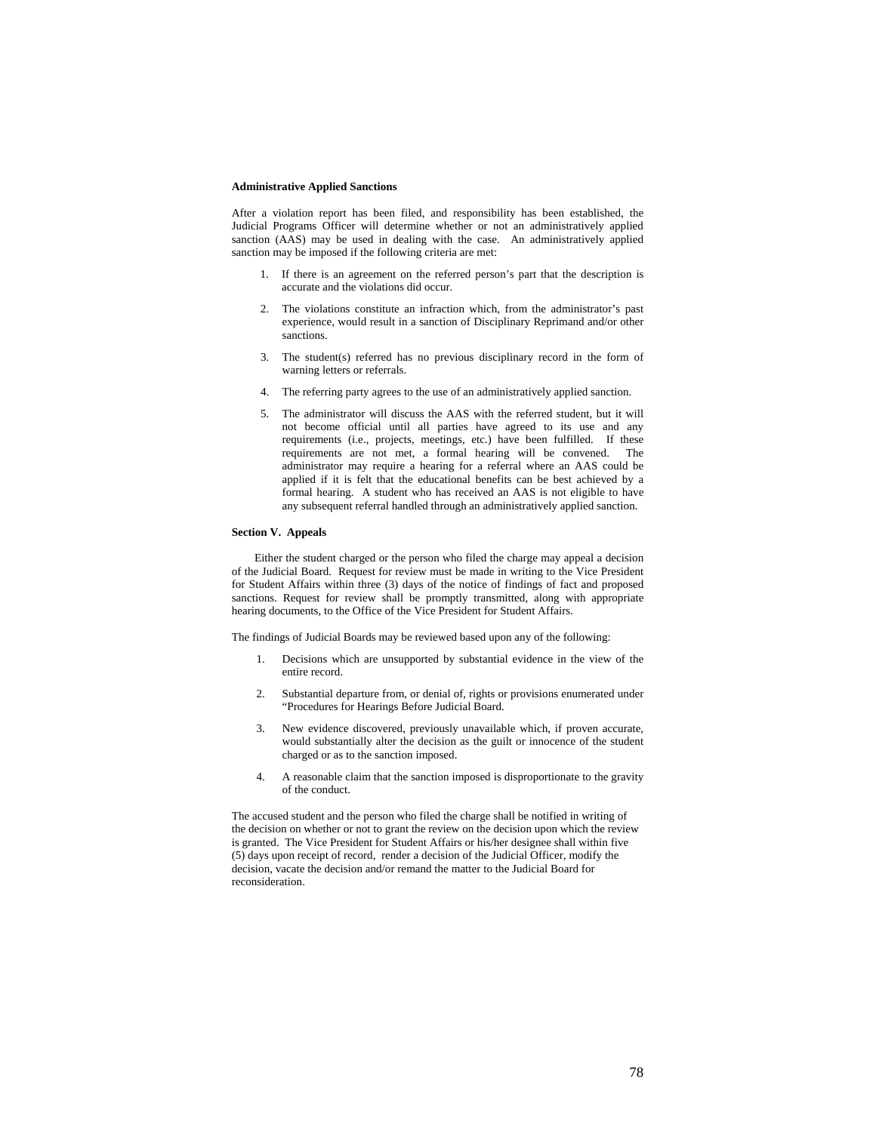### **Administrative Applied Sanctions**

After a violation report has been filed, and responsibility has been established, the Judicial Programs Officer will determine whether or not an administratively applied sanction (AAS) may be used in dealing with the case. An administratively applied sanction may be imposed if the following criteria are met:

- 1. If there is an agreement on the referred person's part that the description is accurate and the violations did occur.
- 2. The violations constitute an infraction which, from the administrator's past experience, would result in a sanction of Disciplinary Reprimand and/or other sanctions.
- 3. The student(s) referred has no previous disciplinary record in the form of warning letters or referrals.
- 4. The referring party agrees to the use of an administratively applied sanction.
- 5. The administrator will discuss the AAS with the referred student, but it will not become official until all parties have agreed to its use and any requirements (i.e., projects, meetings, etc.) have been fulfilled. If these requirements are not met, a formal hearing will be convened. The administrator may require a hearing for a referral where an AAS could be applied if it is felt that the educational benefits can be best achieved by a formal hearing. A student who has received an AAS is not eligible to have any subsequent referral handled through an administratively applied sanction.

# **Section V. Appeals**

 Either the student charged or the person who filed the charge may appeal a decision of the Judicial Board. Request for review must be made in writing to the Vice President for Student Affairs within three (3) days of the notice of findings of fact and proposed sanctions. Request for review shall be promptly transmitted, along with appropriate hearing documents, to the Office of the Vice President for Student Affairs.

The findings of Judicial Boards may be reviewed based upon any of the following:

- 1. Decisions which are unsupported by substantial evidence in the view of the entire record.
- 2. Substantial departure from, or denial of, rights or provisions enumerated under "Procedures for Hearings Before Judicial Board.
- 3. New evidence discovered, previously unavailable which, if proven accurate, would substantially alter the decision as the guilt or innocence of the student charged or as to the sanction imposed.
- 4. A reasonable claim that the sanction imposed is disproportionate to the gravity of the conduct.

The accused student and the person who filed the charge shall be notified in writing of the decision on whether or not to grant the review on the decision upon which the review is granted. The Vice President for Student Affairs or his/her designee shall within five (5) days upon receipt of record, render a decision of the Judicial Officer, modify the decision, vacate the decision and/or remand the matter to the Judicial Board for reconsideration.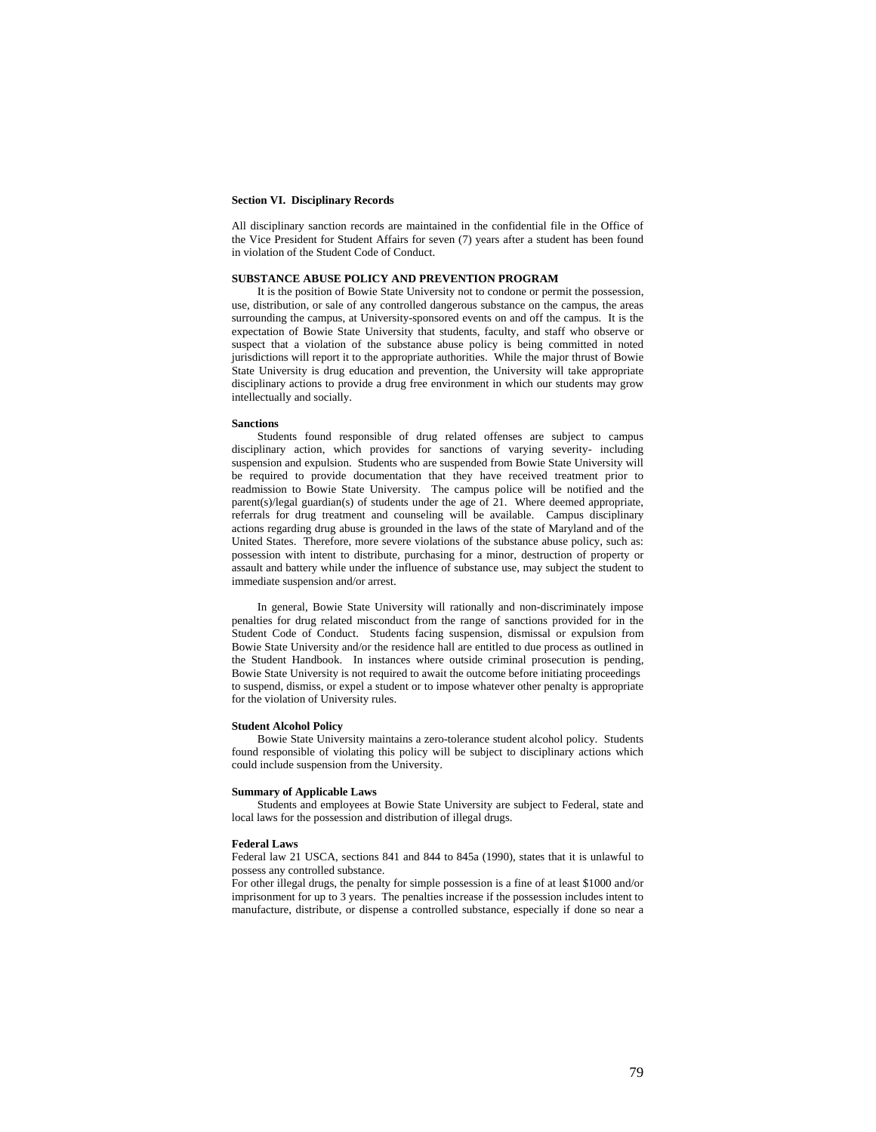#### **Section VI. Disciplinary Records**

All disciplinary sanction records are maintained in the confidential file in the Office of the Vice President for Student Affairs for seven (7) years after a student has been found in violation of the Student Code of Conduct.

# **SUBSTANCE ABUSE POLICY AND PREVENTION PROGRAM**

It is the position of Bowie State University not to condone or permit the possession, use, distribution, or sale of any controlled dangerous substance on the campus, the areas surrounding the campus, at University-sponsored events on and off the campus. It is the expectation of Bowie State University that students, faculty, and staff who observe or suspect that a violation of the substance abuse policy is being committed in noted jurisdictions will report it to the appropriate authorities. While the major thrust of Bowie State University is drug education and prevention, the University will take appropriate disciplinary actions to provide a drug free environment in which our students may grow intellectually and socially.

#### **Sanctions**

Students found responsible of drug related offenses are subject to campus disciplinary action, which provides for sanctions of varying severity- including suspension and expulsion. Students who are suspended from Bowie State University will be required to provide documentation that they have received treatment prior to readmission to Bowie State University. The campus police will be notified and the parent(s)/legal guardian(s) of students under the age of 21. Where deemed appropriate, referrals for drug treatment and counseling will be available. Campus disciplinary actions regarding drug abuse is grounded in the laws of the state of Maryland and of the United States. Therefore, more severe violations of the substance abuse policy, such as: possession with intent to distribute, purchasing for a minor, destruction of property or assault and battery while under the influence of substance use, may subject the student to immediate suspension and/or arrest.

In general, Bowie State University will rationally and non-discriminately impose penalties for drug related misconduct from the range of sanctions provided for in the Student Code of Conduct. Students facing suspension, dismissal or expulsion from Bowie State University and/or the residence hall are entitled to due process as outlined in the Student Handbook. In instances where outside criminal prosecution is pending, Bowie State University is not required to await the outcome before initiating proceedings to suspend, dismiss, or expel a student or to impose whatever other penalty is appropriate for the violation of University rules.

#### **Student Alcohol Policy**

Bowie State University maintains a zero-tolerance student alcohol policy. Students found responsible of violating this policy will be subject to disciplinary actions which could include suspension from the University.

### **Summary of Applicable Laws**

Students and employees at Bowie State University are subject to Federal, state and local laws for the possession and distribution of illegal drugs.

#### **Federal Laws**

Federal law 21 USCA, sections 841 and 844 to 845a (1990), states that it is unlawful to possess any controlled substance.

For other illegal drugs, the penalty for simple possession is a fine of at least \$1000 and/or imprisonment for up to 3 years. The penalties increase if the possession includes intent to manufacture, distribute, or dispense a controlled substance, especially if done so near a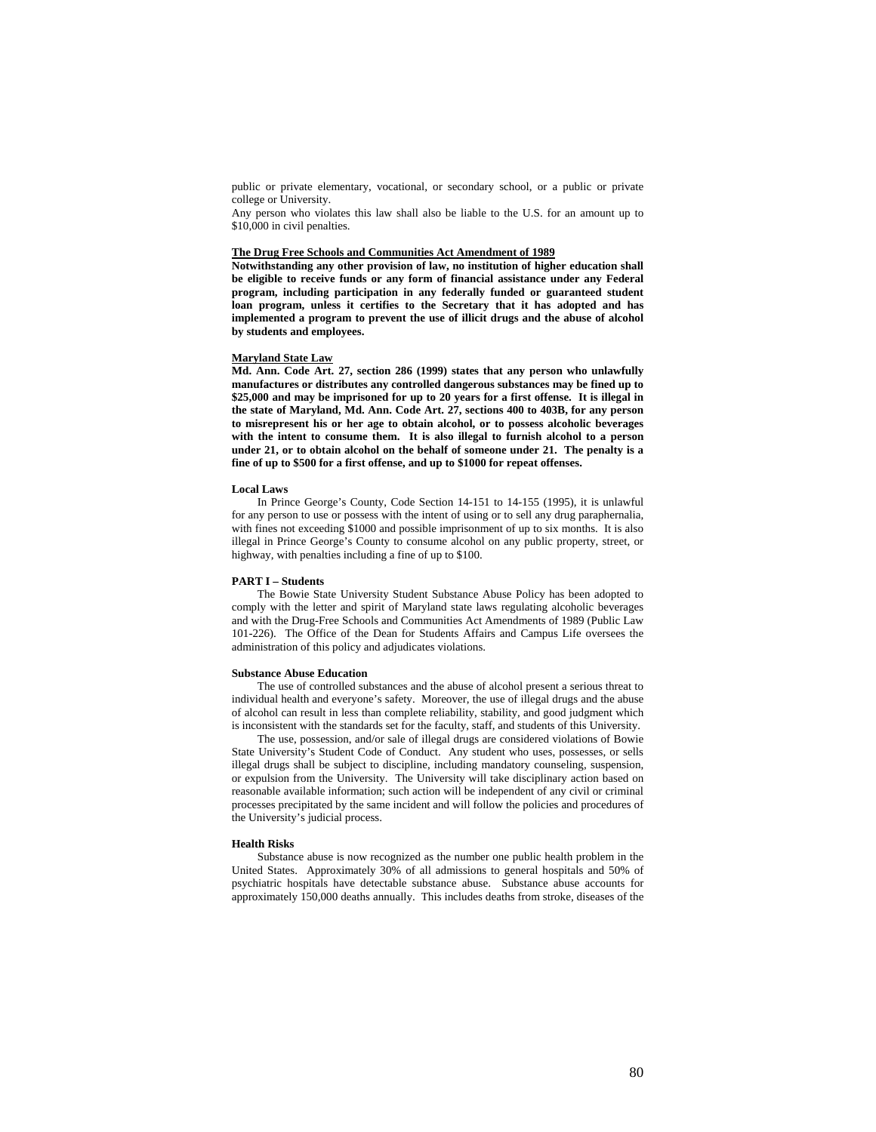public or private elementary, vocational, or secondary school, or a public or private college or University.

Any person who violates this law shall also be liable to the U.S. for an amount up to \$10,000 in civil penalties.

### **The Drug Free Schools and Communities Act Amendment of 1989**

**Notwithstanding any other provision of law, no institution of higher education shall be eligible to receive funds or any form of financial assistance under any Federal program, including participation in any federally funded or guaranteed student loan program, unless it certifies to the Secretary that it has adopted and has implemented a program to prevent the use of illicit drugs and the abuse of alcohol by students and employees.** 

#### **Maryland State Law**

**Md. Ann. Code Art. 27, section 286 (1999) states that any person who unlawfully manufactures or distributes any controlled dangerous substances may be fined up to \$25,000 and may be imprisoned for up to 20 years for a first offense. It is illegal in the state of Maryland, Md. Ann. Code Art. 27, sections 400 to 403B, for any person to misrepresent his or her age to obtain alcohol, or to possess alcoholic beverages with the intent to consume them. It is also illegal to furnish alcohol to a person under 21, or to obtain alcohol on the behalf of someone under 21. The penalty is a fine of up to \$500 for a first offense, and up to \$1000 for repeat offenses.** 

#### **Local Laws**

In Prince George's County, Code Section 14-151 to 14-155 (1995), it is unlawful for any person to use or possess with the intent of using or to sell any drug paraphernalia, with fines not exceeding \$1000 and possible imprisonment of up to six months. It is also illegal in Prince George's County to consume alcohol on any public property, street, or highway, with penalties including a fine of up to \$100.

#### **PART I – Students**

The Bowie State University Student Substance Abuse Policy has been adopted to comply with the letter and spirit of Maryland state laws regulating alcoholic beverages and with the Drug-Free Schools and Communities Act Amendments of 1989 (Public Law 101-226). The Office of the Dean for Students Affairs and Campus Life oversees the administration of this policy and adjudicates violations.

#### **Substance Abuse Education**

The use of controlled substances and the abuse of alcohol present a serious threat to individual health and everyone's safety. Moreover, the use of illegal drugs and the abuse of alcohol can result in less than complete reliability, stability, and good judgment which is inconsistent with the standards set for the faculty, staff, and students of this University.

The use, possession, and/or sale of illegal drugs are considered violations of Bowie State University's Student Code of Conduct. Any student who uses, possesses, or sells illegal drugs shall be subject to discipline, including mandatory counseling, suspension, or expulsion from the University. The University will take disciplinary action based on reasonable available information; such action will be independent of any civil or criminal processes precipitated by the same incident and will follow the policies and procedures of the University's judicial process.

#### **Health Risks**

Substance abuse is now recognized as the number one public health problem in the United States. Approximately 30% of all admissions to general hospitals and 50% of psychiatric hospitals have detectable substance abuse. Substance abuse accounts for approximately 150,000 deaths annually. This includes deaths from stroke, diseases of the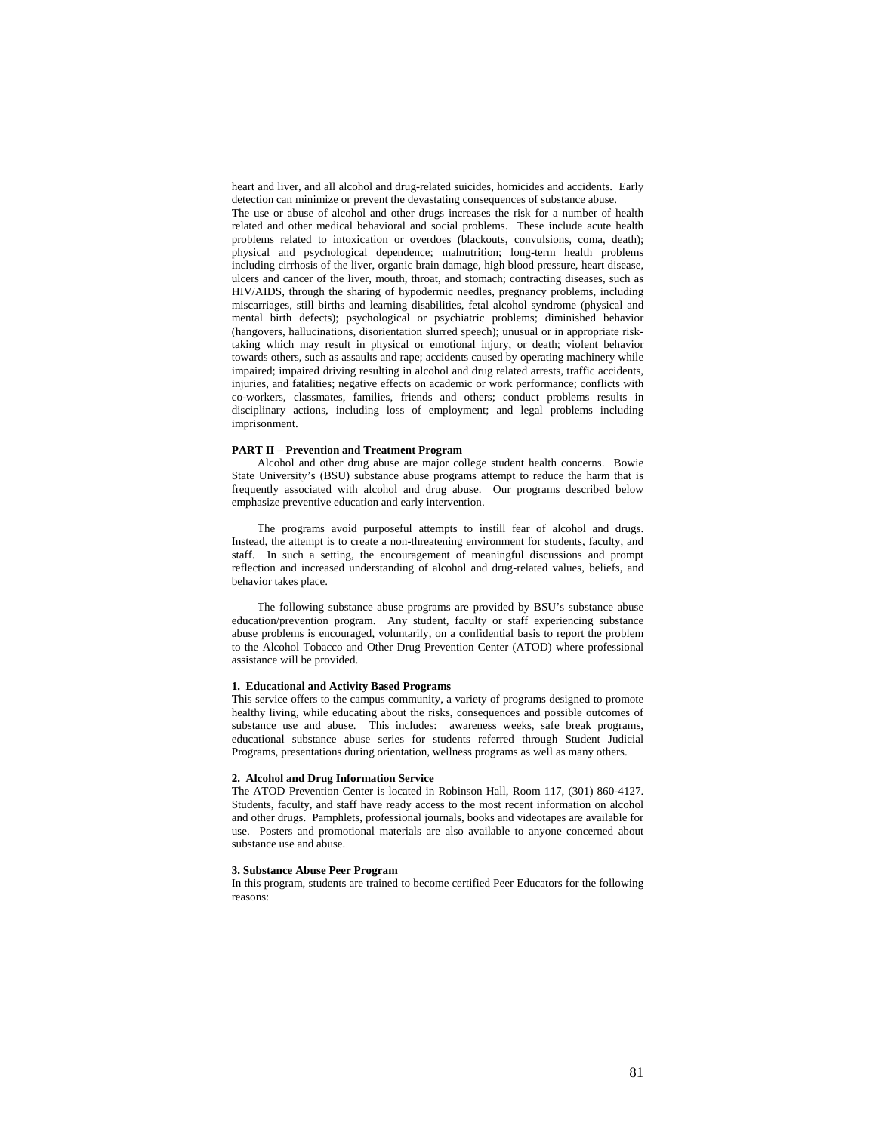heart and liver, and all alcohol and drug-related suicides, homicides and accidents. Early detection can minimize or prevent the devastating consequences of substance abuse.

The use or abuse of alcohol and other drugs increases the risk for a number of health related and other medical behavioral and social problems. These include acute health problems related to intoxication or overdoes (blackouts, convulsions, coma, death); physical and psychological dependence; malnutrition; long-term health problems including cirrhosis of the liver, organic brain damage, high blood pressure, heart disease, ulcers and cancer of the liver, mouth, throat, and stomach; contracting diseases, such as HIV/AIDS, through the sharing of hypodermic needles, pregnancy problems, including miscarriages, still births and learning disabilities, fetal alcohol syndrome (physical and mental birth defects); psychological or psychiatric problems; diminished behavior (hangovers, hallucinations, disorientation slurred speech); unusual or in appropriate risktaking which may result in physical or emotional injury, or death; violent behavior towards others, such as assaults and rape; accidents caused by operating machinery while impaired; impaired driving resulting in alcohol and drug related arrests, traffic accidents, injuries, and fatalities; negative effects on academic or work performance; conflicts with co-workers, classmates, families, friends and others; conduct problems results in disciplinary actions, including loss of employment; and legal problems including imprisonment.

### **PART II – Prevention and Treatment Program**

Alcohol and other drug abuse are major college student health concerns. Bowie State University's (BSU) substance abuse programs attempt to reduce the harm that is frequently associated with alcohol and drug abuse. Our programs described below emphasize preventive education and early intervention.

The programs avoid purposeful attempts to instill fear of alcohol and drugs. Instead, the attempt is to create a non-threatening environment for students, faculty, and staff. In such a setting, the encouragement of meaningful discussions and prompt reflection and increased understanding of alcohol and drug-related values, beliefs, and behavior takes place.

The following substance abuse programs are provided by BSU's substance abuse education/prevention program. Any student, faculty or staff experiencing substance abuse problems is encouraged, voluntarily, on a confidential basis to report the problem to the Alcohol Tobacco and Other Drug Prevention Center (ATOD) where professional assistance will be provided.

# **1. Educational and Activity Based Programs**

This service offers to the campus community, a variety of programs designed to promote healthy living, while educating about the risks, consequences and possible outcomes of substance use and abuse. This includes: awareness weeks, safe break programs, educational substance abuse series for students referred through Student Judicial Programs, presentations during orientation, wellness programs as well as many others.

### **2. Alcohol and Drug Information Service**

The ATOD Prevention Center is located in Robinson Hall, Room 117, (301) 860-4127. Students, faculty, and staff have ready access to the most recent information on alcohol and other drugs. Pamphlets, professional journals, books and videotapes are available for use. Posters and promotional materials are also available to anyone concerned about substance use and abuse.

# **3. Substance Abuse Peer Program**

In this program, students are trained to become certified Peer Educators for the following reasons: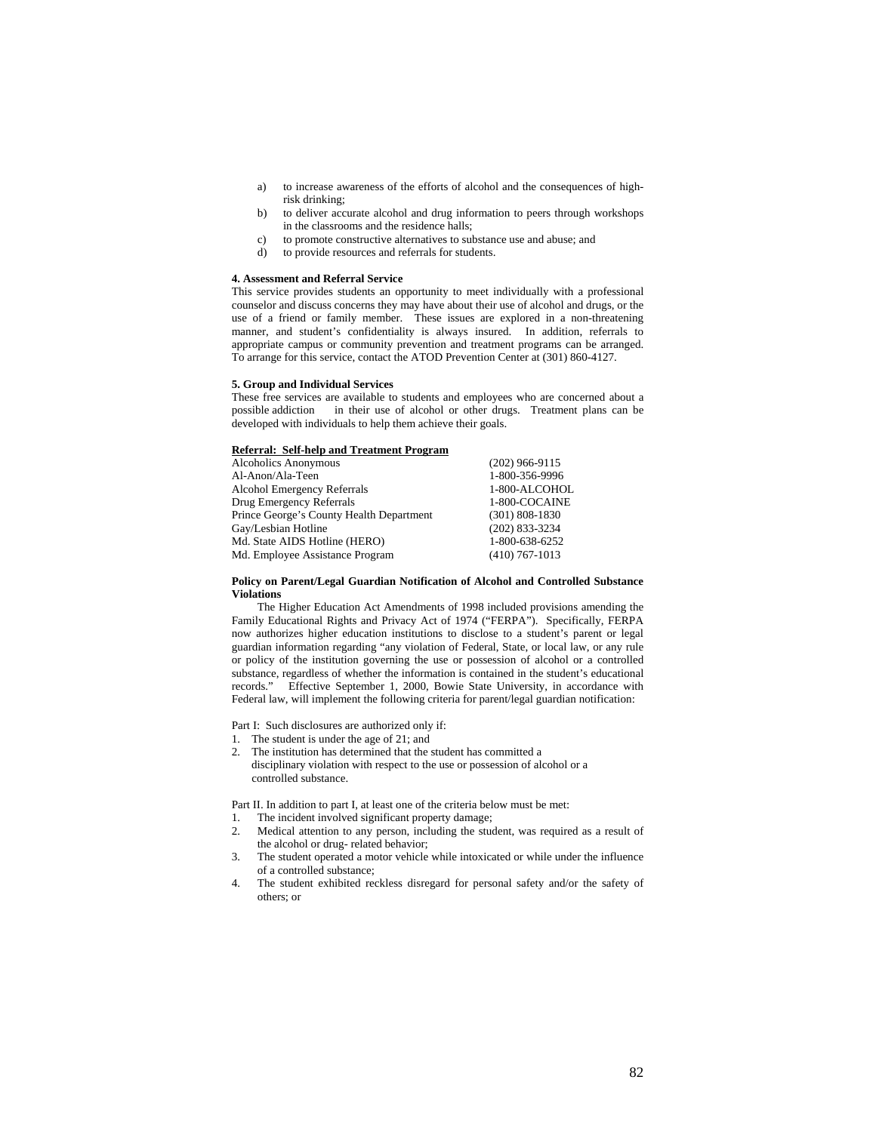- a) to increase awareness of the efforts of alcohol and the consequences of highrisk drinking;
- b) to deliver accurate alcohol and drug information to peers through workshops in the classrooms and the residence halls;
- c) to promote constructive alternatives to substance use and abuse; and
- d) to provide resources and referrals for students.

#### **4. Assessment and Referral Service**

This service provides students an opportunity to meet individually with a professional counselor and discuss concerns they may have about their use of alcohol and drugs, or the use of a friend or family member. These issues are explored in a non-threatening manner, and student's confidentiality is always insured. In addition, referrals to appropriate campus or community prevention and treatment programs can be arranged. To arrange for this service, contact the ATOD Prevention Center at (301) 860-4127.

### **5. Group and Individual Services**

These free services are available to students and employees who are concerned about a possible addiction in their use of alcohol or other drugs. Treatment plans can be developed with individuals to help them achieve their goals.

# **Referral: Self-help and Treatment Program**

| <b>Alcoholics Anonymous</b>              | $(202)$ 966-9115   |
|------------------------------------------|--------------------|
| Al-Anon/Ala-Teen                         | 1-800-356-9996     |
| <b>Alcohol Emergency Referrals</b>       | 1-800-ALCOHOL      |
| Drug Emergency Referrals                 | 1-800-COCAINE      |
| Prince George's County Health Department | $(301) 808 - 1830$ |
| Gay/Lesbian Hotline                      | $(202)$ 833-3234   |
| Md. State AIDS Hotline (HERO)            | 1-800-638-6252     |
| Md. Employee Assistance Program          | $(410)$ 767-1013   |

## **Policy on Parent/Legal Guardian Notification of Alcohol and Controlled Substance Violations**

The Higher Education Act Amendments of 1998 included provisions amending the Family Educational Rights and Privacy Act of 1974 ("FERPA"). Specifically, FERPA now authorizes higher education institutions to disclose to a student's parent or legal guardian information regarding "any violation of Federal, State, or local law, or any rule or policy of the institution governing the use or possession of alcohol or a controlled substance, regardless of whether the information is contained in the student's educational records." Effective September 1, 2000, Bowie State University, in accordance with Federal law, will implement the following criteria for parent/legal guardian notification:

Part I: Such disclosures are authorized only if:

- The student is under the age of 21; and
- 2. The institution has determined that the student has committed a disciplinary violation with respect to the use or possession of alcohol or a controlled substance.

Part II. In addition to part I, at least one of the criteria below must be met:

- 1. The incident involved significant property damage;
- 2. Medical attention to any person, including the student, was required as a result of the alcohol or drug- related behavior;
- 3. The student operated a motor vehicle while intoxicated or while under the influence of a controlled substance;
- 4. The student exhibited reckless disregard for personal safety and/or the safety of others; or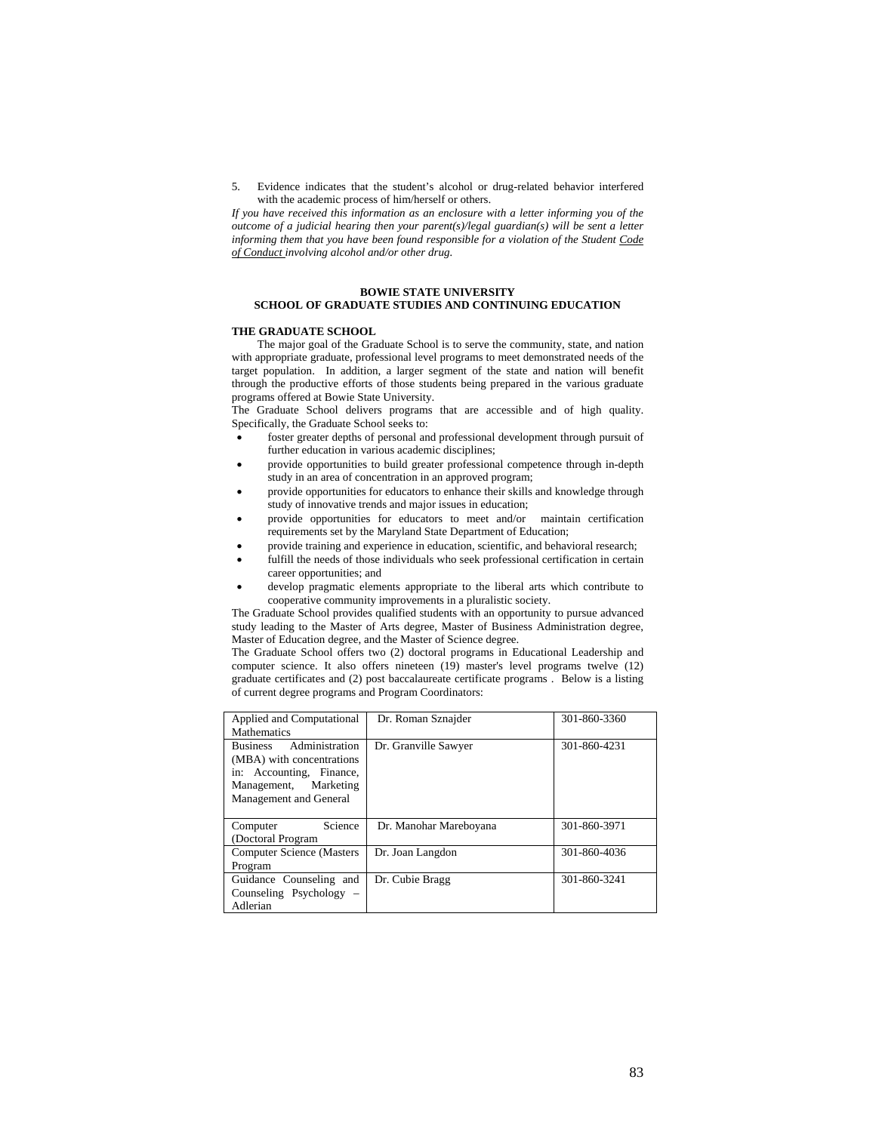5. Evidence indicates that the student's alcohol or drug-related behavior interfered with the academic process of him/herself or others.

*If you have received this information as an enclosure with a letter informing you of the outcome of a judicial hearing then your parent(s)/legal guardian(s) will be sent a letter informing them that you have been found responsible for a violation of the Student Code of Conduct involving alcohol and/or other drug.* 

# **BOWIE STATE UNIVERSITY**

# **SCHOOL OF GRADUATE STUDIES AND CONTINUING EDUCATION**

### **THE GRADUATE SCHOOL**

The major goal of the Graduate School is to serve the community, state, and nation with appropriate graduate, professional level programs to meet demonstrated needs of the target population. In addition, a larger segment of the state and nation will benefit through the productive efforts of those students being prepared in the various graduate programs offered at Bowie State University.

The Graduate School delivers programs that are accessible and of high quality. Specifically, the Graduate School seeks to:

- foster greater depths of personal and professional development through pursuit of further education in various academic disciplines;
- provide opportunities to build greater professional competence through in-depth study in an area of concentration in an approved program;
- provide opportunities for educators to enhance their skills and knowledge through study of innovative trends and major issues in education;
- provide opportunities for educators to meet and/or maintain certification requirements set by the Maryland State Department of Education;
- provide training and experience in education, scientific, and behavioral research;
- fulfill the needs of those individuals who seek professional certification in certain career opportunities; and
- develop pragmatic elements appropriate to the liberal arts which contribute to cooperative community improvements in a pluralistic society.

The Graduate School provides qualified students with an opportunity to pursue advanced study leading to the Master of Arts degree, Master of Business Administration degree, Master of Education degree, and the Master of Science degree.

The Graduate School offers two (2) doctoral programs in Educational Leadership and computer science. It also offers nineteen (19) master's level programs twelve (12) graduate certificates and (2) post baccalaureate certificate programs . Below is a listing of current degree programs and Program Coordinators:

| Applied and Computational                                                                                                                     | Dr. Roman Sznajder     | 301-860-3360 |
|-----------------------------------------------------------------------------------------------------------------------------------------------|------------------------|--------------|
| <b>Mathematics</b>                                                                                                                            |                        |              |
| Administration<br><b>Business</b><br>(MBA) with concentrations<br>in: Accounting, Finance,<br>Management, Marketing<br>Management and General | Dr. Granville Sawyer   | 301-860-4231 |
| Science<br>Computer<br>(Doctoral Program                                                                                                      | Dr. Manohar Mareboyana | 301-860-3971 |
| <b>Computer Science (Masters</b> )<br>Program                                                                                                 | Dr. Joan Langdon       | 301-860-4036 |
| Guidance Counseling and<br>Counseling Psychology –<br>Adlerian                                                                                | Dr. Cubie Bragg        | 301-860-3241 |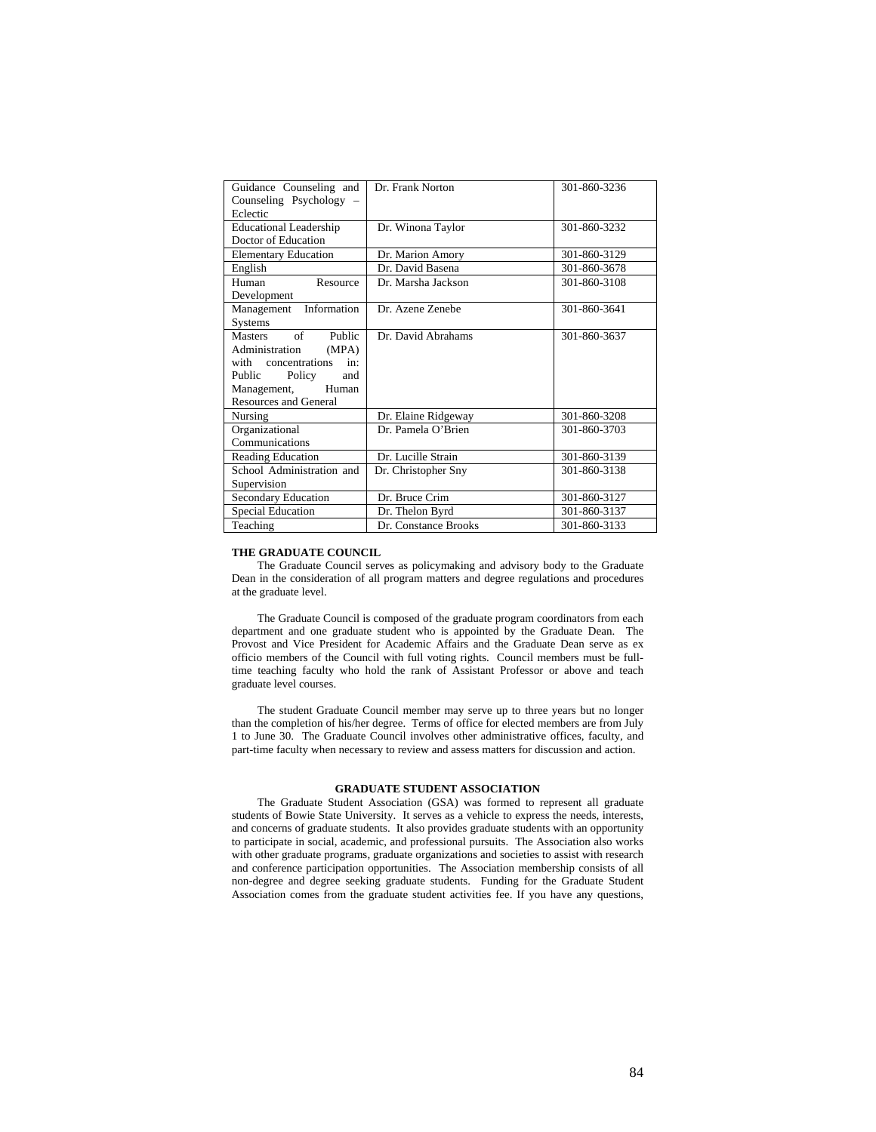| Guidance Counseling and<br>Counseling Psychology - | Dr. Frank Norton     | 301-860-3236 |
|----------------------------------------------------|----------------------|--------------|
| Eclectic                                           |                      |              |
| <b>Educational Leadership</b>                      | Dr. Winona Taylor    | 301-860-3232 |
| Doctor of Education                                |                      |              |
| <b>Elementary Education</b>                        | Dr. Marion Amory     | 301-860-3129 |
| English                                            | Dr. David Basena     | 301-860-3678 |
| Resource<br>Human                                  | Dr. Marsha Jackson   | 301-860-3108 |
| Development                                        |                      |              |
| Management Information                             | Dr. Azene Zenebe     | 301-860-3641 |
| Systems                                            |                      |              |
| Masters of Public                                  | Dr. David Abrahams   | 301-860-3637 |
| Administration<br>(MPA)                            |                      |              |
| with concentrations in:                            |                      |              |
| Public Policy<br>and                               |                      |              |
| Management, Human                                  |                      |              |
| <b>Resources and General</b>                       |                      |              |
| Nursing                                            | Dr. Elaine Ridgeway  | 301-860-3208 |
| Organizational                                     | Dr. Pamela O'Brien   | 301-860-3703 |
| Communications                                     |                      |              |
| <b>Reading Education</b>                           | Dr. Lucille Strain   | 301-860-3139 |
| School Administration and                          | Dr. Christopher Sny  | 301-860-3138 |
| Supervision                                        |                      |              |
| <b>Secondary Education</b>                         | Dr. Bruce Crim       | 301-860-3127 |
| <b>Special Education</b>                           | Dr. Thelon Byrd      | 301-860-3137 |
| Teaching                                           | Dr. Constance Brooks | 301-860-3133 |

# **THE GRADUATE COUNCIL**

The Graduate Council serves as policymaking and advisory body to the Graduate Dean in the consideration of all program matters and degree regulations and procedures at the graduate level.

The Graduate Council is composed of the graduate program coordinators from each department and one graduate student who is appointed by the Graduate Dean. The Provost and Vice President for Academic Affairs and the Graduate Dean serve as ex officio members of the Council with full voting rights. Council members must be fulltime teaching faculty who hold the rank of Assistant Professor or above and teach graduate level courses.

The student Graduate Council member may serve up to three years but no longer than the completion of his/her degree. Terms of office for elected members are from July 1 to June 30. The Graduate Council involves other administrative offices, faculty, and part-time faculty when necessary to review and assess matters for discussion and action.

# **GRADUATE STUDENT ASSOCIATION**

The Graduate Student Association (GSA) was formed to represent all graduate students of Bowie State University. It serves as a vehicle to express the needs, interests, and concerns of graduate students. It also provides graduate students with an opportunity to participate in social, academic, and professional pursuits. The Association also works with other graduate programs, graduate organizations and societies to assist with research and conference participation opportunities. The Association membership consists of all non-degree and degree seeking graduate students. Funding for the Graduate Student Association comes from the graduate student activities fee. If you have any questions,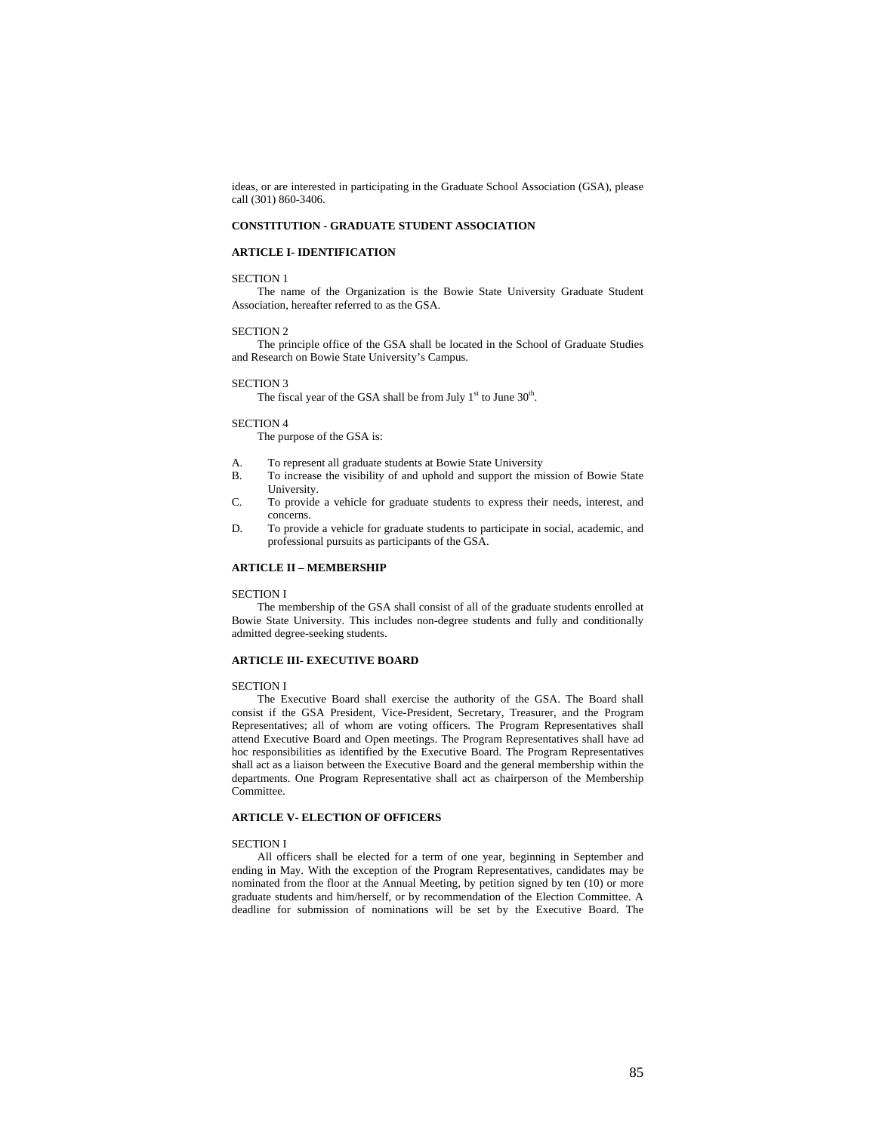ideas, or are interested in participating in the Graduate School Association (GSA), please call (301) 860-3406.

# **CONSTITUTION - GRADUATE STUDENT ASSOCIATION**

#### **ARTICLE I- IDENTIFICATION**

### SECTION 1

The name of the Organization is the Bowie State University Graduate Student Association, hereafter referred to as the GSA.

#### SECTION 2

The principle office of the GSA shall be located in the School of Graduate Studies and Research on Bowie State University's Campus.

### SECTION 3

The fiscal year of the GSA shall be from July  $1<sup>st</sup>$  to June  $30<sup>th</sup>$ .

# SECTION 4

The purpose of the GSA is:

- A. To represent all graduate students at Bowie State University
- B. To increase the visibility of and uphold and support the mission of Bowie State University.
- C. To provide a vehicle for graduate students to express their needs, interest, and concerns.
- D. To provide a vehicle for graduate students to participate in social, academic, and professional pursuits as participants of the GSA.

# **ARTICLE II – MEMBERSHIP**

### SECTION I

The membership of the GSA shall consist of all of the graduate students enrolled at Bowie State University. This includes non-degree students and fully and conditionally admitted degree-seeking students.

# **ARTICLE III- EXECUTIVE BOARD**

#### SECTION I

The Executive Board shall exercise the authority of the GSA. The Board shall consist if the GSA President, Vice-President, Secretary, Treasurer, and the Program Representatives; all of whom are voting officers. The Program Representatives shall attend Executive Board and Open meetings. The Program Representatives shall have ad hoc responsibilities as identified by the Executive Board. The Program Representatives shall act as a liaison between the Executive Board and the general membership within the departments. One Program Representative shall act as chairperson of the Membership Committee.

# **ARTICLE V- ELECTION OF OFFICERS**

#### SECTION I

All officers shall be elected for a term of one year, beginning in September and ending in May. With the exception of the Program Representatives, candidates may be nominated from the floor at the Annual Meeting, by petition signed by ten (10) or more graduate students and him/herself, or by recommendation of the Election Committee. A deadline for submission of nominations will be set by the Executive Board. The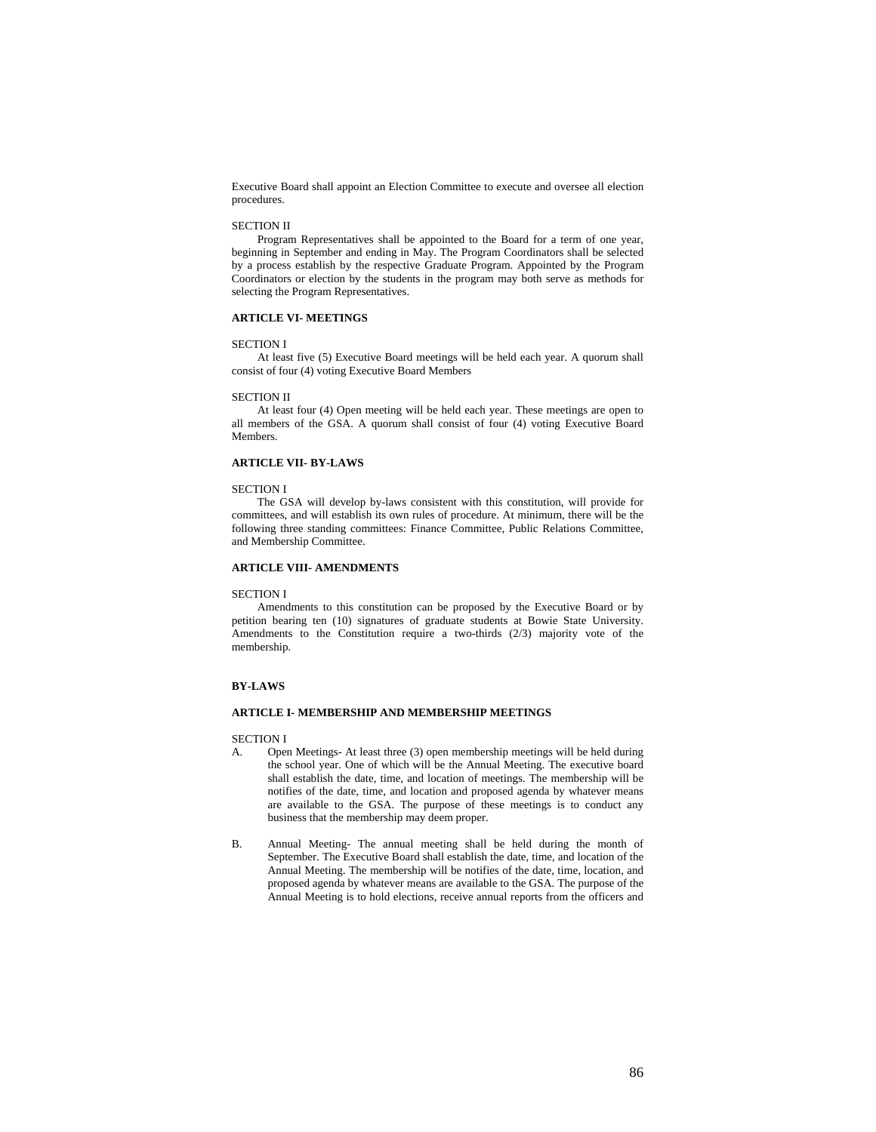Executive Board shall appoint an Election Committee to execute and oversee all election procedures.

#### SECTION II

Program Representatives shall be appointed to the Board for a term of one year, beginning in September and ending in May. The Program Coordinators shall be selected by a process establish by the respective Graduate Program. Appointed by the Program Coordinators or election by the students in the program may both serve as methods for selecting the Program Representatives.

# **ARTICLE VI- MEETINGS**

# SECTION I

At least five (5) Executive Board meetings will be held each year. A quorum shall consist of four (4) voting Executive Board Members

#### SECTION II

At least four (4) Open meeting will be held each year. These meetings are open to all members of the GSA. A quorum shall consist of four (4) voting Executive Board Members.

# **ARTICLE VII- BY-LAWS**

#### SECTION I

The GSA will develop by-laws consistent with this constitution, will provide for committees, and will establish its own rules of procedure. At minimum, there will be the following three standing committees: Finance Committee, Public Relations Committee, and Membership Committee.

# **ARTICLE VIII- AMENDMENTS**

#### SECTION I

Amendments to this constitution can be proposed by the Executive Board or by petition bearing ten (10) signatures of graduate students at Bowie State University. Amendments to the Constitution require a two-thirds (2/3) majority vote of the membership.

### **BY-LAWS**

#### **ARTICLE I- MEMBERSHIP AND MEMBERSHIP MEETINGS**

### SECTION I

- A. Open Meetings- At least three (3) open membership meetings will be held during the school year. One of which will be the Annual Meeting. The executive board shall establish the date, time, and location of meetings. The membership will be notifies of the date, time, and location and proposed agenda by whatever means are available to the GSA. The purpose of these meetings is to conduct any business that the membership may deem proper.
- B. Annual Meeting- The annual meeting shall be held during the month of September. The Executive Board shall establish the date, time, and location of the Annual Meeting. The membership will be notifies of the date, time, location, and proposed agenda by whatever means are available to the GSA. The purpose of the Annual Meeting is to hold elections, receive annual reports from the officers and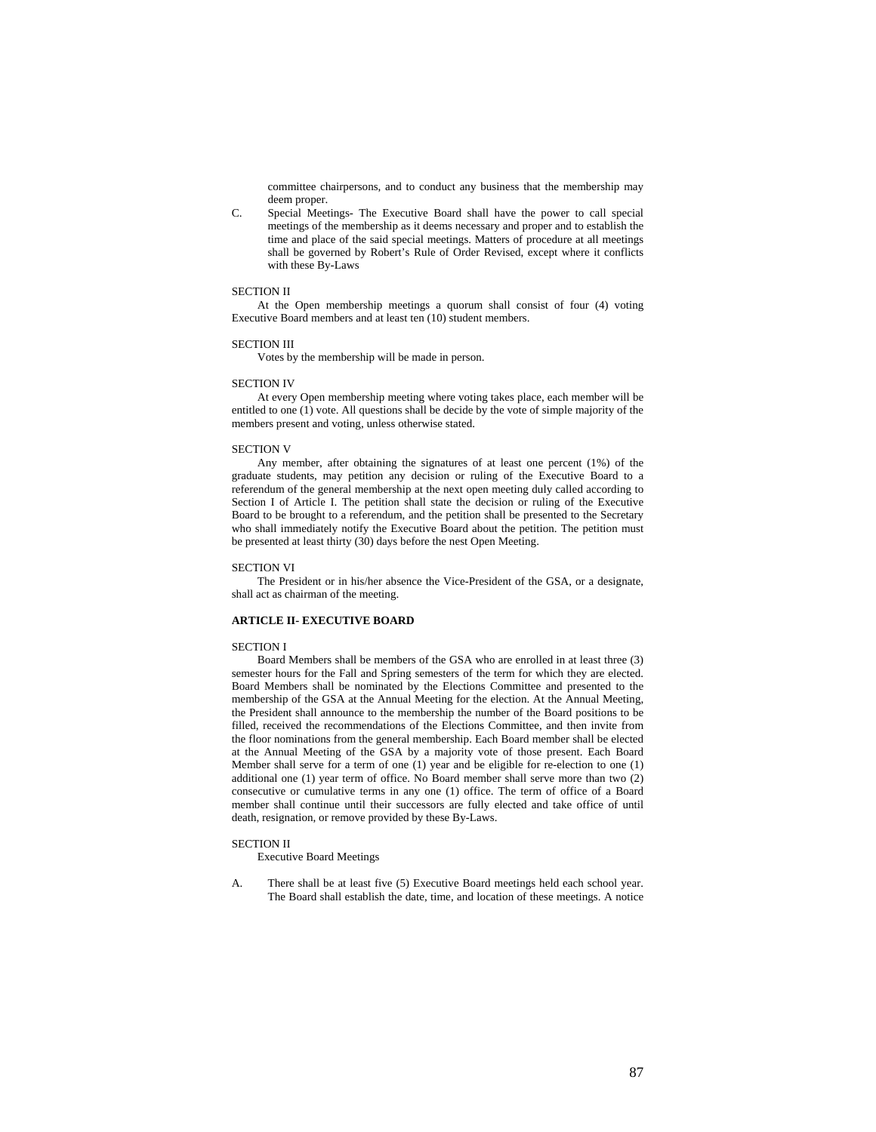committee chairpersons, and to conduct any business that the membership may deem proper.

C. Special Meetings- The Executive Board shall have the power to call special meetings of the membership as it deems necessary and proper and to establish the time and place of the said special meetings. Matters of procedure at all meetings shall be governed by Robert's Rule of Order Revised, except where it conflicts with these By-Laws

# SECTION II

At the Open membership meetings a quorum shall consist of four (4) voting Executive Board members and at least ten (10) student members.

#### SECTION III

Votes by the membership will be made in person.

#### SECTION IV

At every Open membership meeting where voting takes place, each member will be entitled to one (1) vote. All questions shall be decide by the vote of simple majority of the members present and voting, unless otherwise stated.

#### SECTION V

Any member, after obtaining the signatures of at least one percent (1%) of the graduate students, may petition any decision or ruling of the Executive Board to a referendum of the general membership at the next open meeting duly called according to Section I of Article I. The petition shall state the decision or ruling of the Executive Board to be brought to a referendum, and the petition shall be presented to the Secretary who shall immediately notify the Executive Board about the petition. The petition must be presented at least thirty (30) days before the nest Open Meeting.

#### SECTION VI

The President or in his/her absence the Vice-President of the GSA, or a designate, shall act as chairman of the meeting.

#### **ARTICLE II- EXECUTIVE BOARD**

## SECTION I

Board Members shall be members of the GSA who are enrolled in at least three (3) semester hours for the Fall and Spring semesters of the term for which they are elected. Board Members shall be nominated by the Elections Committee and presented to the membership of the GSA at the Annual Meeting for the election. At the Annual Meeting, the President shall announce to the membership the number of the Board positions to be filled, received the recommendations of the Elections Committee, and then invite from the floor nominations from the general membership. Each Board member shall be elected at the Annual Meeting of the GSA by a majority vote of those present. Each Board Member shall serve for a term of one (1) year and be eligible for re-election to one (1) additional one (1) year term of office. No Board member shall serve more than two (2) consecutive or cumulative terms in any one (1) office. The term of office of a Board member shall continue until their successors are fully elected and take office of until death, resignation, or remove provided by these By-Laws.

### SECTION II

Executive Board Meetings

A. There shall be at least five (5) Executive Board meetings held each school year. The Board shall establish the date, time, and location of these meetings. A notice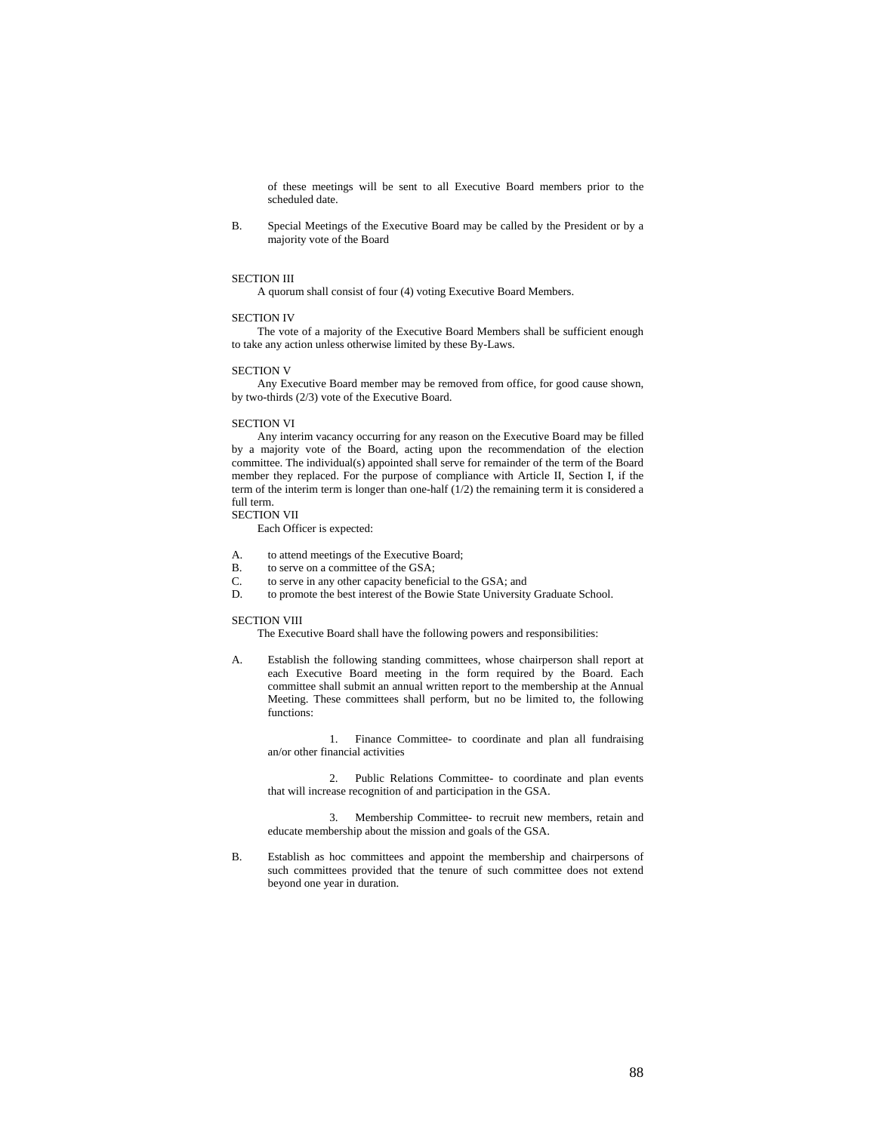of these meetings will be sent to all Executive Board members prior to the scheduled date.

B. Special Meetings of the Executive Board may be called by the President or by a majority vote of the Board

#### SECTION III

A quorum shall consist of four (4) voting Executive Board Members.

#### SECTION IV

The vote of a majority of the Executive Board Members shall be sufficient enough to take any action unless otherwise limited by these By-Laws.

#### SECTION V

Any Executive Board member may be removed from office, for good cause shown, by two-thirds (2/3) vote of the Executive Board.

#### SECTION VI

Any interim vacancy occurring for any reason on the Executive Board may be filled by a majority vote of the Board, acting upon the recommendation of the election committee. The individual(s) appointed shall serve for remainder of the term of the Board member they replaced. For the purpose of compliance with Article II, Section I, if the term of the interim term is longer than one-half (1/2) the remaining term it is considered a full term.

```
SECTION VII
```
Each Officer is expected:

- A. to attend meetings of the Executive Board;<br>B. to serve on a committee of the  $GSA$ .
- to serve on a committee of the GSA;
- C. to serve in any other capacity beneficial to the GSA; and
- D. to promote the best interest of the Bowie State University Graduate School.

# SECTION VIII

The Executive Board shall have the following powers and responsibilities:

A. Establish the following standing committees, whose chairperson shall report at each Executive Board meeting in the form required by the Board. Each committee shall submit an annual written report to the membership at the Annual Meeting. These committees shall perform, but no be limited to, the following functions:

1. Finance Committee- to coordinate and plan all fundraising an/or other financial activities

2. Public Relations Committee- to coordinate and plan events that will increase recognition of and participation in the GSA.

3. Membership Committee- to recruit new members, retain and educate membership about the mission and goals of the GSA.

B. Establish as hoc committees and appoint the membership and chairpersons of such committees provided that the tenure of such committee does not extend beyond one year in duration.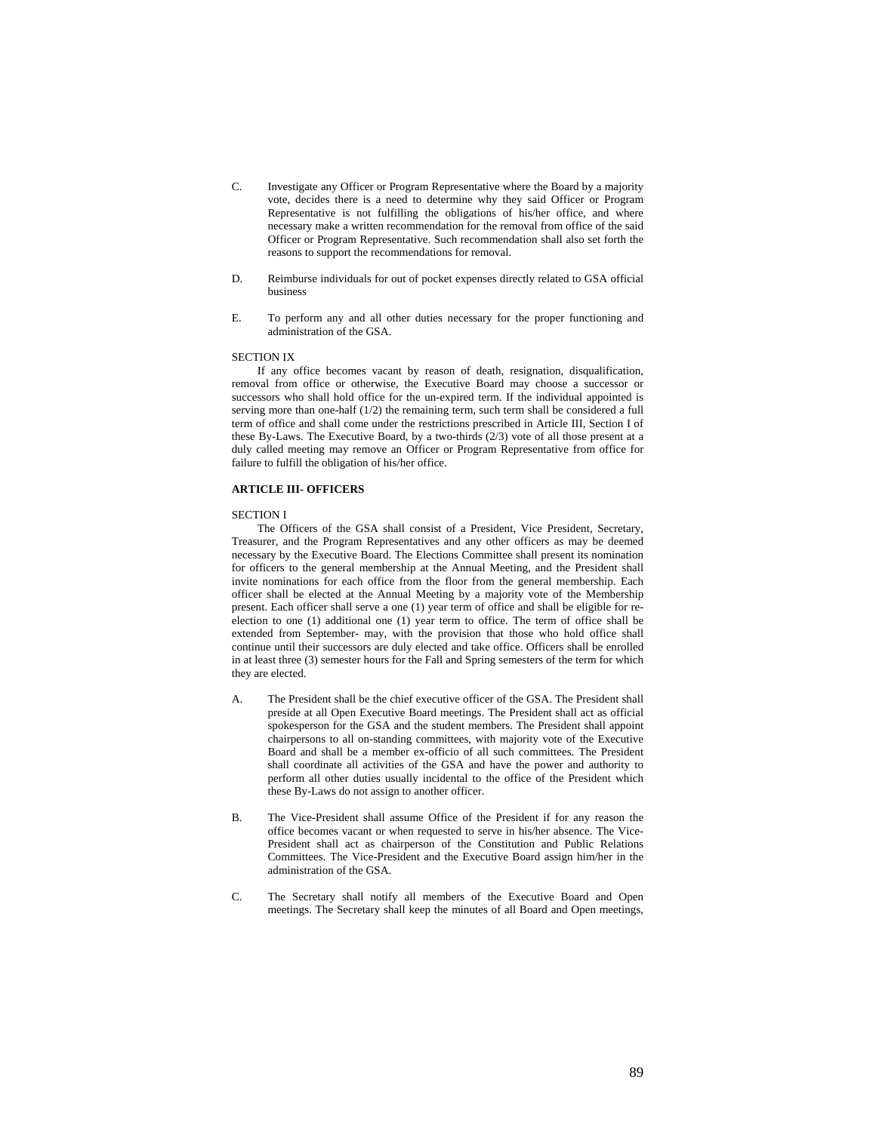- C. Investigate any Officer or Program Representative where the Board by a majority vote, decides there is a need to determine why they said Officer or Program Representative is not fulfilling the obligations of his/her office, and where necessary make a written recommendation for the removal from office of the said Officer or Program Representative. Such recommendation shall also set forth the reasons to support the recommendations for removal.
- D. Reimburse individuals for out of pocket expenses directly related to GSA official business
- E. To perform any and all other duties necessary for the proper functioning and administration of the GSA.

#### SECTION IX

If any office becomes vacant by reason of death, resignation, disqualification, removal from office or otherwise, the Executive Board may choose a successor or successors who shall hold office for the un-expired term. If the individual appointed is serving more than one-half (1/2) the remaining term, such term shall be considered a full term of office and shall come under the restrictions prescribed in Article III, Section I of these By-Laws. The Executive Board, by a two-thirds (2/3) vote of all those present at a duly called meeting may remove an Officer or Program Representative from office for failure to fulfill the obligation of his/her office.

### **ARTICLE III- OFFICERS**

#### SECTION I

The Officers of the GSA shall consist of a President, Vice President, Secretary, Treasurer, and the Program Representatives and any other officers as may be deemed necessary by the Executive Board. The Elections Committee shall present its nomination for officers to the general membership at the Annual Meeting, and the President shall invite nominations for each office from the floor from the general membership. Each officer shall be elected at the Annual Meeting by a majority vote of the Membership present. Each officer shall serve a one (1) year term of office and shall be eligible for reelection to one (1) additional one (1) year term to office. The term of office shall be extended from September- may, with the provision that those who hold office shall continue until their successors are duly elected and take office. Officers shall be enrolled in at least three (3) semester hours for the Fall and Spring semesters of the term for which they are elected.

- A. The President shall be the chief executive officer of the GSA. The President shall preside at all Open Executive Board meetings. The President shall act as official spokesperson for the GSA and the student members. The President shall appoint chairpersons to all on-standing committees, with majority vote of the Executive Board and shall be a member ex-officio of all such committees. The President shall coordinate all activities of the GSA and have the power and authority to perform all other duties usually incidental to the office of the President which these By-Laws do not assign to another officer.
- B. The Vice-President shall assume Office of the President if for any reason the office becomes vacant or when requested to serve in his/her absence. The Vice-President shall act as chairperson of the Constitution and Public Relations Committees. The Vice-President and the Executive Board assign him/her in the administration of the GSA.
- C. The Secretary shall notify all members of the Executive Board and Open meetings. The Secretary shall keep the minutes of all Board and Open meetings,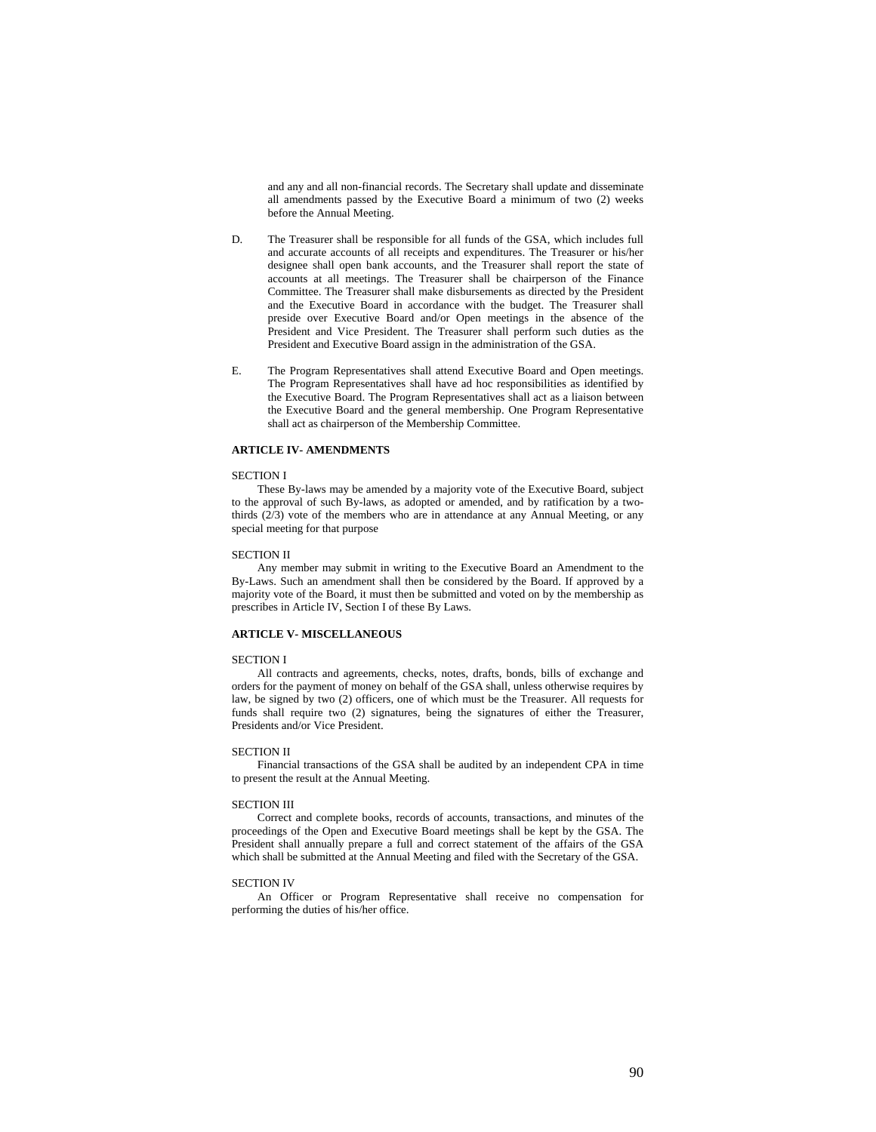and any and all non-financial records. The Secretary shall update and disseminate all amendments passed by the Executive Board a minimum of two (2) weeks before the Annual Meeting.

- D. The Treasurer shall be responsible for all funds of the GSA, which includes full and accurate accounts of all receipts and expenditures. The Treasurer or his/her designee shall open bank accounts, and the Treasurer shall report the state of accounts at all meetings. The Treasurer shall be chairperson of the Finance Committee. The Treasurer shall make disbursements as directed by the President and the Executive Board in accordance with the budget. The Treasurer shall preside over Executive Board and/or Open meetings in the absence of the President and Vice President. The Treasurer shall perform such duties as the President and Executive Board assign in the administration of the GSA.
- E. The Program Representatives shall attend Executive Board and Open meetings. The Program Representatives shall have ad hoc responsibilities as identified by the Executive Board. The Program Representatives shall act as a liaison between the Executive Board and the general membership. One Program Representative shall act as chairperson of the Membership Committee.

# **ARTICLE IV- AMENDMENTS**

#### SECTION I

These By-laws may be amended by a majority vote of the Executive Board, subject to the approval of such By-laws, as adopted or amended, and by ratification by a twothirds (2/3) vote of the members who are in attendance at any Annual Meeting, or any special meeting for that purpose

#### SECTION II

Any member may submit in writing to the Executive Board an Amendment to the By-Laws. Such an amendment shall then be considered by the Board. If approved by a majority vote of the Board, it must then be submitted and voted on by the membership as prescribes in Article IV, Section I of these By Laws.

### **ARTICLE V- MISCELLANEOUS**

#### SECTION I

All contracts and agreements, checks, notes, drafts, bonds, bills of exchange and orders for the payment of money on behalf of the GSA shall, unless otherwise requires by law, be signed by two (2) officers, one of which must be the Treasurer. All requests for funds shall require two (2) signatures, being the signatures of either the Treasurer, Presidents and/or Vice President.

#### SECTION II

Financial transactions of the GSA shall be audited by an independent CPA in time to present the result at the Annual Meeting.

#### SECTION III

Correct and complete books, records of accounts, transactions, and minutes of the proceedings of the Open and Executive Board meetings shall be kept by the GSA. The President shall annually prepare a full and correct statement of the affairs of the GSA which shall be submitted at the Annual Meeting and filed with the Secretary of the GSA.

#### SECTION IV

An Officer or Program Representative shall receive no compensation for performing the duties of his/her office.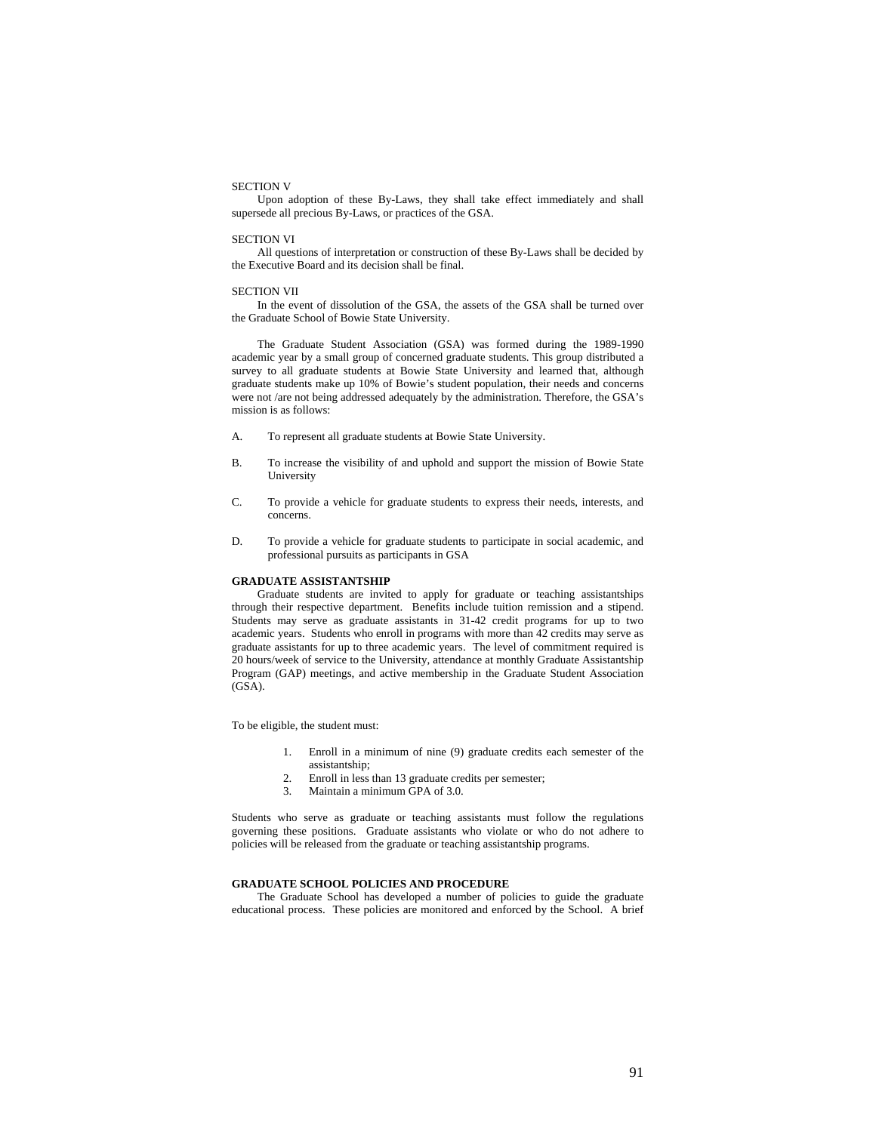#### SECTION V

Upon adoption of these By-Laws, they shall take effect immediately and shall supersede all precious By-Laws, or practices of the GSA.

#### SECTION VI

All questions of interpretation or construction of these By-Laws shall be decided by the Executive Board and its decision shall be final.

#### SECTION VII

In the event of dissolution of the GSA, the assets of the GSA shall be turned over the Graduate School of Bowie State University.

The Graduate Student Association (GSA) was formed during the 1989-1990 academic year by a small group of concerned graduate students. This group distributed a survey to all graduate students at Bowie State University and learned that, although graduate students make up 10% of Bowie's student population, their needs and concerns were not /are not being addressed adequately by the administration. Therefore, the GSA's mission is as follows:

- A. To represent all graduate students at Bowie State University.
- B. To increase the visibility of and uphold and support the mission of Bowie State University
- C. To provide a vehicle for graduate students to express their needs, interests, and concerns.
- D. To provide a vehicle for graduate students to participate in social academic, and professional pursuits as participants in GSA

# **GRADUATE ASSISTANTSHIP**

Graduate students are invited to apply for graduate or teaching assistantships through their respective department. Benefits include tuition remission and a stipend. Students may serve as graduate assistants in 31-42 credit programs for up to two academic years. Students who enroll in programs with more than 42 credits may serve as graduate assistants for up to three academic years. The level of commitment required is 20 hours/week of service to the University, attendance at monthly Graduate Assistantship Program (GAP) meetings, and active membership in the Graduate Student Association (GSA).

To be eligible, the student must:

- 1. Enroll in a minimum of nine (9) graduate credits each semester of the assistantship;
- 2. Enroll in less than 13 graduate credits per semester;
- 3. Maintain a minimum GPA of 3.0.

Students who serve as graduate or teaching assistants must follow the regulations governing these positions. Graduate assistants who violate or who do not adhere to policies will be released from the graduate or teaching assistantship programs.

#### **GRADUATE SCHOOL POLICIES AND PROCEDURE**

The Graduate School has developed a number of policies to guide the graduate educational process. These policies are monitored and enforced by the School. A brief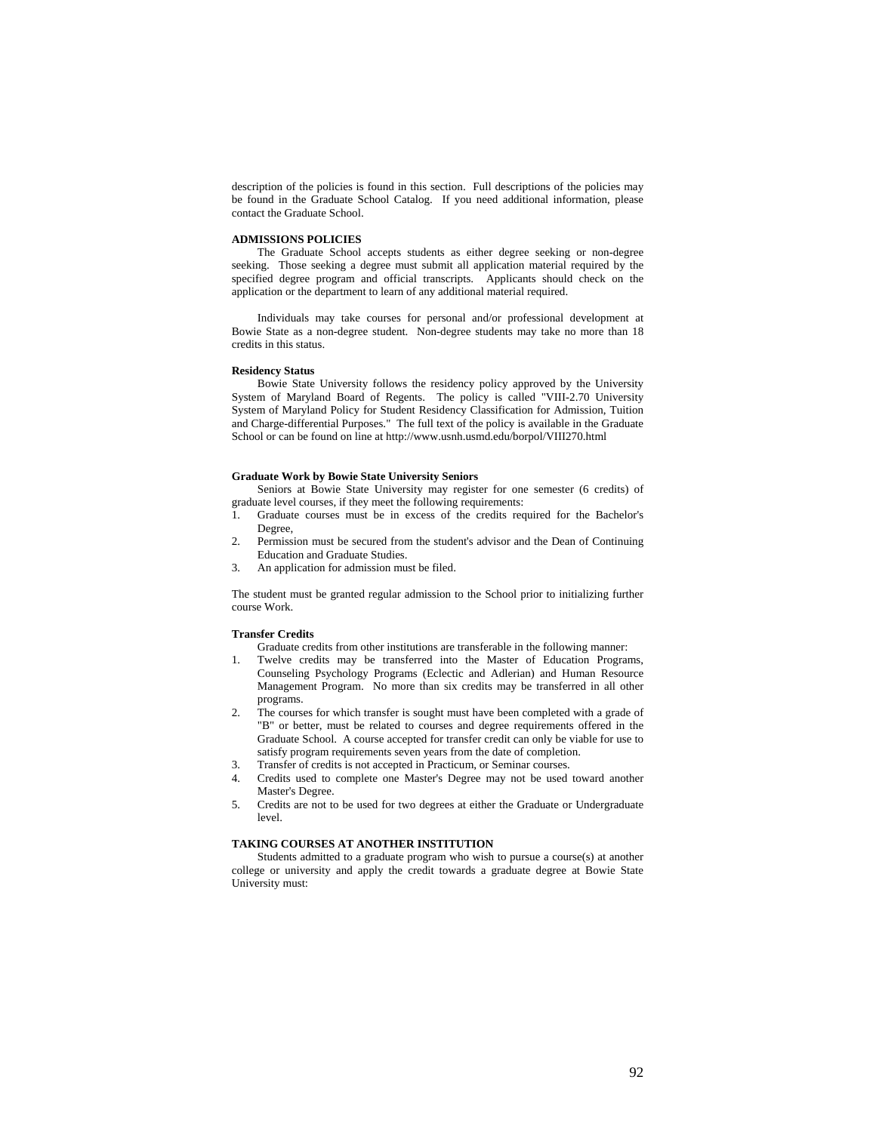description of the policies is found in this section. Full descriptions of the policies may be found in the Graduate School Catalog. If you need additional information, please contact the Graduate School.

# **ADMISSIONS POLICIES**

The Graduate School accepts students as either degree seeking or non-degree seeking. Those seeking a degree must submit all application material required by the specified degree program and official transcripts. Applicants should check on the application or the department to learn of any additional material required.

Individuals may take courses for personal and/or professional development at Bowie State as a non-degree student. Non-degree students may take no more than 18 credits in this status.

#### **Residency Status**

Bowie State University follows the residency policy approved by the University System of Maryland Board of Regents. The policy is called "VIII-2.70 University System of Maryland Policy for Student Residency Classification for Admission, Tuition and Charge-differential Purposes." The full text of the policy is available in the Graduate School or can be found on line at http://www.usnh.usmd.edu/borpol/VIII270.html

#### **Graduate Work by Bowie State University Seniors**

Seniors at Bowie State University may register for one semester (6 credits) of graduate level courses, if they meet the following requirements:

- 1. Graduate courses must be in excess of the credits required for the Bachelor's Degree,
- 2. Permission must be secured from the student's advisor and the Dean of Continuing Education and Graduate Studies.
- 3. An application for admission must be filed.

The student must be granted regular admission to the School prior to initializing further course Work.

# **Transfer Credits**

Graduate credits from other institutions are transferable in the following manner:

- 1. Twelve credits may be transferred into the Master of Education Programs, Counseling Psychology Programs (Eclectic and Adlerian) and Human Resource Management Program. No more than six credits may be transferred in all other programs.
- 2. The courses for which transfer is sought must have been completed with a grade of "B" or better, must be related to courses and degree requirements offered in the Graduate School. A course accepted for transfer credit can only be viable for use to satisfy program requirements seven years from the date of completion.
- 3. Transfer of credits is not accepted in Practicum, or Seminar courses.
- 4. Credits used to complete one Master's Degree may not be used toward another Master's Degree.
- 5. Credits are not to be used for two degrees at either the Graduate or Undergraduate level.

### **TAKING COURSES AT ANOTHER INSTITUTION**

Students admitted to a graduate program who wish to pursue a course(s) at another college or university and apply the credit towards a graduate degree at Bowie State University must: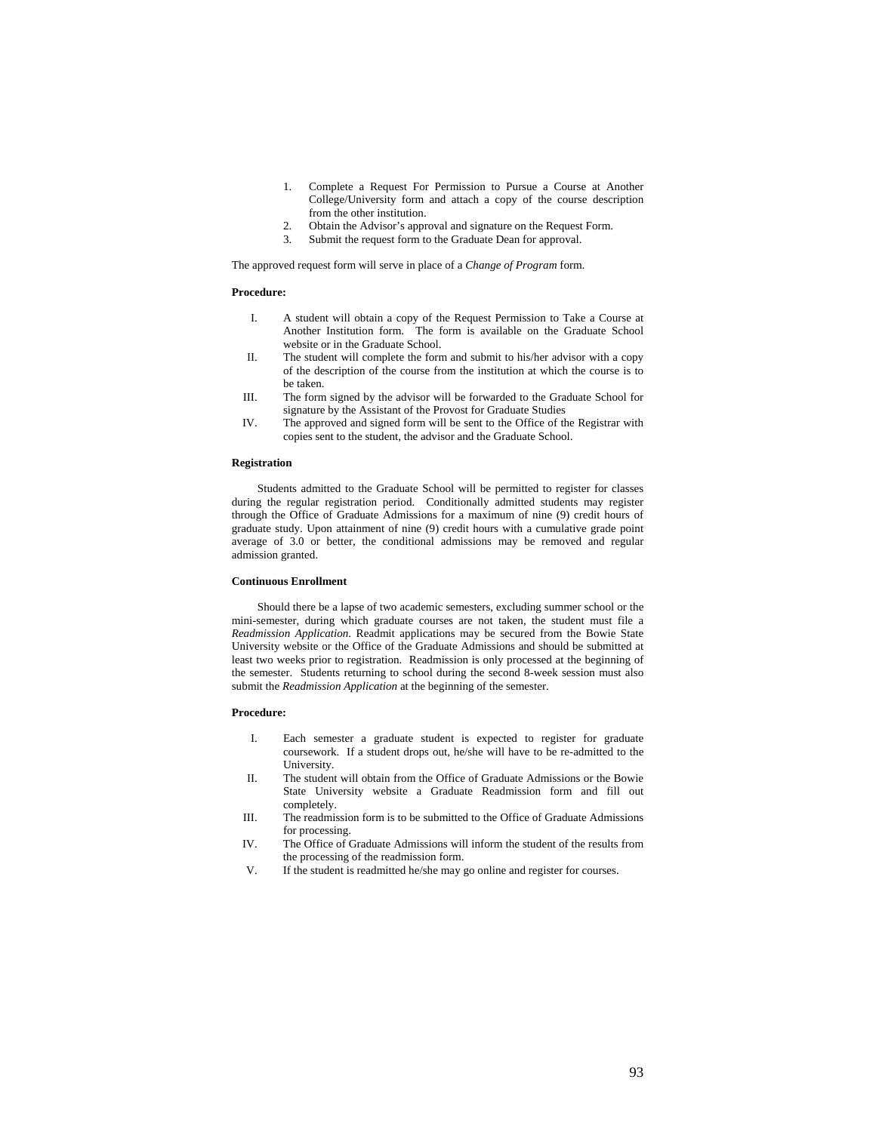- 1. Complete a Request For Permission to Pursue a Course at Another College/University form and attach a copy of the course description from the other institution.
- 2. Obtain the Advisor's approval and signature on the Request Form.
- 3. Submit the request form to the Graduate Dean for approval.

The approved request form will serve in place of a *Change of Program* form.

### **Procedure:**

- I. A student will obtain a copy of the Request Permission to Take a Course at Another Institution form. The form is available on the Graduate School website or in the Graduate School.
- II. The student will complete the form and submit to his/her advisor with a copy of the description of the course from the institution at which the course is to be taken.
- III. The form signed by the advisor will be forwarded to the Graduate School for signature by the Assistant of the Provost for Graduate Studies
- IV. The approved and signed form will be sent to the Office of the Registrar with copies sent to the student, the advisor and the Graduate School.

### **Registration**

Students admitted to the Graduate School will be permitted to register for classes during the regular registration period. Conditionally admitted students may register through the Office of Graduate Admissions for a maximum of nine (9) credit hours of graduate study. Upon attainment of nine (9) credit hours with a cumulative grade point average of 3.0 or better, the conditional admissions may be removed and regular admission granted.

# **Continuous Enrollment**

Should there be a lapse of two academic semesters, excluding summer school or the mini-semester, during which graduate courses are not taken, the student must file a *Readmission Application*. Readmit applications may be secured from the Bowie State University website or the Office of the Graduate Admissions and should be submitted at least two weeks prior to registration. Readmission is only processed at the beginning of the semester. Students returning to school during the second 8-week session must also submit the *Readmission Application* at the beginning of the semester.

#### **Procedure:**

- I. Each semester a graduate student is expected to register for graduate coursework. If a student drops out, he/she will have to be re-admitted to the University.
- II. The student will obtain from the Office of Graduate Admissions or the Bowie State University website a Graduate Readmission form and fill out completely.
- III. The readmission form is to be submitted to the Office of Graduate Admissions for processing.
- IV. The Office of Graduate Admissions will inform the student of the results from the processing of the readmission form.
- V. If the student is readmitted he/she may go online and register for courses.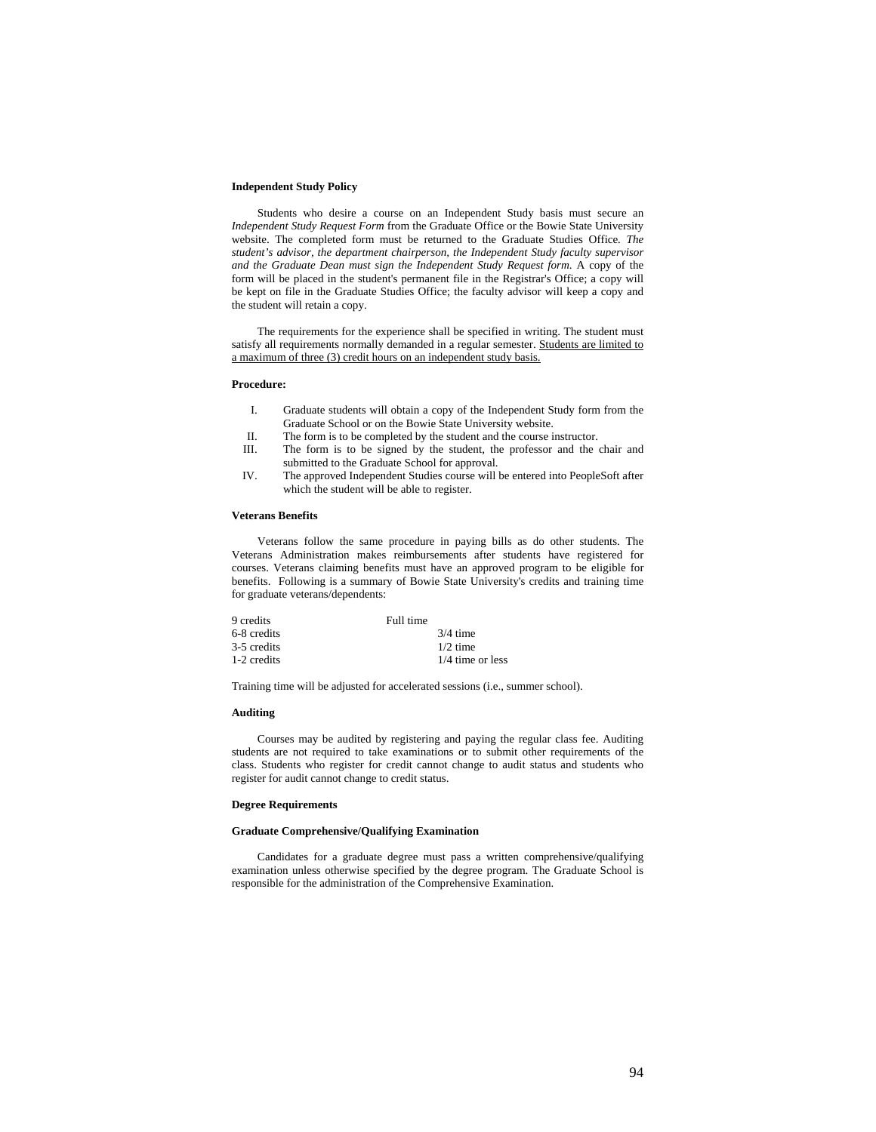### **Independent Study Policy**

Students who desire a course on an Independent Study basis must secure an *Independent Study Request Form* from the Graduate Office or the Bowie State University website. The completed form must be returned to the Graduate Studies Office*. The student's advisor, the department chairperson, the Independent Study faculty supervisor and the Graduate Dean must sign the Independent Study Request form*. A copy of the form will be placed in the student's permanent file in the Registrar's Office; a copy will be kept on file in the Graduate Studies Office; the faculty advisor will keep a copy and the student will retain a copy.

The requirements for the experience shall be specified in writing. The student must satisfy all requirements normally demanded in a regular semester. Students are limited to a maximum of three (3) credit hours on an independent study basis.

#### **Procedure:**

- I. Graduate students will obtain a copy of the Independent Study form from the Graduate School or on the Bowie State University website.
- II. The form is to be completed by the student and the course instructor.
- III. The form is to be signed by the student, the professor and the chair and submitted to the Graduate School for approval.
- IV. The approved Independent Studies course will be entered into PeopleSoft after which the student will be able to register.

### **Veterans Benefits**

Veterans follow the same procedure in paying bills as do other students. The Veterans Administration makes reimbursements after students have registered for courses. Veterans claiming benefits must have an approved program to be eligible for benefits. Following is a summary of Bowie State University's credits and training time for graduate veterans/dependents:

| 9 credits   | Full time          |
|-------------|--------------------|
| 6-8 credits | $3/4$ time         |
| 3-5 credits | $1/2$ time         |
| 1-2 credits | $1/4$ time or less |

Training time will be adjusted for accelerated sessions (i.e., summer school).

### **Auditing**

Courses may be audited by registering and paying the regular class fee. Auditing students are not required to take examinations or to submit other requirements of the class. Students who register for credit cannot change to audit status and students who register for audit cannot change to credit status.

#### **Degree Requirements**

### **Graduate Comprehensive/Qualifying Examination**

Candidates for a graduate degree must pass a written comprehensive/qualifying examination unless otherwise specified by the degree program. The Graduate School is responsible for the administration of the Comprehensive Examination.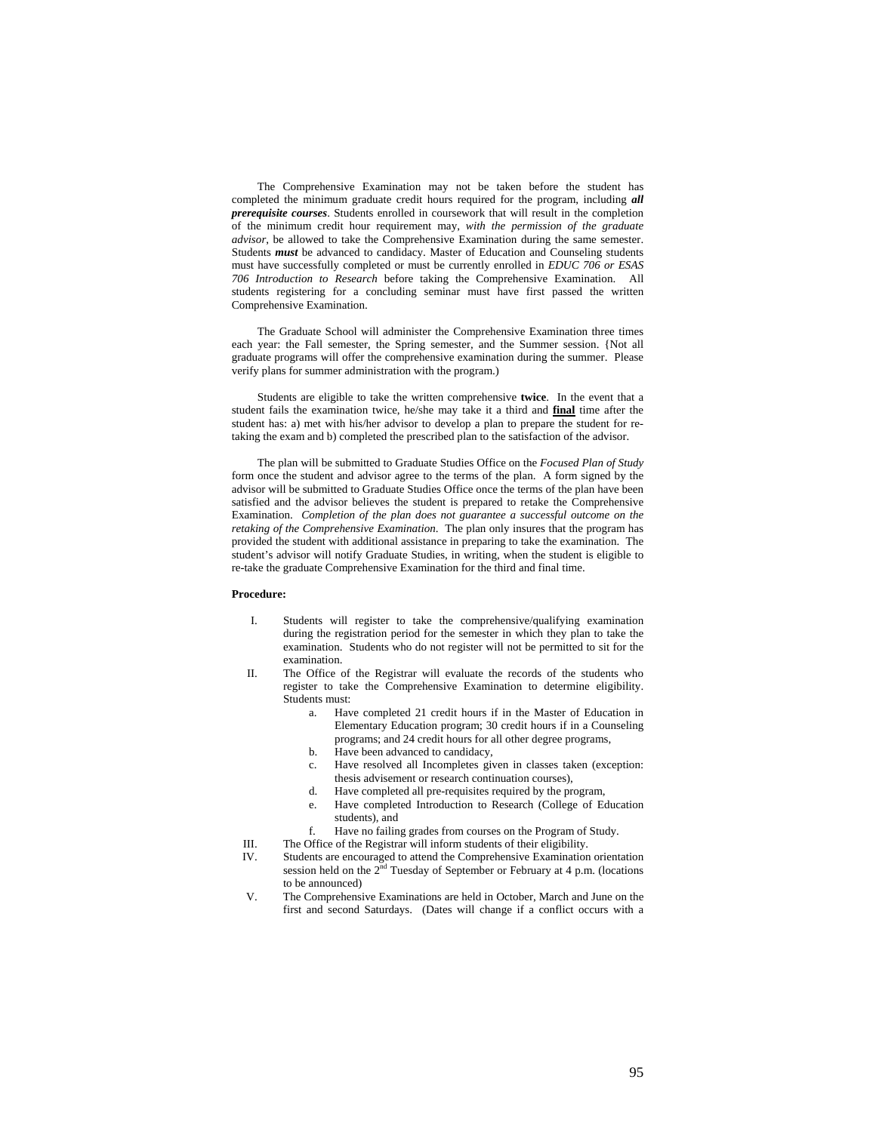The Comprehensive Examination may not be taken before the student has completed the minimum graduate credit hours required for the program, including *all prerequisite courses*. Students enrolled in coursework that will result in the completion of the minimum credit hour requirement may, *with the permission of the graduate advisor*, be allowed to take the Comprehensive Examination during the same semester. Students *must* be advanced to candidacy. Master of Education and Counseling students must have successfully completed or must be currently enrolled in *EDUC 706 or ESAS 706 Introduction to Research* before taking the Comprehensive Examination. All students registering for a concluding seminar must have first passed the written Comprehensive Examination.

The Graduate School will administer the Comprehensive Examination three times each year: the Fall semester, the Spring semester, and the Summer session. {Not all graduate programs will offer the comprehensive examination during the summer. Please verify plans for summer administration with the program.)

Students are eligible to take the written comprehensive **twice**. In the event that a student fails the examination twice, he/she may take it a third and **final** time after the student has: a) met with his/her advisor to develop a plan to prepare the student for retaking the exam and b) completed the prescribed plan to the satisfaction of the advisor.

The plan will be submitted to Graduate Studies Office on the *Focused Plan of Study* form once the student and advisor agree to the terms of the plan. A form signed by the advisor will be submitted to Graduate Studies Office once the terms of the plan have been satisfied and the advisor believes the student is prepared to retake the Comprehensive Examination. *Completion of the plan does not guarantee a successful outcome on the retaking of the Comprehensive Examination*. The plan only insures that the program has provided the student with additional assistance in preparing to take the examination. The student's advisor will notify Graduate Studies, in writing, when the student is eligible to re-take the graduate Comprehensive Examination for the third and final time.

#### **Procedure:**

- I. Students will register to take the comprehensive/qualifying examination during the registration period for the semester in which they plan to take the examination. Students who do not register will not be permitted to sit for the examination.
- II. The Office of the Registrar will evaluate the records of the students who register to take the Comprehensive Examination to determine eligibility. Students must:
	- a. Have completed 21 credit hours if in the Master of Education in Elementary Education program; 30 credit hours if in a Counseling programs; and 24 credit hours for all other degree programs,
	- b. Have been advanced to candidacy,
	- c. Have resolved all Incompletes given in classes taken (exception: thesis advisement or research continuation courses),
	- d. Have completed all pre-requisites required by the program,
	- e. Have completed Introduction to Research (College of Education students), and
	- f. Have no failing grades from courses on the Program of Study.
- III. The Office of the Registrar will inform students of their eligibility.<br>IV. Students are encouraged to attend the Comprehensive Examination
- Students are encouraged to attend the Comprehensive Examination orientation session held on the  $2<sup>nd</sup>$  Tuesday of September or February at 4 p.m. (locations to be announced)
- V. The Comprehensive Examinations are held in October, March and June on the first and second Saturdays. (Dates will change if a conflict occurs with a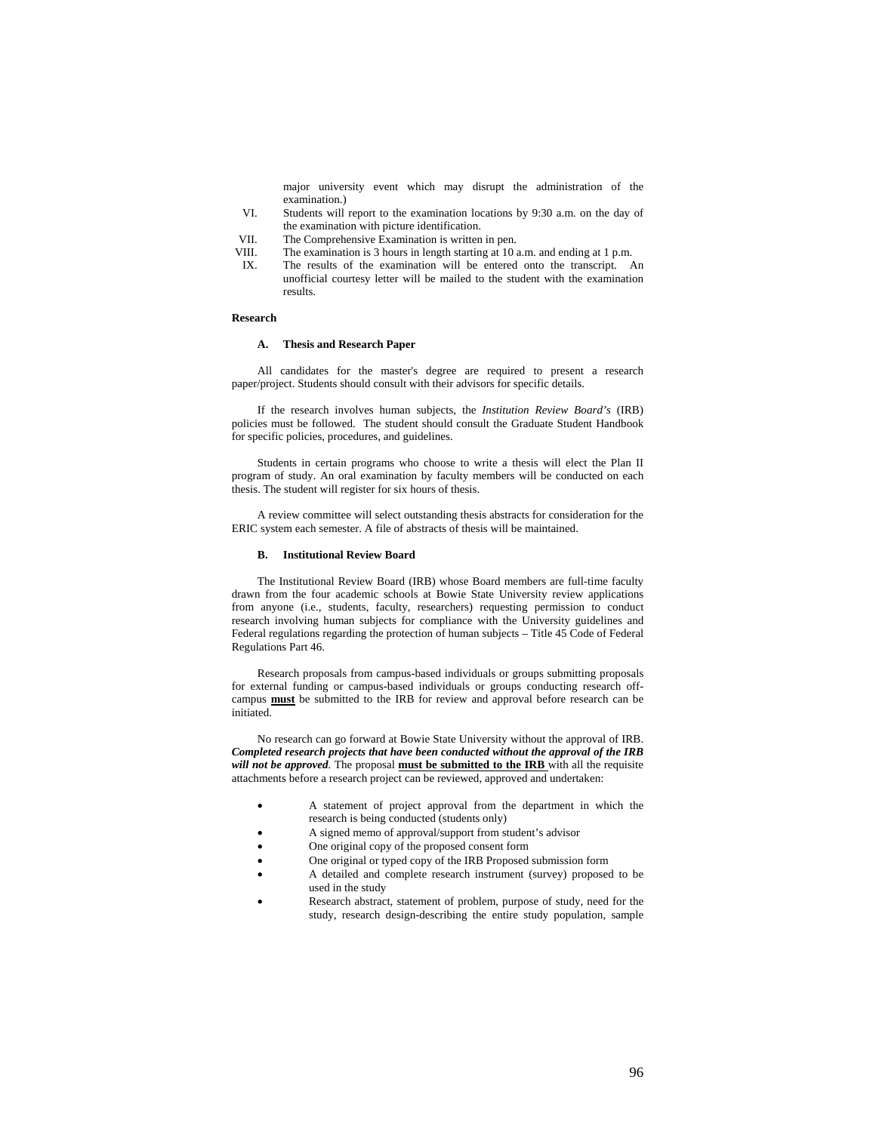major university event which may disrupt the administration of the examination.)

- VI. Students will report to the examination locations by 9:30 a.m. on the day of the examination with picture identification.
- VII. The Comprehensive Examination is written in pen.
- VIII. The examination is 3 hours in length starting at 10 a.m. and ending at 1 p.m.<br>IX The results of the examination will be entered onto the transcript
- The results of the examination will be entered onto the transcript. An unofficial courtesy letter will be mailed to the student with the examination results.

#### **Research**

# **A. Thesis and Research Paper**

All candidates for the master's degree are required to present a research paper/project. Students should consult with their advisors for specific details.

If the research involves human subjects, the *Institution Review Board's* (IRB) policies must be followed. The student should consult the Graduate Student Handbook for specific policies, procedures, and guidelines.

Students in certain programs who choose to write a thesis will elect the Plan II program of study. An oral examination by faculty members will be conducted on each thesis. The student will register for six hours of thesis.

A review committee will select outstanding thesis abstracts for consideration for the ERIC system each semester. A file of abstracts of thesis will be maintained.

#### **B. Institutional Review Board**

The Institutional Review Board (IRB) whose Board members are full-time faculty drawn from the four academic schools at Bowie State University review applications from anyone (i.e., students, faculty, researchers) requesting permission to conduct research involving human subjects for compliance with the University guidelines and Federal regulations regarding the protection of human subjects – Title 45 Code of Federal Regulations Part 46.

Research proposals from campus-based individuals or groups submitting proposals for external funding or campus-based individuals or groups conducting research offcampus **must** be submitted to the IRB for review and approval before research can be initiated.

No research can go forward at Bowie State University without the approval of IRB. *Completed research projects that have been conducted without the approval of the IRB will not be approved*. The proposal **must be submitted to the IRB** with all the requisite attachments before a research project can be reviewed, approved and undertaken:

- A statement of project approval from the department in which the research is being conducted (students only)
- A signed memo of approval/support from student's advisor
- One original copy of the proposed consent form
- One original or typed copy of the IRB Proposed submission form
- A detailed and complete research instrument (survey) proposed to be used in the study
- Research abstract, statement of problem, purpose of study, need for the study, research design-describing the entire study population, sample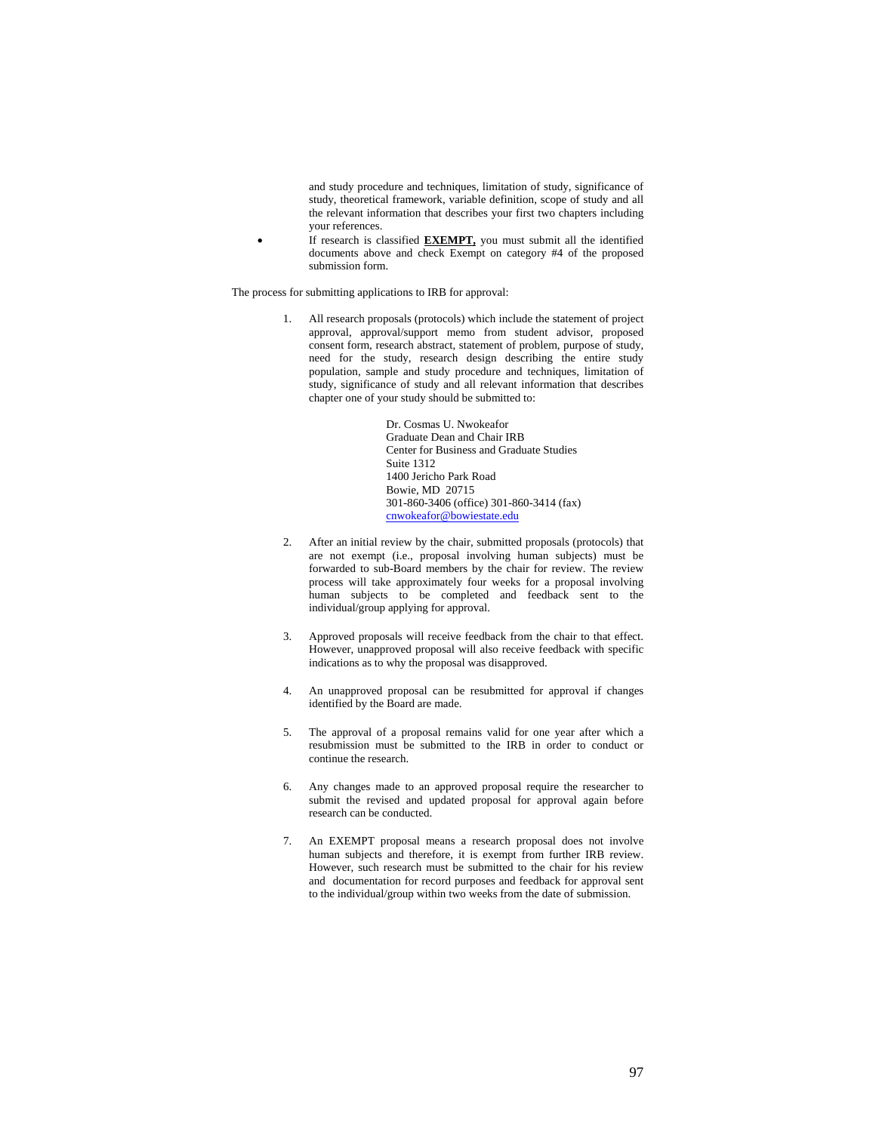and study procedure and techniques, limitation of study, significance of study, theoretical framework, variable definition, scope of study and all the relevant information that describes your first two chapters including your references.

• If research is classified **EXEMPT,** you must submit all the identified documents above and check Exempt on category #4 of the proposed submission form.

The process for submitting applications to IRB for approval:

1. All research proposals (protocols) which include the statement of project approval, approval/support memo from student advisor, proposed consent form, research abstract, statement of problem, purpose of study, need for the study, research design describing the entire study population, sample and study procedure and techniques, limitation of study, significance of study and all relevant information that describes chapter one of your study should be submitted to:

> Dr. Cosmas U. Nwokeafor Graduate Dean and Chair IRB Center for Business and Graduate Studies Suite 1312 1400 Jericho Park Road Bowie, MD 20715 301-860-3406 (office) 301-860-3414 (fax) cnwokeafor@bowiestate.edu

- 2. After an initial review by the chair, submitted proposals (protocols) that are not exempt (i.e., proposal involving human subjects) must be forwarded to sub-Board members by the chair for review. The review process will take approximately four weeks for a proposal involving human subjects to be completed and feedback sent to the individual/group applying for approval.
- 3. Approved proposals will receive feedback from the chair to that effect. However, unapproved proposal will also receive feedback with specific indications as to why the proposal was disapproved.
- 4. An unapproved proposal can be resubmitted for approval if changes identified by the Board are made.
- 5. The approval of a proposal remains valid for one year after which a resubmission must be submitted to the IRB in order to conduct or continue the research.
- 6. Any changes made to an approved proposal require the researcher to submit the revised and updated proposal for approval again before research can be conducted.
- 7. An EXEMPT proposal means a research proposal does not involve human subjects and therefore, it is exempt from further IRB review. However, such research must be submitted to the chair for his review and documentation for record purposes and feedback for approval sent to the individual/group within two weeks from the date of submission.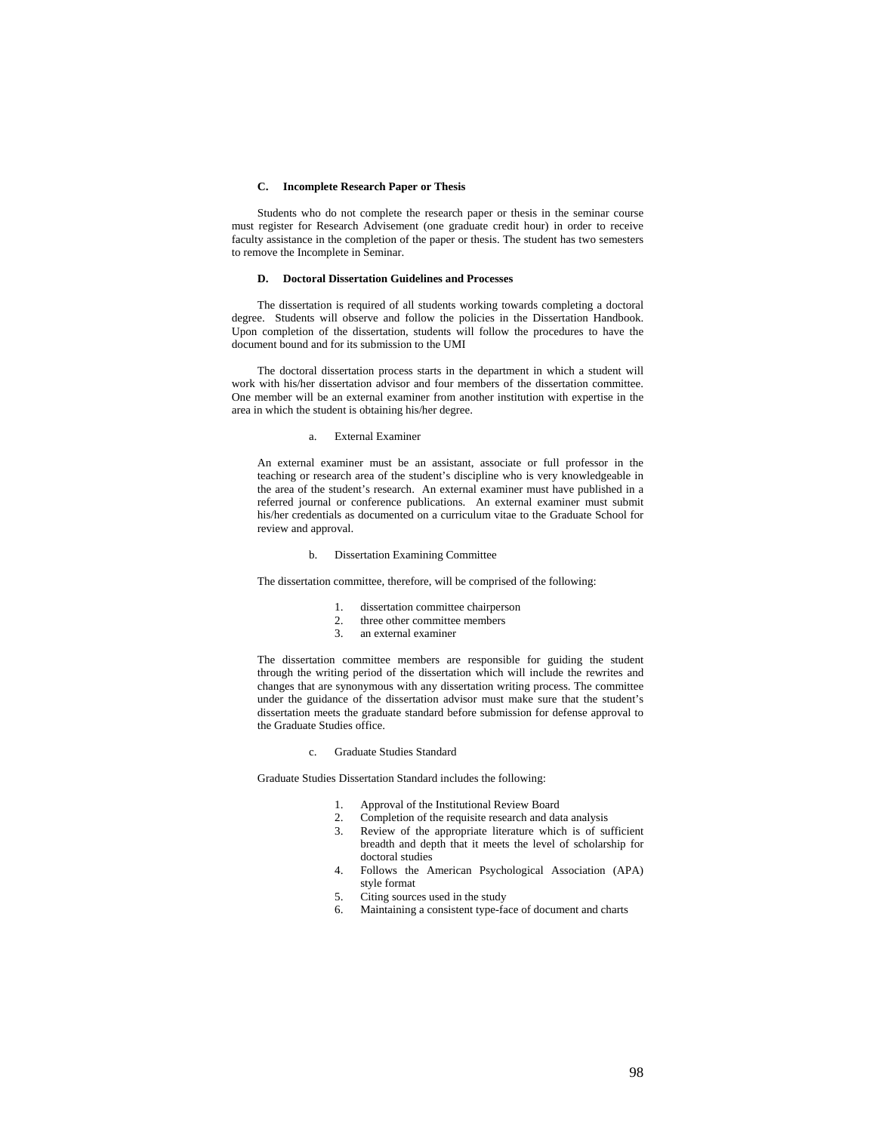# **C. Incomplete Research Paper or Thesis**

Students who do not complete the research paper or thesis in the seminar course must register for Research Advisement (one graduate credit hour) in order to receive faculty assistance in the completion of the paper or thesis. The student has two semesters to remove the Incomplete in Seminar.

### **D. Doctoral Dissertation Guidelines and Processes**

The dissertation is required of all students working towards completing a doctoral degree. Students will observe and follow the policies in the Dissertation Handbook. Upon completion of the dissertation, students will follow the procedures to have the document bound and for its submission to the UMI

The doctoral dissertation process starts in the department in which a student will work with his/her dissertation advisor and four members of the dissertation committee. One member will be an external examiner from another institution with expertise in the area in which the student is obtaining his/her degree.

#### a. External Examiner

An external examiner must be an assistant, associate or full professor in the teaching or research area of the student's discipline who is very knowledgeable in the area of the student's research. An external examiner must have published in a referred journal or conference publications. An external examiner must submit his/her credentials as documented on a curriculum vitae to the Graduate School for review and approval.

#### b. Dissertation Examining Committee

The dissertation committee, therefore, will be comprised of the following:

- 1. dissertation committee chairperson<br>2. three other committee members
- three other committee members
- 3. an external examiner

The dissertation committee members are responsible for guiding the student through the writing period of the dissertation which will include the rewrites and changes that are synonymous with any dissertation writing process. The committee under the guidance of the dissertation advisor must make sure that the student's dissertation meets the graduate standard before submission for defense approval to the Graduate Studies office.

c. Graduate Studies Standard

Graduate Studies Dissertation Standard includes the following:

- 1. Approval of the Institutional Review Board
- 2. Completion of the requisite research and data analysis
- 3. Review of the appropriate literature which is of sufficient breadth and depth that it meets the level of scholarship for doctoral studies
- 4. Follows the American Psychological Association (APA) style format
- 5. Citing sources used in the study<br>6. Maintaining a consistent type-fa
- Maintaining a consistent type-face of document and charts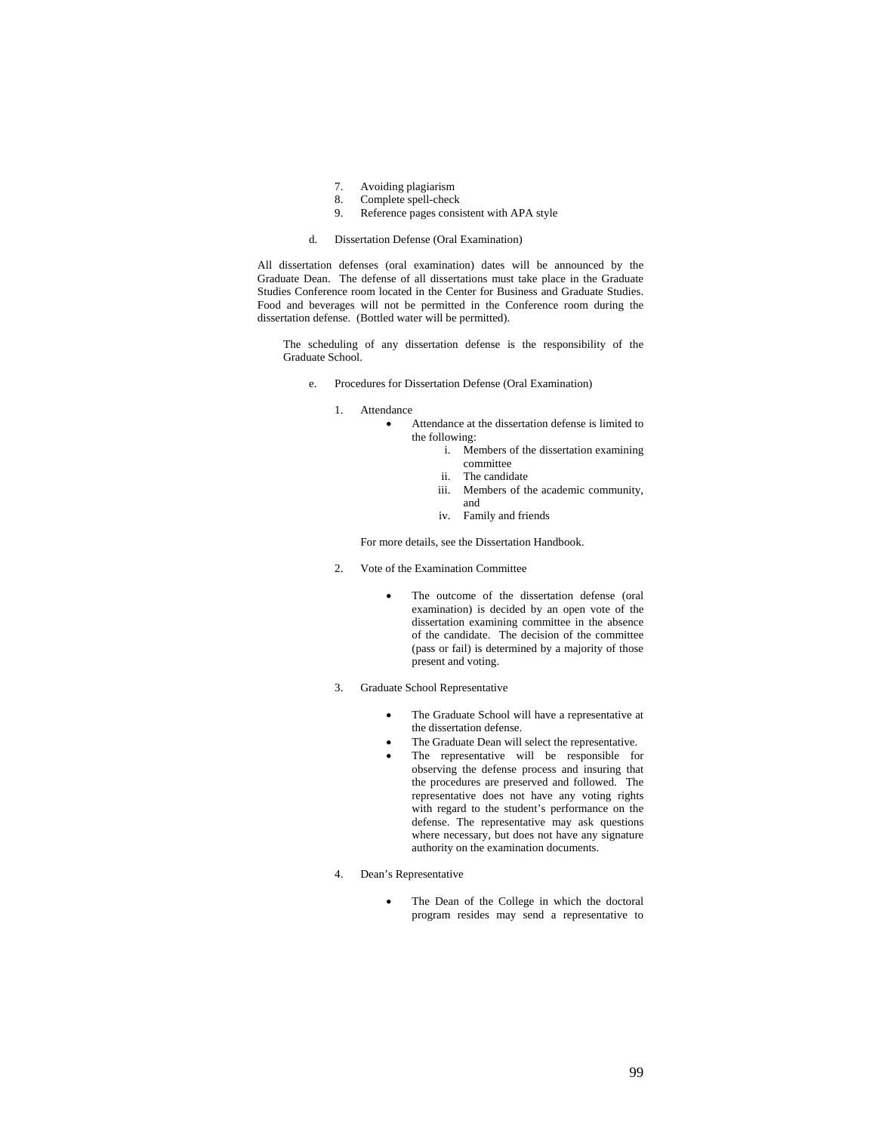- 7. Avoiding plagiarism
- 8. Complete spell-check<br>9. Reference pages consi
- Reference pages consistent with APA style
- d. Dissertation Defense (Oral Examination)

All dissertation defenses (oral examination) dates will be announced by the Graduate Dean. The defense of all dissertations must take place in the Graduate Studies Conference room located in the Center for Business and Graduate Studies. Food and beverages will not be permitted in the Conference room during the dissertation defense. (Bottled water will be permitted).

The scheduling of any dissertation defense is the responsibility of the Graduate School.

- e. Procedures for Dissertation Defense (Oral Examination)
	- 1. Attendance
		- Attendance at the dissertation defense is limited to the following:
			- i. Members of the dissertation examining committee
			- ii. The candidate
			- iii. Members of the academic community, and
			- iv. Family and friends

For more details, see the Dissertation Handbook.

- 2. Vote of the Examination Committee
	- The outcome of the dissertation defense (oral examination) is decided by an open vote of the dissertation examining committee in the absence of the candidate. The decision of the committee (pass or fail) is determined by a majority of those present and voting.
- 3. Graduate School Representative
	- The Graduate School will have a representative at the dissertation defense.
	- The Graduate Dean will select the representative.
	- The representative will be responsible for observing the defense process and insuring that the procedures are preserved and followed. The representative does not have any voting rights with regard to the student's performance on the defense. The representative may ask questions where necessary, but does not have any signature authority on the examination documents.
- 4. Dean's Representative
	- The Dean of the College in which the doctoral program resides may send a representative to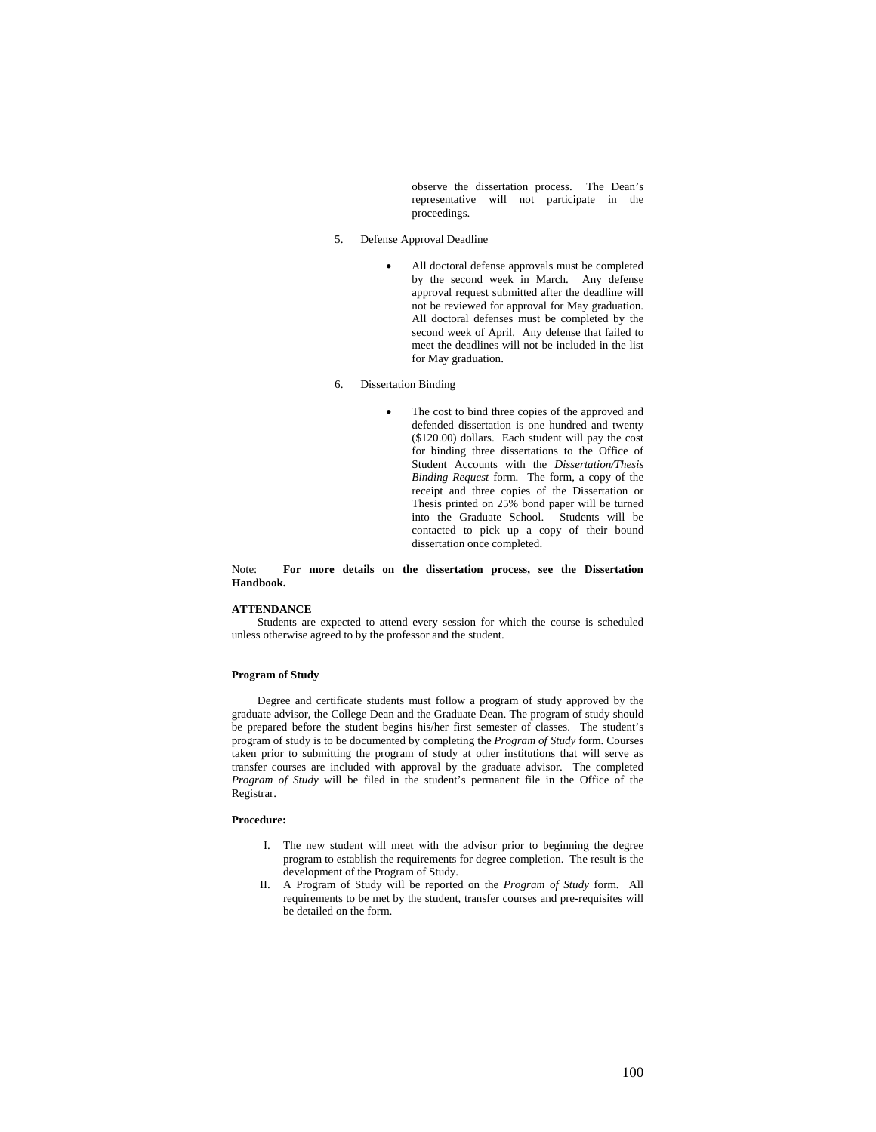observe the dissertation process. The Dean's representative will not participate in the proceedings.

- 5. Defense Approval Deadline
	- All doctoral defense approvals must be completed by the second week in March. Any defense approval request submitted after the deadline will not be reviewed for approval for May graduation. All doctoral defenses must be completed by the second week of April. Any defense that failed to meet the deadlines will not be included in the list for May graduation.
- 6. Dissertation Binding
	- The cost to bind three copies of the approved and defended dissertation is one hundred and twenty (\$120.00) dollars. Each student will pay the cost for binding three dissertations to the Office of Student Accounts with the *Dissertation/Thesis Binding Request* form. The form, a copy of the receipt and three copies of the Dissertation or Thesis printed on 25% bond paper will be turned into the Graduate School. Students will be contacted to pick up a copy of their bound dissertation once completed.

Note: **For more details on the dissertation process, see the Dissertation Handbook.** 

#### **ATTENDANCE**

Students are expected to attend every session for which the course is scheduled unless otherwise agreed to by the professor and the student.

### **Program of Study**

Degree and certificate students must follow a program of study approved by the graduate advisor, the College Dean and the Graduate Dean. The program of study should be prepared before the student begins his/her first semester of classes. The student's program of study is to be documented by completing the *Program of Study* form. Courses taken prior to submitting the program of study at other institutions that will serve as transfer courses are included with approval by the graduate advisor. The completed *Program of Study* will be filed in the student's permanent file in the Office of the Registrar.

### **Procedure:**

- I. The new student will meet with the advisor prior to beginning the degree program to establish the requirements for degree completion. The result is the development of the Program of Study.
- II. A Program of Study will be reported on the *Program of Study* form. All requirements to be met by the student, transfer courses and pre-requisites will be detailed on the form.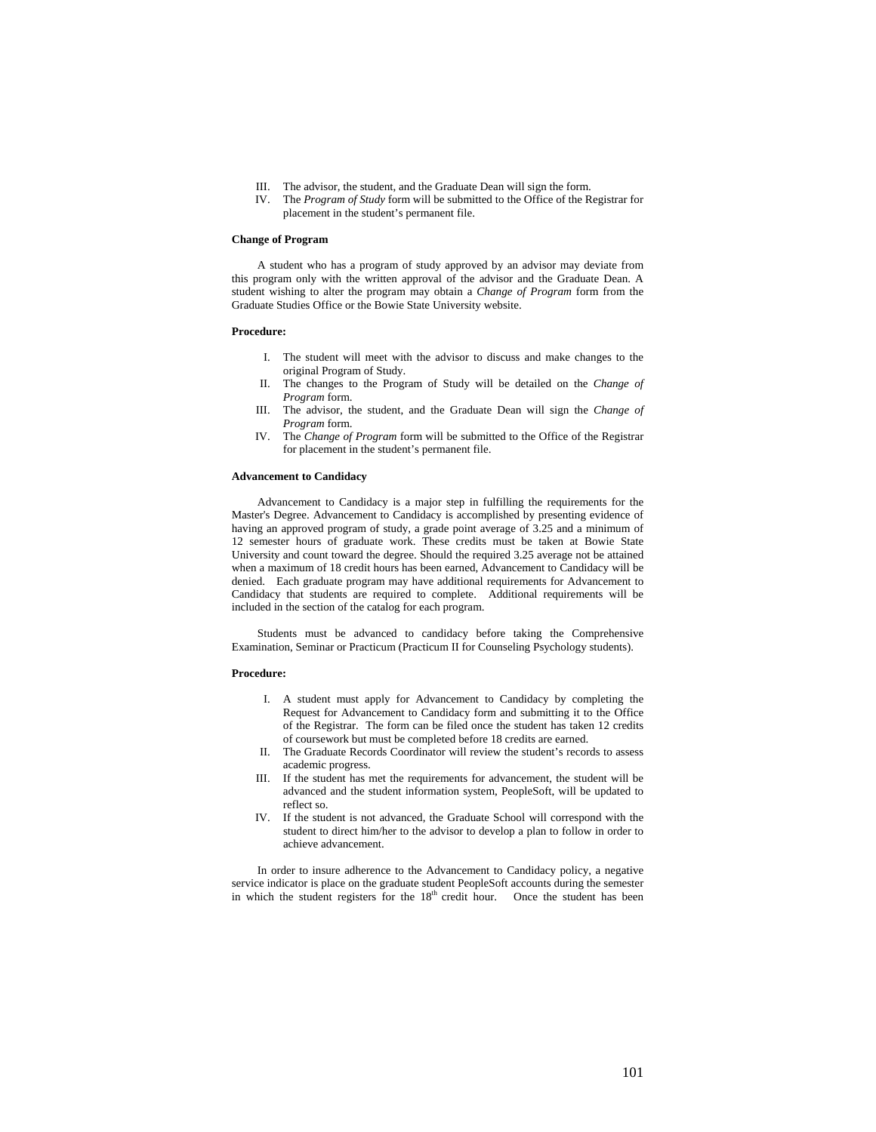- III. The advisor, the student, and the Graduate Dean will sign the form.
- IV. The *Program of Study* form will be submitted to the Office of the Registrar for placement in the student's permanent file.

#### **Change of Program**

A student who has a program of study approved by an advisor may deviate from this program only with the written approval of the advisor and the Graduate Dean. A student wishing to alter the program may obtain a *Change of Program* form from the Graduate Studies Office or the Bowie State University website.

### **Procedure:**

- I. The student will meet with the advisor to discuss and make changes to the original Program of Study.
- II. The changes to the Program of Study will be detailed on the *Change of Program* form.
- III. The advisor, the student, and the Graduate Dean will sign the *Change of Program* form.
- IV. The *Change of Program* form will be submitted to the Office of the Registrar for placement in the student's permanent file.

# **Advancement to Candidacy**

Advancement to Candidacy is a major step in fulfilling the requirements for the Master's Degree. Advancement to Candidacy is accomplished by presenting evidence of having an approved program of study, a grade point average of 3.25 and a minimum of 12 semester hours of graduate work. These credits must be taken at Bowie State University and count toward the degree. Should the required 3.25 average not be attained when a maximum of 18 credit hours has been earned, Advancement to Candidacy will be denied. Each graduate program may have additional requirements for Advancement to Candidacy that students are required to complete. Additional requirements will be included in the section of the catalog for each program.

Students must be advanced to candidacy before taking the Comprehensive Examination, Seminar or Practicum (Practicum II for Counseling Psychology students).

### **Procedure:**

- I. A student must apply for Advancement to Candidacy by completing the Request for Advancement to Candidacy form and submitting it to the Office of the Registrar. The form can be filed once the student has taken 12 credits of coursework but must be completed before 18 credits are earned.
- II. The Graduate Records Coordinator will review the student's records to assess academic progress.
- III. If the student has met the requirements for advancement, the student will be advanced and the student information system, PeopleSoft, will be updated to reflect so.
- IV. If the student is not advanced, the Graduate School will correspond with the student to direct him/her to the advisor to develop a plan to follow in order to achieve advancement.

In order to insure adherence to the Advancement to Candidacy policy, a negative service indicator is place on the graduate student PeopleSoft accounts during the semester in which the student registers for the 18<sup>th</sup> credit hour. Once the student has been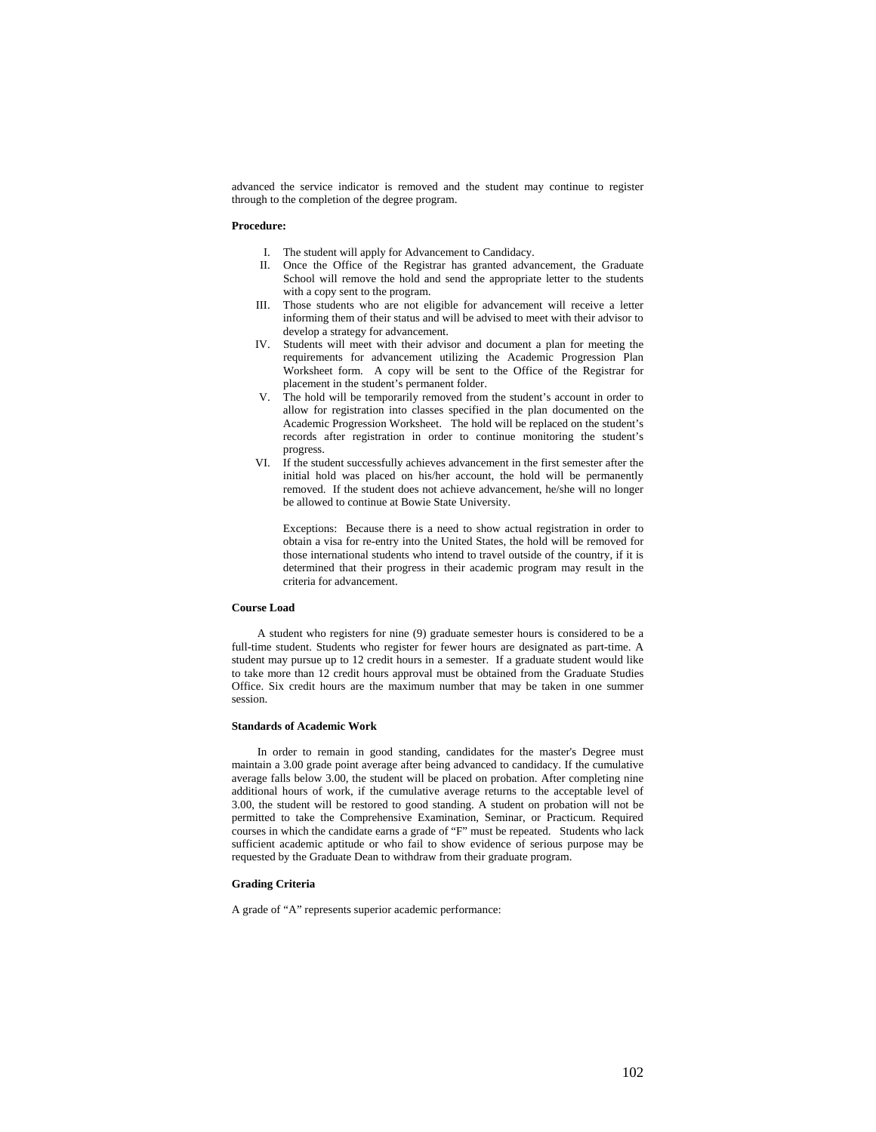advanced the service indicator is removed and the student may continue to register through to the completion of the degree program.

# **Procedure:**

- I. The student will apply for Advancement to Candidacy.
- II. Once the Office of the Registrar has granted advancement, the Graduate School will remove the hold and send the appropriate letter to the students with a copy sent to the program.
- III. Those students who are not eligible for advancement will receive a letter informing them of their status and will be advised to meet with their advisor to develop a strategy for advancement.
- IV. Students will meet with their advisor and document a plan for meeting the requirements for advancement utilizing the Academic Progression Plan Worksheet form. A copy will be sent to the Office of the Registrar for placement in the student's permanent folder.
- V. The hold will be temporarily removed from the student's account in order to allow for registration into classes specified in the plan documented on the Academic Progression Worksheet. The hold will be replaced on the student's records after registration in order to continue monitoring the student's progress.
- VI. If the student successfully achieves advancement in the first semester after the initial hold was placed on his/her account, the hold will be permanently removed. If the student does not achieve advancement, he/she will no longer be allowed to continue at Bowie State University.

Exceptions: Because there is a need to show actual registration in order to obtain a visa for re-entry into the United States, the hold will be removed for those international students who intend to travel outside of the country, if it is determined that their progress in their academic program may result in the criteria for advancement.

# **Course Load**

A student who registers for nine (9) graduate semester hours is considered to be a full-time student. Students who register for fewer hours are designated as part-time. A student may pursue up to 12 credit hours in a semester. If a graduate student would like to take more than 12 credit hours approval must be obtained from the Graduate Studies Office. Six credit hours are the maximum number that may be taken in one summer session.

### **Standards of Academic Work**

In order to remain in good standing, candidates for the master's Degree must maintain a 3.00 grade point average after being advanced to candidacy. If the cumulative average falls below 3.00, the student will be placed on probation. After completing nine additional hours of work, if the cumulative average returns to the acceptable level of 3.00, the student will be restored to good standing. A student on probation will not be permitted to take the Comprehensive Examination, Seminar, or Practicum. Required courses in which the candidate earns a grade of "F" must be repeated. Students who lack sufficient academic aptitude or who fail to show evidence of serious purpose may be requested by the Graduate Dean to withdraw from their graduate program.

### **Grading Criteria**

A grade of "A" represents superior academic performance: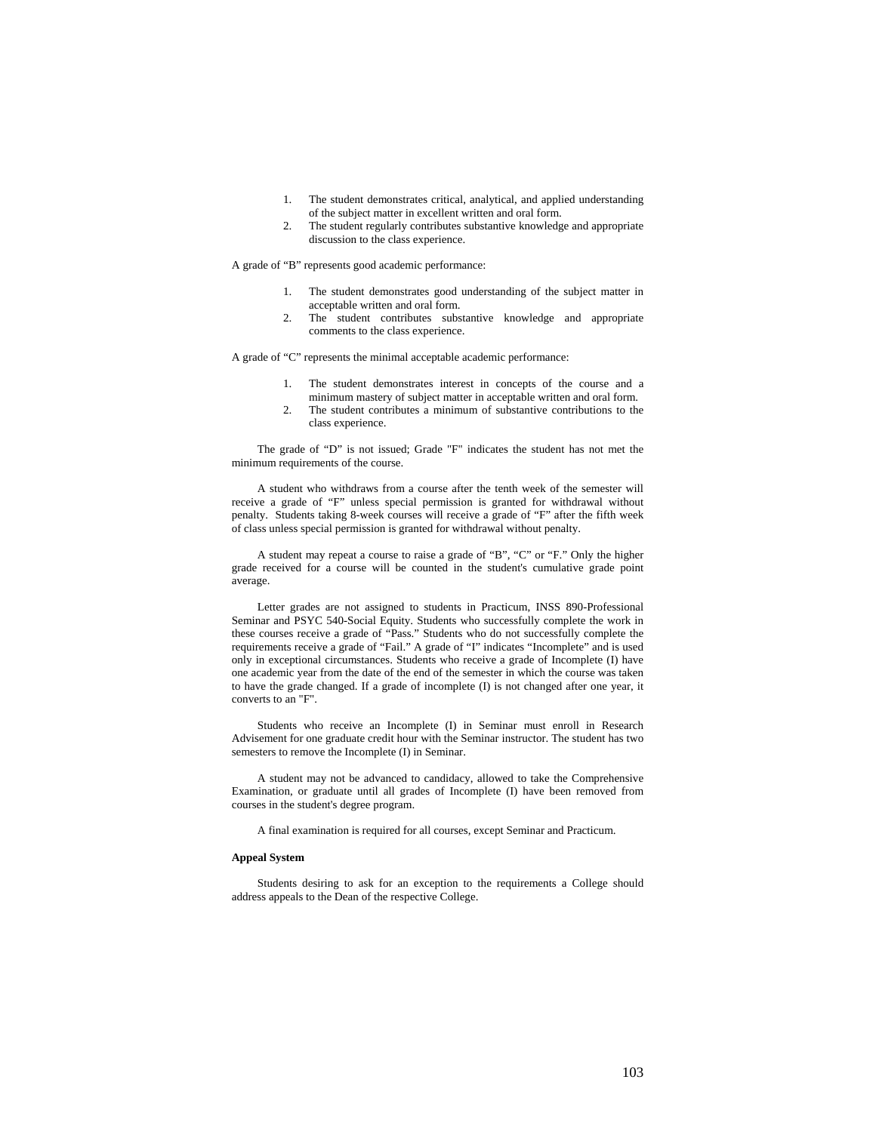- 1. The student demonstrates critical, analytical, and applied understanding of the subject matter in excellent written and oral form.
- 2. The student regularly contributes substantive knowledge and appropriate discussion to the class experience.

A grade of "B" represents good academic performance:

- 1. The student demonstrates good understanding of the subject matter in acceptable written and oral form.
- 2. The student contributes substantive knowledge and appropriate comments to the class experience.

A grade of "C" represents the minimal acceptable academic performance:

- 1. The student demonstrates interest in concepts of the course and a minimum mastery of subject matter in acceptable written and oral form.
- 2. The student contributes a minimum of substantive contributions to the class experience.

The grade of "D" is not issued; Grade "F" indicates the student has not met the minimum requirements of the course.

A student who withdraws from a course after the tenth week of the semester will receive a grade of "F" unless special permission is granted for withdrawal without penalty. Students taking 8-week courses will receive a grade of "F" after the fifth week of class unless special permission is granted for withdrawal without penalty.

A student may repeat a course to raise a grade of "B", "C" or "F." Only the higher grade received for a course will be counted in the student's cumulative grade point average.

Letter grades are not assigned to students in Practicum, INSS 890-Professional Seminar and PSYC 540-Social Equity. Students who successfully complete the work in these courses receive a grade of "Pass." Students who do not successfully complete the requirements receive a grade of "Fail." A grade of "I" indicates "Incomplete" and is used only in exceptional circumstances. Students who receive a grade of Incomplete (I) have one academic year from the date of the end of the semester in which the course was taken to have the grade changed. If a grade of incomplete (I) is not changed after one year, it converts to an "F".

Students who receive an Incomplete (I) in Seminar must enroll in Research Advisement for one graduate credit hour with the Seminar instructor. The student has two semesters to remove the Incomplete (I) in Seminar.

A student may not be advanced to candidacy, allowed to take the Comprehensive Examination, or graduate until all grades of Incomplete (I) have been removed from courses in the student's degree program.

A final examination is required for all courses, except Seminar and Practicum.

#### **Appeal System**

Students desiring to ask for an exception to the requirements a College should address appeals to the Dean of the respective College.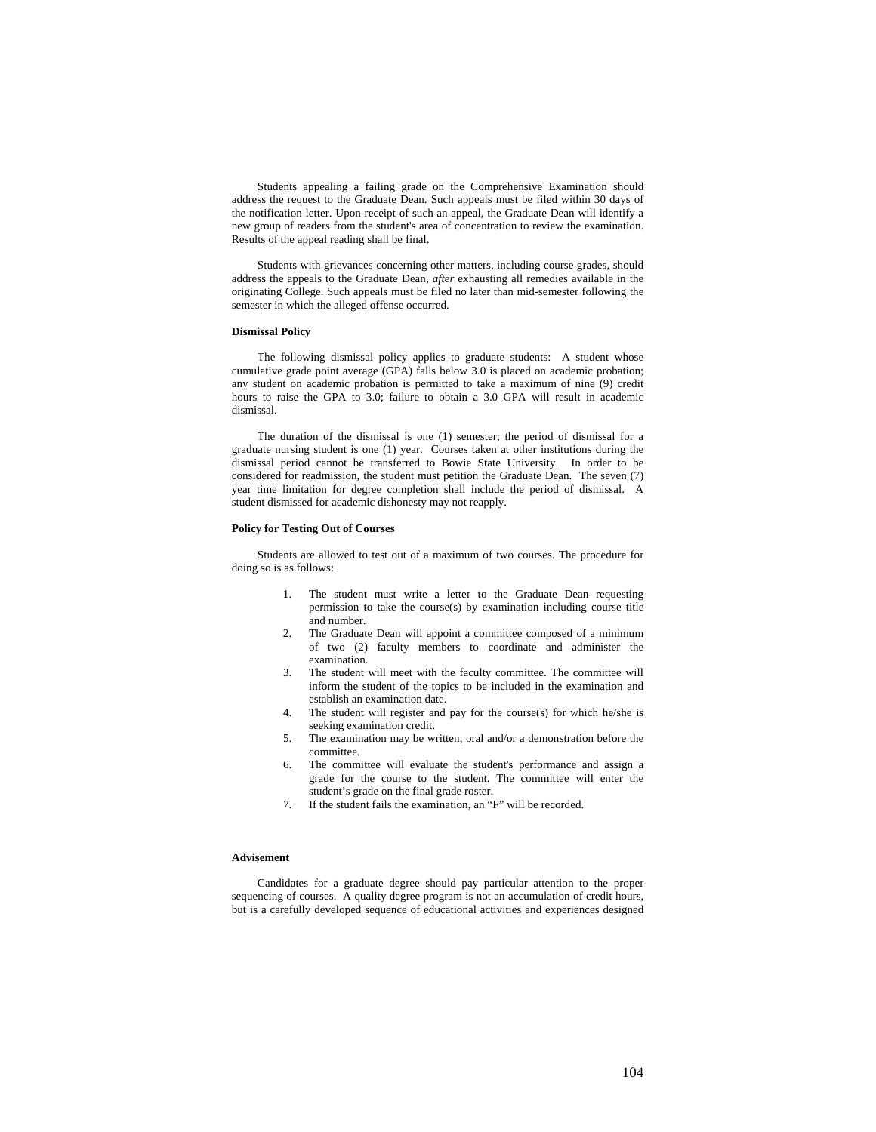Students appealing a failing grade on the Comprehensive Examination should address the request to the Graduate Dean. Such appeals must be filed within 30 days of the notification letter. Upon receipt of such an appeal, the Graduate Dean will identify a new group of readers from the student's area of concentration to review the examination. Results of the appeal reading shall be final.

Students with grievances concerning other matters, including course grades, should address the appeals to the Graduate Dean, *after* exhausting all remedies available in the originating College. Such appeals must be filed no later than mid-semester following the semester in which the alleged offense occurred.

### **Dismissal Policy**

The following dismissal policy applies to graduate students: A student whose cumulative grade point average (GPA) falls below 3.0 is placed on academic probation; any student on academic probation is permitted to take a maximum of nine (9) credit hours to raise the GPA to 3.0; failure to obtain a 3.0 GPA will result in academic dismissal.

The duration of the dismissal is one (1) semester; the period of dismissal for a graduate nursing student is one (1) year. Courses taken at other institutions during the dismissal period cannot be transferred to Bowie State University. In order to be considered for readmission, the student must petition the Graduate Dean. The seven (7) year time limitation for degree completion shall include the period of dismissal. A student dismissed for academic dishonesty may not reapply.

### **Policy for Testing Out of Courses**

Students are allowed to test out of a maximum of two courses. The procedure for doing so is as follows:

- 1. The student must write a letter to the Graduate Dean requesting permission to take the course(s) by examination including course title and number.
- 2. The Graduate Dean will appoint a committee composed of a minimum of two (2) faculty members to coordinate and administer the examination.
- 3. The student will meet with the faculty committee. The committee will inform the student of the topics to be included in the examination and establish an examination date.
- 4. The student will register and pay for the course(s) for which he/she is seeking examination credit.
- 5. The examination may be written, oral and/or a demonstration before the committee.
- 6. The committee will evaluate the student's performance and assign a grade for the course to the student. The committee will enter the student's grade on the final grade roster.
- 7. If the student fails the examination, an "F" will be recorded.

# **Advisement**

Candidates for a graduate degree should pay particular attention to the proper sequencing of courses. A quality degree program is not an accumulation of credit hours, but is a carefully developed sequence of educational activities and experiences designed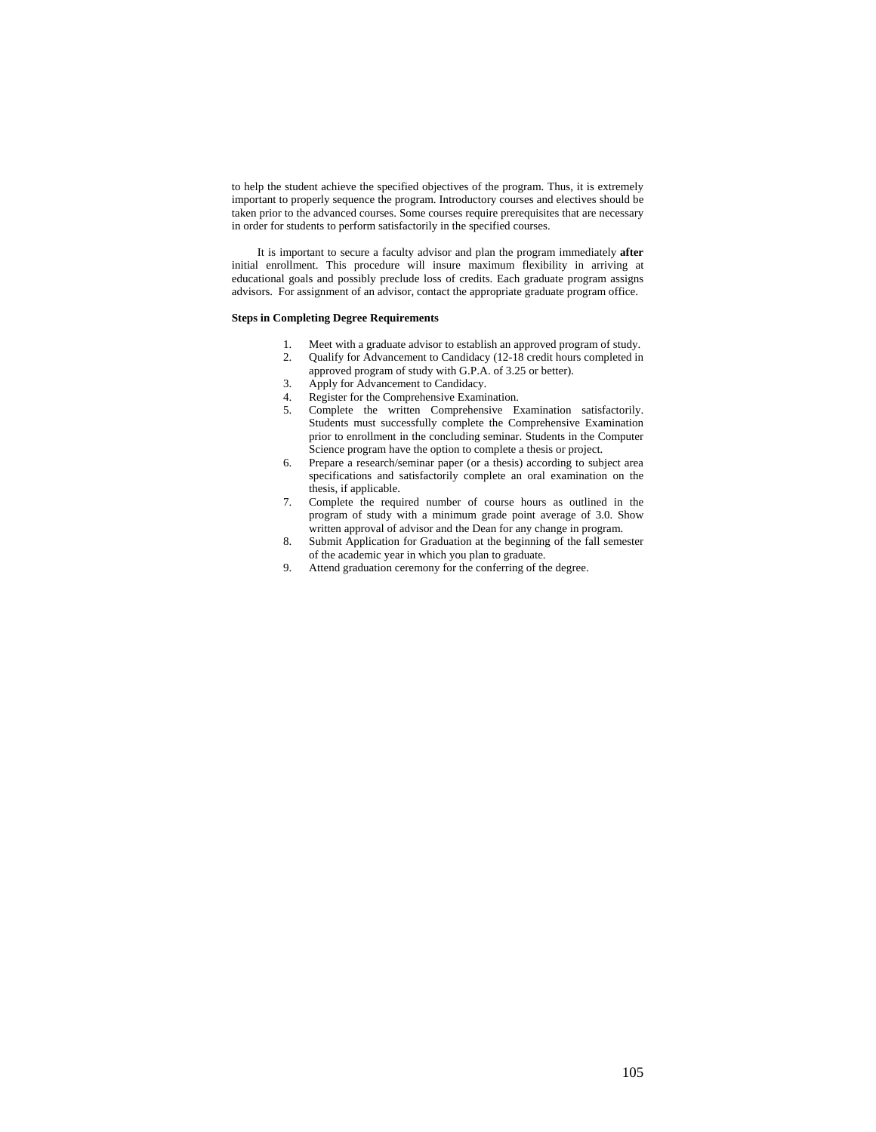to help the student achieve the specified objectives of the program. Thus, it is extremely important to properly sequence the program. Introductory courses and electives should be taken prior to the advanced courses. Some courses require prerequisites that are necessary in order for students to perform satisfactorily in the specified courses.

It is important to secure a faculty advisor and plan the program immediately **after** initial enrollment. This procedure will insure maximum flexibility in arriving at educational goals and possibly preclude loss of credits. Each graduate program assigns advisors. For assignment of an advisor, contact the appropriate graduate program office.

## **Steps in Completing Degree Requirements**

- 1. Meet with a graduate advisor to establish an approved program of study.
- 2. Qualify for Advancement to Candidacy (12-18 credit hours completed in approved program of study with G.P.A. of 3.25 or better).
- 3. Apply for Advancement to Candidacy.
- 4. Register for the Comprehensive Examination.
- 5. Complete the written Comprehensive Examination satisfactorily. Students must successfully complete the Comprehensive Examination prior to enrollment in the concluding seminar. Students in the Computer Science program have the option to complete a thesis or project.
- 6. Prepare a research/seminar paper (or a thesis) according to subject area specifications and satisfactorily complete an oral examination on the thesis, if applicable.
- 7. Complete the required number of course hours as outlined in the program of study with a minimum grade point average of 3.0. Show written approval of advisor and the Dean for any change in program.
- 8. Submit Application for Graduation at the beginning of the fall semester of the academic year in which you plan to graduate.
- 9. Attend graduation ceremony for the conferring of the degree.